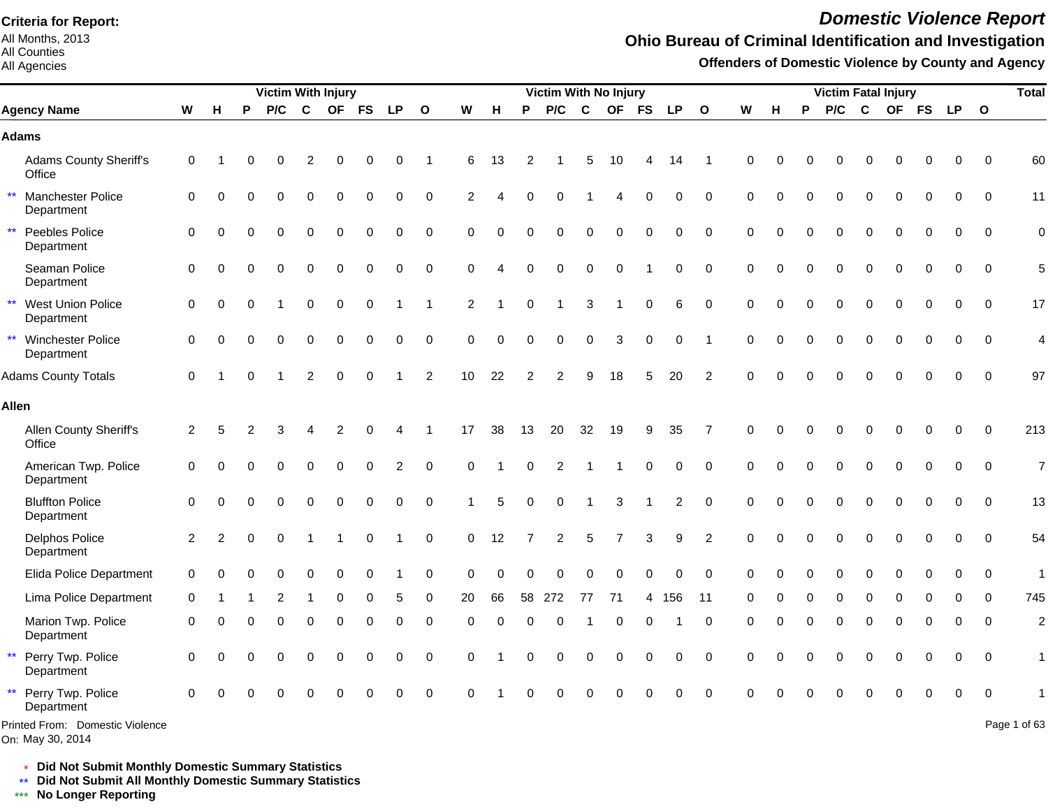All Months, 2013 All Counties

#### All Agencies

# *Domestic Violence Report*

#### **Ohio Bureau of Criminal Identification and Investigation**

**Offenders of Domestic Violence by County and Agency**

|                                                 |                |                |          | <b>Victim With Injury</b> |                |             |             |                |                |             |             |          | <b>Victim With No Injury</b> |             |                |             |                |              |             |          |          |             | <b>Victim Fatal Injury</b> |             |             |             |          | <b>Total</b>             |
|-------------------------------------------------|----------------|----------------|----------|---------------------------|----------------|-------------|-------------|----------------|----------------|-------------|-------------|----------|------------------------------|-------------|----------------|-------------|----------------|--------------|-------------|----------|----------|-------------|----------------------------|-------------|-------------|-------------|----------|--------------------------|
| <b>Agency Name</b>                              | W              | H              | P        | P/C                       | $\mathbf c$    |             | OF FS       | <b>LP</b>      | $\mathbf{o}$   | W           | H           | P        | P/C                          | $\mathbf c$ |                | OF FS       | <b>LP</b>      | $\mathbf{o}$ | W           | H        | P        | P/C         | $\mathbf c$                |             | OF FS       | LP O        |          |                          |
| <b>Adams</b>                                    |                |                |          |                           |                |             |             |                |                |             |             |          |                              |             |                |             |                |              |             |          |          |             |                            |             |             |             |          |                          |
| <b>Adams County Sheriff's</b><br>Office         | 0              |                |          | O                         | $\overline{2}$ | $\Omega$    | 0           | 0              | -1             | 6           | 13          | 2        |                              | 5           | 10             |             | 14             | -1           | $\Omega$    | O        | O        | $\Omega$    | $\Omega$                   | $\Omega$    | $\Omega$    | $\Omega$    | $\Omega$ | 60                       |
| $\star\star$<br>Manchester Police<br>Department | 0              | $\Omega$       |          | $\Omega$                  | 0              | $\Omega$    | $\Omega$    | 0              | $\Omega$       | 2           |             | $\Omega$ | 0                            |             |                | $\Omega$    | $\Omega$       | $\Omega$     | $\Omega$    | $\Omega$ | $\Omega$ | $\Omega$    | $\Omega$                   | $\Omega$    | $\Omega$    | $\Omega$    | $\Omega$ | 11                       |
| $\star\star$<br>Peebles Police<br>Department    | 0              | $\Omega$       | $\Omega$ | $\Omega$                  | $\Omega$       | $\Omega$    | $\Omega$    | $\Omega$       | $\Omega$       | $\Omega$    | $\Omega$    | $\Omega$ | $\Omega$                     | $\Omega$    | $\Omega$       | $\Omega$    | $\Omega$       | $\Omega$     | $\Omega$    | $\Omega$ | $\Omega$ | $\Omega$    | $\Omega$                   | $\Omega$    | $\Omega$    | $\Omega$    | $\Omega$ | $\mathbf 0$              |
| Seaman Police<br>Department                     | 0              | $\Omega$       |          | ∩                         | $\Omega$       | O           | $\Omega$    | 0              | $\mathbf 0$    | 0           | Δ           | $\Omega$ | $\mathbf 0$                  | $\mathbf 0$ | $\mathbf 0$    |             | 0              | $\mathbf 0$  | $\mathbf 0$ | $\Omega$ |          | $\Omega$    | $\Omega$                   | $\Omega$    | $\Omega$    | 0           | $\Omega$ | 5                        |
| ** West Union Police<br>Department              | 0              | $\Omega$       |          |                           | $\Omega$       | $\mathbf 0$ | 0           |                | -1             | 2           |             | $\Omega$ |                              | 3           | 1              | $\pmb{0}$   | 6              | $\mathbf 0$  | $\mathbf 0$ | $\Omega$ | $\Omega$ | $\Omega$    | $\Omega$                   | $\Omega$    | $\Omega$    | $\Omega$    | $\Omega$ | 17                       |
| ** Winchester Police<br>Department              | 0              | $\Omega$       |          | $\Omega$                  | $\mathbf 0$    | $\mathbf 0$ | $\mathbf 0$ | 0              | $\mathbf 0$    | $\mathbf 0$ | $\mathbf 0$ | $\Omega$ | $\mathbf 0$                  | $\mathbf 0$ | 3              | $\pmb{0}$   | 0              | -1           | $\Omega$    | $\Omega$ | $\Omega$ | $\mathbf 0$ | $\mathbf 0$                | $\mathbf 0$ | $\mathbf 0$ | 0           | $\Omega$ | $\overline{\mathcal{L}}$ |
| <b>Adams County Totals</b>                      | $\Omega$       |                |          |                           | $\overline{2}$ | $\Omega$    | $\Omega$    |                | $\overline{2}$ | 10          | 22          | 2        | $\overline{2}$               | 9           | 18             | 5           | 20             | 2            | $\Omega$    |          | $\Omega$ | $\Omega$    | $\Omega$                   | $\Omega$    | 0           | $\Omega$    | $\Omega$ | 97                       |
| <b>Allen</b>                                    |                |                |          |                           |                |             |             |                |                |             |             |          |                              |             |                |             |                |              |             |          |          |             |                            |             |             |             |          |                          |
| Allen County Sheriff's<br>Office                | 2              | 5              |          | 3                         |                | 2           | ∩           |                |                | 17          | 38          | 13       | 20                           | 32          | 19             | 9           | 35             | 7            | $\Omega$    | O        |          |             | 0                          | $\Omega$    | 0           | 0           | $\Omega$ | 213                      |
| American Twp. Police<br>Department              | 0              | $\Omega$       | U        | 0                         | $\Omega$       | $\Omega$    | $\mathbf 0$ | $\overline{2}$ | $\Omega$       | $\mathbf 0$ | 1           | $\Omega$ | $\overline{2}$               |             |                | $\mathbf 0$ | 0              | $\mathbf 0$  | $\mathbf 0$ | $\Omega$ | $\Omega$ | $\Omega$    | $\Omega$                   | $\Omega$    | $\mathbf 0$ | $\mathbf 0$ | $\Omega$ | $\overline{7}$           |
| <b>Bluffton Police</b><br>Department            | $\Omega$       |                |          | O                         | $\Omega$       | $\Omega$    | 0           | 0              | 0              |             | 5           |          | 0                            |             | 3              |             | $\overline{c}$ | $\Omega$     | $\Omega$    | O        |          | $\Omega$    | $\Omega$                   | $\Omega$    | $\Omega$    | 0           | $\Omega$ | 13                       |
| Delphos Police<br>Department                    | $\overline{2}$ | $\overline{2}$ | $\Omega$ | $\Omega$                  |                |             | $\Omega$    |                | $\mathbf 0$    | $\mathbf 0$ | 12          |          | $\overline{c}$               | 5           | $\overline{7}$ | 3           | 9              | 2            | $\Omega$    | $\Omega$ |          | $\Omega$    | $\Omega$                   | $\Omega$    | $\Omega$    | $\Omega$    | $\Omega$ | 54                       |
| <b>Elida Police Department</b>                  | 0              |                |          | O                         | 0              | $\Omega$    | $\Omega$    |                | 0              | $\Omega$    | $\Omega$    | $\Omega$ | 0                            | $\Omega$    | $\Omega$       | $\Omega$    | 0              | $\Omega$     | $\Omega$    | O        | 0        | $\Omega$    | 0                          | $\Omega$    | 0           | 0           | $\Omega$ | $\mathbf{1}$             |
| Lima Police Department                          | 0              |                |          |                           |                |             |             | 5              | $\Omega$       | 20          | 66          | 58       | 272                          | 77          | 71             | 4           | 156            | 11           |             |          |          |             | 0                          |             | $\Omega$    | ∩           | $\Omega$ | 745                      |
| Marion Twp. Police<br>Department                | 0              | $\Omega$       | $\Omega$ | $\Omega$                  | $\Omega$       | $\Omega$    | $\Omega$    | 0              | $\mathbf 0$    | 0           | $\Omega$    | $\Omega$ | $\Omega$                     |             | $\Omega$       | $\Omega$    |                | $\mathbf 0$  | $\Omega$    | $\Omega$ | $\Omega$ | $\Omega$    | $\Omega$                   | $\Omega$    | $\mathbf 0$ | $\Omega$    | $\Omega$ | $\overline{c}$           |
| $\star\star$<br>Perry Twp. Police<br>Department | $\Omega$       | $\Omega$       | O        | $\Omega$                  | 0              | $\Omega$    | $\Omega$    | 0              | 0              | $\Omega$    |             |          | 0                            | $\Omega$    | $\Omega$       | $\pmb{0}$   | 0              | $\mathbf 0$  | $\Omega$    | $\Omega$ | U        | $\Omega$    | $\Omega$                   | $\Omega$    | $\Omega$    | $\Omega$    | $\Omega$ | 1                        |
| $\star\star$<br>Perry Twp. Police<br>Department | $\Omega$       |                |          |                           |                |             |             | $\Omega$       | $\mathbf 0$    | ∩           |             |          |                              |             | O              | $\Omega$    | 0              | $\mathbf 0$  | ∩           |          |          |             |                            |             |             | $\Omega$    | 0        |                          |
| Printed From: Domestic Violence                 |                |                |          |                           |                |             |             |                |                |             |             |          |                              |             |                |             |                |              |             |          |          |             |                            |             |             |             |          | Page 1 of 63             |

\* **Did Not Submit Monthly Domestic Summary Statistics**

**Did Not Submit All Monthly Domestic Summary Statistics**

<u>\*\*</u> Did Not Submit All M∗<br><mark>\*\*\*</mark> No Longer Reporting

On: May 30, 2014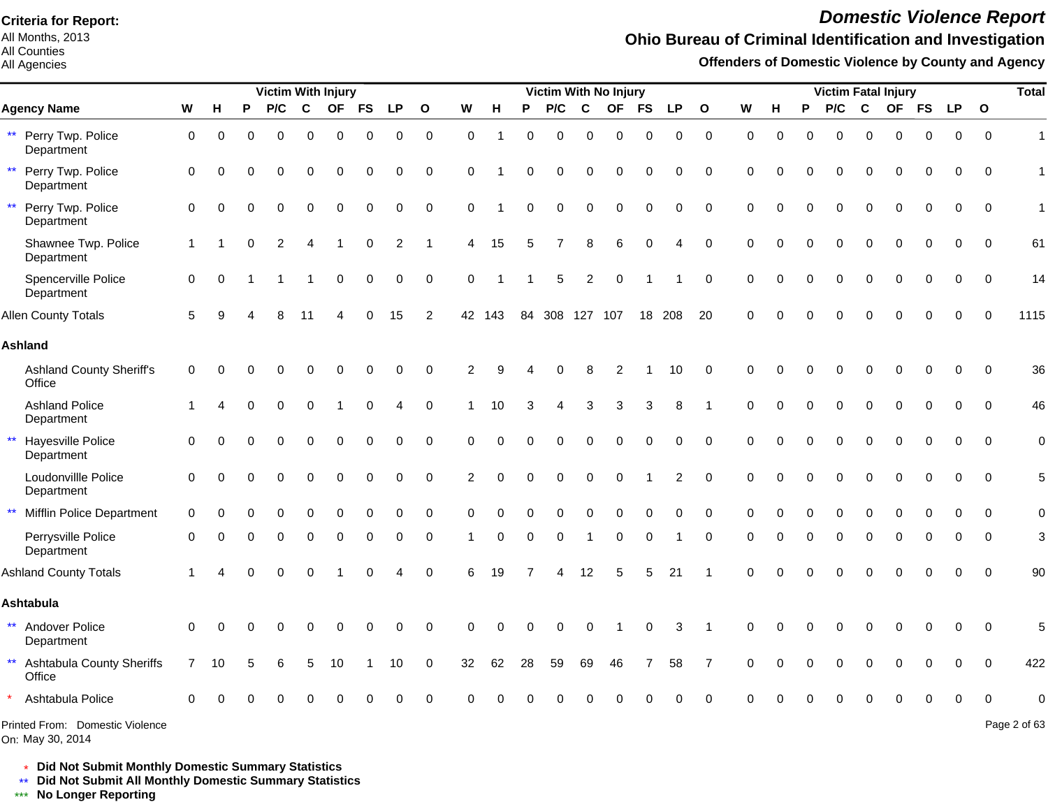All Months, 2013 All Counties

All Agencies

# *Domestic Violence Report*

### **Ohio Bureau of Criminal Identification and Investigation**

**Offenders of Domestic Violence by County and Agency**

|                                                 |                                  |              |          |   | <b>Victim With Injury</b> |             |             |             |             |                |                |          |          | Victim With No Injury |                |             |             |                |              |             |             |          |          |             | <b>Victim Fatal Injury</b> |           |             |              | <b>Total</b>   |
|-------------------------------------------------|----------------------------------|--------------|----------|---|---------------------------|-------------|-------------|-------------|-------------|----------------|----------------|----------|----------|-----------------------|----------------|-------------|-------------|----------------|--------------|-------------|-------------|----------|----------|-------------|----------------------------|-----------|-------------|--------------|----------------|
| <b>Agency Name</b>                              |                                  | W            | H        | P | P/C                       | $\mathbf c$ | <b>OF</b>   | <b>FS</b>   | <b>LP</b>   | $\mathbf{o}$   | W              | H        | P        | P/C                   | $\mathbf c$    | <b>OF</b>   | <b>FS</b>   | <b>LP</b>      | $\mathbf{o}$ | W           | н           | P        | P/C      | $\mathbf c$ | <b>OF</b>                  | <b>FS</b> | <b>LP</b>   | $\mathbf{o}$ |                |
| ** Perry Twp. Police<br>Department              |                                  | $\mathbf 0$  | 0        | 0 | $\Omega$                  | 0           | $\mathbf 0$ | $\mathbf 0$ | $\mathbf 0$ | 0              | $\mathbf 0$    |          | $\Omega$ | $\Omega$              | 0              | $\mathbf 0$ | $\mathbf 0$ | $\mathbf 0$    | $\mathbf 0$  | $\Omega$    | $\mathbf 0$ | $\Omega$ | $\Omega$ | 0           | 0                          | $\Omega$  | $\mathbf 0$ | $\mathbf 0$  | $\mathbf{1}$   |
| Perry Twp. Police<br>$***$<br>Department        |                                  | 0            | $\Omega$ |   |                           | 0           | $\Omega$    | $\Omega$    | $\Omega$    | 0              | 0              |          | $\Omega$ | $\Omega$              | $\Omega$       | $\Omega$    | $\Omega$    | 0              | $\mathbf 0$  | 0           | $\Omega$    |          | U        | ∩           | $\Omega$                   |           | $\Omega$    | $\mathbf 0$  | $\overline{1}$ |
| $\star\star$<br>Perry Twp. Police<br>Department |                                  | $\mathbf 0$  | $\Omega$ |   | $\Omega$                  | $\Omega$    | $\Omega$    | $\Omega$    | $\Omega$    | $\mathbf 0$    | $\Omega$       |          | $\Omega$ | $\Omega$              | $\Omega$       | $\Omega$    | $\mathbf 0$ | $\Omega$       | $\mathbf 0$  | $\Omega$    | $\Omega$    | $\Omega$ | $\Omega$ | $\Omega$    | $\Omega$                   | $\Omega$  | $\Omega$    | $\mathbf 0$  | $\mathbf{1}$   |
| Department                                      | Shawnee Twp. Police              | $\mathbf{1}$ |          |   | 2                         | Δ           |             | $\Omega$    | 2           | -1             | 4              | 15       | 5        |                       | 8              | 6           | $\mathbf 0$ | 4              | $\mathbf 0$  | $\Omega$    | $\Omega$    |          |          |             |                            |           | 0           | $\Omega$     | 61             |
| Spencerville Police<br>Department               |                                  | $\mathbf 0$  | $\Omega$ |   |                           |             | $\Omega$    | $\Omega$    | 0           | 0              | $\Omega$       |          |          | 5                     | $\overline{c}$ | $\Omega$    |             |                | 0            | $\Omega$    | $\Omega$    | $\Omega$ | O        |             |                            |           | 0           | $\Omega$     | 14             |
| <b>Allen County Totals</b>                      |                                  | 5            |          |   |                           | 11          |             | $\Omega$    | 15          | $\overline{2}$ |                | 42 143   | 84       | 308 127 107           |                |             |             | 18 208         | 20           | $\Omega$    |             |          |          |             |                            |           | 0           | $\Omega$     | 1115           |
| <b>Ashland</b>                                  |                                  |              |          |   |                           |             |             |             |             |                |                |          |          |                       |                |             |             |                |              |             |             |          |          |             |                            |           |             |              |                |
| Office                                          | <b>Ashland County Sheriff's</b>  | 0            |          |   |                           |             |             |             |             | 0              | 2              | q        |          |                       |                | 2           |             | 10             | 0            | $\Omega$    | $\Omega$    |          |          |             |                            |           | O           | 0            | 36             |
| <b>Ashland Police</b><br>Department             |                                  |              |          |   |                           | $\Omega$    |             | 0           | 4           | $\mathbf 0$    |                | 10       |          |                       | 3              | 3           | 3           | 8              |              | 0           | $\Omega$    |          |          | $\Omega$    | 0                          |           | 0           | $\Omega$     | 46             |
| $\star\star$<br>Hayesville Police<br>Department |                                  | $\mathbf 0$  |          |   |                           |             |             | 0           | $\Omega$    | 0              | 0              | $\Omega$ | 0        | $\Omega$              | 0              | $\Omega$    | 0           | 0              | $\mathbf 0$  | $\mathbf 0$ | $\Omega$    |          | 0        | $\Omega$    | 0                          |           | 0           | $\mathbf 0$  | $\pmb{0}$      |
| Loudonvillle Police<br>Department               |                                  | $\mathbf 0$  | $\Omega$ |   |                           | 0           | $\Omega$    | $\Omega$    | $\Omega$    | $\pmb{0}$      | $\overline{2}$ | $\Omega$ | $\Omega$ | $\Omega$              | 0              | $\Omega$    |             | $\overline{2}$ | $\pmb{0}$    | $\Omega$    | $\Omega$    | $\Omega$ | $\Omega$ | $\Omega$    | $\Omega$                   | $\Omega$  | $\Omega$    | $\Omega$     | 5              |
| $\star\star$                                    | <b>Mifflin Police Department</b> | $\mathbf 0$  | $\Omega$ |   |                           | 0           | $\Omega$    | 0           | $\mathbf 0$ | $\mathbf 0$    | $\Omega$       | $\Omega$ | $\Omega$ | $\Omega$              | 0              | $\mathbf 0$ | $\mathbf 0$ | $\mathbf 0$    | $\mathbf 0$  | $\Omega$    | $\Omega$    | $\Omega$ | 0        | 0           | $\Omega$                   | $\Omega$  | $\mathbf 0$ | $\Omega$     | $\mathbf 0$    |
| Perrysville Police<br>Department                |                                  | $\Omega$     |          |   |                           |             | 0           | $\Omega$    | $\Omega$    | 0              |                | $\Omega$ | 0        | $\Omega$              |                | $\mathbf 0$ | 0           |                | $\mathbf 0$  | $\Omega$    | $\Omega$    |          | 0        | ∩           |                            |           |             | $\Omega$     | 3              |
| <b>Ashland County Totals</b>                    |                                  |              |          |   |                           |             |             |             |             | $\Omega$       | 6              | 19       |          |                       | 12             | 5           |             | 21             |              | $\Omega$    | $\Omega$    |          |          |             |                            |           |             | $\Omega$     | 90             |
| <b>Ashtabula</b>                                |                                  |              |          |   |                           |             |             |             |             |                |                |          |          |                       |                |             |             |                |              |             |             |          |          |             |                            |           |             |              |                |
| ** Andover Police<br>Department                 |                                  | $\Omega$     | $\Omega$ |   |                           |             |             |             |             | $\Omega$       | $\Omega$       |          |          |                       | $\Omega$       |             | $\Omega$    | 3              |              | 0           |             |          |          |             |                            |           | 0           | $\Omega$     | 5              |
| $\star\star$<br>Office                          | <b>Ashtabula County Sheriffs</b> | $7^{\circ}$  | 10       |   |                           | 5           | 10          |             | 10          | 0              | 32             | 62       | 28       | 59                    | 69             | 46          |             | 58             | 7            | 0           |             |          |          |             | 0                          |           | n           | $\Omega$     | 422            |
| Ashtabula Police                                |                                  | $\Omega$     |          |   |                           |             |             |             |             | ∩              |                |          |          |                       |                |             |             |                | $\Omega$     |             |             |          |          |             |                            |           |             |              | $\Omega$       |
| On: May 30, 2014                                | Printed From: Domestic Violence  |              |          |   |                           |             |             |             |             |                |                |          |          |                       |                |             |             |                |              |             |             |          |          |             |                            |           |             |              | Page 2 of 63   |

\* **Did Not Submit Monthly Domestic Summary Statistics**

**Did Not Submit All Monthly Domestic Summary Statistics**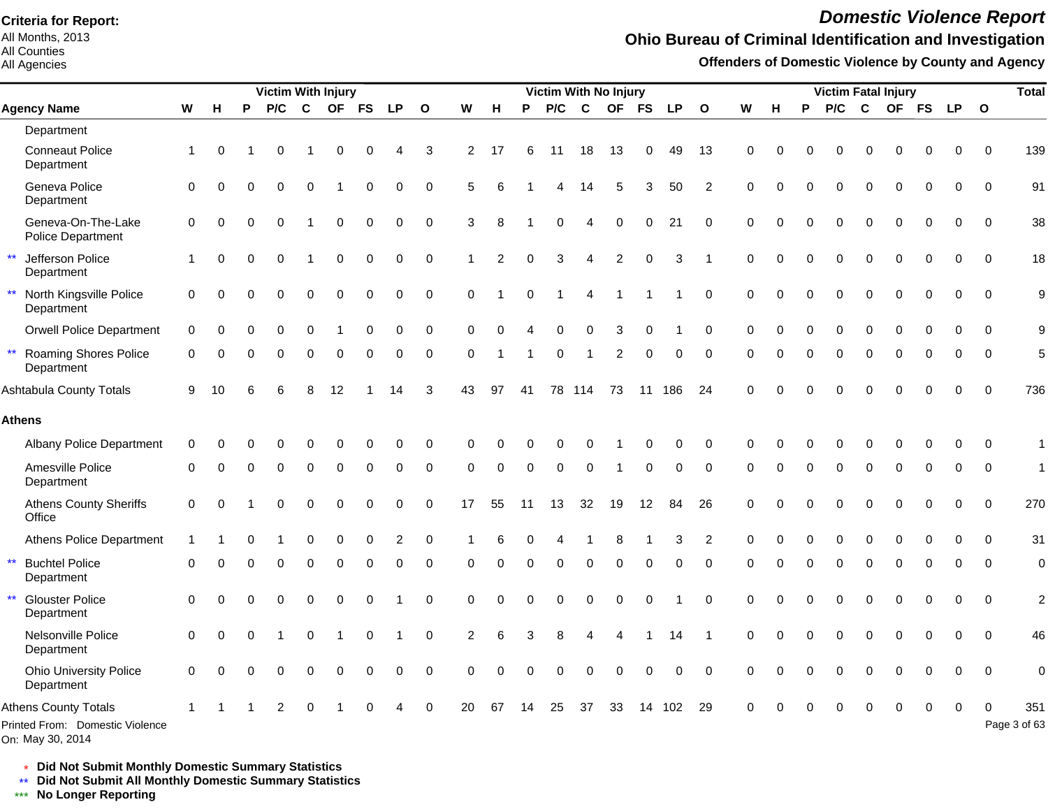All Months, 2013 All Counties

#### All Agencies

# *Domestic Violence Report*

#### **Ohio Bureau of Criminal Identification and Investigation**

**Offenders of Domestic Violence by County and Agency**

|              |                                                                                    |                |          |   | <b>Victim With Injury</b> |          |           |             |           |              |                |          |          | <b>Victim With No Injury</b> |                |                |             |           |                |          |          |          | <b>Victim Fatal Injury</b> |             |           |             |             |              | <b>Total</b>        |
|--------------|------------------------------------------------------------------------------------|----------------|----------|---|---------------------------|----------|-----------|-------------|-----------|--------------|----------------|----------|----------|------------------------------|----------------|----------------|-------------|-----------|----------------|----------|----------|----------|----------------------------|-------------|-----------|-------------|-------------|--------------|---------------------|
|              | <b>Agency Name</b>                                                                 | W              | н        | P | P/C                       | C        | <b>OF</b> | <b>FS</b>   | <b>LP</b> | $\mathbf{o}$ | W              | н        | P        | P/C                          | $\mathbf{C}$   | <b>OF</b>      | <b>FS</b>   | <b>LP</b> | $\mathbf{o}$   | W        | н        | P        | P/C                        | C           | <b>OF</b> | <b>FS</b>   | <b>LP</b>   | $\mathbf{o}$ |                     |
|              | Department                                                                         |                |          |   |                           |          |           |             |           |              |                |          |          |                              |                |                |             |           |                |          |          |          |                            |             |           |             |             |              |                     |
|              | <b>Conneaut Police</b><br>Department                                               | 1              | $\Omega$ |   | 0                         |          | 0         |             | Δ         | 3            | 2              | 17       | 6        | 11                           | 18             | 13             | $\mathbf 0$ | 49        | 13             | 0        |          |          | 0                          | $\Omega$    |           | $\Omega$    | 0           | $\mathbf 0$  | 139                 |
|              | Geneva Police<br>Department                                                        | $\mathbf 0$    | $\Omega$ |   | 0                         | $\Omega$ |           | $\Omega$    | 0         | $\mathbf 0$  | 5              |          |          |                              | 14             | 5              | 3           | 50        | $\overline{2}$ | $\Omega$ |          | $\Omega$ | 0                          | $\mathbf 0$ | 0         | $\Omega$    | 0           | $\mathbf 0$  | 91                  |
|              | Geneva-On-The-Lake<br><b>Police Department</b>                                     | $\mathbf 0$    | $\Omega$ |   | $\Omega$                  |          | $\Omega$  | 0           | 0         | $\Omega$     | 3              | 8        |          | $\Omega$                     | $\overline{4}$ | 0              | $\Omega$    | 21        | $\Omega$       | $\Omega$ |          |          | 0                          | $\Omega$    | $\Omega$  | $\Omega$    | 0           | $\Omega$     | 38                  |
| $\star\star$ | Jefferson Police<br>Department                                                     | 1              | U        |   | 0                         |          | 0         | 0           | 0         | $\mathbf 0$  |                | 2        | $\Omega$ | 3                            | $\overline{4}$ | $\overline{c}$ | $\pmb{0}$   | 3         |                | $\Omega$ |          |          | 0                          | $\mathbf 0$ | 0         | $\Omega$    | $\Omega$    | $\mathbf 0$  | 18                  |
| $\star\star$ | North Kingsville Police<br>Department                                              | $\mathbf 0$    | ∩        |   | 0                         | $\Omega$ | $\Omega$  | $\Omega$    | 0         | $\Omega$     | $\Omega$       |          | $\Omega$ |                              | 4              |                |             |           | 0              | $\Omega$ | $\Omega$ | 0        | 0                          | $\mathbf 0$ | 0         | 0           | 0           | $\Omega$     | 9                   |
|              | <b>Orwell Police Department</b>                                                    | $\mathbf 0$    | Ω        |   | 0                         | $\Omega$ |           | O           | 0         | 0            | ∩              |          |          | 0                            | $\Omega$       | 3              | 0           |           | 0              | 0        |          | 0        | 0                          | $\Omega$    | O         | O           | 0           | $\Omega$     | 9                   |
|              | <b>Roaming Shores Police</b><br>Department                                         | 0              |          |   | 0                         | $\Omega$ | 0         |             | 0         | $\mathbf 0$  | $\Omega$       |          |          | 0                            |                | $\overline{2}$ | $\mathbf 0$ | 0         | $\mathbf 0$    | $\Omega$ | 0        | 0        | 0                          | $\mathbf 0$ | 0         | 0           | 0           | $\mathbf 0$  | 5                   |
|              | Ashtabula County Totals                                                            | 9              | 10       |   |                           | 8        | 12        |             | 14        | 3            | 43             | 97       | 41       | 78                           | 114            | 73             | 11          | 186       | 24             | $\Omega$ |          |          |                            |             |           | $\Omega$    | $\mathbf 0$ | $\mathbf 0$  | 736                 |
|              | Athens                                                                             |                |          |   |                           |          |           |             |           |              |                |          |          |                              |                |                |             |           |                |          |          |          |                            |             |           |             |             |              |                     |
|              | <b>Albany Police Department</b>                                                    | 0              |          |   |                           |          |           |             | 0         | 0            |                |          |          | 0                            | 0              |                | 0           | 0         | 0              | O        |          |          | 0                          | 0           | 0         | 0           | 0           | $\Omega$     | $\mathbf 1$         |
|              | Amesville Police<br>Department                                                     | $\Omega$       |          |   | $\Omega$                  | $\Omega$ | $\Omega$  | $\Omega$    | 0         | $\Omega$     | $\Omega$       | 0        | $\Omega$ | $\Omega$                     | $\Omega$       |                | $\Omega$    | 0         | $\Omega$       | $\Omega$ |          | $\Omega$ | $\Omega$                   | $\Omega$    | $\Omega$  | $\Omega$    | 0           | $\Omega$     | $\mathbf{1}$        |
|              | <b>Athens County Sheriffs</b><br>Office                                            | $\overline{0}$ | $\Omega$ |   | O                         |          | O         |             | 0         | $\Omega$     | 17             | 55       | 11       | 13                           | 32             | 19             | 12          | 84        | 26             | $\Omega$ |          |          | $\Omega$                   | $\Omega$    | $\Omega$  | $\Omega$    | $\Omega$    | $\Omega$     | 270                 |
|              | <b>Athens Police Department</b>                                                    |                |          |   |                           |          |           |             | 2         | $\Omega$     |                |          |          |                              |                | 8              |             | 3         | 2              | $\Omega$ |          |          |                            | 0           |           |             | O           | $\Omega$     | 31                  |
|              | <b>Buchtel Police</b><br>Department                                                | 0              |          |   | O                         | $\Omega$ | O         | O           | 0         | $\Omega$     | $\Omega$       | O        | ∩        | 0                            | $\Omega$       | $\Omega$       | $\Omega$    | $\Omega$  | $\Omega$       | $\Omega$ | O        | O        | $\Omega$                   | $\Omega$    | $\Omega$  | 0           | $\Omega$    | $\Omega$     | $\mathbf 0$         |
|              | <b>Glouster Police</b><br>Department                                               | $\Omega$       |          |   | O                         | $\Omega$ | 0         |             |           | $\Omega$     | $\Omega$       |          |          |                              | $\Omega$       | 0              | 0           |           | 0              | $\Omega$ |          |          | $\Omega$                   | $\Omega$    | $\Omega$  | 0           | 0           | $\mathbf 0$  | $\overline{c}$      |
|              | Nelsonville Police<br>Department                                                   | 0              | 0        |   |                           | $\Omega$ |           | $\mathbf 0$ |           | $\mathbf 0$  | $\overline{2}$ | 6        | 3        | 8                            |                |                |             | 14        |                | $\Omega$ |          | $\Omega$ | $\Omega$                   | $\Omega$    | $\Omega$  | $\mathbf 0$ | $\mathbf 0$ | $\mathbf 0$  | 46                  |
|              | <b>Ohio University Police</b><br>Department                                        | $\Omega$       |          |   |                           |          |           |             | 0         | $\mathbf 0$  | $\Omega$       | $\Omega$ |          | $\Omega$                     | $\Omega$       | $\Omega$       | $\mathbf 0$ | 0         | $\mathbf 0$    | $\Omega$ |          |          | $\Omega$                   | $\Omega$    |           | 0           | $\mathbf 0$ | $\mathbf 0$  | $\mathbf 0$         |
|              | <b>Athens County Totals</b><br>Printed From: Domestic Violence<br>On: May 30, 2014 |                |          |   | $\overline{2}$            | $\Omega$ |           |             | 4         | $\mathbf 0$  | 20             | 67       | 14       | 25                           | 37             | 33             | 14          | 102       | 29             | $\Omega$ |          |          | 0                          | 0           | $\Omega$  | 0           | 0           | 0            | 351<br>Page 3 of 63 |

\* **Did Not Submit Monthly Domestic Summary Statistics**

**Did Not Submit All Monthly Domestic Summary Statistics**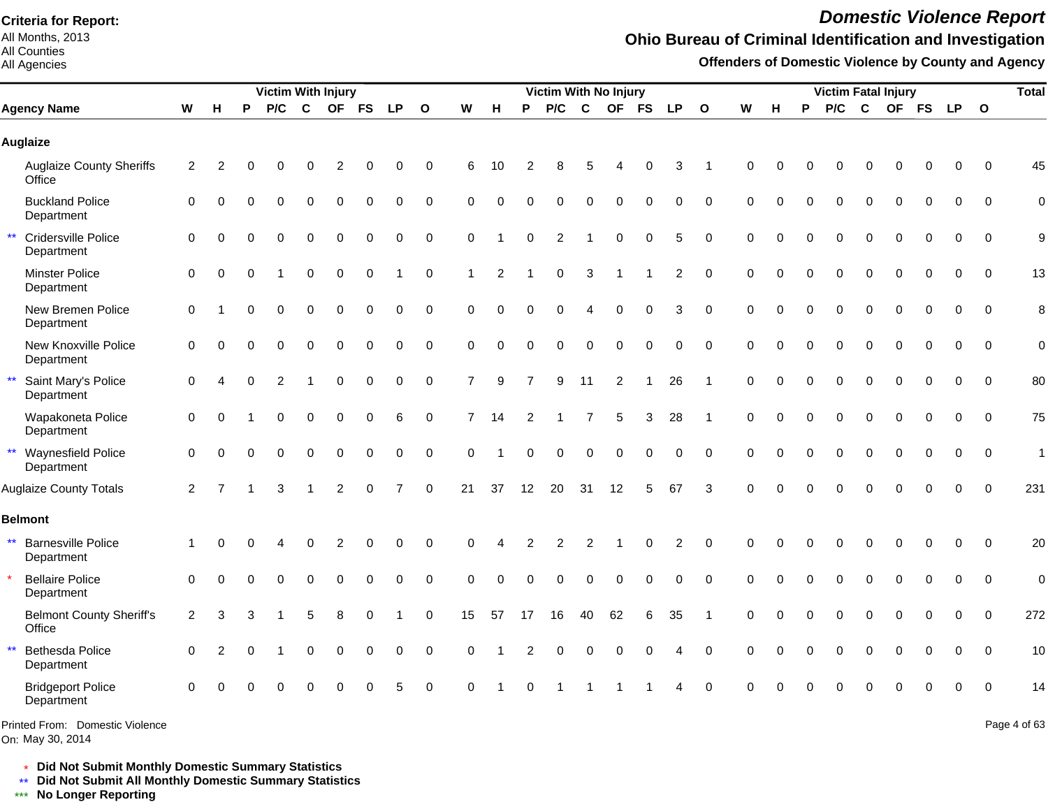All Months, 2013 All Counties

#### All Agencies

# *Domestic Violence Report*

## **Ohio Bureau of Criminal Identification and Investigation**

**Offenders of Domestic Violence by County and Agency**

|                                                         |                |                |          | <b>Victim With Injury</b> |             |                |             |                |                  |                |          |                | <b>Victim With No Injury</b> |                |                |                  |                |                |             |          |             | <b>Victim Fatal Injury</b> |             |             |              |             |             | <b>Total</b> |
|---------------------------------------------------------|----------------|----------------|----------|---------------------------|-------------|----------------|-------------|----------------|------------------|----------------|----------|----------------|------------------------------|----------------|----------------|------------------|----------------|----------------|-------------|----------|-------------|----------------------------|-------------|-------------|--------------|-------------|-------------|--------------|
| <b>Agency Name</b>                                      | W              | H              | P        | P/C                       | $\mathbf c$ | <b>OF</b>      | <b>FS</b>   | <b>LP</b>      | $\mathbf{o}$     | W              | н        | P              | P/C                          | $\mathbf c$    | <b>OF</b>      | <b>FS</b>        | <b>LP</b>      | $\mathbf{o}$   | W           | H        | P           | P/C                        | $\mathbf c$ |             | OF FS        | LP 0        |             |              |
| <b>Auglaize</b>                                         |                |                |          |                           |             |                |             |                |                  |                |          |                |                              |                |                |                  |                |                |             |          |             |                            |             |             |              |             |             |              |
| <b>Auglaize County Sheriffs</b><br>Office               | $\overline{2}$ | $\overline{2}$ |          |                           | 0           | 2              |             | 0              | $\mathbf 0$      | 6              | 10       |                | 8                            | 5              |                | 0                | 3              |                | $\Omega$    |          |             |                            | 0           | 0           | 0            | 0           | $\Omega$    | 45           |
| <b>Buckland Police</b><br>Department                    | 0              | $\Omega$       |          | $\Omega$                  | 0           | 0              | $\mathbf 0$ | 0              | 0                | $\Omega$       | $\Omega$ | $\Omega$       | $\mathbf 0$                  | $\mathbf 0$    | 0              | $\boldsymbol{0}$ | 0              | $\mathbf 0$    | $\mathbf 0$ | $\Omega$ | $\Omega$    | 0                          | $\mathbf 0$ | $\Omega$    | 0            | $\Omega$    | $\Omega$    | $\mathbf 0$  |
| $\star\star$<br>Cridersville Police<br>Department       | 0              | $\Omega$       |          | $\Omega$                  | $\Omega$    | 0              | 0           | 0              | $\Omega$         | $\Omega$       |          | $\Omega$       | 2                            | -1             | $\pmb{0}$      | $\mathbf 0$      | 5              | $\Omega$       | $\Omega$    | $\Omega$ | $\Omega$    | $\Omega$                   | $\Omega$    | $\Omega$    | 0            | 0           | $\Omega$    | 9            |
| <b>Minster Police</b><br>Department                     | $\mathbf 0$    | $\Omega$       | $\Omega$ |                           | $\Omega$    | $\mathbf 0$    | $\mathbf 0$ |                | 0                | 1              | 2        |                | $\Omega$                     | 3              |                |                  | $\overline{2}$ | $\mathbf 0$    | $\Omega$    | $\Omega$ | $\Omega$    | $\Omega$                   | $\Omega$    | $\Omega$    | $\mathbf{0}$ | $\Omega$    | $\Omega$    | 13           |
| New Bremen Police<br>Department                         | 0              |                | $\Omega$ | $\Omega$                  | $\Omega$    | $\Omega$       | $\mathbf 0$ | 0              | $\mathbf 0$      | $\Omega$       | $\Omega$ | $\Omega$       | $\Omega$                     | $\overline{4}$ | $\Omega$       | $\mathbf 0$      | 3              | $\mathbf 0$    | $\mathbf 0$ | $\Omega$ | $\Omega$    | $\Omega$                   | $\Omega$    | $\Omega$    | $\mathbf 0$  | $\mathbf 0$ | $\Omega$    | 8            |
| New Knoxville Police<br>Department                      | $\Omega$       | $\Omega$       |          | 0                         | $\Omega$    | $\Omega$       | $\Omega$    | 0              | $\mathbf 0$      | $\Omega$       | $\Omega$ | $\Omega$       | 0                            | $\Omega$       | $\Omega$       | $\mathbf 0$      | 0              | $\mathbf 0$    | $\Omega$    | $\Omega$ | 0           | $\Omega$                   | $\Omega$    | $\Omega$    | $\mathbf{0}$ | $\mathbf 0$ | $\Omega$    | $\mathbf 0$  |
| $\star\star$<br>Saint Mary's Police<br>Department       | 0              |                |          | $\overline{c}$            |             | $\Omega$       | $\mathbf 0$ | 0              | $\boldsymbol{0}$ | $\overline{7}$ | 9        | $\overline{7}$ | 9                            | 11             | $\overline{2}$ |                  | 26             | -1             | $\Omega$    | $\Omega$ | 0           | $\mathbf 0$                | $\mathbf 0$ | $\mathbf 0$ | $\mathbf 0$  | $\mathbf 0$ | $\mathbf 0$ | 80           |
| Wapakoneta Police<br>Department                         | 0              | $\Omega$       |          | 0                         | $\mathbf 0$ | $\mathbf 0$    | $\pmb{0}$   | 6              | $\pmb{0}$        | $\overline{7}$ | 14       | 2              |                              | $\overline{7}$ | 5              | 3                | 28             | $\overline{1}$ | $\Omega$    | $\Omega$ | $\Omega$    | $\mathbf 0$                | $\pmb{0}$   | $\mathbf 0$ | 0            | $\mathbf 0$ | $\Omega$    | 75           |
| ** Waynesfield Police<br>Department                     | 0              | $\Omega$       | O        | $\Omega$                  | $\mathbf 0$ | $\mathbf 0$    | $\Omega$    | 0              | $\mathbf 0$      | $\Omega$       |          | $\Omega$       | $\Omega$                     | $\Omega$       | 0              | $\mathbf 0$      | 0              | $\mathbf 0$    | $\Omega$    | $\Omega$ | $\Omega$    | $\mathbf 0$                | $\mathbf 0$ | $\Omega$    | 0            | $\Omega$    | $\Omega$    | $\mathbf{1}$ |
| <b>Auglaize County Totals</b>                           | $\overline{2}$ | $\overline{7}$ |          | 3                         |             | $\overline{2}$ | $\Omega$    | $\overline{7}$ | $\Omega$         | 21             | 37       | 12             | 20                           | 31             | 12             | 5                | 67             | 3              | $\Omega$    | $\Omega$ | $\Omega$    | $\Omega$                   | $\Omega$    | $\Omega$    | $\Omega$     | $\Omega$    | $\Omega$    | 231          |
| <b>Belmont</b>                                          |                |                |          |                           |             |                |             |                |                  |                |          |                |                              |                |                |                  |                |                |             |          |             |                            |             |             |              |             |             |              |
| $\star\star$<br><b>Barnesville Police</b><br>Department | 1              | $\Omega$       |          |                           | 0           | 2              | $\Omega$    | 0              | $\Omega$         | $\Omega$       |          |                | $\overline{c}$               | $\overline{2}$ |                | $\Omega$         | $\overline{2}$ | $\mathbf 0$    | $\Omega$    | O        | $\Omega$    | $\Omega$                   | $\Omega$    | $\Omega$    | $\Omega$     | $\Omega$    | $\Omega$    | 20           |
| <b>Bellaire Police</b><br>Department                    | $\Omega$       | $\Omega$       |          |                           | $\Omega$    | $\Omega$       | $\Omega$    | 0              | $\Omega$         | $\Omega$       | $\Omega$ |                | $\Omega$                     | $\Omega$       | $\Omega$       | $\Omega$         | $\Omega$       | $\Omega$       | $\Omega$    |          |             | $\Omega$                   | $\Omega$    | $\Omega$    | $\Omega$     | $\Omega$    | $\Omega$    | $\mathbf 0$  |
| <b>Belmont County Sheriff's</b><br>Office               | $\overline{2}$ | 3              |          |                           | 5           | 8              | 0           |                | $\mathbf 0$      | 15             | 57       | 17             | 16                           | 40             | 62             | 6                | 35             |                | $\Omega$    |          |             | $\Omega$                   | $\mathbf 0$ | $\mathbf 0$ | $\mathbf 0$  | $\Omega$    | $\Omega$    | 272          |
| $\star\star$<br><b>Bethesda Police</b><br>Department    | $\Omega$       | $\overline{2}$ |          |                           | $\mathbf 0$ | $\pmb{0}$      | $\pmb{0}$   | 0              | $\mathbf 0$      | 0              |          | 2              | 0                            | $\mathbf 0$    | 0              | $\mathbf 0$      | 4              | $\mathbf 0$    | $\mathbf 0$ | $\Omega$ | $\mathbf 0$ | $\mathbf 0$                | $\mathbf 0$ | $\mathbf 0$ | $\mathbf 0$  | 0           | $\Omega$    | 10           |
| <b>Bridgeport Police</b><br>Department                  | $\Omega$       |                |          | $\Omega$                  | 0           | 0              | $\Omega$    | 5              | $\Omega$         | $\Omega$       |          |                |                              |                |                |                  |                | $\Omega$       |             |          |             |                            | $\Omega$    |             | ი            | $\Omega$    | $\Omega$    | 14           |
| Printed From: Domestic Violence                         |                |                |          |                           |             |                |             |                |                  |                |          |                |                              |                |                |                  |                |                |             |          |             |                            |             |             |              |             |             | Page 4 of 63 |

On: May 30, 2014

Page 4 of 63

\* **Did Not Submit Monthly Domestic Summary Statistics**

**Did Not Submit All Monthly Domestic Summary Statistics**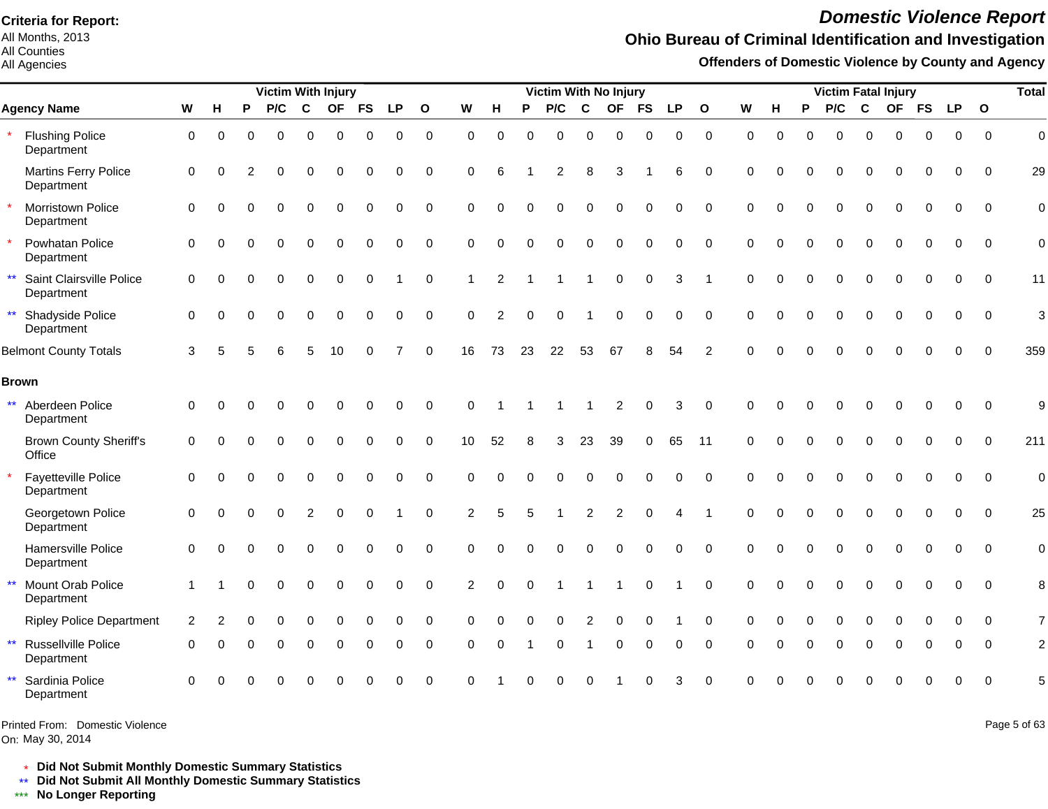All Months, 2013 All Counties

All Agencies

# *Domestic Violence Report*

## **Ohio Bureau of Criminal Identification and Investigation**

**Offenders of Domestic Violence by County and Agency**

|              |                                           |             |          |          |             |             | Victim With Injury |           |             |              |             |                |          | Victim With No Injury |             |                |             |           |                |             |          |          |          |             | <b>Victim Fatal Injury</b> |             |             |                | <b>Total</b>   |
|--------------|-------------------------------------------|-------------|----------|----------|-------------|-------------|--------------------|-----------|-------------|--------------|-------------|----------------|----------|-----------------------|-------------|----------------|-------------|-----------|----------------|-------------|----------|----------|----------|-------------|----------------------------|-------------|-------------|----------------|----------------|
|              | <b>Agency Name</b>                        | W           | H        | P        | P/C         | $\mathbf c$ | <b>OF</b>          | <b>FS</b> | <b>LP</b>   | $\mathbf{o}$ | W           | H              | P        | P/C                   | $\mathbf c$ | <b>OF</b>      | <b>FS</b>   | <b>LP</b> | $\mathbf{o}$   | W           | н        | P        | P/C      | $\mathbf c$ |                            | OF FS       | <b>LP</b>   | $\mathbf{o}$   |                |
|              | <b>Flushing Police</b><br>Department      | $\mathbf 0$ | 0        | 0        | $\mathbf 0$ | 0           | $\pmb{0}$          | 0         | $\mathbf 0$ | $\mathbf 0$  | $\mathbf 0$ | $\mathbf 0$    | $\Omega$ | 0                     | $\Omega$    | 0              | 0           | 0         | $\mathbf 0$    | $\mathbf 0$ | $\Omega$ | $\Omega$ | $\Omega$ | $\mathbf 0$ | 0                          | $\mathbf 0$ | $\mathbf 0$ | $\mathbf 0$    | $\overline{0}$ |
|              | <b>Martins Ferry Police</b><br>Department | $\mathbf 0$ | $\Omega$ | 2        | $\Omega$    | 0           | $\mathbf 0$        | $\Omega$  | $\Omega$    | $\mathbf 0$  | $\Omega$    | 6              |          | 2                     | 8           | 3              |             | 6         | $\Omega$       | $\Omega$    | $\Omega$ | $\Omega$ | $\Omega$ | $\mathbf 0$ | $\Omega$                   | $\Omega$    | $\Omega$    | $\Omega$       | 29             |
|              | Morristown Police<br>Department           | $\mathbf 0$ | $\Omega$ | O        | $\Omega$    | 0           | $\Omega$           | $\Omega$  | $\Omega$    | $\mathbf 0$  | $\Omega$    | $\Omega$       | $\Omega$ | $\Omega$              | $\Omega$    | O              | $\Omega$    | 0         | $\Omega$       | $\Omega$    | $\Omega$ | $\Omega$ | $\Omega$ | $\mathbf 0$ | 0                          | $\mathbf 0$ | $\mathbf 0$ | $\mathbf 0$    | $\mathbf 0$    |
|              | Powhatan Police<br>Department             | $\Omega$    | $\Omega$ | $\Omega$ | $\Omega$    | $\Omega$    | $\Omega$           | $\Omega$  | $\Omega$    | $\mathbf 0$  | $\Omega$    | $\Omega$       | $\Omega$ | $\Omega$              | $\Omega$    | $\Omega$       | $\Omega$    | 0         | $\Omega$       | $\Omega$    | $\Omega$ | $\Omega$ | $\Omega$ | $\Omega$    | $\Omega$                   | $\Omega$    | $\Omega$    | $\Omega$       | $\mathbf 0$    |
| $\star\star$ | Saint Clairsville Police<br>Department    | $\mathbf 0$ | $\Omega$ | $\Omega$ | $\Omega$    | $\Omega$    | $\mathbf 0$        | 0         |             | $\mathbf 0$  | 1           | 2              |          |                       |             | $\mathbf 0$    | $\mathbf 0$ | 3         |                | $\Omega$    | $\Omega$ |          | 0        | $\mathbf 0$ | $\Omega$                   | $\Omega$    | $\Omega$    | $\Omega$       | 11             |
|              | ** Shadyside Police<br>Department         | $\Omega$    | $\Omega$ |          | $\Omega$    | $\Omega$    | $\Omega$           | $\Omega$  | 0           | $\mathbf 0$  | $\Omega$    | $\overline{2}$ | $\Omega$ | $\Omega$              |             | $\Omega$       | $\Omega$    | 0         | $\Omega$       | $\Omega$    |          | $\Omega$ | $\Omega$ | $\Omega$    | $\Omega$                   | $\Omega$    | $\Omega$    | $\Omega$       | 3              |
|              | <b>Belmont County Totals</b>              | 3           |          |          |             | 5           | 10                 | 0         |             | $\mathbf 0$  | 16          | 73             | 23       | 22                    | 53          | 67             | 8           | 54        | $\overline{2}$ | $\Omega$    |          |          |          |             |                            | $\Omega$    | $\Omega$    | $\Omega$       | 359            |
| <b>Brown</b> |                                           |             |          |          |             |             |                    |           |             |              |             |                |          |                       |             |                |             |           |                |             |          |          |          |             |                            |             |             |                |                |
| $\star\star$ | Aberdeen Police<br>Department             | $\mathbf 0$ | $\Omega$ |          |             |             | $\bigcap$          | O         | 0           | $\mathbf 0$  | $\Omega$    |                |          |                       |             | $\overline{c}$ | 0           | 3         | 0              | $\Omega$    |          |          |          |             |                            | $\Omega$    | $\mathbf 0$ | $\overline{0}$ | 9              |
|              | <b>Brown County Sheriff's</b><br>Office   | $\mathbf 0$ | $\Omega$ | $\Omega$ | $\Omega$    | 0           | $\Omega$           | $\Omega$  | 0           | $\mathbf 0$  | 10          | 52             | 8        | 3                     | 23          | 39             | $\Omega$    | 65        | 11             | $\Omega$    |          | $\Omega$ | $\Omega$ | $\mathbf 0$ | $\Omega$                   | $\Omega$    | $\Omega$    | $\mathbf 0$    | 211            |
|              | Fayetteville Police<br>Department         | $\mathbf 0$ | $\Omega$ | 0        | $\Omega$    | 0           | $\Omega$           | $\Omega$  | $\Omega$    | $\Omega$     | $\Omega$    | $\Omega$       | $\Omega$ | O                     | $\Omega$    | ∩              |             | $\Omega$  | $\Omega$       | $\Omega$    |          | $\Omega$ | $\Omega$ | $\mathbf 0$ | 0                          | $\Omega$    | $\Omega$    | $\Omega$       | $\overline{0}$ |
|              | Georgetown Police<br>Department           | $\mathbf 0$ | $\Omega$ | $\Omega$ | $\Omega$    | 2           | $\Omega$           | $\Omega$  |             | $\Omega$     | 2           | 5              | 5        |                       | 2           | 2              |             |           |                | $\Omega$    |          | $\Omega$ | $\Omega$ | $\Omega$    | $\Omega$                   | $\Omega$    | $\Omega$    | $\Omega$       | 25             |
|              | Hamersville Police<br>Department          | $\Omega$    | $\Omega$ |          |             | $\Omega$    | $\sqrt{ }$         |           | O           | $\Omega$     | $\Omega$    | $\Omega$       |          | O                     | $\Omega$    | $\Omega$       |             | $\Omega$  | $\Omega$       | $\Omega$    |          |          | O        | $\Omega$    | $\Omega$                   | $\Omega$    | $\Omega$    | $\Omega$       | $\mathbf 0$    |
| $\star\star$ | Mount Orab Police<br>Department           | -1          |          | O        | $\Omega$    | 0           | $\mathbf 0$        | 0         | 0           | $\mathbf 0$  | 2           | $\Omega$       | $\Omega$ |                       |             |                | $\Omega$    |           | $\Omega$       | $\Omega$    | $\Omega$ |          | 0        | $\mathbf 0$ | 0                          | $\Omega$    | 0           | $\mathbf 0$    | 8              |
|              | <b>Ripley Police Department</b>           | 2           |          |          | $\Omega$    | $\Omega$    | $\bigcap$          | O         | O           | 0            | $\Omega$    | O              |          | O                     | 2           | 0              |             |           | $\Omega$       | $\Omega$    |          |          | $\Omega$ | $\Omega$    | $\Omega$                   |             | O           | $\Omega$       | $\overline{7}$ |
| $\star\star$ | Russellville Police<br>Department         | $\Omega$    | O        |          | $\Omega$    | $\Omega$    | $\Omega$           | O         | $\Omega$    | $\mathbf 0$  | $\Omega$    | $\Omega$       |          | 0                     |             | $\Omega$       | $\Omega$    | 0         | $\Omega$       | $\Omega$    |          | $\Omega$ | $\Omega$ | $\Omega$    | $\Omega$                   | $\Omega$    | $\Omega$    | $\Omega$       | $\overline{2}$ |
| $\star\star$ | Sardinia Police<br>Department             | $\Omega$    |          |          |             |             |                    |           | U           | $\Omega$     | $\Omega$    |                |          | U                     |             |                |             | 3         | $\Omega$       |             |          |          |          |             | U                          |             | O           | $\Omega$       | 5              |

Printed From: Domestic Violence

On: May 30, 2014

Page 5 of 63

\* **Did Not Submit Monthly Domestic Summary Statistics**

**Did Not Submit All Monthly Domestic Summary Statistics**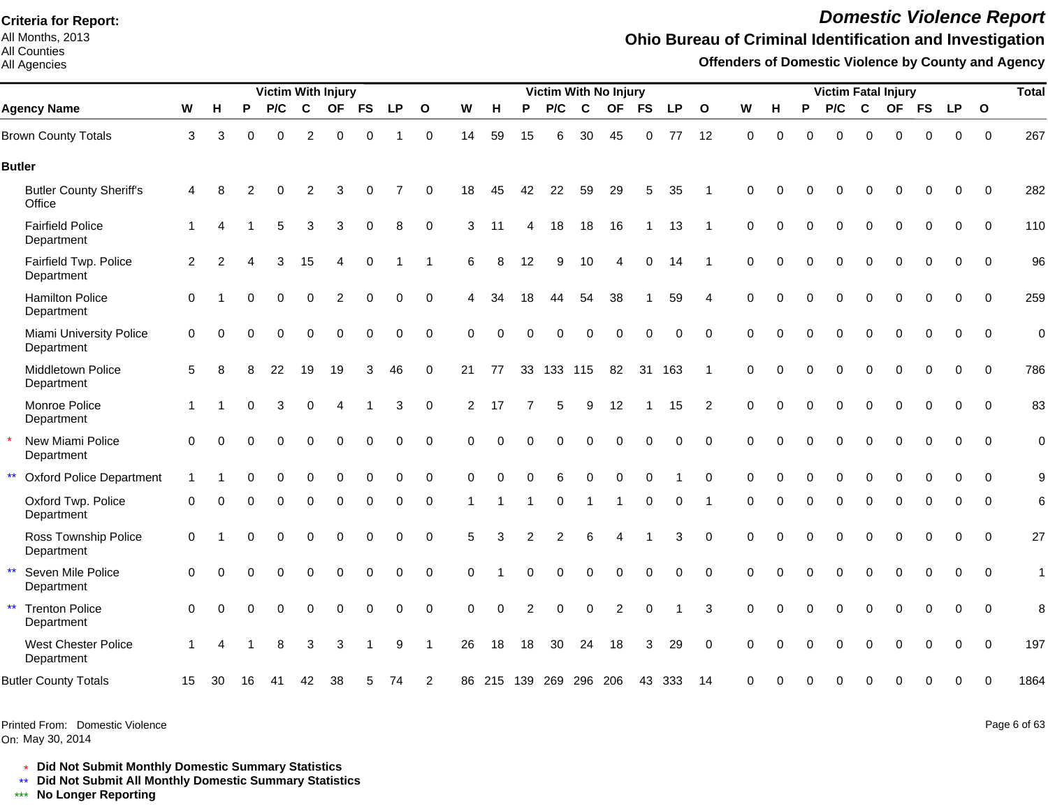All Months, 2013 All Counties

#### All Agencies

# *Domestic Violence Report*

### **Ohio Bureau of Criminal Identification and Investigation**

**Offenders of Domestic Violence by County and Agency**

|                                                     |                      |          |    |          |                | <b>Victim With Injury</b> |             |             |              |                |          |                        |                |             | Victim With No Injury  |             |             |                |             |          |          | <b>Victim Fatal Injury</b> |          |             |           |             |              | <b>Total</b> |
|-----------------------------------------------------|----------------------|----------|----|----------|----------------|---------------------------|-------------|-------------|--------------|----------------|----------|------------------------|----------------|-------------|------------------------|-------------|-------------|----------------|-------------|----------|----------|----------------------------|----------|-------------|-----------|-------------|--------------|--------------|
| <b>Agency Name</b>                                  | W                    | н        | P  | P/C      | C              | <b>OF</b>                 | <b>FS</b>   | <b>LP</b>   | $\mathbf{o}$ | W              | H        | P                      | P/C            | $\mathbf c$ | <b>OF</b>              | <b>FS</b>   | <b>LP</b>   | $\mathbf{o}$   | W           | н        | P        | P/C                        | C        | <b>OF</b>   | <b>FS</b> | <b>LP</b>   | $\mathbf{o}$ |              |
| <b>Brown County Totals</b>                          | 3                    | 3        | 0  | $\Omega$ | $\overline{c}$ | $\mathbf 0$               | $\Omega$    |             | $\mathbf 0$  | 14             | 59       | 15                     | 6              | 30          | 45                     | 0           | 77          | 12             | $\mathbf 0$ | $\Omega$ | $\Omega$ | $\Omega$                   | $\Omega$ | 0           | $\Omega$  | 0           | $\mathbf 0$  | 267          |
| <b>Butler</b>                                       |                      |          |    |          |                |                           |             |             |              |                |          |                        |                |             |                        |             |             |                |             |          |          |                            |          |             |           |             |              |              |
| <b>Butler County Sheriff's</b><br>Office            | $\overline{4}$       | 8        | 2  |          | 2              | 3                         |             |             | 0            | 18             | 45       | 42                     | 22             | 59          | 29                     | 5           | 35          |                | $\Omega$    | $\Omega$ |          |                            |          |             |           | 0           | $\Omega$     | 282          |
| <b>Fairfield Police</b><br>Department               | $\mathbf{1}$         |          |    | 5        | 3              | 3                         | 0           | 8           | $\mathbf 0$  | 3              | 11       | 4                      | 18             | 18          | 16                     | -1          | 13          | -1             | $\mathbf 0$ | $\Omega$ | $\Omega$ | $\mathbf 0$                | 0        | $\mathbf 0$ | $\Omega$  | 0           | $\Omega$     | 110          |
| Fairfield Twp. Police<br>Department                 | 2                    | 2        |    | 3        | 15             | 4                         | $\Omega$    |             | -1           | 6              | 8        | 12                     | 9              | 10          | $\overline{4}$         | $\Omega$    | -14         | -1             | $\Omega$    | $\Omega$ | $\Omega$ | $\Omega$                   | $\Omega$ | $\Omega$    | $\Omega$  | $\Omega$    | $\Omega$     | 96           |
| <b>Hamilton Police</b><br>Department                | $\mathbf 0$          |          |    | $\Omega$ | 0              | 2                         | 0           | 0           | 0            | 4              | 34       | 18                     | 44             | 54          | 38                     |             | 59          | $\overline{4}$ | $\Omega$    | $\Omega$ | $\Omega$ | 0                          | $\Omega$ | 0           | $\Omega$  | 0           | $\mathbf 0$  | 259          |
| Miami University Police<br>Department               | 0                    | $\Omega$ |    | $\Omega$ | 0              | $\Omega$                  | $\Omega$    | $\Omega$    | $\mathsf 0$  | 0              | $\Omega$ | $\Omega$               | $\Omega$       | 0           | $\mathbf 0$            | $\mathbf 0$ | $\mathbf 0$ | $\mathbf 0$    | $\mathbf 0$ | $\Omega$ | $\Omega$ | $\Omega$                   | $\Omega$ | $\Omega$    | $\Omega$  | 0           | $\mathbf 0$  | $\mathbf 0$  |
| <b>Middletown Police</b><br>Department              | 5                    | 8        |    | 22       | 19             | 19                        | 3           | 46          | $\mathbf 0$  | 21             | 77       |                        | 33 133 115     |             | 82                     | 31          | 163         |                | $\Omega$    | $\Omega$ | $\Omega$ | $\Omega$                   | $\Omega$ | $\Omega$    |           | 0           | $\Omega$     | 786          |
| Monroe Police<br>Department                         | $\blacktriangleleft$ |          | ∩  | 3        | 0              | 4                         | -1          | 3           | 0            | $\overline{2}$ | 17       | 7                      | 5              | 9           | 12                     | -1          | 15          | 2              | $\Omega$    | $\Omega$ | $\Omega$ | $\Omega$                   | 0        | $\Omega$    | $\Omega$  | 0           | $\Omega$     | 83           |
| New Miami Police<br>Department                      | $\mathbf 0$          | $\Omega$ | O  | $\Omega$ | $\Omega$       | $\Omega$                  | $\mathbf 0$ | 0           | $\mathbf 0$  | 0              | $\Omega$ | $\Omega$               | $\mathbf 0$    | $\Omega$    | $\mathbf 0$            | $\mathbf 0$ | $\mathbf 0$ | $\mathbf 0$    | $\mathbf 0$ | $\Omega$ | $\Omega$ | $\Omega$                   | $\Omega$ | $\Omega$    | $\Omega$  | 0           | $\mathbf 0$  | $\mathbf 0$  |
| $\star\star$<br><b>Oxford Police Department</b>     |                      |          |    |          | 0              | 0                         | 0           | 0           | $\pmb{0}$    | 0              | $\Omega$ | $\Omega$               | 6              | 0           | $\mathbf 0$            | 0           |             | $\mathbf 0$    | $\mathbf 0$ | $\Omega$ | 0        | 0                          | 0        | 0           | $\Omega$  | 0           | $\mathbf 0$  | 9            |
| Oxford Twp. Police<br>Department                    | $\mathbf 0$          | $\Omega$ |    |          | 0              | 0                         | 0           | $\Omega$    | 0            |                |          |                        | 0              |             |                        | 0           | 0           |                | 0           | 0        | $\Omega$ | 0                          | $\Omega$ | 0           |           | 0           | $\Omega$     | $\,6$        |
| Ross Township Police<br>Department                  | $\mathbf 0$          |          | ∩  |          | 0              | $\Omega$                  | $\Omega$    | ∩           | $\mathbf 0$  | 5              | 3        | 2                      | $\overline{2}$ | 6           | $\boldsymbol{\Lambda}$ |             | 3           | $\mathbf 0$    | $\Omega$    | $\Omega$ | $\Omega$ | $\Omega$                   | $\Omega$ | $\Omega$    | $\Omega$  | 0           | $\Omega$     | 27           |
| $\star\star$<br>Seven Mile Police<br>Department     | $\Omega$             | ∩        |    |          | 0              | $\Omega$                  | 0           | $\mathbf 0$ | 0            | 0              |          | $\Omega$               | $\Omega$       | 0           | 0                      | 0           | 0           | $\mathbf 0$    | $\Omega$    | $\Omega$ | $\Omega$ | 0                          | $\Omega$ | $\Omega$    |           | 0           | $\mathbf 0$  | $\mathbf{1}$ |
| $\star\star$<br><b>Trenton Police</b><br>Department | $\mathbf 0$          | $\Omega$ | O  | $\Omega$ | 0              | $\Omega$                  | 0           | $\Omega$    | $\mathbf 0$  | $\Omega$       | $\Omega$ | $\overline{2}$         | $\Omega$       | $\Omega$    | 2                      | $\mathbf 0$ |             | 3              | $\Omega$    | $\Omega$ | $\Omega$ | $\Omega$                   | $\Omega$ | $\Omega$    | $\Omega$  | $\mathbf 0$ | $\Omega$     | 8            |
| <b>West Chester Police</b><br>Department            |                      |          |    | 8        | 3              | 3                         |             | 9           | -1           | 26             | 18       | 18                     | 30             | 24          | 18                     | 3           | 29          | $\Omega$       | $\Omega$    | $\Omega$ | ∩        | 0                          | ∩        | $\Omega$    |           | 0           | $\Omega$     | 197          |
| <b>Butler County Totals</b>                         | 15                   | 30       | 16 | 41       | 42             | 38                        | 5           | 74          | 2            |                |          | 86 215 139 269 296 206 |                |             |                        |             | 43 333      | 14             | $\Omega$    | $\Omega$ |          | በ                          | ∩        | Ω           |           | 0           | $\Omega$     | 1864         |

Printed From: Domestic Violence

On: May 30, 2014

Page 6 of 63

\* **Did Not Submit Monthly Domestic Summary Statistics**

**Did Not Submit All Monthly Domestic Summary Statistics**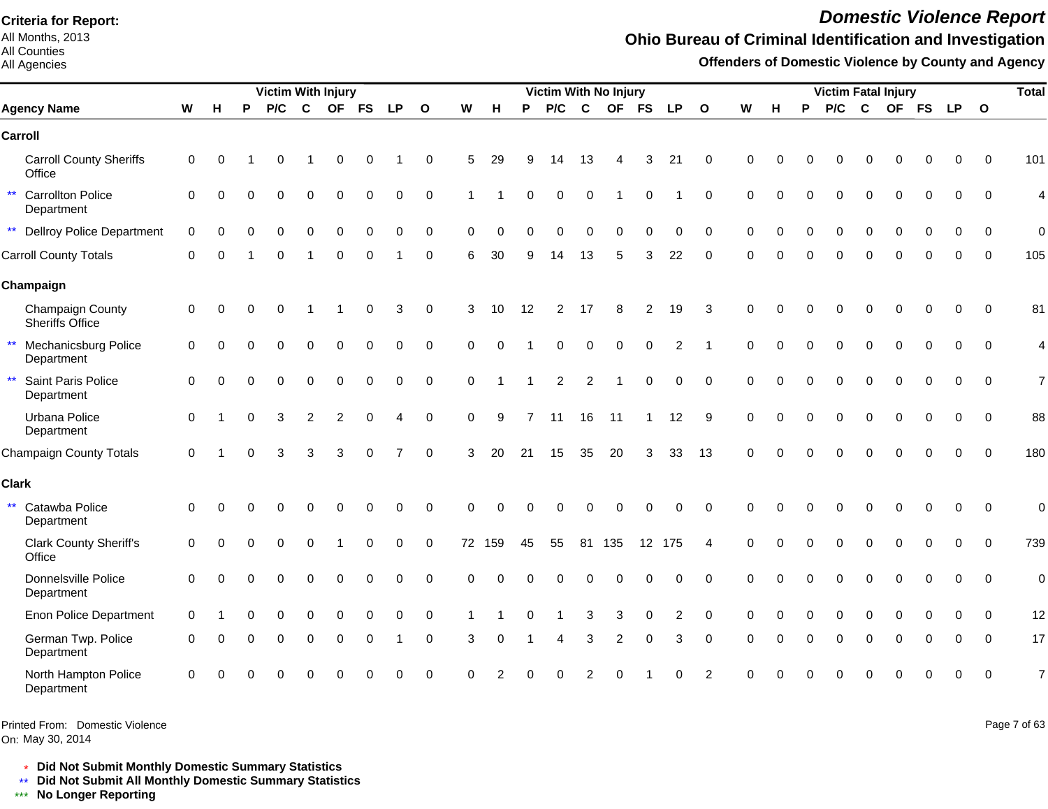All Months, 2013 All Counties

#### All Agencies

# *Domestic Violence Report*

## **Ohio Bureau of Criminal Identification and Investigation**

**Offenders of Domestic Violence by County and Agency**

|                                                    |             |          |          | <b>Victim With Injury</b> |                |                |             |                |              |             |          |                | Victim With No Injury |          |           |           |                |               |          |          |          |          |             | <b>Victim Fatal Injury</b> |             |             |              | <b>Total</b>   |
|----------------------------------------------------|-------------|----------|----------|---------------------------|----------------|----------------|-------------|----------------|--------------|-------------|----------|----------------|-----------------------|----------|-----------|-----------|----------------|---------------|----------|----------|----------|----------|-------------|----------------------------|-------------|-------------|--------------|----------------|
| <b>Agency Name</b>                                 | W           | н        | P        | P/C                       | C              | <b>OF</b>      | <b>FS</b>   | <b>LP</b>      | $\mathbf{o}$ | W           | н        | P              | P/C                   | C        | <b>OF</b> | <b>FS</b> | <b>LP</b>      | $\mathbf{o}$  | W        | н        | P        | P/C      | C           |                            | OF FS       | <b>LP</b>   | $\mathbf{o}$ |                |
| Carroll                                            |             |          |          |                           |                |                |             |                |              |             |          |                |                       |          |           |           |                |               |          |          |          |          |             |                            |             |             |              |                |
| <b>Carroll County Sheriffs</b><br>Office           | $\mathbf 0$ | $\Omega$ |          | $\Omega$                  |                | $\Omega$       | 0           |                | $\mathbf 0$  | 5           | 29       |                | 14                    | 13       |           | 3         | 21             | $\Omega$      | $\Omega$ |          |          |          |             |                            | $\Omega$    | $\Omega$    | $\Omega$     | 101            |
| ** Carrollton Police<br>Department                 | $\mathbf 0$ | $\Omega$ |          | $\Omega$                  | 0              | $\Omega$       | 0           | 0              | 0            |             |          | 0              | 0                     | 0        |           |           |                | 0             | 0        |          |          | 0        | $\Omega$    | 0                          | 0           | 0           | $\mathbf 0$  | 4              |
| ** Dellroy Police Department                       | $\mathbf 0$ | $\Omega$ |          | 0                         | $\Omega$       | $\Omega$       | 0           | 0              | 0            | $\Omega$    | $\Omega$ |                | O                     | $\Omega$ | $\Omega$  |           | 0              | 0             | $\Omega$ |          | $\Omega$ | $\Omega$ | $\Omega$    | 0                          | $\Omega$    | 0           | $\Omega$     | $\overline{0}$ |
| <b>Carroll County Totals</b>                       | $\mathbf 0$ | $\Omega$ |          | $\Omega$                  |                | $\Omega$       | $\Omega$    |                | $\mathbf 0$  | 6           | 30       | 9              | 14                    | 13       | 5         | 3         | 22             | $\Omega$      | $\Omega$ |          | $\Omega$ | $\Omega$ | $\Omega$    | $\Omega$                   | $\Omega$    | $\Omega$    | $\Omega$     | 105            |
| Champaign                                          |             |          |          |                           |                |                |             |                |              |             |          |                |                       |          |           |           |                |               |          |          |          |          |             |                            |             |             |              |                |
| Champaign County<br><b>Sheriffs Office</b>         | $\mathbf 0$ | $\Omega$ |          | $\Omega$                  |                |                | 0           | 3              | $\mathbf 0$  | 3           | 10       | 12             | $\overline{2}$        | 17       | 8         | 2         | 19             | 3             | $\Omega$ |          |          |          | $\cap$      | O                          | $\Omega$    | $\Omega$    | $\Omega$     | 81             |
| $\star\star$<br>Mechanicsburg Police<br>Department | $\mathbf 0$ | $\Omega$ |          |                           | 0              | $\Omega$       | 0           |                | $\mathbf 0$  | $\Omega$    | $\Omega$ |                | 0                     | $\Omega$ | 0         | $\Omega$  | $\overline{c}$ |               | $\Omega$ |          |          |          | $\Omega$    | $\Omega$                   | $\Omega$    | 0           | $\mathbf 0$  | 4              |
| $\star\star$<br>Saint Paris Police<br>Department   | $\Omega$    | $\Omega$ |          | $\Omega$                  | $\Omega$       | $\Omega$       | $\Omega$    | $\Omega$       | $\Omega$     | $\Omega$    |          |                | 2                     | 2        |           | $\Omega$  | $\Omega$       | $\Omega$      | $\Omega$ |          | $\Omega$ | $\Omega$ | $\Omega$    | $\Omega$                   | $\Omega$    | $\Omega$    | $\Omega$     | $\overline{7}$ |
| Urbana Police<br>Department                        | $\mathbf 0$ |          | $\Omega$ | 3                         | $\overline{c}$ | $\overline{2}$ | 0           | 4              | $\mathbf 0$  | $\mathbf 0$ | 9        | $\overline{7}$ | 11                    | 16       | 11        |           | 12             | 9             | $\Omega$ | 0        | $\Omega$ | O        | $\Omega$    | $\Omega$                   | $\mathbf 0$ | 0           | $\mathbf 0$  | 88             |
| <b>Champaign County Totals</b>                     | 0           |          | $\Omega$ | 3                         | 3              | 3              | $\mathbf 0$ | $\overline{7}$ | $\mathbf 0$  | 3           | 20       | 21             | 15                    | 35       | 20        | 3         | 33             | 13            | $\Omega$ | $\Omega$ |          |          | $\Omega$    | $\Omega$                   | $\mathbf 0$ | $\mathbf 0$ | $\mathbf 0$  | 180            |
| <b>Clark</b>                                       |             |          |          |                           |                |                |             |                |              |             |          |                |                       |          |           |           |                |               |          |          |          |          |             |                            |             |             |              |                |
| $\star\star$<br>Catawba Police<br>Department       | $\mathbf 0$ | $\Omega$ |          | ∩                         | O              | $\bigcap$      | O           | $\Omega$       | $\mathbf 0$  | $\Omega$    | $\Omega$ | ∩              | U                     |          | 0         |           | 0              | $\Omega$      | $\Omega$ |          |          |          | $\Omega$    | $\Omega$                   | $\Omega$    | $\Omega$    | $\Omega$     | $\mathbf 0$    |
| <b>Clark County Sheriff's</b><br>Office            | $\mathbf 0$ | $\Omega$ |          |                           |                |                |             | 0              | 0            |             | 72 159   | 45             | 55                    |          | 81 135    |           | 12 175         | Δ             | $\Omega$ |          |          |          | $\cap$      |                            | $\Omega$    | $\Omega$    | $\Omega$     | 739            |
| Donnelsville Police<br>Department                  | $\mathbf 0$ | $\Omega$ |          | $\Omega$                  | 0              | $\Omega$       | 0           | 0              | $\mathbf 0$  | $\Omega$    | $\Omega$ |                | 0                     | $\Omega$ |           |           | 0              | $\Omega$      | $\Omega$ |          |          | $\Omega$ | $\mathbf 0$ | 0                          | 0           | 0           | $\mathbf 0$  | $\overline{0}$ |
| <b>Enon Police Department</b>                      | $\Omega$    |          |          | $\Omega$                  | $\Omega$       | $\Omega$       | $\Omega$    | $\Omega$       | $\mathbf 0$  |             |          |                |                       | 3        | 3         | $\Omega$  | $\overline{c}$ | $\Omega$      | $\Omega$ |          |          | $\Omega$ | $\Omega$    | $\Omega$                   |             | O           | $\Omega$     | 12             |
| German Twp. Police<br>Department                   | 0           | n        |          | $\Omega$                  | 0              | 0              | $\Omega$    |                | 0            | 3           | $\Omega$ |                | 4                     | 3        | 2         | ∩         | 3              | $\Omega$      | $\Omega$ |          | $\Omega$ | 0        | $\Omega$    | O                          | $\Omega$    | $\Omega$    | $\Omega$     | 17             |
| North Hampton Police<br>Department                 | $\Omega$    | ∩        |          |                           |                |                |             |                | $\Omega$     | $\Omega$    |          |                |                       |          |           |           |                | $\mathcal{P}$ | ∩        |          |          |          | n           | U                          | ∩           | $\Omega$    | $\Omega$     | $\overline{7}$ |

Printed From: Domestic Violence

On: May 30, 2014

Page 7 of 63

\* **Did Not Submit Monthly Domestic Summary Statistics**

**Did Not Submit All Monthly Domestic Summary Statistics**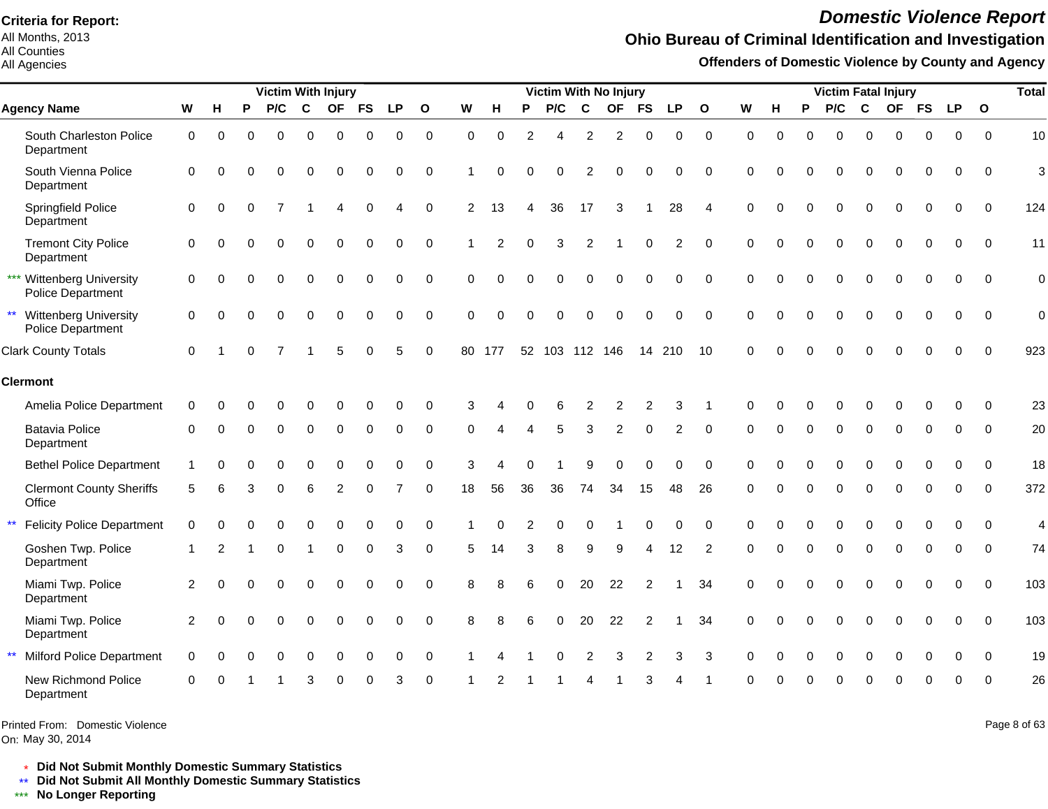All Months, 2013 All Counties

#### All Agencies

# *Domestic Violence Report*

## **Ohio Bureau of Criminal Identification and Investigation**

**Offenders of Domestic Violence by County and Agency**

|              |                                                       |                  |             |          | <b>Victim With Injury</b> |          |           |           |             |              |                |                |          | Victim With No Injury |                |                |                |                |                |             |          |             |                  |             | <b>Victim Fatal Injury</b> |             |             |              | <b>Total</b>   |
|--------------|-------------------------------------------------------|------------------|-------------|----------|---------------------------|----------|-----------|-----------|-------------|--------------|----------------|----------------|----------|-----------------------|----------------|----------------|----------------|----------------|----------------|-------------|----------|-------------|------------------|-------------|----------------------------|-------------|-------------|--------------|----------------|
|              | <b>Agency Name</b>                                    | W                | н           | P        | P/C                       | C        | <b>OF</b> | <b>FS</b> | <b>LP</b>   | $\mathbf{o}$ | W              | н              | P        | P/C                   | C              | <b>OF</b>      | <b>FS</b>      | <b>LP</b>      | $\mathbf{o}$   | W           | н        | P           | P/C              | C           |                            | OF FS       | <b>LP</b>   | $\mathbf{o}$ |                |
|              | South Charleston Police<br>Department                 | $\mathbf 0$      | $\Omega$    | $\Omega$ | $\Omega$                  | $\Omega$ | $\Omega$  | $\Omega$  | $\mathbf 0$ | $\mathbf 0$  | $\Omega$       | $\Omega$       | 2        | Δ                     | $\overline{2}$ | $\overline{2}$ | $\mathbf 0$    | $\mathbf 0$    | $\mathbf 0$    | $\mathbf 0$ | $\Omega$ | $\Omega$    | $\Omega$         | $\Omega$    | $\Omega$                   | $\mathbf 0$ | $\Omega$    | $\Omega$     | 10             |
|              | South Vienna Police<br>Department                     | $\Omega$         | $\Omega$    | ∩        | 0                         | $\Omega$ | $\Omega$  | $\Omega$  | 0           | $\Omega$     |                | 0              | $\Omega$ | $\Omega$              | $\overline{2}$ | $\Omega$       | 0              | $\mathbf 0$    | $\overline{0}$ | $\Omega$    |          | $\Omega$    | $\Omega$         | $\Omega$    | $\Omega$                   | $\mathbf 0$ | 0           | $\Omega$     | 3              |
|              | Springfield Police<br>Department                      | $\boldsymbol{0}$ | $\mathbf 0$ | $\Omega$ |                           |          |           | $\Omega$  | 4           | $\mathbf 0$  | $\overline{2}$ | 13             | 4        | 36                    | 17             | 3              |                | 28             | $\overline{4}$ | $\Omega$    | O        | $\Omega$    | $\boldsymbol{0}$ | $\pmb{0}$   | $\mathbf 0$                | 0           | $\mathbf 0$ | $\mathbf 0$  | 124            |
|              | <b>Tremont City Police</b><br>Department              | 0                | $\Omega$    | $\Omega$ | $\Omega$                  | $\Omega$ | 0         | $\Omega$  | 0           | $\Omega$     |                | $\mathfrak{p}$ | $\Omega$ | 3                     | $\overline{2}$ |                | $\Omega$       | $\overline{2}$ | $\overline{0}$ | $\mathbf 0$ | O        | $\Omega$    | $\mathbf 0$      | $\mathbf 0$ | $\Omega$                   | $\mathbf 0$ | $\Omega$    | $\Omega$     | 11             |
|              | *** Wittenberg University<br><b>Police Department</b> | $\mathbf 0$      | $\Omega$    | $\Omega$ | $\Omega$                  | $\Omega$ |           |           | 0           | $\Omega$     | $\Omega$       | $\Omega$       | $\Omega$ | $\Omega$              | $\Omega$       | $\Omega$       | $\mathbf 0$    | $\mathbf 0$    | $\Omega$       | $\Omega$    | $\Omega$ | $\Omega$    | $\Omega$         | $\Omega$    | $\Omega$                   | $\Omega$    | $\Omega$    | $\Omega$     | $\mathbf 0$    |
|              | ** Wittenberg University<br><b>Police Department</b>  | $\mathbf 0$      | $\Omega$    | $\Omega$ | $\Omega$                  | $\Omega$ | $\Omega$  |           | 0           | $\Omega$     | $\Omega$       | $\Omega$       | $\Omega$ | $\Omega$              | $\Omega$       | $\Omega$       | $\Omega$       | $\Omega$       | $\Omega$       | $\Omega$    |          | $\Omega$    | $\Omega$         | $\Omega$    | $\Omega$                   | 0           | $\Omega$    | $\Omega$     | $\overline{0}$ |
|              | <b>Clark County Totals</b>                            | $\Omega$         |             |          |                           |          |           |           | 5           | $\Omega$     |                | 80 177         |          | 52 103 112 146        |                |                | 14             | 210            | 10             | $\Omega$    |          |             | $\Omega$         | $\Omega$    | ∩                          | O           | ∩           | $\Omega$     | 923            |
|              | <b>Clermont</b>                                       |                  |             |          |                           |          |           |           |             |              |                |                |          |                       |                |                |                |                |                |             |          |             |                  |             |                            |             |             |              |                |
|              | Amelia Police Department                              | 0                |             |          |                           |          |           |           |             | ∩            | З              |                |          |                       | $\overline{2}$ | 2              | 2              | 3              |                | $\Omega$    |          |             |                  | 0           |                            | O           | $\Omega$    | 0            | 23             |
|              | <b>Batavia Police</b><br>Department                   | 0                | 0           | $\Omega$ | $\Omega$                  | 0        | $\Omega$  | $\Omega$  | 0           | 0            | $\Omega$       |                |          | 5                     | 3              | $\overline{2}$ | 0              | 2              | 0              | $\Omega$    | O        | $\Omega$    | $\Omega$         | $\Omega$    | $\Omega$                   | 0           | 0           | $\Omega$     | 20             |
|              | <b>Bethel Police Department</b>                       |                  | C           |          |                           |          |           |           |             | $\Omega$     | 3              |                |          |                       |                |                | $\Omega$       | $\Omega$       | $\Omega$       | $\Omega$    |          |             |                  | 0           | $\Omega$                   | 0           | $\Omega$    | $\Omega$     | 18             |
|              | <b>Clermont County Sheriffs</b><br>Office             | 5                | 6           | З        | 0                         | 6        | 2         | $\Omega$  |             | 0            | 18             | 56             | 36       | 36                    | 74             | 34             | 15             | 48             | 26             | 0           | O        | $\Omega$    | $\Omega$         | $\mathbf 0$ | $\Omega$                   | 0           | 0           | 0            | 372            |
| $\star\star$ | <b>Felicity Police Department</b>                     | 0                | 0           |          | U                         | $\Omega$ |           |           | 0           | $\Omega$     |                |                | 2        | 0                     | 0              |                | $\Omega$       | $\mathbf 0$    | $\overline{0}$ | $\Omega$    |          |             | $\Omega$         | $\Omega$    | $\Omega$                   | 0           | 0           | $\Omega$     | 4              |
|              | Goshen Twp. Police<br>Department                      |                  | 2           |          | U                         |          | O         | $\Omega$  | 3           | $\Omega$     | 5              | 14             | 3        | 8                     | 9              | 9              | 4              | 12             | $\overline{2}$ | $\Omega$    | U        | $\Omega$    | $\Omega$         | $\Omega$    | $\Omega$                   | 0           | 0           | $\Omega$     | 74             |
|              | Miami Twp. Police<br>Department                       | 2                | $\Omega$    |          | 0                         | $\Omega$ | $\Omega$  | $\Omega$  | 0           | $\Omega$     | 8              |                | 6        | 0                     | 20             | 22             | 2              |                | 34             | $\Omega$    |          | $\Omega$    | 0                | $\mathbf 0$ | $\Omega$                   | $\Omega$    | $\Omega$    | $\Omega$     | 103            |
|              | Miami Twp. Police<br>Department                       | 2                | $\Omega$    | $\Omega$ | 0                         | 0        | $\Omega$  | $\Omega$  | 0           | $\Omega$     | 8              |                |          | 0                     | 20             | 22             | $\overline{2}$ |                | 34             | 0           | $\Omega$ | $\mathbf 0$ | $\mathbf 0$      | $\mathbf 0$ | $\mathbf 0$                | $\mathbf 0$ | 0           | $\Omega$     | 103            |
| $\star\star$ | <b>Milford Police Department</b>                      | $\Omega$         | $\Omega$    | ∩        | 0                         | $\Omega$ | 0         |           | 0           | $\Omega$     |                |                |          | $\Omega$              | $\overline{2}$ | 3              | 2              | 3              | 3              | $\Omega$    | O        | $\Omega$    | $\Omega$         | $\mathbf 0$ | $\Omega$                   | 0           | $\Omega$    | $\Omega$     | 19             |
|              | New Richmond Police<br>Department                     | $\Omega$         | $\Omega$    |          |                           | З        |           |           | 3           | $\Omega$     |                |                |          |                       |                |                |                |                |                |             |          |             | U                | ∩           |                            | U           | ∩           | $\Omega$     | 26             |

Printed From: Domestic Violence

On: May 30, 2014

Page 8 of 63

\* **Did Not Submit Monthly Domestic Summary Statistics**

**Did Not Submit All Monthly Domestic Summary Statistics**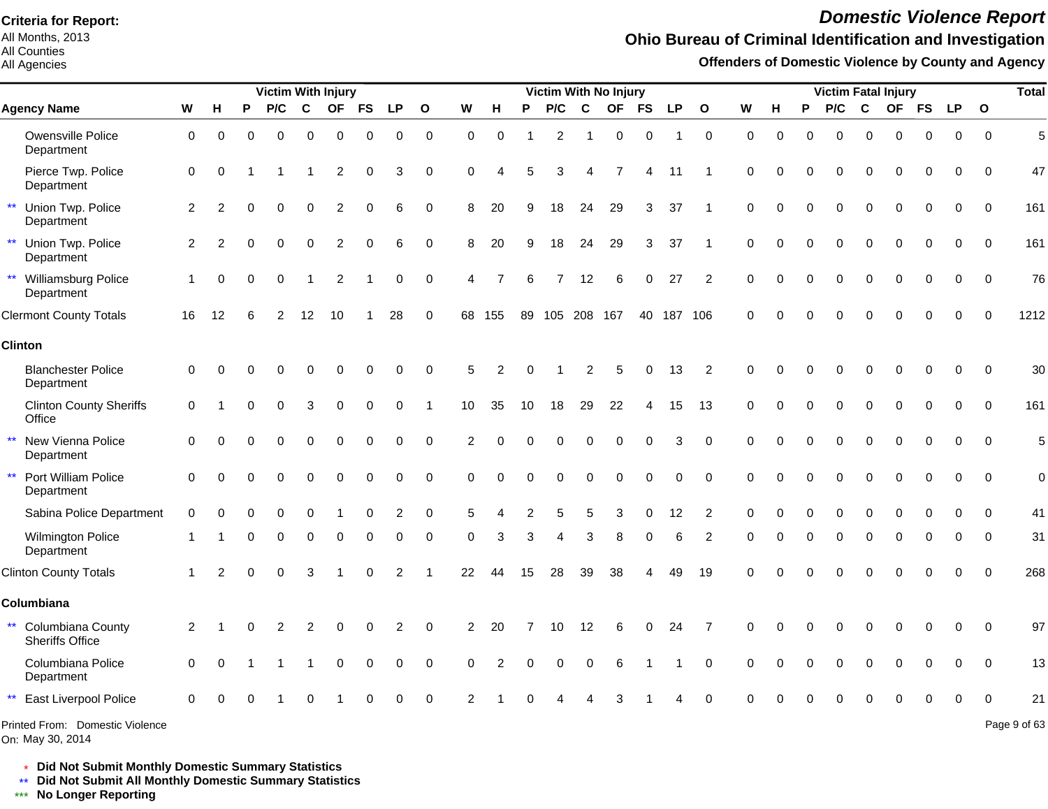All Months, 2013 All Counties

#### All Agencies

# *Domestic Violence Report*

### **Ohio Bureau of Criminal Identification and Investigation**

**Offenders of Domestic Violence by County and Agency**

|              |                                             |             |    |          | <b>Victim With Injury</b> |          |                |             |                |              |                |          |    |                |             | <b>Victim With No Injury</b> |             |            |                |             |          |          | <b>Victim Fatal Injury</b> |             |          |             |             |              | <b>Total</b> |
|--------------|---------------------------------------------|-------------|----|----------|---------------------------|----------|----------------|-------------|----------------|--------------|----------------|----------|----|----------------|-------------|------------------------------|-------------|------------|----------------|-------------|----------|----------|----------------------------|-------------|----------|-------------|-------------|--------------|--------------|
|              | <b>Agency Name</b>                          | W           | н  | P        | P/C                       | C        |                | OF FS       | <b>LP</b>      | $\mathbf{o}$ | W              | н        | Р  | P/C            | $\mathbf c$ | <b>OF</b>                    | <b>FS</b>   | <b>LP</b>  | $\mathbf{o}$   | W           | н        | P        | P/C                        | $\mathbf C$ |          | OF FS       | <b>LP</b>   | $\mathbf{o}$ |              |
|              | Owensville Police<br>Department             | $\mathbf 0$ | 0  | $\Omega$ | $\Omega$                  | $\Omega$ | $\Omega$       | $\mathbf 0$ | 0              | $\mathbf 0$  | $\mathbf 0$    | $\Omega$ |    | $\overline{2}$ |             | $\Omega$                     | $\mathbf 0$ |            | $\mathbf 0$    | $\mathbf 0$ | $\Omega$ | $\Omega$ | $\Omega$                   | $\Omega$    | $\Omega$ | $\mathbf 0$ | $\mathbf 0$ | $\Omega$     | 5            |
|              | Pierce Twp. Police<br>Department            | 0           | ∩  |          |                           |          | 2              | 0           | 3              | $\Omega$     | $\Omega$       |          |    | 3              |             |                              | Δ           | 11         |                | $\Omega$    |          | ŋ        | ∩                          |             |          | O           | ∩           | $\Omega$     | 47           |
|              | Union Twp. Police<br>Department             | 2           |    |          | U                         | $\Omega$ | 2              | $\Omega$    | 6              | 0            | 8              | 20       | q  | 18             | 24          | 29                           | 3           | 37         |                | $\Omega$    |          | ŋ        | ∩                          | O           |          | 0           | $\Omega$    | $\Omega$     | 161          |
| $\star\star$ | Union Twp. Police<br>Department             | 2           |    |          | 0                         | $\Omega$ | $\overline{2}$ | $\Omega$    | 6              | $\mathbf 0$  | 8              | 20       | 9  | 18             | 24          | 29                           | 3           | 37         |                | $\Omega$    |          | 0        | $\Omega$                   | 0           | $\Omega$ | 0           | 0           | $\mathbf 0$  | 161          |
| $\star\star$ | Williamsburg Police<br>Department           |             |    | $\Omega$ | 0                         |          | 2              |             | 0              | $\mathbf 0$  |                |          | 6  | $\overline{7}$ | 12          | 6                            | 0           | 27         | $\overline{2}$ | $\Omega$    |          | 0        | $\Omega$                   | $\Omega$    |          | 0           | 0           | $\Omega$     | 76           |
|              | <b>Clermont County Totals</b>               | 16          | 12 | 6        | 2                         | 12       | 10             |             | 28             | $\Omega$     | 68             | 155      |    | 89 105 208 167 |             |                              |             | 40 187 106 |                | $\Omega$    | O        | 0        | $\Omega$                   | $\Omega$    | $\Omega$ | O           | $\Omega$    | $\Omega$     | 1212         |
|              | <b>Clinton</b>                              |             |    |          |                           |          |                |             |                |              |                |          |    |                |             |                              |             |            |                |             |          |          |                            |             |          |             |             |              |              |
|              | <b>Blanchester Police</b><br>Department     | 0           |    |          |                           |          |                | ∩           | O              | $\Omega$     | 5              |          |    |                |             | 5                            | 0           | 13         | 2              | $\Omega$    |          |          |                            |             |          | U           |             | $\Omega$     | 30           |
|              | <b>Clinton County Sheriffs</b><br>Office    | 0           |    |          |                           | З        |                | $\Omega$    | O              |              | 10             | 35       | 10 | 18             | 29          | 22                           |             | 15         | 13             | $\Omega$    |          |          |                            | ŋ           |          | 0           | $\Omega$    | $\Omega$     | 161          |
| $\star\star$ | New Vienna Police<br>Department             | $\Omega$    |    |          |                           | ∩        |                | $\Omega$    | $\Omega$       | $\Omega$     | $\overline{2}$ |          |    |                | C           | $\Omega$                     | $\Omega$    | 3          | $\Omega$       | $\Omega$    |          | ∩        | $\Omega$                   | O           |          | 0           | $\Omega$    | $\Omega$     | 5            |
|              | Port William Police<br>Department           | $\Omega$    | ∩  |          |                           | $\Omega$ | 0              | $\Omega$    | $\Omega$       | $\Omega$     | $\Omega$       |          |    | $\Omega$       | $\mathbf 0$ | 0                            | $\Omega$    | $\Omega$   | $\Omega$       | $\Omega$    |          |          | $\Omega$                   | O           |          |             |             | $\Omega$     | $\mathbf 0$  |
|              | Sabina Police Department                    | $\Omega$    |    |          |                           |          |                |             |                | $\bigcap$    |                |          |    |                |             |                              |             | 12         |                |             |          |          |                            |             |          |             |             | ∩            | 41           |
|              | <b>Wilmington Police</b><br>Department      |             |    | U        | 0                         | O        |                | ሰ           | O              | $\Omega$     | ∩              | з        | 3  | Δ              | 3           |                              | ∩           | 6          | 2              | ∩           |          | ŋ        | $\Omega$                   | O           | ∩        | O           | $\Omega$    | $\Omega$     | 31           |
|              | <b>Clinton County Totals</b>                |             |    |          | 0                         | 3        |                | $\Omega$    | $\overline{c}$ |              | 22             | 44       | 15 | 28             | 39          | 38                           |             | 49         | 19             |             |          |          |                            |             |          |             | $\Omega$    | $\Omega$     | 268          |
|              | Columbiana                                  |             |    |          |                           |          |                |             |                |              |                |          |    |                |             |                              |             |            |                |             |          |          |                            |             |          |             |             |              |              |
| $***$        | Columbiana County<br><b>Sheriffs Office</b> | 2           |    |          |                           | 2        | ი              | $\Omega$    | 2              | $\Omega$     | 2              | 20       |    | 10             | 12          | 6                            | O           | 24         |                |             |          |          | O                          | O           |          | ი           | $\Omega$    | $\Omega$     | 97           |
|              | Columbiana Police<br>Department             | $\Omega$    | O  |          |                           |          | 0              | 0           | 0              | $\Omega$     |                |          |    | 0              | C           |                              |             |            | $\Omega$       |             |          | O        | 0                          | $\Omega$    | $\Omega$ | 0           | $\Omega$    | $\Omega$     | 13           |
| $\star\star$ | East Liverpool Police                       | $\Omega$    |    |          |                           |          |                |             |                | $\Omega$     |                |          |    |                |             |                              |             |            |                |             |          |          |                            |             |          |             |             |              | 21           |
|              | Printed From: Domestic Violence             |             |    |          |                           |          |                |             |                |              |                |          |    |                |             |                              |             |            |                |             |          |          |                            |             |          |             |             |              | Page 9 of 63 |

On: May 30, 2014

\* **Did Not Submit Monthly Domestic Summary Statistics**

**Did Not Submit All Monthly Domestic Summary Statistics**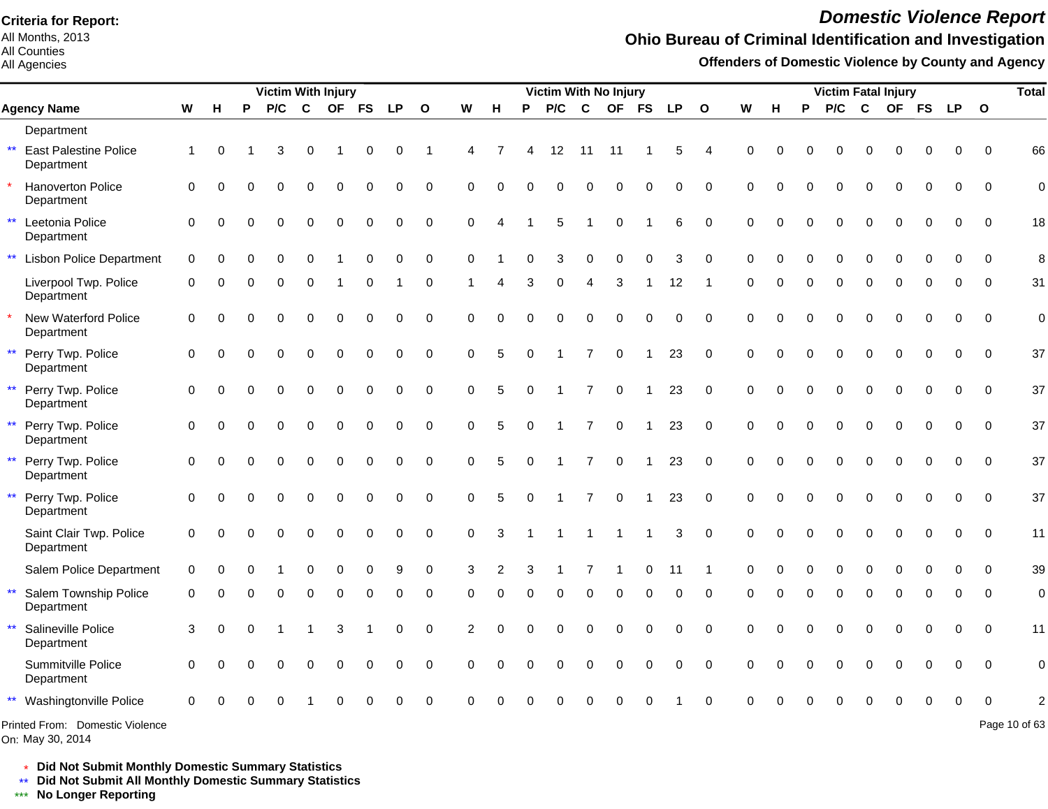All Months, 2013 All Counties

All Agencies

# *Domestic Violence Report*

## **Ohio Bureau of Criminal Identification and Investigation**

**Offenders of Domestic Violence by County and Agency**

|                                                            |              |          |          | <b>Victim With Injury</b> |          |           |             |             |              |             |          |          | Victim With No Injury |                |                |              |             |              |             |          |          | <b>Victim Fatal Injury</b> |              |             |           |             |              | <b>Total</b>  |
|------------------------------------------------------------|--------------|----------|----------|---------------------------|----------|-----------|-------------|-------------|--------------|-------------|----------|----------|-----------------------|----------------|----------------|--------------|-------------|--------------|-------------|----------|----------|----------------------------|--------------|-------------|-----------|-------------|--------------|---------------|
| <b>Agency Name</b>                                         | W            | H        | P        | P/C                       | C        | <b>OF</b> | <b>FS</b>   | <b>LP</b>   | $\mathbf{o}$ | W           | H        | P        | P/C                   | $\mathbf c$    | <b>OF</b>      | <b>FS</b>    | <b>LP</b>   | $\mathbf{o}$ | W           | н        | P        | P/C                        | $\mathbf{C}$ | <b>OF</b>   | <b>FS</b> | <b>LP</b>   | $\mathbf{o}$ |               |
| Department                                                 |              |          |          |                           |          |           |             |             |              |             |          |          |                       |                |                |              |             |              |             |          |          |                            |              |             |           |             |              |               |
| $\star\star$<br><b>East Palestine Police</b><br>Department | $\mathbf{1}$ | $\Omega$ |          | 3                         | 0        |           | 0           | $\Omega$    |              | 4           |          | 4        | 12                    | 11             | -11            |              | 5           | 4            | $\Omega$    | $\Omega$ | ∩        | $\Omega$                   | 0            | 0           |           | 0           | $\Omega$     | 66            |
| $\star$<br>Hanoverton Police<br>Department                 | $\mathbf 0$  | $\Omega$ |          |                           | $\Omega$ | 0         | 0           | 0           | 0            | $\Omega$    | $\Omega$ |          | $\Omega$              | 0              | $\mathbf 0$    | $\mathbf 0$  | 0           | $\Omega$     | $\Omega$    | $\Omega$ | $\Omega$ | $\Omega$                   | $\Omega$     | $\Omega$    | 0         | 0           | $\Omega$     | $\mathbf 0$   |
| $\star\star$<br>Leetonia Police<br>Department              | $\mathbf 0$  | $\Omega$ |          |                           | $\Omega$ | $\Omega$  | $\mathbf 0$ | $\Omega$    | $\mathbf 0$  | $\mathbf 0$ |          |          | 5                     | -1             | $\mathbf 0$    |              | 6           | $\mathbf 0$  | $\mathbf 0$ | $\Omega$ |          | $\Omega$                   | $\Omega$     | $\Omega$    |           | 0           | $\Omega$     | 18            |
| <b>Lisbon Police Department</b><br>$***$                   | $\mathbf 0$  | ∩        |          |                           | O        |           | $\Omega$    | $\Omega$    | $\mathbf 0$  | $\Omega$    |          | U        | 3                     | $\Omega$       | $\Omega$       | $\Omega$     | 3           | 0            | $\Omega$    | $\Omega$ |          | U                          | $\Omega$     | $\Omega$    |           | 0           | $\Omega$     | 8             |
| Liverpool Twp. Police<br>Department                        | $\mathbf 0$  | ∩        | ∩        | 0                         | $\Omega$ |           | 0           |             | $\mathbf 0$  |             |          | 3        | $\Omega$              | 4              | 3              |              | 12          | -1           | $\Omega$    | $\Omega$ | $\Omega$ | $\mathbf 0$                | $\Omega$     | $\mathbf 0$ | $\Omega$  | 0           | $\mathbf 0$  | 31            |
| $\star$<br>New Waterford Police<br>Department              | 0            | $\Omega$ | 0        | $\Omega$                  | 0        | $\Omega$  | $\Omega$    | O           | 0            | 0           | $\Omega$ | $\Omega$ | $\Omega$              | 0              | 0              | 0            | 0           | $\mathbf 0$  | $\mathbf 0$ | $\Omega$ | $\Omega$ | $\Omega$                   | $\Omega$     | 0           | $\Omega$  | 0           | $\mathbf 0$  | $\mathbf 0$   |
| $\star\star$<br>Perry Twp. Police<br>Department            | $\Omega$     | $\Omega$ | $\Omega$ | $\Omega$                  | $\Omega$ | $\Omega$  | $\Omega$    | $\Omega$    | $\mathbf 0$  | $\Omega$    | 5        | $\Omega$ |                       | $\overline{7}$ | $\mathbf 0$    | $\mathbf 1$  | 23          | $\mathbf 0$  | $\Omega$    | $\Omega$ | $\Omega$ | $\Omega$                   | $\Omega$     | $\Omega$    | $\Omega$  | $\Omega$    | $\Omega$     | 37            |
| $\star\star$<br>Perry Twp. Police<br>Department            | $\Omega$     | $\Omega$ |          |                           | $\Omega$ | $\Omega$  | $\Omega$    | $\Omega$    | $\mathbf 0$  | $\Omega$    | 5        | $\Omega$ |                       | $\overline{7}$ | $\mathbf 0$    | 1            | 23          | 0            | $\Omega$    | $\Omega$ | $\Omega$ | $\Omega$                   | $\Omega$     | $\Omega$    | $\Omega$  | 0           | $\Omega$     | 37            |
| $\star\star$<br>Perry Twp. Police<br>Department            | $\Omega$     | $\Omega$ |          |                           | 0        | $\Omega$  | $\Omega$    | $\Omega$    | 0            | $\Omega$    | 5        | $\Omega$ |                       | $\overline{7}$ | $\mathbf 0$    | 1            | 23          | $\mathbf 0$  | $\Omega$    | $\Omega$ | $\Omega$ | $\Omega$                   | $\Omega$     | $\Omega$    |           | 0           | $\Omega$     | 37            |
| $\star\star$<br>Perry Twp. Police<br>Department            | $\mathbf 0$  | $\Omega$ |          |                           | 0        | $\Omega$  | $\Omega$    | $\Omega$    | 0            | $\Omega$    | 5        | $\Omega$ |                       | $\overline{7}$ | $\pmb{0}$      | $\mathbf{1}$ | 23          | $\mathbf 0$  | $\Omega$    | $\Omega$ | $\Omega$ | $\mathbf 0$                | 0            | 0           | $\Omega$  | 0           | $\Omega$     | 37            |
| $\star\star$<br>Perry Twp. Police<br>Department            | $\Omega$     | $\Omega$ |          |                           | $\Omega$ | $\Omega$  | $\mathbf 0$ | $\Omega$    | $\mathbf 0$  | $\Omega$    | 5        | $\Omega$ | $\overline{1}$        | $\overline{7}$ | $\mathbf 0$    | $\mathbf 1$  | 23          | $\mathbf 0$  | $\Omega$    | $\Omega$ | $\Omega$ | $\Omega$                   | $\Omega$     | $\Omega$    | $\Omega$  | $\Omega$    | $\Omega$     | 37            |
| Saint Clair Twp. Police<br>Department                      | $\mathbf 0$  | $\Omega$ |          |                           | $\Omega$ | $\Omega$  | $\mathbf 0$ | $\mathbf 0$ | $\mathbf 0$  | $\mathbf 0$ | 3        |          | $\overline{1}$        | 1              | $\overline{1}$ | -1           | 3           | $\mathbf 0$  | $\mathbf 0$ | $\Omega$ | $\Omega$ | $\Omega$                   | $\Omega$     | $\Omega$    | $\Omega$  | $\mathbf 0$ | $\mathbf 0$  | 11            |
| Salem Police Department                                    | $\mathbf 0$  |          |          |                           | 0        | $\Omega$  | 0           | 9           | $\mathbf 0$  | 3           | 2        |          |                       |                |                | 0            | 11          |              | $\Omega$    | $\Omega$ |          | 0                          | $\Omega$     | 0           |           | 0           | $\Omega$     | 39            |
| $\star\star$<br>Salem Township Police<br>Department        | $\mathbf 0$  | ∩        |          | $\Omega$                  | $\Omega$ | $\Omega$  | 0           | $\Omega$    | $\mathbf 0$  | $\Omega$    | $\Omega$ | $\Omega$ | $\mathbf 0$           | 0              | $\mathbf 0$    | 0            | $\Omega$    | $\mathbf 0$  | $\Omega$    | $\Omega$ | $\Omega$ | $\Omega$                   | $\Omega$     | $\Omega$    | $\Omega$  | 0           | $\mathbf 0$  | $\mathbf 0$   |
| $\star\star$<br>Salineville Police<br>Department           | 3            | $\Omega$ | $\Omega$ |                           |          | 3         |             | ∩           | $\Omega$     | 2           | $\Omega$ | O        | $\Omega$              | $\Omega$       | $\Omega$       | $\Omega$     | $\Omega$    | $\Omega$     | $\Omega$    | $\Omega$ | ∩        | 0                          | $\Omega$     | $\Omega$    | $\Omega$  | 0           | $\Omega$     | 11            |
| Summitville Police<br>Department                           | $\Omega$     | $\Omega$ |          |                           | $\Omega$ | $\Omega$  | $\Omega$    | $\Omega$    | $\mathbf 0$  | $\Omega$    | $\Omega$ | $\Omega$ | $\Omega$              | $\Omega$       | $\mathbf 0$    | $\Omega$     | $\mathbf 0$ | $\mathbf 0$  | $\Omega$    | $\Omega$ | $\Omega$ | $\Omega$                   | $\Omega$     | $\Omega$    | $\Omega$  | $\Omega$    | $\Omega$     | $\mathbf 0$   |
| ** Washingtonville Police                                  | $\Omega$     |          |          |                           |          |           |             |             | $\Omega$     | U           |          |          |                       |                |                |              |             | $\Omega$     |             |          |          |                            |              |             |           |             | $\Omega$     | 2             |
| Printed From: Domestic Violence                            |              |          |          |                           |          |           |             |             |              |             |          |          |                       |                |                |              |             |              |             |          |          |                            |              |             |           |             |              | Page 10 of 63 |

On: May 30, 2014

\* **Did Not Submit Monthly Domestic Summary Statistics**

**Did Not Submit All Monthly Domestic Summary Statistics**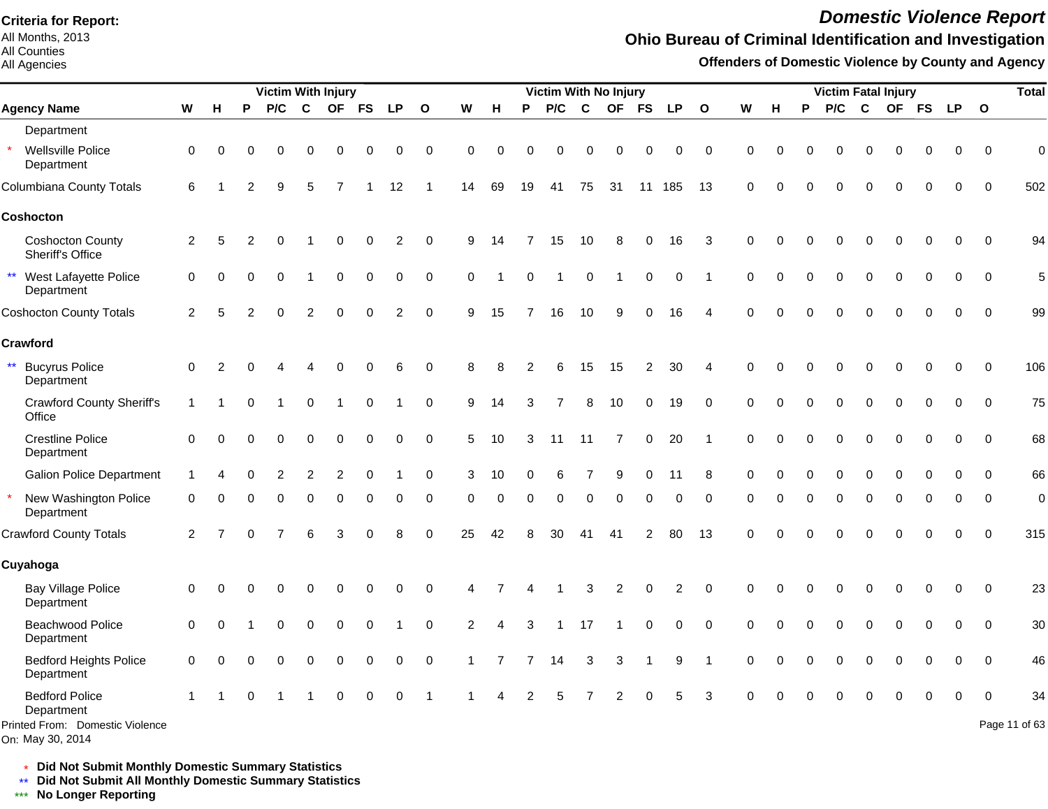All Months, 2013 All Counties

All Agencies

# *Domestic Violence Report*

## **Ohio Bureau of Criminal Identification and Investigation**

**Offenders of Domestic Violence by County and Agency**

|                                                                                            |                |                | Victim With Injury |          |          |          |          |           |              |                |    | <b>Victim With No Injury</b> |          |          |                |                |             |                         |             |          | <b>Victim Fatal Injury</b> |          |              |          |           |           |           | <b>Total</b>            |                     |
|--------------------------------------------------------------------------------------------|----------------|----------------|--------------------|----------|----------|----------|----------|-----------|--------------|----------------|----|------------------------------|----------|----------|----------------|----------------|-------------|-------------------------|-------------|----------|----------------------------|----------|--------------|----------|-----------|-----------|-----------|-------------------------|---------------------|
| <b>Agency Name</b>                                                                         | ${\bf W}$      | H              | P                  | P/C      | C        |          | OF FS    | <b>LP</b> | $\mathbf{o}$ | W              | н  | P                            | P/C      | C        | <b>OF</b>      | <b>FS</b>      | <b>LP</b>   | $\mathbf{o}$            | W           | H        | P                          | P/C      | $\mathbf{C}$ |          | <b>OF</b> | <b>FS</b> | <b>LP</b> | $\overline{\mathbf{O}}$ |                     |
| Department                                                                                 |                |                |                    |          |          |          |          |           |              |                |    |                              |          |          |                |                |             |                         |             |          |                            |          |              |          |           |           |           |                         |                     |
| Wellsville Police<br>Department                                                            | $\mathbf 0$    | $\Omega$       | $\Omega$           |          | O        |          |          |           | 0            | 0              | ∩  | 0                            |          | O        | $\Omega$       | 0              | $\Omega$    | 0                       | 0           | $\Omega$ |                            |          |              | O        | O         | O         | $\Omega$  | $\mathbf 0$             | $\mathbf 0$         |
| Columbiana County Totals                                                                   | 6              |                |                    | я        | 5        |          |          | 12        |              | 14             | 69 | 19                           | 41       | 75       | 31             | 11             | 185         | 13                      | 0           | $\Omega$ |                            |          |              | O        | $\Omega$  |           | ∩         | $\Omega$                | 502                 |
| Coshocton                                                                                  |                |                |                    |          |          |          |          |           |              |                |    |                              |          |          |                |                |             |                         |             |          |                            |          |              |          |           |           |           |                         |                     |
| <b>Coshocton County</b><br>Sheriff's Office                                                | $\overline{2}$ | 5              | 2                  |          |          |          | 0        | 2         | $\mathbf 0$  | 9              | 14 |                              | 15       | 10       | 8              | 0              | 16          | 3                       | 0           | $\Omega$ |                            |          |              |          | O         | $\Omega$  | O         | $\mathbf 0$             | 94                  |
| $***$<br>West Lafayette Police<br>Department                                               | 0              | 0              | $\Omega$           | $\Omega$ |          | $\Omega$ | $\Omega$ | $\Omega$  | $\mathbf 0$  | $\mathbf 0$    |    | $\Omega$                     |          | $\Omega$ |                | 0              | $\mathbf 0$ | $\overline{1}$          | 0           | $\Omega$ | O                          | $\Omega$ |              | 0        | $\Omega$  | $\Omega$  | $\Omega$  | $\mathbf 0$             | 5                   |
| <b>Coshocton County Totals</b>                                                             | $\overline{c}$ | 5              |                    |          |          |          |          | 2         | $\Omega$     | 9              | 15 |                              | 16       | 10       | 9              | $\Omega$       | 16          | 4                       | $\Omega$    | $\Omega$ | $\Omega$                   |          |              |          | $\Omega$  | ∩         | $\Omega$  | $\Omega$                | 99                  |
| <b>Crawford</b>                                                                            |                |                |                    |          |          |          |          |           |              |                |    |                              |          |          |                |                |             |                         |             |          |                            |          |              |          |           |           |           |                         |                     |
| $\star\star$<br><b>Bucyrus Police</b><br>Department                                        | 0              | 2              |                    |          |          |          |          |           | 0            | 8              |    |                              |          | 15       | 15             | $\overline{2}$ | 30          | 4                       | 0           | $\Omega$ |                            |          |              |          | $\Omega$  | $\Omega$  | 0         | $\mathbf 0$             | 106                 |
| <b>Crawford County Sheriff's</b><br>Office                                                 | $\mathbf{1}$   |                | $\Omega$           |          | 0        |          | 0        |           | $\mathbf 0$  | 9              | 14 | 3                            |          | 8        | 10             | 0              | 19          | 0                       | 0           | $\Omega$ |                            |          |              | 0        | $\Omega$  | $\Omega$  | 0         | $\mathbf 0$             | 75                  |
| <b>Crestline Police</b><br>Department                                                      | $\Omega$       | $\Omega$       | Ω                  |          | U        | $\Omega$ | 0        | 0         | 0            | 5              | 10 | 3                            | 11       | 11       | $\overline{7}$ | 0              | 20          | $\overline{1}$          | 0           | $\Omega$ | $\Omega$                   | $\Omega$ |              | $\Omega$ | $\Omega$  | $\Omega$  | $\Omega$  | $\mathbf 0$             | 68                  |
| <b>Galion Police Department</b>                                                            |                |                |                    |          |          | 2        | $\Omega$ |           | $\mathbf 0$  | 3              | 10 |                              |          |          | 9              | 0              | 11          | 8                       | $\mathbf 0$ |          |                            |          |              | 0        | $\Omega$  | $\Omega$  | $\Omega$  | $\Omega$                | 66                  |
| New Washington Police<br>Department                                                        | $\mathbf 0$    | 0              | 0                  | ∩        | $\Omega$ | $\Omega$ | $\Omega$ | 0         | $\Omega$     | $\Omega$       | ∩  | 0                            | $\Omega$ | $\Omega$ | $\Omega$       | $\mathbf 0$    | $\Omega$    | 0                       | 0           | $\Omega$ | $\Omega$                   | $\Omega$ |              | $\Omega$ | $\Omega$  | $\Omega$  | $\Omega$  | $\mathbf 0$             | $\mathbf 0$         |
| <b>Crawford County Totals</b>                                                              | 2              | $\overline{7}$ | $\Omega$           |          | 6        | 3        | $\Omega$ | 8         | $\Omega$     | 25             | 42 | 8                            | 30       | 41       | 41             | 2              | 80          | 13                      | 0           | $\Omega$ | $\Omega$                   | $\Omega$ |              | $\Omega$ | $\Omega$  | $\Omega$  | $\Omega$  | $\Omega$                | 315                 |
| <b>Cuyahoga</b>                                                                            |                |                |                    |          |          |          |          |           |              |                |    |                              |          |          |                |                |             |                         |             |          |                            |          |              |          |           |           |           |                         |                     |
| <b>Bay Village Police</b><br>Department                                                    | $\mathbf 0$    | $\Omega$       | O                  |          | 0        |          | O        |           | 0            | 4              |    |                              |          | 3        | $\overline{2}$ | 0              | 2           | $\pmb{0}$               | 0           | $\Omega$ | U                          | $\Omega$ |              | 0        | $\Omega$  | 0         | 0         | $\mathbf 0$             | 23                  |
| Beachwood Police<br>Department                                                             | $\mathbf 0$    | $\Omega$       |                    | $\Omega$ | 0        | $\Omega$ | $\Omega$ |           | $\Omega$     | $\overline{2}$ | 4  | 3                            |          | 17       |                | $\mathbf 0$    | $\Omega$    | $\mathbf 0$             | $\Omega$    | $\Omega$ | 0                          |          |              | 0        | $\Omega$  | $\Omega$  | $\Omega$  | $\mathbf 0$             | 30                  |
| <b>Bedford Heights Police</b><br>Department                                                | $\Omega$       | $\Omega$       | O                  |          | 0        | $\Omega$ | 0        | $\Omega$  | $\mathbf 0$  |                | 7  |                              | 14       | 3        | 3              | 1              | 9           | $\overline{\mathbf{1}}$ | 0           | $\Omega$ |                            |          |              | 0        | $\Omega$  | $\Omega$  | $\Omega$  | $\mathbf 0$             | 46                  |
| <b>Bedford Police</b><br>Department<br>Printed From: Domestic Violence<br>On: May 30, 2014 |                |                | $\Omega$           |          |          |          |          |           |              |                |    |                              |          |          |                |                |             | 3                       | $\Omega$    |          |                            |          |              |          |           |           |           | $\Omega$                | 34<br>Page 11 of 63 |

\* **Did Not Submit Monthly Domestic Summary Statistics**

**Did Not Submit All Monthly Domestic Summary Statistics**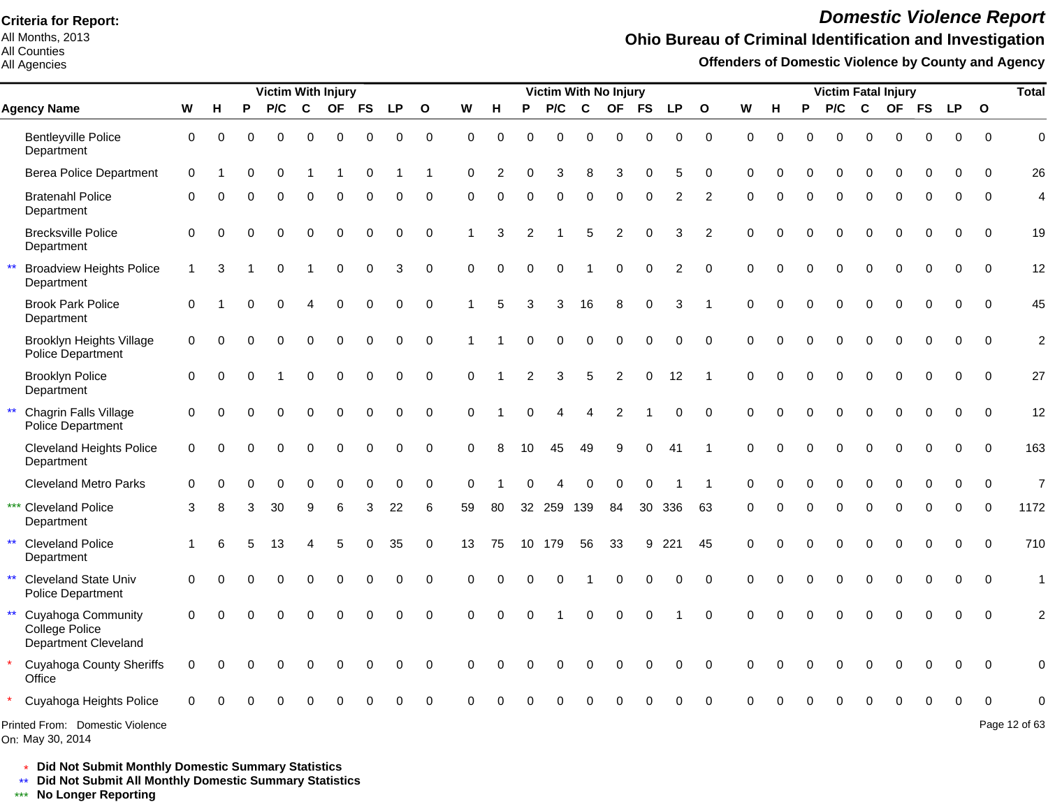All Months, 2013 All Counties

All Agencies

# *Domestic Violence Report*

## **Ohio Bureau of Criminal Identification and Investigation**

**Offenders of Domestic Violence by County and Agency**

|                                                                              |                           |          |          | <b>Victim With Injury</b> |             |           |             |           |              |          |          |                | Victim With No Injury |                  |                |             |                |                |          |          |          | <b>Victim Fatal Injury</b> |             |             |           |           |              | <b>Total</b>   |
|------------------------------------------------------------------------------|---------------------------|----------|----------|---------------------------|-------------|-----------|-------------|-----------|--------------|----------|----------|----------------|-----------------------|------------------|----------------|-------------|----------------|----------------|----------|----------|----------|----------------------------|-------------|-------------|-----------|-----------|--------------|----------------|
| <b>Agency Name</b>                                                           | $\boldsymbol{\mathsf{W}}$ | н        | P        | P/C                       | $\mathbf c$ | <b>OF</b> | <b>FS</b>   | <b>LP</b> | $\mathbf{o}$ | W        | н        | P              | P/C                   | C                | <b>OF</b>      | <b>FS</b>   | <b>LP</b>      | $\mathbf{o}$   | W        | н        | P        | P/C                        | C           | <b>OF</b>   | <b>FS</b> | <b>LP</b> | $\mathbf{o}$ |                |
| <b>Bentleyville Police</b><br>Department                                     | $\mathbf 0$               | $\Omega$ | $\Omega$ | $\Omega$                  | $\Omega$    | $\Omega$  | $\Omega$    | 0         | $\mathbf 0$  | $\Omega$ | $\Omega$ | $\Omega$       | $\Omega$              | $\Omega$         | $\Omega$       | $\Omega$    | $\Omega$       | $\Omega$       | $\Omega$ | $\Omega$ | $\Omega$ | $\Omega$                   | $\Omega$    | $\Omega$    | $\Omega$  | 0         | $\Omega$     | $\overline{0}$ |
| <b>Berea Police Department</b>                                               | $\Omega$                  |          | $\Omega$ | $\Omega$                  |             |           | $\Omega$    |           |              | $\Omega$ |          | $\Omega$       | 3                     | 8                | 3              | $\Omega$    | 5              | $\Omega$       | $\Omega$ | O        | O        | $\Omega$                   | $\Omega$    | ∩           | O         | ∩         | $\Omega$     | 26             |
| <b>Bratenahl Police</b><br>Department                                        | $\Omega$                  | ∩        | $\Omega$ | $\Omega$                  | $\Omega$    | $\Omega$  | $\Omega$    | O         | $\Omega$     | $\Omega$ | $\Omega$ | $\Omega$       | $\Omega$              | $\Omega$         | $\Omega$       | $\Omega$    | 2              | $\overline{2}$ | $\Omega$ | O        | $\Omega$ | $\Omega$                   | $\Omega$    | $\Omega$    | $\Omega$  | $\Omega$  | $\Omega$     | $\overline{4}$ |
| <b>Brecksville Police</b><br>Department                                      | $\Omega$                  | 0        | $\Omega$ | $\Omega$                  | $\Omega$    | 0         | $\Omega$    | $\Omega$  | $\Omega$     |          | 3        |                |                       | 5                | 2              | $\Omega$    | 3              | $\overline{2}$ | $\Omega$ | O        | O        | 0                          | $\Omega$    | $\Omega$    | $\Omega$  | $\Omega$  | $\Omega$     | 19             |
| <b>Broadview Heights Police</b><br>Department                                | $\mathbf 1$               | 3        |          | $\Omega$                  |             | $\Omega$  | 0           | 3         | $\mathbf 0$  | $\Omega$ | $\Omega$ | $\overline{0}$ | $\Omega$              |                  | $\Omega$       | $\mathbf 0$ | $\overline{2}$ | $\Omega$       | $\Omega$ | $\Omega$ | 0        | $\Omega$                   | $\Omega$    | $\Omega$    | $\Omega$  | $\Omega$  | $\Omega$     | 12             |
| <b>Brook Park Police</b><br>Department                                       | $\Omega$                  |          |          | $\Omega$                  |             | 0         | $\Omega$    | 0         | $\Omega$     |          | 5        | 3              | 3                     | 16               | 8              | $\Omega$    | 3              |                | $\Omega$ |          | 0        | $\Omega$                   | $\Omega$    | $\Omega$    | $\Omega$  | $\Omega$  | $\Omega$     | 45             |
| <b>Brooklyn Heights Village</b><br>Police Department                         | $\mathbf 0$               | $\Omega$ |          | 0                         | $\mathbf 0$ | 0         | $\mathsf 0$ | 0         | $\mathbf 0$  |          |          | 0              | $\mathbf 0$           | $\boldsymbol{0}$ | $\mathbf 0$    | $\mathbf 0$ | $\Omega$       | $\Omega$       | $\Omega$ |          | 0        | $\mathbf 0$                | $\mathbf 0$ | $\mathbf 0$ | 0         | $\Omega$  | $\Omega$     | $\overline{c}$ |
| <b>Brooklyn Police</b><br>Department                                         | $\Omega$                  | $\Omega$ |          |                           | $\Omega$    | $\Omega$  | $\pmb{0}$   | $\Omega$  | $\Omega$     | $\Omega$ |          | $\overline{2}$ | 3                     | $\overline{5}$   | $\overline{c}$ | 0           | 12             |                | $\Omega$ | $\Omega$ | 0        | 0                          | $\Omega$    | $\Omega$    | $\Omega$  | $\Omega$  | $\Omega$     | 27             |
| Chagrin Falls Village<br>Police Department                                   | $\Omega$                  |          |          | $\Omega$                  | $\Omega$    | $\Omega$  | $\Omega$    | $\Omega$  | $\Omega$     | $\Omega$ |          | $\Omega$       | 4                     | Δ                | 2              |             | $\Omega$       | $\Omega$       | $\Omega$ |          | $\Omega$ | $\Omega$                   | $\Omega$    | $\Omega$    | $\Omega$  | $\Omega$  | $\Omega$     | 12             |
| <b>Cleveland Heights Police</b><br>Department                                | $\mathbf 0$               |          | $\Omega$ | $\Omega$                  | $\Omega$    | $\Omega$  | $\Omega$    | $\Omega$  | $\Omega$     | $\Omega$ | 8        | 10             | 45                    | 49               | 9              | 0           | 41             |                | $\Omega$ |          | O        | $\Omega$                   | $\Omega$    | $\Omega$    | 0         | $\Omega$  | $\Omega$     | 163            |
| <b>Cleveland Metro Parks</b>                                                 | 0                         |          |          | 0                         | $\Omega$    | $\Omega$  | $\Omega$    | 0         | 0            | $\Omega$ |          |                |                       | $\Omega$         | $\Omega$       | 0           |                |                | $\Omega$ |          | 0        | $\Omega$                   | $\Omega$    | $\Omega$    | 0         | $\Omega$  | $\Omega$     | $\overline{7}$ |
| *** Cleveland Police<br>Department                                           | 3                         | 8        | 3        | 30                        | 9           | 6         | 3           | 22        | 6            | 59       | 80       |                | 32 259 139            |                  | 84             |             | 30 336         | 63             | $\Omega$ | U        | $\Omega$ | $\Omega$                   | $\mathbf 0$ | $\Omega$    | $\Omega$  | $\Omega$  | $\Omega$     | 1172           |
| $\star\star$<br><b>Cleveland Police</b><br>Department                        |                           | հ        |          | 13                        |             | 5         | $\Omega$    | 35        | $\Omega$     | 13       | 75       |                | 10 179                | 56               | 33             | 9           | 221            | 45             | 0        |          | 0        | $\Omega$                   | 0           | $\Omega$    | 0         | $\Omega$  | $\mathbf{0}$ | 710            |
| $\star\star$<br><b>Cleveland State Univ</b><br>Police Department             | $\Omega$                  |          |          | $\Omega$                  | $\Omega$    | U         | $\Omega$    | $\Omega$  | $\Omega$     | $\Omega$ |          | $\Omega$       | $\Omega$              |                  | $\Omega$       | $\Omega$    | $\Omega$       | $\Omega$       | $\Omega$ |          | 0        | $\Omega$                   | $\Omega$    | $\Omega$    | 0         | $\Omega$  | $\Omega$     | $\overline{1}$ |
| $***$<br>Cuyahoga Community<br>College Police<br><b>Department Cleveland</b> | $\Omega$                  |          | $\Omega$ | U                         | $\Omega$    |           | $\Omega$    | $\Omega$  | $\Omega$     | $\Omega$ | $\Omega$ | $\Omega$       |                       | $\Omega$         | $\Omega$       | $\Omega$    |                | $\Omega$       | $\Omega$ |          | O        | $\Omega$                   | $\Omega$    |             |           |           | $\Omega$     | $\overline{2}$ |
| <b>Cuyahoga County Sheriffs</b><br>Office                                    | $\Omega$                  | 0        | $\Omega$ | 0                         | $\Omega$    | $\Omega$  | $\Omega$    | $\Omega$  | $\Omega$     | $\Omega$ |          |                | O                     | $\Omega$         | $\Omega$       | $\Omega$    | $\Omega$       | $\Omega$       | $\Omega$ |          | ŋ        | $\Omega$                   | O           |             | O         | $\Omega$  | $\Omega$     | 0              |
| Cuyahoga Heights Police                                                      |                           |          |          |                           |             |           |             |           |              |          |          |                |                       |                  |                |             |                |                |          |          |          |                            |             |             |           |           |              |                |
| Printed From: Domestic Violence                                              |                           |          |          |                           |             |           |             |           |              |          |          |                |                       |                  |                |             |                |                |          |          |          |                            |             |             |           |           |              | Page 12 of 63  |

On: May 30, 2014

\* **Did Not Submit Monthly Domestic Summary Statistics**

**Did Not Submit All Monthly Domestic Summary Statistics**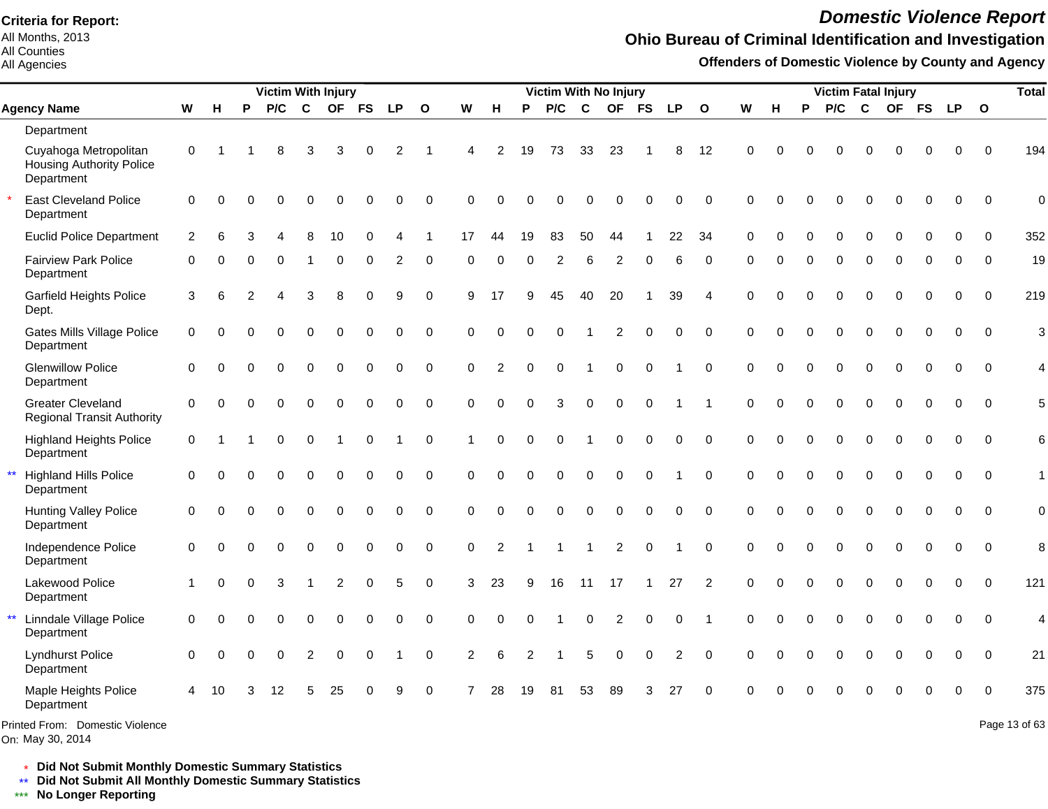All Months, 2013 All Counties

All Agencies

# *Domestic Violence Report*

## **Ohio Bureau of Criminal Identification and Investigation**

**Offenders of Domestic Violence by County and Agency**

|              |                                                                        |                |          |          | <b>Victim With Injury</b> |                |             |             |             |                |          |                |          | <b>Victim With No Injury</b> |              |             |             |                |             |          |          |          | <b>Victim Fatal Injury</b> |                  |             |             |             |              | <b>Total</b>        |
|--------------|------------------------------------------------------------------------|----------------|----------|----------|---------------------------|----------------|-------------|-------------|-------------|----------------|----------|----------------|----------|------------------------------|--------------|-------------|-------------|----------------|-------------|----------|----------|----------|----------------------------|------------------|-------------|-------------|-------------|--------------|---------------------|
|              | <b>Agency Name</b>                                                     | W              | Н        | P        | P/C                       | $\mathbf{C}$   | <b>OF</b>   | <b>FS</b>   | <b>LP</b>   | $\Omega$       | W        | н              | P        | P/C                          | $\mathbf{C}$ | <b>OF</b>   | <b>FS</b>   | <b>LP</b>      | $\Omega$    | W        | н        | P        | P/C                        | $\mathbf{C}$     | <b>OF</b>   | <b>FS</b>   | <b>LP</b>   | $\mathbf{o}$ |                     |
|              | Department                                                             |                |          |          |                           |                |             |             |             |                |          |                |          |                              |              |             |             |                |             |          |          |          |                            |                  |             |             |             |              |                     |
|              | Cuyahoga Metropolitan<br><b>Housing Authority Police</b><br>Department | 0              |          |          | 8                         | 3              | 3           | O           | 2           |                | Δ        | $\overline{2}$ | 19       | 73                           | 33           | 23          |             | 8              | 12          | $\Omega$ |          |          | O                          | C                |             | 0           | $\Omega$    | $\Omega$     | 194                 |
|              | <b>East Cleveland Police</b><br>Department                             | $\Omega$       | $\Omega$ |          |                           |                |             |             | $\Omega$    | $\Omega$       | $\Omega$ | $\Omega$       |          | O                            | ∩            | O           |             | 0              | $\Omega$    | $\Omega$ | $\Omega$ | O        | $\Omega$                   | $\Omega$         | $\Omega$    | $\Omega$    | $\Omega$    | $\Omega$     | 0                   |
|              | <b>Euclid Police Department</b>                                        | $\overline{2}$ | 6        |          |                           |                | 10          |             |             |                | 17       | 44             | 19       | 83                           | 50           | 44          |             | 22             | 34          | $\Omega$ |          |          | $\Omega$                   | $\Omega$         | O           | O           | $\Omega$    | $\Omega$     | 352                 |
|              | <b>Fairview Park Police</b><br>Department                              | 0              |          | O        | $\Omega$                  |                | 0           | 0           | 2           | 0              | $\Omega$ | $\Omega$       | $\Omega$ | 2                            | 6            | 2           | 0           | 6              | $\Omega$    | $\Omega$ | O        | $\Omega$ | 0                          | $\Omega$         | 0           | $\Omega$    | $\Omega$    | $\Omega$     | 19                  |
|              | <b>Garfield Heights Police</b><br>Dept.                                | 3              | 6        |          |                           | 3              | 8           | 0           | 9           | $\mathbf 0$    | 9        | 17             | я        | 45                           | 40           | 20          |             | 39             | 4           | $\Omega$ |          | O        | 0                          | $\Omega$         | $\Omega$    | 0           | $\Omega$    | $\mathbf 0$  | 219                 |
|              | Gates Mills Village Police<br>Department                               | $\mathbf 0$    | $\Omega$ | O        | $\Omega$                  | $\Omega$       | $\Omega$    | $\Omega$    | $\Omega$    | $\mathbf 0$    | $\Omega$ | $\Omega$       | $\Omega$ | $\Omega$                     |              | 2           | $\Omega$    | 0              | $\Omega$    | $\Omega$ | $\Omega$ | $\Omega$ | $\Omega$                   | $\Omega$         | $\Omega$    | $\Omega$    | $\Omega$    | $\Omega$     | 3                   |
|              | <b>Glenwillow Police</b><br>Department                                 | $\Omega$       | $\Omega$ | 0        | $\Omega$                  | $\Omega$       | $\Omega$    | $\Omega$    | $\Omega$    | $\Omega$       | $\Omega$ | $\overline{2}$ | $\Omega$ | $\Omega$                     | 1            | $\Omega$    | $\Omega$    |                | $\Omega$    | $\Omega$ | $\Omega$ | $\Omega$ | $\Omega$                   | $\Omega$         | $\Omega$    | $\Omega$    | $\Omega$    | $\Omega$     | 4                   |
|              | <b>Greater Cleveland</b><br><b>Regional Transit Authority</b>          | $\Omega$       | $\Omega$ | 0        | $\Omega$                  | $\Omega$       | $\Omega$    | $\Omega$    | $\Omega$    | $\Omega$       | $\Omega$ | $\Omega$       | $\Omega$ | 3                            | $\Omega$     | $\Omega$    | $\Omega$    |                |             | $\Omega$ | $\Omega$ | $\Omega$ | $\Omega$                   | $\Omega$         | $\Omega$    | $\Omega$    | $\Omega$    | $\Omega$     | 5                   |
|              | <b>Highland Heights Police</b><br>Department                           | $\Omega$       |          |          | $\Omega$                  | $\Omega$       |             | $\Omega$    |             | 0              | 1        | $\Omega$       | $\Omega$ | $\Omega$                     |              | $\Omega$    | $\Omega$    | 0              | $\Omega$    | $\Omega$ | $\Omega$ | $\Omega$ | $\Omega$                   | $\boldsymbol{0}$ | $\Omega$    | $\Omega$    | $\Omega$    | $\Omega$     | $6\phantom{1}6$     |
| $\star\star$ | <b>Highland Hills Police</b><br>Department                             | $\mathbf 0$    | $\Omega$ |          | $\Omega$                  | 0              | $\mathbf 0$ | $\mathbf 0$ | $\mathbf 0$ | $\mathbf 0$    | $\Omega$ | $\Omega$       | $\Omega$ | 0                            | $\pmb{0}$    | $\mathbf 0$ | $\mathbf 0$ |                | $\Omega$    | $\Omega$ | $\Omega$ | 0        | 0                          | $\boldsymbol{0}$ | $\mathbf 0$ | $\mathbf 0$ | $\mathbf 0$ | $\mathbf{0}$ | $\mathbf{1}$        |
|              | <b>Hunting Valley Police</b><br>Department                             | $\mathbf 0$    | $\Omega$ | $\Omega$ | $\Omega$                  | $\Omega$       | $\Omega$    | $\mathbf 0$ | $\mathbf 0$ | $\mathbf 0$    | $\Omega$ | $\Omega$       | $\Omega$ | $\Omega$                     | $\Omega$     | $\mathbf 0$ | $\Omega$    | 0              | $\Omega$    | $\Omega$ | $\Omega$ | $\Omega$ | $\Omega$                   | $\Omega$         | $\Omega$    | $\Omega$    | $\Omega$    | $\Omega$     | $\mathbf 0$         |
|              | Independence Police<br>Department                                      | $\mathbf 0$    | $\Omega$ | 0        | $\Omega$                  | 0              | $\mathbf 0$ | 0           | 0           | $\overline{0}$ | 0        | 2              |          | -1                           | 1            | 2           | $\mathbf 0$ | -1             | $\mathbf 0$ | 0        | $\Omega$ | $\Omega$ | $\Omega$                   | $\mathbf 0$      | $\mathbf 0$ | 0           | 0           | 0            | 8                   |
|              | Lakewood Police<br>Department                                          |                | $\Omega$ | 0        | 3                         |                | 2           | $\mathbf 0$ | 5           | $\mathbf 0$    | 3        | 23             | 9        | 16                           | 11           | 17          |             | 27             | 2           | $\Omega$ | $\Omega$ | 0        | $\Omega$                   | $\Omega$         | $\Omega$    | $\mathbf 0$ | $\mathbf 0$ | $\mathbf 0$  | 121                 |
| $\star\star$ | Linndale Village Police<br>Department                                  | 0              | $\Omega$ |          | $\Omega$                  | 0              | $\mathbf 0$ | 0           | $\mathbf 0$ | $\mathbf 0$    | $\Omega$ | $\Omega$       | 0        |                              | 0            | 2           | $\Omega$    | 0              | -1          | $\Omega$ | 0        | 0        | $\Omega$                   | $\pmb{0}$        | 0           | $\mathbf 0$ | $\mathbf 0$ | $\Omega$     | 4                   |
|              | <b>Lyndhurst Police</b><br>Department                                  | $\Omega$       | $\Omega$ | 0        | $\Omega$                  | $\overline{2}$ | $\mathbf 0$ | $\Omega$    |             | $\mathbf 0$    | 2        | 6              | 2        |                              | 5            | $\Omega$    | $\Omega$    | $\overline{2}$ | $\Omega$    | $\Omega$ |          | $\Omega$ | 0                          | $\mathbf 0$      | $\Omega$    | $\Omega$    | $\Omega$    | $\Omega$     | 21                  |
|              | Maple Heights Police<br>Department                                     | 4              | 10       |          | 12                        | 5              | 25          | O           | 9           | $\Omega$       | 7        | 28             | 19       | 81                           | 53           | 89          | 3           | 27             | $\Omega$    | $\Omega$ |          |          |                            |                  |             |             | ∩           |              | 375                 |
|              | $Dsub$ $Lsub$ $Lsub$ $Lsub$ $Lsub$ $Lsub$ $Lsub$ $Lsub$ $Lsub$         |                |          |          |                           |                |             |             |             |                |          |                |          |                              |              |             |             |                |             |          |          |          |                            |                  |             |             |             |              | DoseA2 <sub>0</sub> |

Printed From: Domestic Violence

On: May 30, 2014

Page 13 of 63

\* **Did Not Submit Monthly Domestic Summary Statistics**

**Did Not Submit All Monthly Domestic Summary Statistics**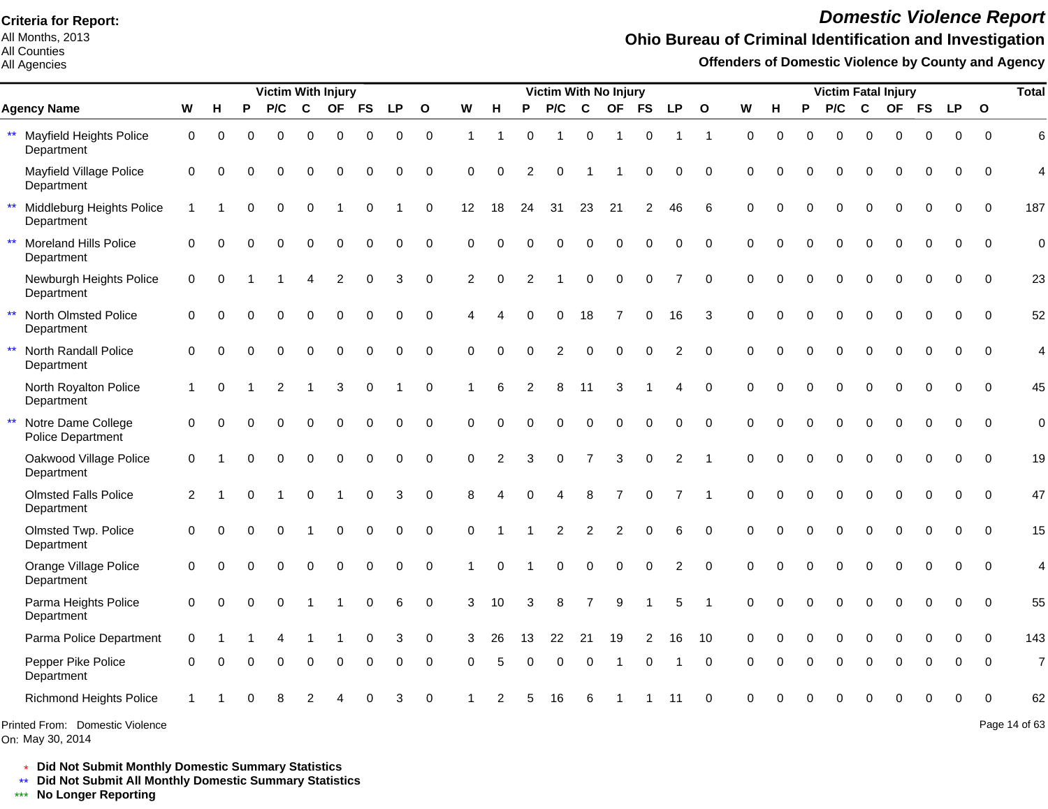All Months, 2013 All Counties

#### All Agencies

# *Domestic Violence Report*

### **Ohio Bureau of Criminal Identification and Investigation**

**Offenders of Domestic Violence by County and Agency**

|                                                              |              |          |          | <b>Victim With Injury</b> |             |                |             |           |              |          |             |                | Victim With No Injury |                |                |                |                |              |          |          |          |          |                  | <b>Victim Fatal Injury</b> |              |             |              | <b>Total</b>   |
|--------------------------------------------------------------|--------------|----------|----------|---------------------------|-------------|----------------|-------------|-----------|--------------|----------|-------------|----------------|-----------------------|----------------|----------------|----------------|----------------|--------------|----------|----------|----------|----------|------------------|----------------------------|--------------|-------------|--------------|----------------|
| <b>Agency Name</b>                                           | W            | н        | P        | P/C                       | C           | <b>OF</b>      | <b>FS</b>   | <b>LP</b> | $\mathbf{o}$ | W        | H           | P              | P/C                   | $\mathbf c$    | <b>OF</b>      | <b>FS</b>      | <b>LP</b>      | $\mathbf{o}$ | W        | н        | P        | P/C      | C                | <b>OF</b>                  | <b>FS</b>    | <b>LP</b>   | $\mathbf{o}$ |                |
| $\star\star$<br><b>Mayfield Heights Police</b><br>Department | 0            | 0        | $\Omega$ | $\Omega$                  | $\Omega$    | 0              | 0           | 0         | $\mathbf 0$  | 1        | -1          | $\Omega$       |                       | 0              | -1             | 0              | -1             | $\mathbf 1$  | $\Omega$ | $\Omega$ | $\Omega$ | $\Omega$ | $\mathbf 0$      | 0                          | $\mathbf{0}$ | 0           | $\Omega$     | 6              |
| Mayfield Village Police<br>Department                        | $\mathbf 0$  | $\Omega$ |          | ∩                         | 0           | $\Omega$       | 0           | 0         | 0            | $\Omega$ | 0           | 2              | 0                     |                |                | 0              | $\Omega$       | $\Omega$     | 0        | ∩        |          | 0        | $\Omega$         | 0                          | 0            | 0           | 0            | $\overline{4}$ |
| $\star\star$<br>Middleburg Heights Police<br>Department      | $\mathbf{1}$ |          | $\Omega$ | $\Omega$                  | $\Omega$    |                | $\mathbf 0$ |           | $\mathbf 0$  | 12       | 18          | 24             | 31                    | 23             | 21             | $\overline{2}$ | 46             | 6            | $\Omega$ | O        | $\Omega$ | $\Omega$ | $\Omega$         | $\Omega$                   | $\mathbf 0$  | 0           | $\mathbf 0$  | 187            |
| $\star\star$<br>Moreland Hills Police<br>Department          | $\Omega$     | $\Omega$ | O        | $\Omega$                  | $\Omega$    | $\Omega$       | 0           | $\Omega$  | 0            | $\Omega$ | $\Omega$    | $\Omega$       | $\Omega$              | $\Omega$       | $\Omega$       | $\Omega$       | 0              | $\Omega$     | $\Omega$ | $\Omega$ | $\Omega$ | $\Omega$ | $\Omega$         | $\Omega$                   | $\Omega$     | $\Omega$    | $\Omega$     | $\mathbf 0$    |
| Newburgh Heights Police<br>Department                        | 0            | $\Omega$ |          |                           | Δ           | $\overline{c}$ | 0           | 3         | $\mathbf 0$  | 2        | $\mathbf 0$ | $\mathfrak{p}$ |                       | $\mathbf 0$    | $\mathbf 0$    | $\mathbf 0$    | $\overline{7}$ | $\mathbf 0$  | $\Omega$ | $\Omega$ | $\Omega$ | 0        | $\mathbf 0$      | 0                          | $\pmb{0}$    | 0           | $\mathbf 0$  | 23             |
| $\star\star$<br>North Olmsted Police<br>Department           | 0            | $\Omega$ | $\Omega$ | $\Omega$                  | 0           | $\mathbf 0$    | 0           | 0         | $\mathbf 0$  | Δ        |             | $\Omega$       | 0                     | 18             | $\overline{7}$ | 0              | 16             | 3            | $\Omega$ | $\Omega$ | $\Omega$ | 0        | $\boldsymbol{0}$ | 0                          | 0            | 0           | $\mathbf 0$  | 52             |
| $\star\star$<br>North Randall Police<br>Department           | 0            | $\Omega$ | $\Omega$ | $\Omega$                  | $\mathbf 0$ | $\mathbf 0$    | 0           | $\pmb{0}$ | $\mathbf 0$  | 0        | $\Omega$    | $\Omega$       | $\overline{2}$        | $\mathbf 0$    | $\mathbf 0$    | $\Omega$       | $\overline{c}$ | $\mathbf 0$  | $\Omega$ | $\Omega$ | $\Omega$ | 0        | $\boldsymbol{0}$ | 0                          | $\mathbf 0$  | $\mathbf 0$ | $\mathbf 0$  | 4              |
| North Royalton Police<br>Department                          | 1            | $\Omega$ |          | 2                         | 1           | 3              | 0           |           | $\mathbf 0$  |          | 6           | $\overline{2}$ | 8                     | 11             | 3              |                | 4              | $\Omega$     | $\Omega$ | O        | $\Omega$ | $\Omega$ | $\mathbf 0$      | 0                          | $\Omega$     | $\Omega$    | $\Omega$     | 45             |
| $\star\star$<br>Notre Dame College<br>Police Department      | 0            | ∩        |          | ∩                         | 0           | $\Omega$       | 0           | $\Omega$  | $\mathbf 0$  | $\Omega$ | $\Omega$    | $\Omega$       | $\Omega$              | $\Omega$       | $\Omega$       | $\Omega$       | $\Omega$       | $\Omega$     | $\Omega$ | O        | $\Omega$ | $\Omega$ | $\Omega$         | $\Omega$                   | $\Omega$     | $\Omega$    | $\Omega$     | $\overline{0}$ |
| Oakwood Village Police<br>Department                         | $\mathbf 0$  |          | $\Omega$ | $\Omega$                  | $\Omega$    | $\Omega$       | $\Omega$    | $\Omega$  | $\Omega$     | $\Omega$ | 2           | 3              | $\Omega$              | $\overline{7}$ | 3              | $\Omega$       | 2              | -1           | $\Omega$ | $\Omega$ | $\Omega$ | $\Omega$ | $\Omega$         | $\Omega$                   | $\Omega$     | $\Omega$    | $\Omega$     | 19             |
| <b>Olmsted Falls Police</b><br>Department                    | 2            |          | O        |                           | $\Omega$    |                | $\Omega$    | 3         | $\mathbf 0$  | 8        | Δ           | $\Omega$       | 4                     | 8              |                | $\Omega$       |                | -1           | $\Omega$ | ∩        | $\Omega$ | $\Omega$ | $\Omega$         | $\Omega$                   | $\Omega$     | $\Omega$    | $\Omega$     | 47             |
| Olmsted Twp. Police<br>Department                            | $\Omega$     | $\Omega$ |          | $\Omega$                  |             | $\Omega$       | $\Omega$    | $\Omega$  | 0            | $\Omega$ |             |                | $\overline{2}$        | $\overline{2}$ | 2              | $\Omega$       | 6              | $\Omega$     | $\Omega$ |          | $\Omega$ | $\Omega$ | $\Omega$         | $\Omega$                   | $\Omega$     | $\Omega$    | $\Omega$     | 15             |
| Orange Village Police<br>Department                          | $\mathbf 0$  | $\Omega$ |          | $\Omega$                  | 0           | $\pmb{0}$      | 0           | 0         | $\mathbf 0$  |          | $\Omega$    |                | $\mathbf 0$           | $\mathbf 0$    | $\mathbf 0$    | 0              | 2              | $\mathbf 0$  | $\Omega$ | $\Omega$ | $\Omega$ | 0        | $\mathbf 0$      | 0                          | 0            | $\mathbf 0$ | $\mathbf 0$  | 4              |
| Parma Heights Police<br>Department                           | 0            | $\Omega$ | $\Omega$ | $\Omega$                  |             |                | 0           | 6         | $\mathbf 0$  | 3        | 10          | 3              | 8                     | 7              | 9              |                | 5              | -1           | $\Omega$ | $\Omega$ | $\Omega$ | 0        | $\mathbf 0$      | 0                          | $\mathbf 0$  | $\mathbf 0$ | $\mathbf 0$  | 55             |
| Parma Police Department                                      | $\mathbf 0$  |          |          |                           |             |                | 0           | 3         | 0            | 3        | 26          | 13             | 22                    | 21             | 19             | 2              | 16             | 10           | 0        | 0        | $\Omega$ | 0        | $\mathbf 0$      | 0                          | $\Omega$     | $\Omega$    | $\Omega$     | 143            |
| Pepper Pike Police<br>Department                             | $\Omega$     | $\Omega$ | O        | 0                         | $\mathbf 0$ | 0              | 0           | 0         | $\mathbf 0$  | $\Omega$ | 5           | $\Omega$       | $\mathbf 0$           | $\mathbf 0$    |                | 0              |                | $\Omega$     | 0        |          | $\Omega$ | 0        | $\mathbf 0$      | 0                          | 0            | 0           | $\Omega$     | $\overline{7}$ |
| <b>Richmond Heights Police</b>                               |              |          |          |                           |             |                |             | 3         | $\mathbf 0$  |          |             |                | 16                    | 6              |                |                | 11             | $\Omega$     | $\Omega$ |          |          | ი        | 0                | O                          | 0            | 0           | $\Omega$     | 62             |
| Printed From: Domestic Violence                              |              |          |          |                           |             |                |             |           |              |          |             |                |                       |                |                |                |                |              |          |          |          |          |                  |                            |              |             |              | Page 14 of 63  |

\* **Did Not Submit Monthly Domestic Summary Statistics**

**Did Not Submit All Monthly Domestic Summary Statistics**

<u>\*\*</u> Did Not Submit All M∗<br><mark>\*\*\*</mark> No Longer Reporting

On: May 30, 2014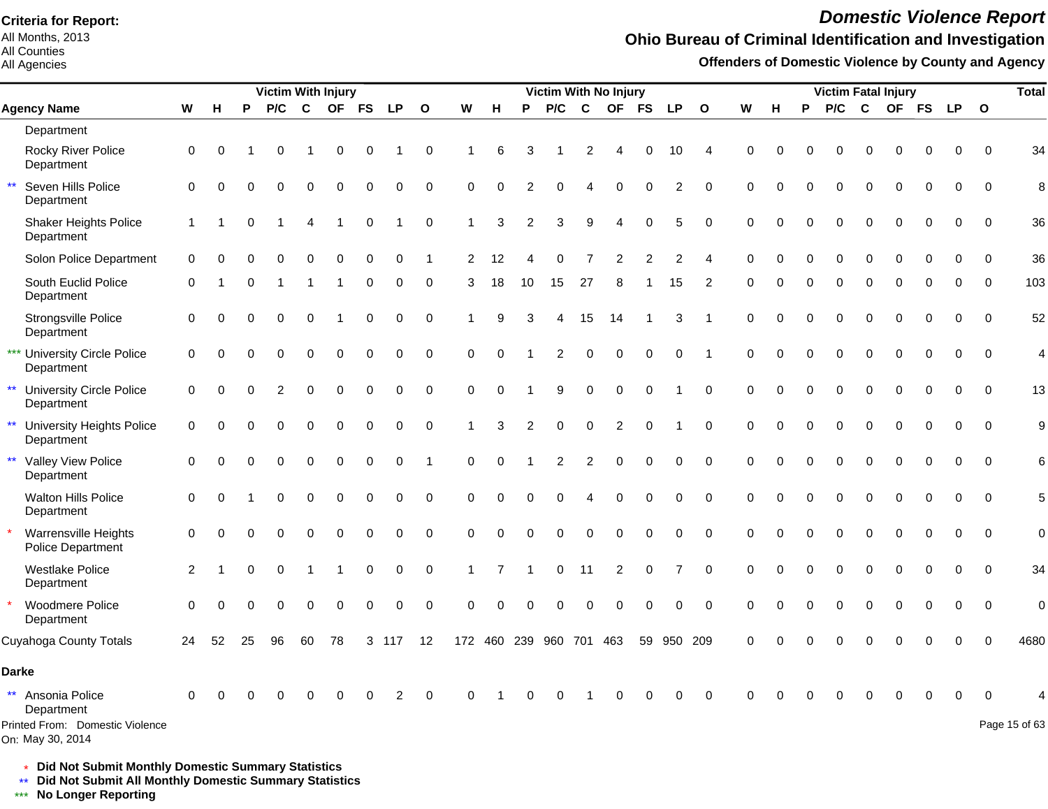All Months, 2013 All Counties

#### All Agencies

# *Domestic Violence Report*

### **Ohio Bureau of Criminal Identification and Investigation**

**Offenders of Domestic Violence by County and Agency**

|                                                     |                |             |          | <b>Victim With Injury</b> |          |             |             |             |                |             |          |                |                         |                | Victim With No Injury |           |                |              |          |          |          |          |              | <b>Victim Fatal Injury</b> |             |             |                | <b>Total</b>   |
|-----------------------------------------------------|----------------|-------------|----------|---------------------------|----------|-------------|-------------|-------------|----------------|-------------|----------|----------------|-------------------------|----------------|-----------------------|-----------|----------------|--------------|----------|----------|----------|----------|--------------|----------------------------|-------------|-------------|----------------|----------------|
| <b>Agency Name</b>                                  | W              | H           | P        | P/C                       | C        | <b>OF</b>   | <b>FS</b>   | <b>LP</b>   | $\mathbf{o}$   | W           | н        | P              | P/C                     | C              | <b>OF</b>             | <b>FS</b> | <b>LP</b>      | $\mathbf{o}$ | W        | н        | P        | P/C      | $\mathbf{C}$ | <b>OF</b>                  | <b>FS</b>   | <b>LP</b>   | $\mathbf 0$    |                |
| Department                                          |                |             |          |                           |          |             |             |             |                |             |          |                |                         |                |                       |           |                |              |          |          |          |          |              |                            |             |             |                |                |
| Rocky River Police<br>Department                    | 0              | $\mathbf 0$ |          | 0                         |          | $\mathbf 0$ | 0           |             | $\mathbf 0$    |             | 6        | 3              |                         | $\overline{c}$ |                       | 0         | 10             | Δ            | $\Omega$ |          |          | 0        | $\Omega$     | 0                          | $\mathbf 0$ | $\mathbf 0$ | $\mathbf 0$    | 34             |
| Seven Hills Police<br>$\star\star$<br>Department    | $\mathbf 0$    | $\mathbf 0$ | $\Omega$ | $\mathbf 0$               | 0        | $\mathbf 0$ | 0           | $\mathbf 0$ | $\mathbf 0$    | $\mathbf 0$ | $\Omega$ | $\overline{2}$ | 0                       |                | $\Omega$              |           | $\overline{c}$ | $\Omega$     | $\Omega$ |          |          | 0        | $\Omega$     | 0                          | $\mathbf 0$ | 0           | $\mathbf 0$    | 8              |
| Shaker Heights Police<br>Department                 | $\mathbf{1}$   |             | 0        |                           | 4        |             | 0           |             | 0              |             | 3        | $\overline{2}$ | 3                       | 9              | 4                     | $\Omega$  | 5              | $\Omega$     | $\Omega$ |          |          | 0        | $\Omega$     | $\Omega$                   | 0           | 0           | $\Omega$       | 36             |
| Solon Police Department                             | $\mathbf 0$    | $\Omega$    |          |                           |          | $\bigcap$   | O           | 0           |                | 2           | 12       |                | ი                       |                |                       |           |                |              | $\Omega$ |          |          | O        | $\Omega$     | O                          |             | O           | $\mathbf 0$    | 36             |
| South Euclid Police<br>Department                   | $\Omega$       |             | 0        |                           |          | -1          | 0           | 0           | 0              | 3           | 18       | 10             | 15                      | 27             | 8                     | -1        | 15             | 2            | $\Omega$ | O        | $\Omega$ | 0        | $\Omega$     | 0                          | $\Omega$    | $\Omega$    | $\Omega$       | 103            |
| Strongsville Police<br>Department                   | 0              | $\Omega$    | $\Omega$ | 0                         | 0        |             | 0           | $\mathbf 0$ | $\mathbf 0$    |             | 9        |                |                         | 15             | 14                    |           | 3              | -1           | $\Omega$ | 0        |          | 0        | $\Omega$     | $\Omega$                   | $\mathbf 0$ | $\mathbf 0$ | $\overline{0}$ | 52             |
| *** University Circle Police<br>Department          | $\mathbf 0$    | $\Omega$    | 0        | 0                         | 0        | $\mathbf 0$ | $\mathbf 0$ | $\mathbf 0$ | $\pmb{0}$      | $\Omega$    | $\Omega$ |                | $\overline{2}$          | $\Omega$       | $\Omega$              | $\Omega$  | 0              | 1            | $\Omega$ | 0        | $\Omega$ | 0        | $\mathbf 0$  | 0                          | $\mathbf 0$ | $\mathbf 0$ | $\mathbf 0$    | $\overline{4}$ |
| ** University Circle Police<br>Department           | $\mathbf 0$    | $\Omega$    | 0        | $\overline{2}$            | 0        | $\mathbf 0$ | $\mathbf 0$ | $\mathbf 0$ | $\pmb{0}$      | $\Omega$    | $\Omega$ |                | 9                       | 0              | 0                     | $\Omega$  |                | $\mathbf 0$  | $\Omega$ | $\Omega$ | $\Omega$ | 0        | $\Omega$     | 0                          | 0           | $\mathbf 0$ | $\mathbf 0$    | 13             |
| ** University Heights Police<br>Department          | $\mathbf 0$    | $\Omega$    | $\Omega$ | $\Omega$                  | 0        | $\mathbf 0$ | 0           | 0           | $\mathbf 0$    |             | 3        | 2              | 0                       | 0              | $\overline{c}$        | 0         |                | $\mathbf 0$  | 0        | $\Omega$ | $\Omega$ | 0        | $\mathbf 0$  | 0                          | 0           | 0           | $\mathbf 0$    | 9              |
| ** Valley View Police<br>Department                 | $\mathbf 0$    | $\Omega$    | $\Omega$ | $\mathbf 0$               | 0        | $\mathbf 0$ | 0           | 0           | $\overline{1}$ | $\mathbf 0$ | $\Omega$ |                | 2                       | $\overline{2}$ | 0                     | $\Omega$  | 0              | $\mathbf 0$  | $\Omega$ | $\Omega$ | $\Omega$ | 0        | $\mathbf 0$  | 0                          | $\mathbf 0$ | $\mathbf 0$ | $\mathbf 0$    | 6              |
| <b>Walton Hills Police</b><br>Department            | $\mathbf 0$    | $\Omega$    |          | $\Omega$                  | 0        | $\Omega$    | $\mathbf 0$ | $\mathbf 0$ | $\mathbf 0$    | $\Omega$    | $\Omega$ | $\Omega$       | 0                       |                | 0                     | $\Omega$  | 0              | $\Omega$     | $\Omega$ |          |          | $\Omega$ | $\Omega$     | $\Omega$                   | $\Omega$    | $\mathbf 0$ | $\Omega$       | 5              |
| Warrensville Heights<br>Police Department           | 0              | $\Omega$    | O        | 0                         | $\Omega$ | $\Omega$    | $\Omega$    | $\Omega$    | $\Omega$       | $\Omega$    | $\Omega$ | $\Omega$       | $\Omega$                | $\Omega$       | $\Omega$              | $\Omega$  | 0              | $\Omega$     | $\Omega$ | O        | $\Omega$ | $\Omega$ | $\Omega$     | $\Omega$                   | $\Omega$    | $\Omega$    | $\Omega$       | $\overline{0}$ |
| <b>Westlake Police</b><br>Department                | $\overline{c}$ |             | O        | $\Omega$                  |          |             | 0           | $\mathbf 0$ | $\mathbf 0$    |             |          |                | 0                       | 11             | 2                     | $\Omega$  | 7              | $\Omega$     | $\Omega$ | $\Omega$ | $\Omega$ | $\Omega$ | $\mathbf 0$  | 0                          | $\Omega$    | $\Omega$    | $\Omega$       | 34             |
| Woodmere Police<br>Department                       | $\mathbf 0$    | $\Omega$    | $\Omega$ | $\Omega$                  | $\Omega$ | $\Omega$    | O           | $\Omega$    | $\mathbf 0$    | $\Omega$    | $\Omega$ | ∩              | 0                       |                | 0                     | $\Omega$  | 0              | $\Omega$     | $\Omega$ |          | $\Omega$ | 0        | $\Omega$     | 0                          | $\Omega$    | 0           | $\overline{0}$ | $\overline{0}$ |
| Cuyahoga County Totals                              | 24             | 52          | 25       | 96                        | 60       | 78          | 3           | 117         | 12             |             |          |                | 172 460 239 960 701 463 |                |                       | 59        | 950 209        |              | $\Omega$ |          | $\Omega$ |          | $\Omega$     |                            |             | $\Omega$    | $\Omega$       | 4680           |
| <b>Darke</b>                                        |                |             |          |                           |          |             |             |             |                |             |          |                |                         |                |                       |           |                |              |          |          |          |          |              |                            |             |             |                |                |
| ** Ansonia Police<br>Department                     | $\Omega$       |             |          |                           |          |             |             |             | $\Omega$       | U           |          |                |                         |                |                       |           |                | $\Omega$     |          |          |          |          |              |                            |             | $\Omega$    | $\Omega$       |                |
| Printed From: Domestic Violence<br>On: May 30, 2014 |                |             |          |                           |          |             |             |             |                |             |          |                |                         |                |                       |           |                |              |          |          |          |          |              |                            |             |             |                | Page 15 of 63  |

\* **Did Not Submit Monthly Domestic Summary Statistics**

**Did Not Submit All Monthly Domestic Summary Statistics**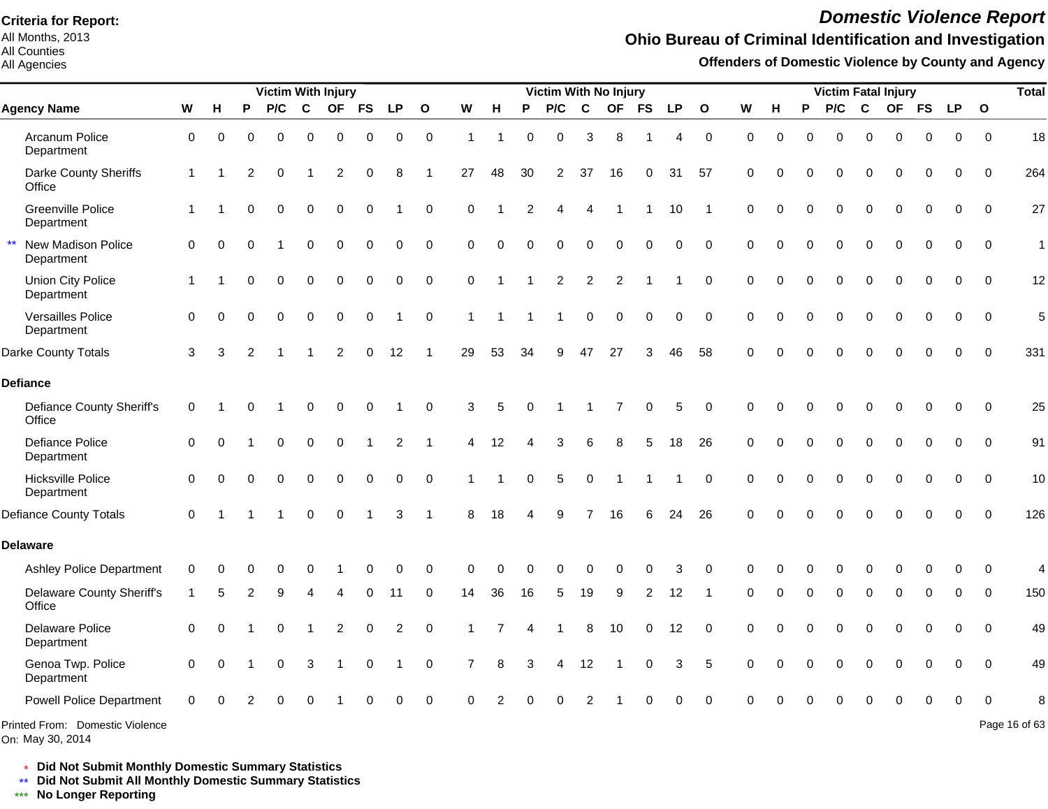All Months, 2013 All Counties

#### All Agencies

# *Domestic Violence Report*

### **Ohio Bureau of Criminal Identification and Investigation**

**Offenders of Domestic Violence by County and Agency**

|                                                     |              |          |                | <b>Victim With Injury</b> |             |                |             |                |              |                |          |                | <b>Victim With No Injury</b> |                        |                |             |             |              |             |             |          | <b>Victim Fatal Injury</b> |             |             |             |           |              | <b>Total</b>  |
|-----------------------------------------------------|--------------|----------|----------------|---------------------------|-------------|----------------|-------------|----------------|--------------|----------------|----------|----------------|------------------------------|------------------------|----------------|-------------|-------------|--------------|-------------|-------------|----------|----------------------------|-------------|-------------|-------------|-----------|--------------|---------------|
| <b>Agency Name</b>                                  | W            | н        | P              | P/C                       | C           | <b>OF</b>      | <b>FS</b>   | <b>LP</b>      | $\mathbf{o}$ | W              | н        | P              | P/C                          | C                      | <b>OF</b>      | <b>FS</b>   | <b>LP</b>   | $\mathbf{o}$ | W           | н           | P        | P/C                        | C           | <b>OF</b>   | <b>FS</b>   | <b>LP</b> | $\mathbf{o}$ |               |
| Arcanum Police<br>Department                        | $\mathbf 0$  | 0        | $\Omega$       | 0                         | 0           | 0              | 0           | 0              | $\mathbf 0$  | $\overline{1}$ | 1        | $\Omega$       | $\mathbf 0$                  | 3                      | 8              |             | 4           | $\mathbf 0$  | $\mathbf 0$ | $\mathbf 0$ | $\Omega$ | 0                          | $\Omega$    | $\Omega$    | 0           | 0         | $\Omega$     | 18            |
| Darke County Sheriffs<br>Office                     | $\mathbf{1}$ |          | 2              | $\Omega$                  |             | $\overline{2}$ | $\mathbf 0$ | 8              |              | 27             | 48       | 30             | 2                            | 37                     | 16             | $\mathbf 0$ | 31          | 57           | $\mathbf 0$ | $\Omega$    | $\Omega$ | $\Omega$                   | $\Omega$    | $\Omega$    | $\mathbf 0$ | $\Omega$  | $\Omega$     | 264           |
| <b>Greenville Police</b><br>Department              | 1            |          | $\Omega$       | 0                         | $\pmb{0}$   | $\mathbf 0$    | $\mathbf 0$ |                | $\mathbf 0$  | 0              |          | $\overline{2}$ | 4                            | $\boldsymbol{\Lambda}$ | -1             |             | 10          |              | $\mathbf 0$ | $\Omega$    | 0        | $\mathbf 0$                | $\mathbf 0$ | $\mathbf 0$ | $\mathbf 0$ | 0         | 0            | 27            |
| New Madison Police<br>Department                    | $\Omega$     | 0        | $\Omega$       |                           | $\mathbf 0$ | $\Omega$       | $\mathbf 0$ | 0              | $\mathbf 0$  | $\Omega$       | $\Omega$ | $\Omega$       | $\Omega$                     | $\Omega$               | $\Omega$       | $\mathbf 0$ | $\mathbf 0$ | $\Omega$     | $\Omega$    | $\Omega$    | 0        | $\Omega$                   | $\Omega$    | $\Omega$    | $\mathbf 0$ | $\Omega$  | $\Omega$     | $\mathbf{1}$  |
| Union City Police<br>Department                     | 1            |          | 0              | 0                         | $\pmb{0}$   | 0              | 0           | 0              | $\mathbf 0$  | 0              |          |                | $\overline{c}$               | 2                      | $\overline{2}$ |             |             | $\mathbf 0$  | $\mathbf 0$ | $\Omega$    | 0        | 0                          | $\mathbf 0$ | $\Omega$    | $\mathbf 0$ | 0         | $\mathbf 0$  | 12            |
| Versailles Police<br>Department                     | $\Omega$     | 0        | $\Omega$       | 0                         | $\mathbf 0$ | 0              | $\pmb{0}$   | 1              | $\mathbf 0$  | $\mathbf{1}$   | 1        |                | 1                            | $\mathbf 0$            | $\mathbf 0$    | $\mathbf 0$ | $\mathbf 0$ | $\mathbf 0$  | $\Omega$    | $\Omega$    | 0        | $\Omega$                   | $\Omega$    | $\Omega$    | $\mathbf 0$ | 0         | $\Omega$     | 5             |
| Darke County Totals                                 | 3            | 3        | $\overline{c}$ |                           |             | $\overline{c}$ | 0           | 12             |              | 29             | 53       | 34             | 9                            | 47                     | 27             | 3           | 46          | 58           | $\Omega$    |             | O        | $\Omega$                   | $\Omega$    |             | 0           | 0         | $\mathbf 0$  | 331           |
| <b>Defiance</b>                                     |              |          |                |                           |             |                |             |                |              |                |          |                |                              |                        |                |             |             |              |             |             |          |                            |             |             |             |           |              |               |
| <b>Defiance County Sheriff's</b><br>Office          | 0            |          |                |                           | 0           | 0              | 0           |                | 0            | 3              | 5        | $\Omega$       |                              |                        |                | $\mathbf 0$ | 5           | $\mathbf 0$  | 0           | 0           | 0        | 0                          | $\Omega$    | $\Omega$    | 0           | 0         | $\mathbf 0$  | 25            |
| <b>Defiance Police</b><br>Department                | $\Omega$     | 0        |                | 0                         | $\mathbf 0$ | 0              | $\mathbf 1$ | $\overline{2}$ |              | 4              | 12       |                | 3                            | 6                      | 8              | 5           | 18          | 26           | $\Omega$    | $\Omega$    | 0        | $\mathbf 0$                | $\mathbf 0$ | $\Omega$    | 0           | $\Omega$  | $\Omega$     | 91            |
| Hicksville Police<br>Department                     | 0            | 0        | $\Omega$       | 0                         | $\mathbf 0$ | 0              | 0           | 0              | $\mathbf 0$  |                |          | 0              | 5                            | $\mathbf 0$            | -1             |             |             | $\mathbf 0$  | $\mathbf 0$ | $\Omega$    | 0        | $\mathbf 0$                | $\mathbf 0$ | $\mathbf 0$ | $\mathbf 0$ | 0         | $\Omega$     | 10            |
| <b>Defiance County Totals</b>                       | $\Omega$     |          |                |                           | $\Omega$    | $\Omega$       |             | 3              | -1           | 8              | 18       |                | 9                            | 7                      | 16             | 6           | 24          | 26           | $\Omega$    | O           | 0        | 0                          | 0           | $\Omega$    | 0           | $\Omega$  | $\Omega$     | 126           |
| <b>Delaware</b>                                     |              |          |                |                           |             |                |             |                |              |                |          |                |                              |                        |                |             |             |              |             |             |          |                            |             |             |             |           |              |               |
| <b>Ashley Police Department</b>                     | $\Omega$     |          | ∩              | 0                         | $\Omega$    |                | ∩           | O              | $\Omega$     | $\Omega$       | U        | ∩              | O                            | C                      | U              | O           | 3           | $\Omega$     | ∩           |             | ŋ        | ∩                          | O           |             | O           | ∩         | $\Omega$     | 4             |
| <b>Delaware County Sheriff's</b><br>Office          | -1           | 5        | 2              | 9                         |             |                |             | 11             | $\Omega$     | 14             | 36       | 16             | 5                            | 19                     | 9              | 2           | 12          |              | $\Omega$    | O           | 0        | 0                          | 0           | $\Omega$    | 0           | 0         | $\Omega$     | 150           |
| Delaware Police<br>Department                       | $\Omega$     | $\Omega$ |                | 0                         |             | $\overline{c}$ | 0           | $\overline{c}$ | $\mathbf 0$  |                |          |                | 1                            | 8                      | 10             | $\mathbf 0$ | 12          | $\Omega$     | $\Omega$    | $\Omega$    | 0        | 0                          | $\mathbf 0$ | $\mathbf 0$ | $\mathbf 0$ | 0         | $\Omega$     | 49            |
| Genoa Twp. Police<br>Department                     | $\Omega$     | $\Omega$ |                | 0                         | 3           | 1              | $\pmb{0}$   | 1              | $\pmb{0}$    | $\overline{7}$ | 8        | 3              | 4                            | 12                     |                | 0           | 3           | 5            | $\Omega$    | O           | 0        | $\boldsymbol{0}$           | 0           | $\Omega$    | 0           | $\Omega$  | $\Omega$     | 49            |
| <b>Powell Police Department</b>                     | $\Omega$     |          |                | 0                         | $\Omega$    |                |             | $\Omega$       | $\Omega$     | $\Omega$       |          |                |                              | 2                      |                |             | O           | $\cap$       |             |             |          | $\Omega$                   |             |             | 0           | $\Omega$  |              |               |
| Printed From: Domestic Violence<br>On: May 30, 2014 |              |          |                |                           |             |                |             |                |              |                |          |                |                              |                        |                |             |             |              |             |             |          |                            |             |             |             |           |              | Page 16 of 63 |

\* **Did Not Submit Monthly Domestic Summary Statistics**

**Did Not Submit All Monthly Domestic Summary Statistics**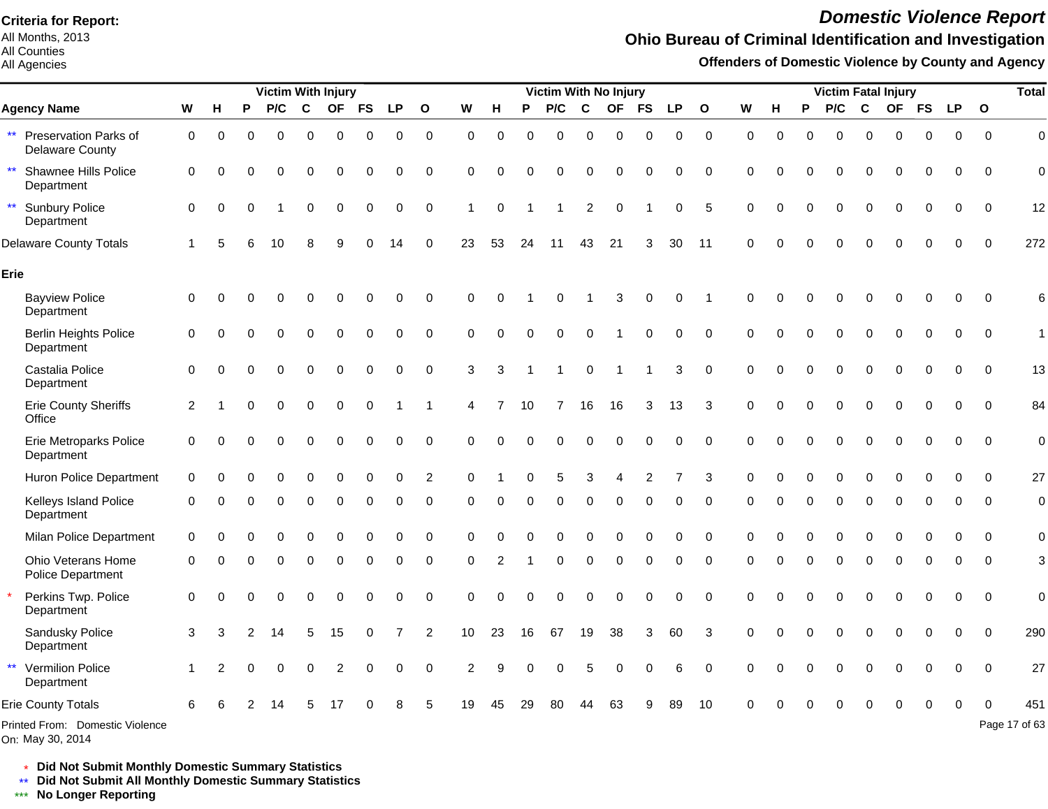All Months, 2013 All Counties

#### All Agencies

# *Domestic Violence Report*

## **Ohio Bureau of Criminal Identification and Investigation**

**Offenders of Domestic Violence by County and Agency**

|                                                                 |             |          |          | <b>Victim With Injury</b> |          |                |           |           |                |                |             |          | Victim With No Injury |             |             |           |             |              |             |          |          |          |             | <b>Victim Fatal Injury</b> |             |             |             | <b>Total</b>   |
|-----------------------------------------------------------------|-------------|----------|----------|---------------------------|----------|----------------|-----------|-----------|----------------|----------------|-------------|----------|-----------------------|-------------|-------------|-----------|-------------|--------------|-------------|----------|----------|----------|-------------|----------------------------|-------------|-------------|-------------|----------------|
| <b>Agency Name</b>                                              | W           | н        | P        | P/C                       | C        | <b>OF</b>      | <b>FS</b> | <b>LP</b> | $\mathbf{o}$   | W              | H           | P        | P/C                   | $\mathbf c$ | <b>OF</b>   | <b>FS</b> | <b>LP</b>   | $\mathbf{o}$ | W           | н        | P        | P/C      | C           | <b>OF</b>                  | <b>FS</b>   | <b>LP</b>   | $\mathbf 0$ |                |
| Preservation Parks of<br>$\star\star$<br><b>Delaware County</b> | 0           | $\Omega$ | $\Omega$ | $\Omega$                  | $\Omega$ | $\Omega$       | 0         | 0         | $\mathbf 0$    | 0              | 0           | $\Omega$ | $\Omega$              | $\mathbf 0$ | $\mathbf 0$ | 0         | $\mathbf 0$ | $\mathbf 0$  | $\mathbf 0$ | $\Omega$ | $\Omega$ | $\Omega$ | $\mathbf 0$ | 0                          | $\mathbf 0$ | $\mathbf 0$ | $\mathbf 0$ | $\mathbf 0$    |
| Shawnee Hills Police<br>$\star\star$<br>Department              | $\mathbf 0$ | $\Omega$ |          |                           | 0        | $\Omega$       | $\Omega$  | $\Omega$  | 0              | $\Omega$       | $\Omega$    | $\Omega$ | $\Omega$              | $\Omega$    | $\Omega$    | $\Omega$  | 0           | $\Omega$     | $\Omega$    |          |          | 0        | $\Omega$    | $\Omega$                   | $\Omega$    | $\Omega$    | $\mathbf 0$ | $\mathbf 0$    |
| $\star\star$<br><b>Sunbury Police</b><br>Department             | 0           |          |          |                           | 0        | $\Omega$       | 0         | 0         | $\mathbf 0$    | 1              | $\mathbf 0$ |          |                       | 2           | $\Omega$    |           | 0           | 5            | $\Omega$    |          |          | $\Omega$ | $\Omega$    | $\Omega$                   | $\mathbf 0$ | $\mathbf 0$ | $\mathbf 0$ | 12             |
| <b>Delaware County Totals</b>                                   |             |          |          | 10                        |          | q              | U         | 14        | $\Omega$       | 23             | 53          | 24       | 11                    | 43          | 21          | 3         | 30          | 11           | $\Omega$    |          |          |          | $\Omega$    | U                          | $\Omega$    | $\mathbf 0$ | $\mathbf 0$ | 272            |
| Erie                                                            |             |          |          |                           |          |                |           |           |                |                |             |          |                       |             |             |           |             |              |             |          |          |          |             |                            |             |             |             |                |
| <b>Bayview Police</b><br>Department                             | 0           | ∩        |          |                           | 0        | $\Omega$       | 0         | 0         | $\mathbf 0$    | 0              | $\Omega$    |          | $\Omega$              |             | 3           | 0         | 0           | -1           | $\Omega$    |          |          |          | $\Omega$    | 0                          | 0           | $\mathbf 0$ | $\mathbf 0$ | 6              |
| <b>Berlin Heights Police</b><br>Department                      | 0           | $\Omega$ |          | $\Omega$                  | 0        | $\mathbf 0$    | 0         | 0         | $\pmb{0}$      | 0              | $\Omega$    | $\Omega$ | $\mathbf 0$           | 0           |             | 0         | $\mathbf 0$ | $\Omega$     | $\Omega$    |          |          | 0        | $\mathbf 0$ | 0                          | 0           | $\mathbf 0$ | $\mathbf 0$ | $\mathbf{1}$   |
| Castalia Police<br>Department                                   | $\Omega$    |          |          |                           | 0        | $\Omega$       | 0         | $\Omega$  | $\mathbf 0$    | 3              | 3           |          |                       | $\Omega$    |             |           | 3           | $\Omega$     | $\Omega$    |          | ∩        | 0        | $\Omega$    | $\Omega$                   | $\Omega$    | $\Omega$    | $\Omega$    | 13             |
| Erie County Sheriffs<br>Office                                  | 2           |          |          | $\Omega$                  | 0        | $\mathbf 0$    | 0         |           | 1              | 4              |             | 10       |                       | 16          | 16          | 3         | 13          | 3            | $\Omega$    |          | ∩        | $\Omega$ | $\mathbf 0$ | 0                          | $\mathbf 0$ | 0           | $\mathbf 0$ | 84             |
| <b>Erie Metroparks Police</b><br>Department                     | $\mathbf 0$ | ∩        | O        | $\Omega$                  | 0        | $\Omega$       | 0         | 0         | $\mathbf 0$    | $\Omega$       | $\Omega$    | $\Omega$ | $\Omega$              | $\Omega$    | $\Omega$    | 0         | $\Omega$    | $\Omega$     | 0           | O        | ∩        | 0        | $\Omega$    | $\Omega$                   | $\Omega$    | $\Omega$    | $\Omega$    | $\overline{0}$ |
| Huron Police Department                                         | 0           |          |          |                           |          |                |           | $\Omega$  | $\overline{c}$ | O              |             |          | 5                     | 3           |             |           |             | 3            |             |          |          |          |             |                            |             | O           | $\Omega$    | 27             |
| Kelleys Island Police<br>Department                             | 0           | ∩        |          | $\Omega$                  | 0        | $\Omega$       | 0         | 0         | 0              | $\Omega$       | $\Omega$    | O        | $\Omega$              | 0           | $\Omega$    | 0         | 0           | $\Omega$     | $\Omega$    | O        | $\Omega$ | $\Omega$ | $\Omega$    | $\Omega$                   | 0           | 0           | $\mathbf 0$ | $\mathbf 0$    |
| Milan Police Department                                         | $\mathbf 0$ |          |          |                           | 0        | $\Omega$       | 0         | 0         | 0              | 0              | O           |          | 0                     | $\Omega$    | $\Omega$    | 0         | 0           | $\Omega$     | $\Omega$    |          |          | 0        | $\Omega$    | 0                          | 0           | O           | $\Omega$    | $\mathbf 0$    |
| Ohio Veterans Home<br>Police Department                         | 0           | ∩        |          | 0                         | 0        | 0              | 0         | 0         | 0              | 0              | 2           |          | 0                     | 0           | $\mathbf 0$ | $\Omega$  | 0           | $\mathbf 0$  | 0           |          | ∩        | 0        | $\mathbf 0$ | 0                          | 0           | 0           | $\Omega$    | 3              |
| Perkins Twp. Police<br>Department                               | $\mathbf 0$ | ∩        |          | $\Omega$                  | 0        | $\Omega$       | 0         | 0         | $\mathbf 0$    | $\Omega$       | $\Omega$    | O        | 0                     | $\Omega$    | $\Omega$    | 0         | 0           | $\Omega$     | $\Omega$    |          |          | 0        | $\Omega$    | $\Omega$                   | $\Omega$    | 0           | $\Omega$    | $\overline{0}$ |
| Sandusky Police<br>Department                                   | 3           | 3        |          | 14                        | 5        | 15             | 0         |           | 2              | 10             | 23          | 16       | 67                    | 19          | 38          | 3         | 60          | 3            | $\Omega$    |          | ∩        | $\Omega$ | $\Omega$    | $\Omega$                   | $\Omega$    | $\Omega$    | $\mathbf 0$ | 290            |
| $\star\star$<br><b>Vermilion Police</b><br>Department           |             | 2        | O        | $\Omega$                  | $\Omega$ | $\overline{2}$ | $\Omega$  | $\Omega$  | $\mathbf 0$    | $\overline{2}$ | 9           |          | $\Omega$              | 5           | $\Omega$    | 0         | 6           | $\Omega$     | $\Omega$    |          | $\Omega$ | 0        | $\Omega$    | $\Omega$                   | $\Omega$    | $\Omega$    | $\mathbf 0$ | 27             |
| <b>Erie County Totals</b>                                       | 6           |          |          |                           |          |                |           |           | 5              | 19             | 45          | 29       | 80                    | 44          | 63          |           | 89          | 10           |             |          |          |          |             |                            |             | $\Omega$    | $\Omega$    | 451            |
| Printed From: Domestic Violence                                 |             |          |          |                           |          |                |           |           |                |                |             |          |                       |             |             |           |             |              |             |          |          |          |             |                            |             |             |             | Page 17 of 63  |

On: May 30, 2014

\* **Did Not Submit Monthly Domestic Summary Statistics**

**Did Not Submit All Monthly Domestic Summary Statistics**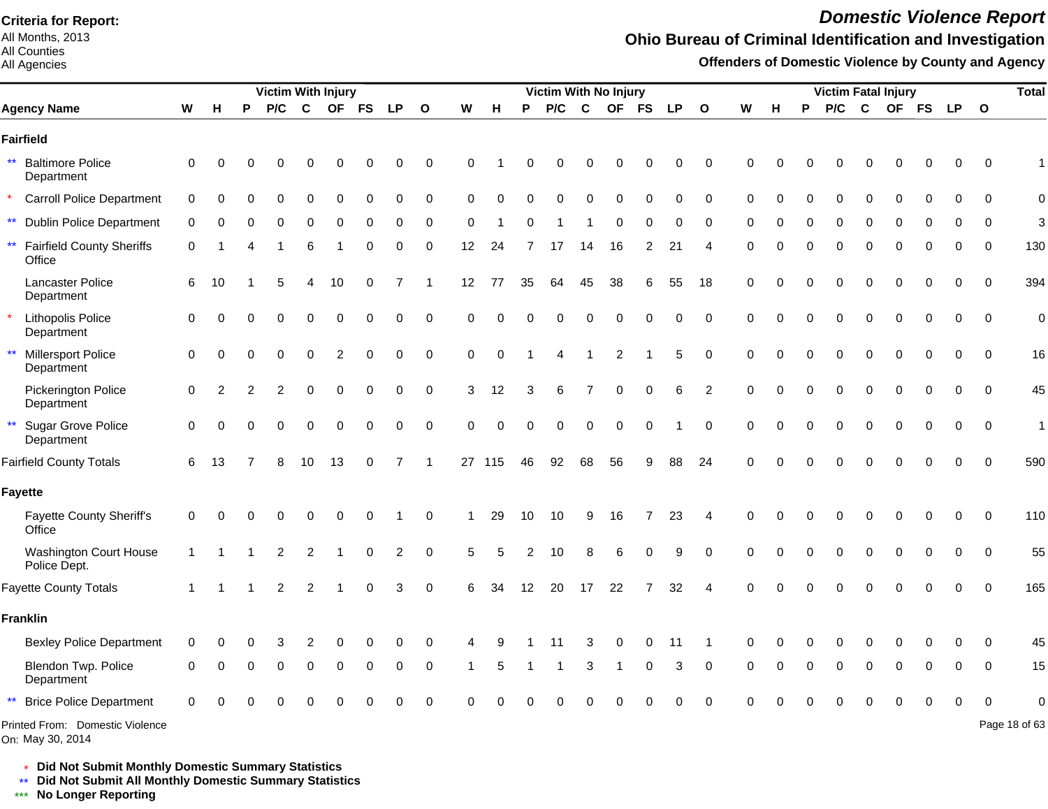All Months, 2013 All Counties

#### All Agencies

# *Domestic Violence Report*

## **Ohio Bureau of Criminal Identification and Investigation**

**Offenders of Domestic Violence by County and Agency**

|                                                            |             |          |   | <b>Victim With Injury</b> |             |                |          |           |                         |          |          |          | Victim With No Injury |          |                |           |             |                |          |          |          |          |          | <b>Victim Fatal Injury</b> |          |             |              | <b>Total</b>  |
|------------------------------------------------------------|-------------|----------|---|---------------------------|-------------|----------------|----------|-----------|-------------------------|----------|----------|----------|-----------------------|----------|----------------|-----------|-------------|----------------|----------|----------|----------|----------|----------|----------------------------|----------|-------------|--------------|---------------|
| <b>Agency Name</b>                                         | W           | н        | P | P/C                       | $\mathbf c$ |                | OF FS    | <b>LP</b> | $\overline{\mathbf{o}}$ | W        | H        | P        | P/C                   | C        | <b>OF</b>      | <b>FS</b> | <b>LP</b>   | $\mathbf{o}$   | W        | н        | P        | P/C      | C        | OF FS                      |          | <b>LP</b>   | $\mathbf{o}$ |               |
| Fairfield                                                  |             |          |   |                           |             |                |          |           |                         |          |          |          |                       |          |                |           |             |                |          |          |          |          |          |                            |          |             |              |               |
| <b>Baltimore Police</b><br>Department                      | 0           | ∩        |   |                           |             |                |          |           | 0                       | 0        |          | U        |                       |          |                | ∩         | O           | 0              | O        | C        |          |          |          |                            |          | 0           | $\mathbf 0$  |               |
| <b>Carroll Police Department</b>                           | $\mathbf 0$ | $\Omega$ | O |                           | 0           | O              | $\Omega$ | $\Omega$  | 0                       | $\Omega$ | $\Omega$ |          | $\Omega$              | $\Omega$ | $\Omega$       | $\Omega$  | $\Omega$    | $\mathbf 0$    | $\Omega$ | $\Omega$ | $\Omega$ | 0        | $\Omega$ | Ω                          |          | O           | $\Omega$     | $\mathbf 0$   |
| $\star\star$<br><b>Dublin Police Department</b>            | 0           | 0        |   |                           | 0           | $\Omega$       | 0        | $\Omega$  | $\mathbf 0$             | $\Omega$ |          |          |                       |          | $\Omega$       |           | O           | $\Omega$       | 0        |          |          | 0        | $\Omega$ | Ω                          |          | 0           | $\Omega$     | 3             |
| $\star\star$<br><b>Fairfield County Sheriffs</b><br>Office | $\mathbf 0$ |          |   |                           |             |                | O        | $\Omega$  | 0                       | 12       | 24       |          | 17                    | 14       | 16             | 2         | 21          | 4              | $\Omega$ | C        |          | $\Omega$ | $\Omega$ | 0                          |          | 0           | $\mathbf 0$  | 130           |
| Lancaster Police<br>Department                             | 6           | 10       |   |                           |             | 10             | 0        |           | 1                       | 12       | 77       | 35       | 64                    | 45       | 38             | 6         | 55          | 18             | 0        | C        |          | 0        | 0        | 0                          |          | 0           | 0            | 394           |
| Lithopolis Police<br>Department                            | $\mathbf 0$ | $\Omega$ | O |                           | 0           | 0              | 0        | $\Omega$  | $\pmb{0}$               | $\Omega$ | $\Omega$ | $\Omega$ | $\Omega$              | 0        | $\mathbf 0$    | $\Omega$  | $\mathbf 0$ | $\mathbf 0$    | $\Omega$ | $\Omega$ | ∩        | $\Omega$ | 0        | $\Omega$                   | $\Omega$ | $\mathbf 0$ | $\mathbf 0$  | $\mathbf 0$   |
| $\star\star$<br>Millersport Police<br>Department           | $\mathbf 0$ | $\Omega$ | O | $\Omega$                  | 0           | $\overline{2}$ | 0        | $\Omega$  | 0                       | 0        | $\Omega$ |          |                       |          | $\overline{2}$ |           | 5           | $\mathbf 0$    | $\Omega$ | C        | $\Omega$ | 0        | $\Omega$ | 0                          | $\Omega$ | 0           | $\mathbf 0$  | 16            |
| Pickerington Police<br>Department                          | 0           | 2        |   |                           | 0           | $\Omega$       | $\Omega$ | $\Omega$  | $\boldsymbol{0}$        | 3        | 12       | 3        | 6                     |          | $\Omega$       | 0         | 6           | $\overline{c}$ | $\Omega$ | C        |          | ი        | ∩        | Ω                          |          | 0           | $\Omega$     | 45            |
| Sugar Grove Police<br>$\star\star$<br>Department           | $\mathbf 0$ | $\Omega$ |   |                           | 0           | $\Omega$       | $\Omega$ | 0         | $\mathbf 0$             | $\Omega$ | $\Omega$ | O        | 0                     | 0        | $\Omega$       | 0         |             | $\mathbf 0$    | $\Omega$ | C        | $\Omega$ | 0        | $\Omega$ | 0                          |          | 0           | $\mathbf 0$  | $\mathbf{1}$  |
| <b>Fairfield County Totals</b>                             | 6           | 13       |   |                           | 10          | 13             | 0        | 7         |                         |          | 27 115   | 46       | 92                    | 68       | 56             | 9         | 88          | 24             | $\Omega$ |          |          |          |          |                            |          | O           | $\Omega$     | 590           |
| Fayette                                                    |             |          |   |                           |             |                |          |           |                         |          |          |          |                       |          |                |           |             |                |          |          |          |          |          |                            |          |             |              |               |
| <b>Fayette County Sheriff's</b><br>Office                  | $\mathbf 0$ |          |   |                           |             |                |          |           | 0                       |          | 29       | 10       | 10                    | 9        | 16             |           | 23          | 4              | $\Omega$ |          |          |          |          |                            |          | n           | $\Omega$     | 110           |
| <b>Washington Court House</b><br>Police Dept.              |             |          |   |                           | 2           |                | 0        | 2         | $\Omega$                | 5        |          |          | 10                    | 8        | 6              | $\Omega$  | 9           | $\Omega$       | $\Omega$ | C        |          | U        |          |                            |          | O           | $\Omega$     | 55            |
| <b>Fayette County Totals</b>                               |             |          |   | 2                         | 2           |                | $\Omega$ | 3         | $\mathbf 0$             | 6        | 34       | 12       | 20                    | 17       | 22             |           | 32          | 4              | $\Omega$ |          |          |          |          |                            |          | $\Omega$    | $\Omega$     | 165           |
| <b>Franklin</b>                                            |             |          |   |                           |             |                |          |           |                         |          |          |          |                       |          |                |           |             |                |          |          |          |          |          |                            |          |             |              |               |
| <b>Bexley Police Department</b>                            | 0           |          |   |                           |             |                |          |           | 0                       |          |          |          |                       |          |                | 0         | 11          |                | O        |          |          |          |          |                            |          |             | $\Omega$     | 45            |
| Blendon Twp. Police<br>Department                          | 0           |          |   |                           | O           | $\Omega$       | 0        | $\Omega$  | 0                       |          | 5        |          |                       | 3        | -1             | 0         | 3           | 0              | O        | ∩        |          | $\Omega$ | ∩        | O                          |          | 0           | 0            | 15            |
| <b>Brice Police Department</b>                             | 0           |          |   |                           |             |                |          |           | 0                       |          |          |          |                       |          |                |           |             | $\Omega$       |          |          |          |          |          |                            |          | O           |              |               |
| Printed From: Domestic Violence<br>On: May 30, 2014        |             |          |   |                           |             |                |          |           |                         |          |          |          |                       |          |                |           |             |                |          |          |          |          |          |                            |          |             |              | Page 18 of 63 |

\* **Did Not Submit Monthly Domestic Summary Statistics**

**Did Not Submit All Monthly Domestic Summary Statistics**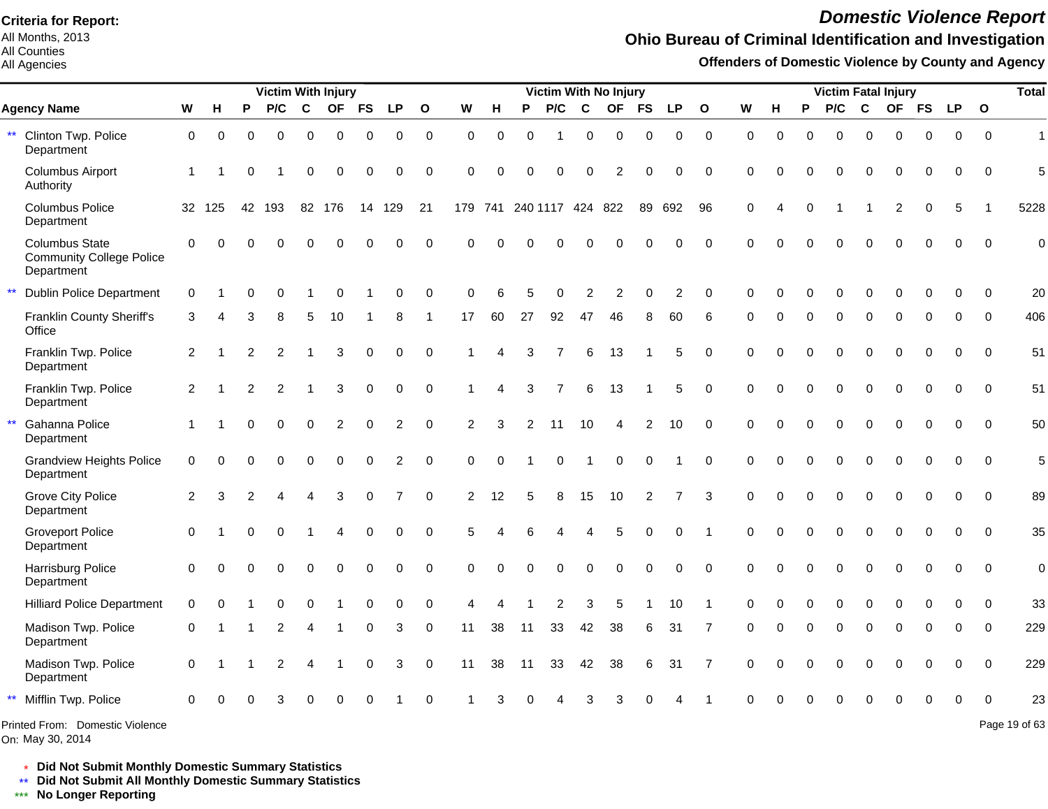All Months, 2013 All Counties

#### All Agencies

# *Domestic Violence Report*

### **Ohio Bureau of Criminal Identification and Investigation**

**Offenders of Domestic Violence by County and Agency**

|                                                                        |                |          |                | <b>Victim With Injury</b> |          |                |             |                |              |             |             |                          |                |              | <b>Victim With No Injury</b> |                |                |              |             |             |             | <b>Victim Fatal Injury</b> |             |                |              |             |              | <b>Total</b>   |
|------------------------------------------------------------------------|----------------|----------|----------------|---------------------------|----------|----------------|-------------|----------------|--------------|-------------|-------------|--------------------------|----------------|--------------|------------------------------|----------------|----------------|--------------|-------------|-------------|-------------|----------------------------|-------------|----------------|--------------|-------------|--------------|----------------|
| <b>Agency Name</b>                                                     | W              | н        | P              | P/C                       | C        | <b>OF</b>      | <b>FS</b>   | <b>LP</b>      | $\mathbf{o}$ | W           | н           | P                        | P/C            | C            | <b>OF</b>                    | <b>FS</b>      | LP.            | $\mathbf{o}$ | W           | н           | P           | P/C                        | C           | <b>OF</b>      | <b>FS</b>    | <b>LP</b>   | $\mathbf{o}$ |                |
| Clinton Twp. Police<br>$\star\star$<br>Department                      | $\mathbf 0$    | $\Omega$ | 0              | $\Omega$                  | 0        | $\mathbf 0$    | $\mathbf 0$ | $\mathbf 0$    | $\mathbf 0$  | $\mathbf 0$ | $\mathbf 0$ | $\Omega$                 |                | 0            | $\mathbf 0$                  | $\Omega$       | 0              | $\mathbf 0$  | $\mathbf 0$ | $\mathbf 0$ | $\Omega$    | 0                          | $\mathbf 0$ | $\mathbf 0$    | $\Omega$     | $\Omega$    | $\Omega$     | $\overline{1}$ |
| <b>Columbus Airport</b><br>Authority                                   | $\mathbf{1}$   |          | 0              |                           | 0        | $\mathbf 0$    | $\mathbf 0$ | $\mathbf 0$    | $\mathbf 0$  | $\Omega$    | $\Omega$    | $\Omega$                 | 0              | $\Omega$     | $\overline{2}$               | $\Omega$       | 0              | $\Omega$     | $\mathbf 0$ | $\Omega$    | $\Omega$    | $\Omega$                   | $\mathbf 0$ | $\Omega$       | 0            | $\Omega$    | $\mathbf 0$  | 5              |
| <b>Columbus Police</b><br>Department                                   |                | 32 125   |                | 42 193                    |          | 82 176         | 14          | 129            | 21           |             |             | 179 741 240 1117 424 822 |                |              |                              | 89             | 692            | 96           | $\mathbf 0$ | 4           | $\mathbf 0$ |                            |             | $\overline{c}$ | $\mathbf 0$  | 5           |              | 5228           |
| <b>Columbus State</b><br><b>Community College Police</b><br>Department | $\mathbf 0$    | $\Omega$ |                |                           |          | $\cap$         |             | $\Omega$       | $\mathbf 0$  | $\Omega$    |             |                          |                |              |                              |                | 0              | $\mathbf 0$  | $\Omega$    | $\Omega$    |             | $\Omega$                   | $\Omega$    | $\Omega$       | $\Omega$     | $\Omega$    | $\Omega$     | $\Omega$       |
| $***$<br><b>Dublin Police Department</b>                               | $\mathbf 0$    |          |                |                           |          | $\Omega$       |             | $\Omega$       | $\mathbf 0$  | $\Omega$    | 6           |                          | O              | 2            | 2                            | $\Omega$       | 2              | $\Omega$     | $\Omega$    |             | $\Omega$    | $\Omega$                   | $\Omega$    | $\Omega$       | $\Omega$     | $\Omega$    | $\Omega$     | 20             |
| Franklin County Sheriff's<br>Office                                    | 3              |          | з              | 8                         | 5        | 10             |             | 8              | -1           | 17          | 60          | 27                       | 92             | 47           | 46                           | 8              | 60             | 6            | $\Omega$    | $\Omega$    | $\Omega$    | $\Omega$                   | $\mathbf 0$ | $\Omega$       | $\mathbf{0}$ | $\Omega$    | $\Omega$     | 406            |
| Franklin Twp. Police<br>Department                                     | $\overline{2}$ |          | 2              | 2                         |          | 3              | 0           | 0              | $\mathbf 0$  | 1           | $\Delta$    |                          |                | 6            | 13                           |                | 5              | $\mathbf 0$  | $\mathbf 0$ | $\Omega$    | $\Omega$    | $\Omega$                   | $\mathbf 0$ | $\mathbf 0$    | $\mathbf 0$  | 0           | $\Omega$     | 51             |
| Franklin Twp. Police<br>Department                                     | $\overline{2}$ |          | $\overline{2}$ | 2                         |          | 3              | $\mathbf 0$ | $\mathbf 0$    | $\mathbf 0$  | 1           | Δ           | 3                        | $\overline{7}$ | 6            | 13                           |                | 5              | $\mathbf 0$  | $\Omega$    | $\Omega$    | $\Omega$    | 0                          | $\Omega$    | $\Omega$       | $\mathbf 0$  | $\mathbf 0$ | $\Omega$     | 51             |
| $\star\star$<br>Gahanna Police<br>Department                           | $\overline{1}$ |          | 0              | $\Omega$                  | $\Omega$ | $\overline{2}$ | $\Omega$    | $\overline{c}$ | $\Omega$     | 2           | 3           | 2                        | 11             | 10           | 4                            | $\overline{2}$ | 10             | $\Omega$     | $\Omega$    | $\Omega$    | $\Omega$    | $\Omega$                   | $\Omega$    | $\Omega$       | $\Omega$     | $\Omega$    | $\Omega$     | 50             |
| <b>Grandview Heights Police</b><br>Department                          | $\Omega$       | $\Omega$ | 0              | $\Omega$                  | $\Omega$ | $\Omega$       | $\Omega$    | $\overline{c}$ | $\Omega$     | $\Omega$    | $\Omega$    |                          | 0              | $\mathbf{1}$ | $\mathbf 0$                  | $\Omega$       |                | $\Omega$     | $\Omega$    | $\Omega$    | $\Omega$    | $\Omega$                   | $\pmb{0}$   | $\Omega$       | $\Omega$     | $\Omega$    | $\Omega$     | 5              |
| <b>Grove City Police</b><br>Department                                 | 2              | 3        | $\mathcal{P}$  |                           | 4        | 3              | $\Omega$    | 7              | $\Omega$     | 2           | 12          | 5                        | 8              | 15           | 10                           | 2              | $\overline{7}$ | 3            | $\Omega$    | $\Omega$    | $\Omega$    | 0                          | $\mathbf 0$ | $\mathbf 0$    | $\Omega$     | $\Omega$    | $\Omega$     | 89             |
| <b>Groveport Police</b><br>Department                                  | $\Omega$       |          | 0              | $\Omega$                  |          | $\overline{4}$ | $\Omega$    | $\Omega$       | $\Omega$     | 5           |             |                          | 4              | 4            | 5                            | $\Omega$       | 0              |              | $\Omega$    | $\Omega$    | $\Omega$    | $\Omega$                   | $\Omega$    | $\Omega$       | $\Omega$     | $\Omega$    | $\Omega$     | 35             |
| Harrisburg Police<br>Department                                        | $\Omega$       | $\Omega$ |                | $\Omega$                  | $\Omega$ | $\Omega$       | $\Omega$    | $\mathbf 0$    | $\mathbf 0$  | $\Omega$    | $\Omega$    | $\Omega$                 | $\Omega$       | $\Omega$     | $\Omega$                     | $\Omega$       | 0              | $\Omega$     | $\Omega$    | $\Omega$    | $\Omega$    | $\Omega$                   | $\Omega$    | $\Omega$       | $\Omega$     | $\mathbf 0$ | $\Omega$     | $\mathbf 0$    |
| <b>Hilliard Police Department</b>                                      | $\mathbf 0$    |          |                | $\Omega$                  | 0        |                | $\Omega$    | 0              | $\mathbf 0$  | 4           |             |                          | $\overline{2}$ | 3            | 5                            |                | 10             |              | $\Omega$    | 0           | $\Omega$    | $\Omega$                   | $\Omega$    | $\Omega$       | $\Omega$     | $\Omega$    | $\Omega$     | 33             |
| Madison Twp. Police<br>Department                                      | $\mathbf 0$    |          |                | 2                         | 4        |                | $\Omega$    | 3              | $\mathbf 0$  | 11          | 38          | 11                       | 33             | 42           | 38                           | 6              | 31             | 7            | $\Omega$    | 0           | $\Omega$    | $\Omega$                   | $\Omega$    | $\Omega$       | $\Omega$     | $\Omega$    | $\Omega$     | 229            |
| Madison Twp. Police<br>Department                                      | $\mathbf 0$    |          |                | 2                         |          |                | 0           | 3              | $\mathbf 0$  | 11          | 38          | 11                       | 33             | 42           | 38                           | 6              | 31             | 7            | $\Omega$    | O           | $\Omega$    | 0                          | $\Omega$    | $\Omega$       | $\Omega$     | $\Omega$    | $\Omega$     | 229            |
| $\star\star$<br>Mifflin Twp. Police                                    | $\Omega$       |          |                |                           |          |                |             |                | $\Omega$     |             |             |                          |                | 3            |                              |                |                |              | $\Omega$    |             |             | $\Omega$                   | $\Omega$    |                | $\Omega$     | $\Omega$    | $\Omega$     | 23             |
| Printed From: Domestic Violence                                        |                |          |                |                           |          |                |             |                |              |             |             |                          |                |              |                              |                |                |              |             |             |             |                            |             |                |              |             |              | Page 19 of 63  |

On: May 30, 2014

\* **Did Not Submit Monthly Domestic Summary Statistics**

**Did Not Submit All Monthly Domestic Summary Statistics**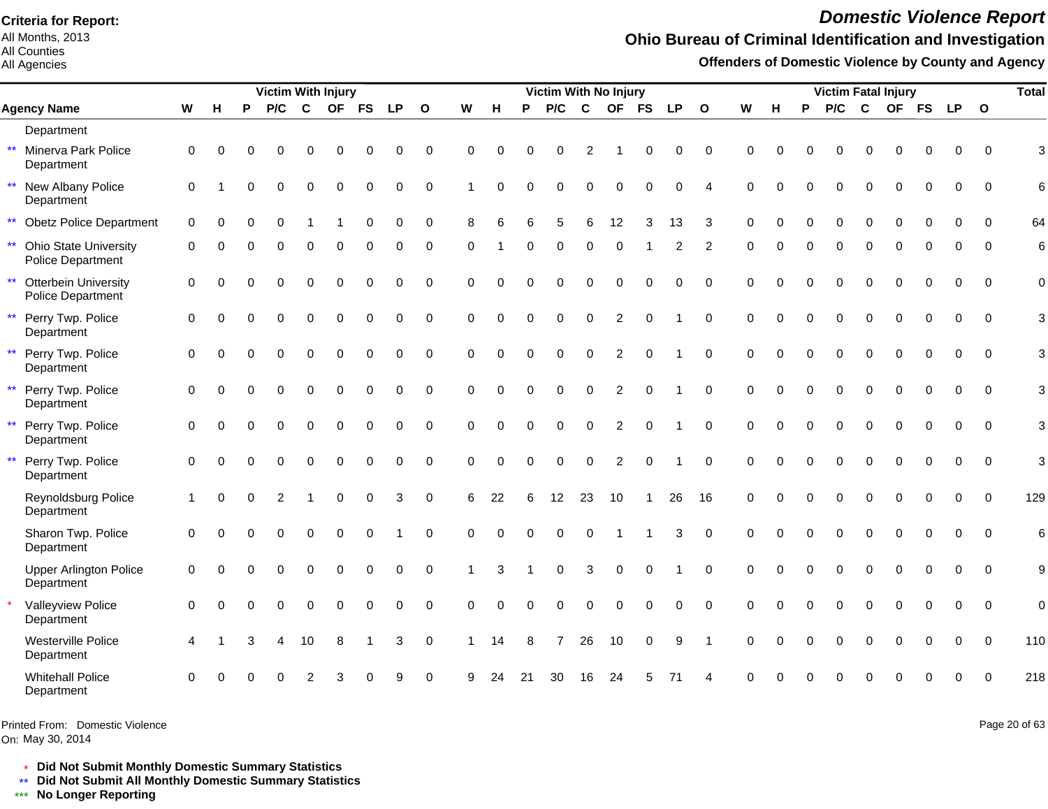All Months, 2013 All Counties

All Agencies

# *Domestic Violence Report*

#### **Ohio Bureau of Criminal Identification and Investigation**

**Offenders of Domestic Violence by County and Agency**

|                            |                                                   |             |          |          | <b>Victim With Injury</b> |             |             |             |             |                         |          |          |          | Victim With No Injury |              |                |             |           |                        |             |          |          | <b>Victim Fatal Injury</b> |              |             |             |             |             | <b>Total</b>   |
|----------------------------|---------------------------------------------------|-------------|----------|----------|---------------------------|-------------|-------------|-------------|-------------|-------------------------|----------|----------|----------|-----------------------|--------------|----------------|-------------|-----------|------------------------|-------------|----------|----------|----------------------------|--------------|-------------|-------------|-------------|-------------|----------------|
|                            | <b>Agency Name</b>                                |             | н        | P        | P/C                       | $\mathbf c$ | <b>OF</b>   | <b>FS</b>   | <b>LP</b>   | $\overline{\mathbf{O}}$ | W        | H        | P        | P/C                   | $\mathbf{C}$ | <b>OF</b>      | <b>FS</b>   | <b>LP</b> | $\mathbf{o}$           | W           | н        | P        | P/C                        | $\mathbf{C}$ |             | OF FS       | LP O        |             |                |
| Department                 |                                                   |             |          |          |                           |             |             |             |             |                         |          |          |          |                       |              |                |             |           |                        |             |          |          |                            |              |             |             |             |             |                |
| $\star\star$<br>Department | Minerva Park Police                               | $\mathbf 0$ | $\Omega$ | 0        | $\Omega$                  | $\Omega$    | $\Omega$    | 0           | 0           | $\mathbf 0$             | 0        | $\Omega$ | $\Omega$ | $\Omega$              | 2            |                | 0           | 0         | $\mathbf 0$            | $\mathbf 0$ | $\Omega$ | $\Omega$ | $\Omega$                   | $\mathbf 0$  | $\Omega$    | 0           | 0           | $\Omega$    | 3              |
| $\star\star$<br>Department | New Albany Police                                 | $\Omega$    |          |          | $\Omega$                  | $\Omega$    | $\Omega$    | 0           | 0           | $\mathbf 0$             |          | $\Omega$ | O        | $\Omega$              | $\Omega$     | $\Omega$       | $\Omega$    | 0         | $\boldsymbol{\Lambda}$ | $\Omega$    | $\Omega$ |          | $\Omega$                   | $\Omega$     | $\Omega$    | $\Omega$    | $\mathbf 0$ | $\Omega$    | 6              |
| $\star\star$               | <b>Obetz Police Department</b>                    | $\mathbf 0$ | ∩        | U        | $\Omega$                  |             |             | $\Omega$    | $\Omega$    | $\mathbf 0$             | 8        | 6        | ี        | 5                     | 6            | 12             | 3           | 13        | 3                      | $\Omega$    | $\Omega$ | $\Omega$ | $\Omega$                   | $\Omega$     | $\Omega$    | $\Omega$    | $\Omega$    | $\Omega$    | 64             |
| $\star\star$               | <b>Ohio State University</b><br>Police Department | $\Omega$    |          |          |                           | O           | $\Omega$    | 0           |             | $\Omega$                | $\Omega$ |          |          | $\Omega$              | $\Omega$     | $\Omega$       |             | 2         | 2                      | $\Omega$    | 0        |          | $\Omega$                   | $\Omega$     |             | 0           | O           | $\Omega$    | 6              |
| $\star\star$               | <b>Otterbein University</b><br>Police Department  | $\mathbf 0$ | $\Omega$ |          | $\Omega$                  | $\Omega$    | 0           | $\mathbf 0$ | $\mathbf 0$ | $\mathbf 0$             | 0        | $\Omega$ | $\Omega$ | $\Omega$              | $\Omega$     | $\mathbf 0$    | $\mathbf 0$ | 0         | $\Omega$               | $\Omega$    | $\Omega$ | $\Omega$ | $\Omega$                   | $\mathbf 0$  | $\Omega$    | $\mathbf 0$ | $\Omega$    | $\Omega$    | $\mathbf 0$    |
| $\star\star$<br>Department | Perry Twp. Police                                 | 0           | $\Omega$ | O        | $\Omega$                  | $\Omega$    | $\mathbf 0$ | $\Omega$    | 0           | $\mathbf 0$             | $\Omega$ | $\Omega$ | $\Omega$ | $\Omega$              | $\Omega$     | 2              | $\Omega$    |           | $\Omega$               | $\Omega$    | $\Omega$ | $\Omega$ | $\Omega$                   | $\Omega$     | $\Omega$    | $\Omega$    | $\Omega$    | $\Omega$    | 3              |
| $\star\star$<br>Department | Perry Twp. Police                                 | $\mathbf 0$ | $\Omega$ | $\Omega$ | $\Omega$                  | 0           | $\mathbf 0$ | 0           | $\mathbf 0$ | $\mathbf 0$             | 0        | $\Omega$ | $\Omega$ | $\Omega$              | $\mathbf 0$  | 2              | $\Omega$    |           | $\Omega$               | $\Omega$    | $\Omega$ | $\Omega$ | 0                          | $\mathbf 0$  | 0           | $\mathbf 0$ | $\Omega$    | $\Omega$    | 3              |
| $\star\star$<br>Department | Perry Twp. Police                                 | $\mathbf 0$ | $\Omega$ |          | $\Omega$                  | $\Omega$    | $\Omega$    | $\Omega$    | $\Omega$    | $\mathbf 0$             | $\Omega$ | $\Omega$ | $\Omega$ | $\Omega$              | $\Omega$     | 2              | $\Omega$    |           | $\Omega$               | $\Omega$    | $\Omega$ | $\Omega$ | $\Omega$                   | $\Omega$     | $\Omega$    | $\Omega$    | $\Omega$    | $\Omega$    | 3              |
| $\star\star$<br>Department | Perry Twp. Police                                 | $\mathbf 0$ | $\Omega$ |          | $\Omega$                  | $\Omega$    | $\Omega$    | $\Omega$    | $\Omega$    | $\Omega$                | $\Omega$ | $\Omega$ | $\Omega$ | $\Omega$              | $\mathbf 0$  | $\overline{2}$ | $\Omega$    |           | $\Omega$               | $\Omega$    | $\Omega$ | $\Omega$ | $\Omega$                   | $\Omega$     | $\Omega$    | $\Omega$    | $\Omega$    | $\Omega$    | 3              |
| $\star\star$<br>Department | Perry Twp. Police                                 | $\mathbf 0$ | $\Omega$ | O        | $\Omega$                  | $\Omega$    | $\mathbf 0$ | $\mathbf 0$ | $\mathbf 0$ | $\mathbf 0$             | $\Omega$ | $\Omega$ | $\Omega$ | $\mathbf{0}$          | $\mathbf 0$  | 2              | $\mathbf 0$ |           | $\Omega$               | $\Omega$    | $\Omega$ | $\Omega$ | $\Omega$                   | $\mathbf 0$  | $\mathbf 0$ | $\mathbf 0$ | 0           | $\Omega$    | 3              |
| Department                 | Reynoldsburg Police                               |             | $\Omega$ | $\Omega$ | $\overline{2}$            |             | $\mathbf 0$ | $\mathbf 0$ | 3           | $\mathbf 0$             | 6        | 22       | 6        | 12                    | 23           | 10             | 1           | 26        | 16                     | $\Omega$    | $\Omega$ | $\Omega$ | $\Omega$                   | $\mathbf 0$  | 0           | $\Omega$    | $\Omega$    | $\Omega$    | 129            |
| Department                 | Sharon Twp. Police                                | $\mathbf 0$ | $\Omega$ |          | $\Omega$                  | 0           | $\mathbf 0$ | 0           |             | $\mathbf 0$             | $\Omega$ | $\Omega$ | $\Omega$ | $\Omega$              | $\Omega$     |                |             | 3         | $\Omega$               | $\Omega$    | $\Omega$ | $\Omega$ | 0                          | $\mathbf 0$  | 0           | $\mathbf 0$ | $\Omega$    | $\Omega$    | 6              |
| Department                 | <b>Upper Arlington Police</b>                     | $\mathbf 0$ |          |          |                           | $\Omega$    | $\Omega$    | $\Omega$    | $\Omega$    | $\Omega$                |          | 3        |          | $\Omega$              | 3            | $\mathbf 0$    | $\Omega$    |           | $\Omega$               | $\Omega$    | $\Omega$ | $\Omega$ | $\Omega$                   | $\Omega$     | $\Omega$    | $\Omega$    | $\Omega$    | $\Omega$    | 9              |
| Department                 | Valleyview Police                                 | $\Omega$    | $\Omega$ |          | $\Omega$                  | $\Omega$    | $\Omega$    | $\Omega$    | 0           | $\Omega$                | $\Omega$ | $\Omega$ | $\Omega$ | $\Omega$              | $\mathbf 0$  | $\mathbf 0$    | $\Omega$    | $\Omega$  | $\Omega$               | $\Omega$    |          | $\Omega$ | $\Omega$                   | $\mathbf 0$  | $\Omega$    | $\Omega$    | 0           | $\Omega$    | $\overline{0}$ |
| Department                 | Westerville Police                                | Δ           |          | з        | 4                         | 10          | 8           |             | 3           | $\mathbf 0$             | 1        | 14       | 8        | 7                     | 26           | 10             | $\mathbf 0$ | 9         | $\overline{1}$         | $\Omega$    | $\Omega$ | $\Omega$ | $\Omega$                   | $\Omega$     | $\Omega$    | $\Omega$    | $\Omega$    | $\Omega$    | 110            |
| Department                 | <b>Whitehall Police</b>                           | 0           |          |          |                           |             |             |             | 9           | $\mathbf 0$             | 9        | 24       | 21       | 30                    | 16           | 24             | 5           | 71        |                        |             |          |          |                            |              |             |             | $\Omega$    | $\mathbf 0$ | 218            |

Printed From: Domestic Violence

On: May 30, 2014

Page 20 of 63

\* **Did Not Submit Monthly Domestic Summary Statistics**

**Did Not Submit All Monthly Domestic Summary Statistics**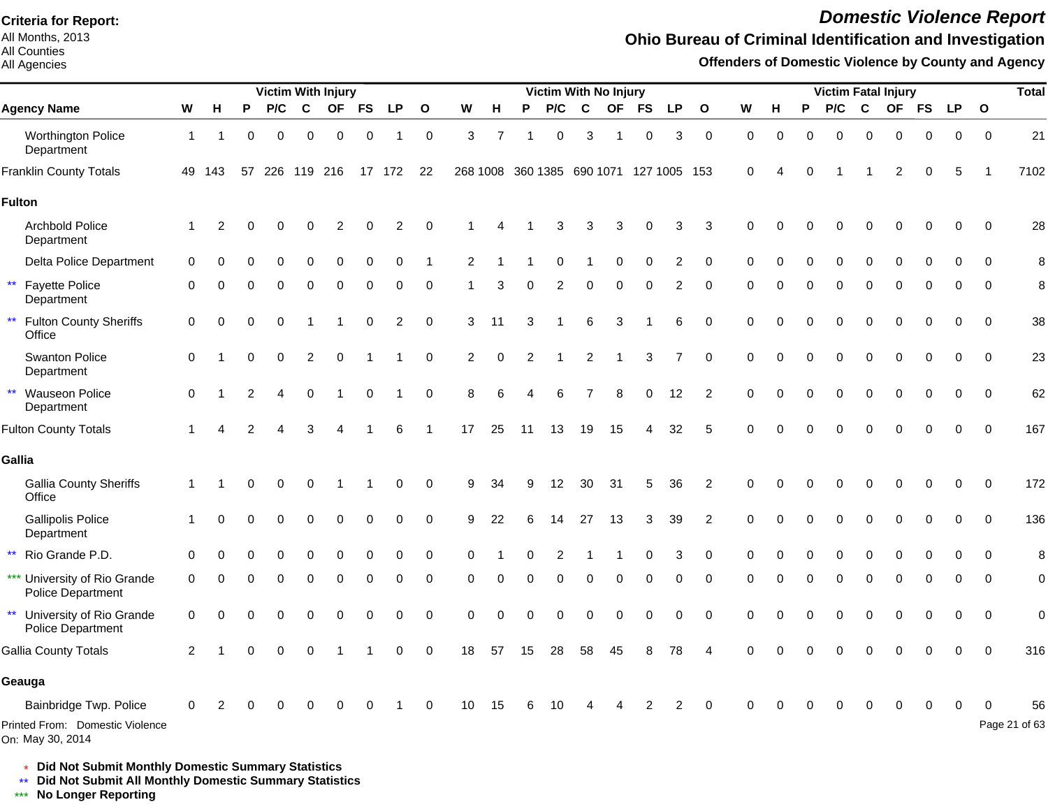All Months, 2013 All Counties

All Agencies

# *Domestic Violence Report*

## **Ohio Bureau of Criminal Identification and Investigation**

**Offenders of Domestic Violence by County and Agency**

|                                                                               |                |          |          |          |             | <b>Victim With Injury</b> |             |           |              |                |                |          |             |             | <b>Victim With No Injury</b> |              |                |                |             |          |          |          |              | <b>Victim Fatal Injury</b> |             |             |              | <b>Total</b>        |
|-------------------------------------------------------------------------------|----------------|----------|----------|----------|-------------|---------------------------|-------------|-----------|--------------|----------------|----------------|----------|-------------|-------------|------------------------------|--------------|----------------|----------------|-------------|----------|----------|----------|--------------|----------------------------|-------------|-------------|--------------|---------------------|
| <b>Agency Name</b>                                                            | W              | H        | P        | P/C      | $\mathbf c$ | <b>OF</b>                 | <b>FS</b>   | <b>LP</b> | $\mathbf{o}$ | W              | н              | P        | P/C         | $\mathbf c$ | <b>OF</b>                    | FS           | <b>LP</b>      | $\mathbf{o}$   | W           | н        | P        | P/C      | $\mathbf{C}$ | <b>OF</b>                  | <b>FS</b>   | <b>LP</b>   | $\mathbf{o}$ |                     |
| <b>Worthington Police</b><br>Department                                       | -1             |          | $\Omega$ | 0        | $\mathbf 0$ | $\overline{0}$            | $\mathbf 0$ |           | $\mathbf 0$  | 3              | $\overline{7}$ |          | $\mathbf 0$ | 3           | $\overline{1}$               | $\mathbf 0$  | 3              | $\mathbf 0$    | $\mathbf 0$ | 0        | $\Omega$ | $\Omega$ | $\Omega$     | $\Omega$                   | $\mathbf 0$ | $\mathbf 0$ | $\mathbf 0$  | 21                  |
| <b>Franklin County Totals</b>                                                 |                | 49 143   | 57       |          | 226 119 216 |                           |             | 17 172    | 22           |                |                |          |             |             | 268 1008 360 1385 690 1071   | 127 1005 153 |                |                | $\mathbf 0$ |          | $\Omega$ |          |              | 2                          | 0           | 5           |              | 7102                |
| <b>Fulton</b>                                                                 |                |          |          |          |             |                           |             |           |              |                |                |          |             |             |                              |              |                |                |             |          |          |          |              |                            |             |             |              |                     |
| <b>Archbold Police</b><br>Department                                          |                | 2        |          |          |             |                           |             | 2         | $\Omega$     |                |                |          | 3           | 3           | 3                            |              | 3              | 3              | $\Omega$    |          |          |          |              |                            | ŋ           | $\Omega$    | $\Omega$     | 28                  |
| Delta Police Department                                                       | $\Omega$       |          |          |          |             |                           |             | 0         |              | 2              |                |          |             |             |                              | $\Omega$     | 2              | $\Omega$       |             |          |          |          |              |                            |             |             | $\Omega$     | 8                   |
| $\star\star$<br><b>Fayette Police</b><br>Department                           | 0              |          |          | O        | O           | $\Omega$                  | $\Omega$    | $\Omega$  | 0            |                | 3              | $\Omega$ | 2           | $\Omega$    | $\Omega$                     | $\Omega$     | $\overline{c}$ | $\Omega$       | $\Omega$    |          | O        | $\Omega$ | $\Omega$     | $\Omega$                   | $\Omega$    | $\Omega$    | $\Omega$     | 8                   |
| $\star\star$<br><b>Fulton County Sheriffs</b><br>Office                       | 0              | 0        | 0        | 0        |             |                           | 0           | 2         | 0            | 3              | 11             |          |             | 6           | 3                            |              | 6              | $\mathbf 0$    | $\Omega$    | 0        | O        | 0        | $\Omega$     | $\Omega$                   | 0           | 0           | $\mathbf 0$  | 38                  |
| Swanton Police<br>Department                                                  | $\mathbf 0$    |          | $\Omega$ | $\Omega$ | 2           | $\Omega$                  |             |           | 0            | $\overline{c}$ | 0              | 2        |             | 2           |                              | 3            | $\overline{7}$ | $\Omega$       | $\Omega$    | $\Omega$ | $\Omega$ | $\Omega$ | $\Omega$     | $\Omega$                   | $\Omega$    | $\Omega$    | $\Omega$     | 23                  |
| ** Wauseon Police<br>Department                                               | $\mathbf 0$    |          | 2        |          | $\Omega$    |                           | $\Omega$    |           | $\mathbf 0$  | 8              | 6              | 4        | 6           |             | 8                            | $\Omega$     | 12             | $\overline{2}$ | $\Omega$    | 0        | $\Omega$ | $\Omega$ | $\Omega$     | $\Omega$                   | $\Omega$    | $\Omega$    | $\Omega$     | 62                  |
| <b>Fulton County Totals</b>                                                   |                |          | 2        |          | 3           |                           |             | 6         |              | 17             | 25             | 11       | 13          | 19          | 15                           |              | 32             | 5              | $\Omega$    | U        |          | $\Omega$ | ∩            |                            | O           | $\Omega$    | $\Omega$     | 167                 |
| Gallia                                                                        |                |          |          |          |             |                           |             |           |              |                |                |          |             |             |                              |              |                |                |             |          |          |          |              |                            |             |             |              |                     |
| <b>Gallia County Sheriffs</b><br>Office                                       | -1             |          |          | O        | 0           |                           |             | 0         | $\Omega$     | 9              | 34             |          | 12          | 30          | 31                           | 5            | 36             | 2              | $\Omega$    |          |          |          |              |                            | ŋ           | $\Omega$    | $\Omega$     | 172                 |
| <b>Gallipolis Police</b><br>Department                                        |                | $\Omega$ |          |          | $\Omega$    | $\Omega$                  | 0           | $\Omega$  | $\Omega$     | 9              | 22             |          | 14          | 27          | 13                           | 3            | 39             | $\overline{2}$ | $\Omega$    |          |          |          | $\Omega$     |                            | 0           |             | $\Omega$     | 136                 |
| ** Rio Grande P.D.                                                            | $\Omega$       |          |          |          |             |                           |             | 0         | 0            | ∩              |                |          |             |             |                              |              | 3              | $\Omega$       | $\Omega$    |          |          |          |              |                            |             |             | 0            | 8                   |
| *** University of Rio Grande<br><b>Police Department</b>                      | 0              | $\Omega$ | U        | $\Omega$ | 0           | $\mathbf 0$               | $\Omega$    | 0         | 0            | $\Omega$       | 0              | 0        | 0           | 0           | $\Omega$                     | $\Omega$     | 0              | 0              | $\Omega$    | 0        | $\Omega$ | $\Omega$ | $\mathbf 0$  | $\Omega$                   | 0           | 0           | 0            | $\mathbf 0$         |
| $\star\star$<br>University of Rio Grande<br><b>Police Department</b>          | 0              | O        |          |          |             | C                         | ∩           | $\Omega$  | $\mathbf 0$  | $\Omega$       | $\Omega$       |          | O           | $\Omega$    | O                            | $\Omega$     | $\Omega$       | $\Omega$       | $\Omega$    |          |          | O        | $\Omega$     | $\Omega$                   | $\Omega$    | $\Omega$    | $\Omega$     | $\mathbf 0$         |
| <b>Gallia County Totals</b>                                                   | $\overline{c}$ |          | 0        |          |             |                           |             | 0         | $\mathbf 0$  | 18             | 57             | 15       | 28          | 58          | 45                           | 8            | 78             |                |             |          |          |          |              |                            | 0           | $\Omega$    | $\Omega$     | 316                 |
| Geauga                                                                        |                |          |          |          |             |                           |             |           |              |                |                |          |             |             |                              |              |                |                |             |          |          |          |              |                            |             |             |              |                     |
| Bainbridge Twp. Police<br>Printed From: Domestic Violence<br>On: May 30, 2014 | 0              |          |          |          |             |                           |             |           | 0            | 10             | 15             | 6        | 10          |             |                              | 2            | 2              | 0              | ∩           |          |          |          | ∩            |                            | 0           | 0           |              | 56<br>Page 21 of 63 |

\* **Did Not Submit Monthly Domestic Summary Statistics**

**Did Not Submit All Monthly Domestic Summary Statistics**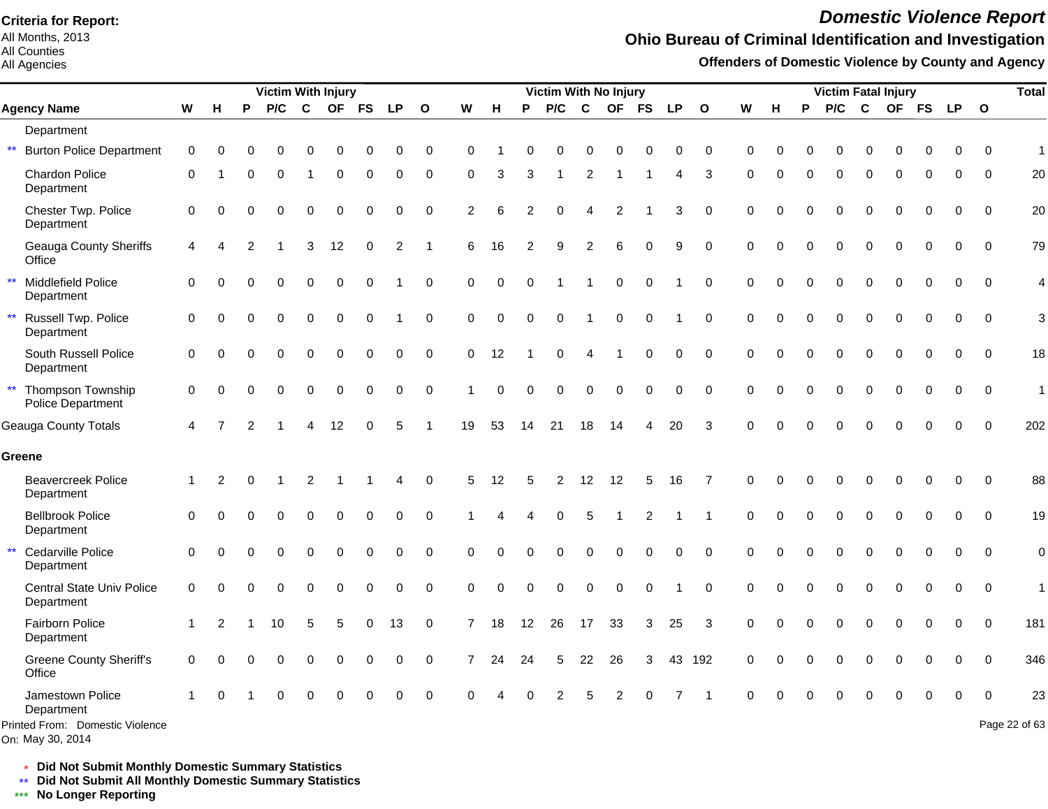All Months, 2013 All Counties

All Agencies

# *Domestic Violence Report*

#### **Ohio Bureau of Criminal Identification and Investigation**

**Offenders of Domestic Violence by County and Agency**

|              |                                                     |              |          |          | <b>Victim With Injury</b> |             |             |             |                        |             |                |             |          | Victim With No Injury |              |             |                  |             |              |             |             |          | <b>Victim Fatal Injury</b> |              |           |           |             |              | <b>Total</b>  |
|--------------|-----------------------------------------------------|--------------|----------|----------|---------------------------|-------------|-------------|-------------|------------------------|-------------|----------------|-------------|----------|-----------------------|--------------|-------------|------------------|-------------|--------------|-------------|-------------|----------|----------------------------|--------------|-----------|-----------|-------------|--------------|---------------|
|              | <b>Agency Name</b>                                  | W            | н        | P        | P/C                       | $\mathbf c$ | <b>OF</b>   | <b>FS</b>   | <b>LP</b>              | $\Omega$    | W              | H           | P        | P/C                   | $\mathbf{C}$ | <b>OF</b>   | <b>FS</b>        | <b>LP</b>   | $\mathbf{o}$ | W           | н           | P        | P/C                        | $\mathbf{C}$ | <b>OF</b> | <b>FS</b> | <b>LP</b>   | $\mathbf{o}$ |               |
|              | Department                                          |              |          |          |                           |             |             |             |                        |             |                |             |          |                       |              |             |                  |             |              |             |             |          |                            |              |           |           |             |              |               |
| $\star\star$ | <b>Burton Police Department</b>                     | $\mathbf 0$  | $\Omega$ | O        |                           | O           |             |             | $\Omega$               | $\pmb{0}$   | $\Omega$       |             | 0        | $\Omega$              | 0            | 0           | 0                | 0           | $\mathbf 0$  | $\Omega$    | $\Omega$    |          | $\Omega$                   |              |           |           | 0           | $\Omega$     | $\mathbf{1}$  |
|              | <b>Chardon Police</b><br>Department                 | 0            |          | 0        | 0                         |             | 0           | 0           | 0                      | 0           | 0              | 3           | 3        |                       | 2            |             | -1               | 4           | 3            | $\Omega$    | $\mathbf 0$ | $\Omega$ | 0                          | $\Omega$     | $\Omega$  | $\Omega$  | 0           | $\mathbf 0$  | 20            |
|              | Chester Twp. Police<br>Department                   | $\mathbf 0$  | $\Omega$ |          |                           | 0           | $\Omega$    | $\Omega$    | $\Omega$               | $\mathbf 0$ | $\overline{2}$ | 6           | 2        | 0                     | 4            | 2           |                  | 3           | $\mathbf 0$  | $\mathbf 0$ | $\Omega$    | $\Omega$ | $\Omega$                   | $\Omega$     | 0         | $\Omega$  | 0           | $\mathbf 0$  | 20            |
|              | <b>Geauga County Sheriffs</b><br>Office             | 4            | 4        | 2        |                           | 3           | 12          | 0           | 2                      | 1           | 6              | 16          | 2        | 9                     | 2            | 6           | $\Omega$         | 9           | 0            | $\Omega$    | $\Omega$    |          | U                          | $\Omega$     | U         | $\Omega$  | 0           | 0            | 79            |
| $\star\star$ | Middlefield Police<br>Department                    | $\Omega$     |          |          |                           | 0           | $\Omega$    | $\mathbf 0$ |                        | $\pmb{0}$   | 0              | $\mathbf 0$ | 0        |                       |              | $\mathbf 0$ | $\mathbf 0$      |             | $\mathbf 0$  | $\Omega$    | $\Omega$    | $\Omega$ | 0                          | $\Omega$     | $\Omega$  | $\Omega$  | 0           | $\mathbf 0$  | 4             |
| $\star\star$ | Russell Twp. Police<br>Department                   | $\mathbf 0$  | $\Omega$ | $\Omega$ | $\Omega$                  | 0           | $\mathbf 0$ | $\mathbf 0$ |                        | $\pmb{0}$   | 0              | $\mathbf 0$ | 0        | $\mathbf 0$           |              | $\pmb{0}$   | $\boldsymbol{0}$ |             | $\mathbf 0$  | $\mathbf 0$ | $\Omega$    | $\Omega$ | $\Omega$                   | $\Omega$     | $\Omega$  | $\Omega$  | $\mathbf 0$ | $\mathbf 0$  | 3             |
|              | South Russell Police<br>Department                  | $\Omega$     | $\Omega$ | 0        |                           | 0           | $\Omega$    | 0           | 0                      | $\pmb{0}$   | 0              | 12          |          | $\Omega$              | 4            |             | 0                | 0           | $\mathbf 0$  | $\Omega$    | $\Omega$    | $\Omega$ | $\Omega$                   | $\Omega$     | $\Omega$  | $\Omega$  | 0           | 0            | 18            |
| $\star\star$ | Thompson Township<br>Police Department              | 0            | $\Omega$ | 0        | $\Omega$                  | 0           | 0           | 0           | 0                      | $\pmb{0}$   |                | $\mathbf 0$ | 0        | 0                     | 0            | $\mathbf 0$ | $\mathbf 0$      | 0           | $\mathbf 0$  | $\mathbf 0$ | $\Omega$    | $\Omega$ | 0                          | 0            | 0         | 0         | 0           | $\mathbf 0$  | $\mathbf{1}$  |
|              | Geauga County Totals                                | 4            |          |          |                           | 4           | 12          | $\Omega$    | 5                      | 1           | 19             | 53          | 14       | 21                    | 18           | 14          | 4                | 20          | 3            | $\Omega$    | $\Omega$    | $\Omega$ | $\Omega$                   | 0            | 0         | $\Omega$  | 0           | $\Omega$     | 202           |
| Greene       |                                                     |              |          |          |                           |             |             |             |                        |             |                |             |          |                       |              |             |                  |             |              |             |             |          |                            |              |           |           |             |              |               |
|              | <b>Beavercreek Police</b><br>Department             | $\mathbf{1}$ | 2        | $\Omega$ |                           | 2           | -1          | -1          | $\boldsymbol{\Lambda}$ | $\mathbf 0$ | 5              | 12          | 5        | $\overline{2}$        | 12           | 12          | 5                | 16          | 7            | $\Omega$    | $\Omega$    | $\Omega$ | $\Omega$                   | $\Omega$     | Ω         |           | 0           | $\mathbf 0$  | 88            |
|              | <b>Bellbrook Police</b><br>Department               | $\Omega$     | ∩        |          |                           | O           | $\Omega$    | $\Omega$    | $\Omega$               | $\Omega$    |                |             |          | $\Omega$              | 5            |             | 2                |             |              | $\Omega$    | $\Omega$    | ∩        | $\Omega$                   | $\Omega$     | $\Omega$  | $\Omega$  | 0           | $\Omega$     | 19            |
| $\star\star$ | Cedarville Police<br>Department                     | $\mathbf 0$  | $\Omega$ |          | $\Omega$                  | 0           | $\Omega$    | 0           | $\Omega$               | $\mathbf 0$ | 0              | $\Omega$    | $\Omega$ | $\mathbf 0$           | 0            | $\mathbf 0$ | $\mathbf 0$      | $\mathbf 0$ | $\mathbf 0$  | $\Omega$    | $\Omega$    | $\Omega$ | $\Omega$                   | $\Omega$     | $\Omega$  | $\Omega$  | 0           | $\mathbf 0$  | $\mathbf 0$   |
|              | Central State Univ Police<br>Department             | $\mathbf 0$  | 0        | O        |                           | 0           | $\Omega$    | $\Omega$    | $\Omega$               | 0           | 0              | $\Omega$    | $\Omega$ | $\Omega$              | 0            | $\mathbf 0$ | $\Omega$         |             | $\mathbf 0$  | $\mathbf 0$ | $\Omega$    | $\Omega$ | $\Omega$                   | $\Omega$     | 0         |           | 0           | $\mathbf 0$  | $\mathbf{1}$  |
|              | Fairborn Police<br>Department                       |              | 2        |          | 10                        | 5           | 5           | 0           | 13                     | 0           | 7              | 18          | 12       | 26                    | 17           | 33          | 3                | 25          | 3            | $\Omega$    | $\Omega$    | $\Omega$ | 0                          | $\Omega$     | $\Omega$  |           | 0           | $\Omega$     | 181           |
|              | <b>Greene County Sheriff's</b><br>Office            | $\mathbf 0$  | $\Omega$ |          |                           | 0           | $\Omega$    | $\Omega$    | $\Omega$               | 0           | $\overline{7}$ | 24          | 24       | 5                     | 22           | 26          | 3                |             | 43 192       | $\mathbf 0$ | $\Omega$    | $\Omega$ | $\Omega$                   | $\Omega$     | $\Omega$  |           | 0           | $\Omega$     | 346           |
|              | Jamestown Police<br>Department                      |              | ∩        |          |                           |             |             |             |                        | $\Omega$    | $\Omega$       |             |          |                       | 5            | 2           |                  |             |              | $\Omega$    |             |          |                            |              |           |           | $\Omega$    | $\Omega$     | 23            |
|              | Printed From: Domestic Violence<br>On: May 30, 2014 |              |          |          |                           |             |             |             |                        |             |                |             |          |                       |              |             |                  |             |              |             |             |          |                            |              |           |           |             |              | Page 22 of 63 |

\* **Did Not Submit Monthly Domestic Summary Statistics**

**Did Not Submit All Monthly Domestic Summary Statistics**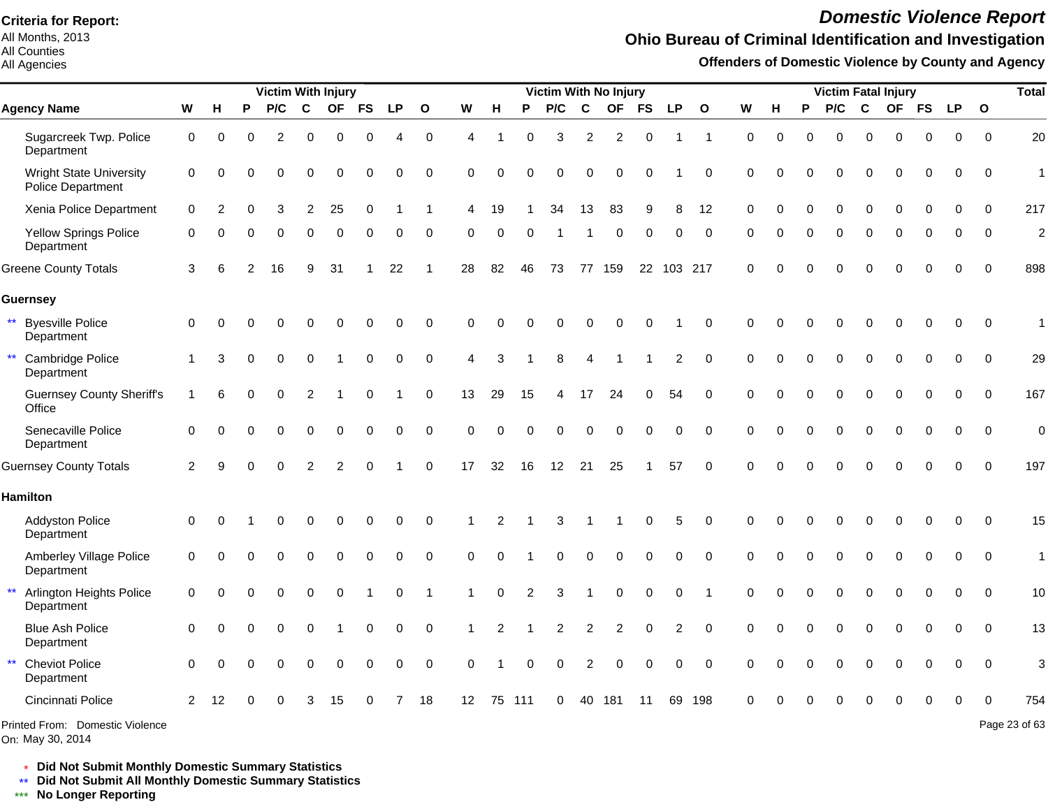All Months, 2013 All Counties

#### All Agencies

# *Domestic Violence Report*

### **Ohio Bureau of Criminal Identification and Investigation**

**Offenders of Domestic Violence by County and Agency**

|                                                        |                |          |   | <b>Victim With Injury</b> |          |           |             |                        |              |             |          |          | Victim With No Injury |                |                |           |                |             |          |   |          |          |             | <b>Victim Fatal Injury</b> |             |           |              | <b>Total</b>   |
|--------------------------------------------------------|----------------|----------|---|---------------------------|----------|-----------|-------------|------------------------|--------------|-------------|----------|----------|-----------------------|----------------|----------------|-----------|----------------|-------------|----------|---|----------|----------|-------------|----------------------------|-------------|-----------|--------------|----------------|
| <b>Agency Name</b>                                     | W              | н        | P | P/C                       | C        | <b>OF</b> | <b>FS</b>   | <b>LP</b>              | $\mathbf{o}$ | W           | н        | P        | P/C                   | $\mathbf c$    | <b>OF</b>      | <b>FS</b> | <b>LP</b>      | $\Omega$    | W        | н | P        | P/C      | $\mathbf c$ | <b>OF</b>                  | <b>FS</b>   | <b>LP</b> | $\mathbf{o}$ |                |
| Sugarcreek Twp. Police<br>Department                   | $\mathbf 0$    | $\Omega$ | 0 | 2                         | $\Omega$ | $\Omega$  | $\Omega$    | $\boldsymbol{\Lambda}$ | 0            | 4           |          | $\Omega$ | 3                     | 2              | $\overline{2}$ | $\Omega$  |                | $\mathbf 1$ | $\Omega$ | 0 | $\Omega$ | 0        | $\Omega$    | $\Omega$                   | $\Omega$    | 0         | $\mathbf 0$  | 20             |
| <b>Wright State University</b><br>Police Department    | 0              | ∩        |   |                           |          |           |             | 0                      | 0            | $\Omega$    | $\Omega$ |          | O                     | $\Omega$       | O              |           |                | $\Omega$    | $\Omega$ |   |          | ი        | O           | 0                          | 0           | $\Omega$  | $\mathbf 0$  | $\mathbf{1}$   |
| Xenia Police Department                                | $\mathbf 0$    |          |   |                           | 2        | 25        | 0           |                        |              | 4           | 19       |          | 34                    | 13             | 83             | 9         | 8              | 12          | ∩        |   |          | 0        | $\Omega$    | $\Omega$                   | $\Omega$    | 0         | $\mathbf 0$  | 217            |
| Yellow Springs Police<br>Department                    | 0              |          |   | $\Omega$                  | $\Omega$ | $\Omega$  | $\Omega$    | $\Omega$               | $\Omega$     | O           | $\Omega$ | $\Omega$ |                       |                | $\Omega$       | $\Omega$  | 0              | $\Omega$    | ∩        |   |          | 0        | $\Omega$    | $\Omega$                   | $\Omega$    | 0         | $\Omega$     | $\overline{c}$ |
| <b>Greene County Totals</b>                            | 3              | 6        |   | 16                        | 9        | 31        |             | 22                     |              | 28          | 82       | 46       | 73                    |                | 77 159         |           | 22 103 217     |             | $\Omega$ |   |          | $\Omega$ | $\Omega$    | $\Omega$                   | $\Omega$    | $\Omega$  | $\Omega$     | 898            |
| Guernsey                                               |                |          |   |                           |          |           |             |                        |              |             |          |          |                       |                |                |           |                |             |          |   |          |          |             |                            |             |           |              |                |
| $***$<br><b>Byesville Police</b><br>Department         | 0              | $\Omega$ |   |                           | 0        | 0         | O           | 0                      | $\Omega$     | 0           | $\Omega$ |          |                       |                | O              |           |                | $\Omega$    | $\Omega$ |   |          | O        | 0           | $\Omega$                   | 0           | 0         | $\mathbf 0$  | $\mathbf{1}$   |
| ** Cambridge Police<br>Department                      |                | 3        |   | $\Omega$                  | $\Omega$ |           | 0           | $\Omega$               | $\mathbf 0$  | 4           | 3        |          | 8                     | 4              |                |           | 2              | $\Omega$    | $\Omega$ |   |          | 0        | $\Omega$    | $\Omega$                   | $\Omega$    | $\Omega$  | $\Omega$     | 29             |
| <b>Guernsey County Sheriff's</b><br>Office             | 1              | 6        |   | $\Omega$                  | 2        |           | ∩           |                        | $\mathbf 0$  | 13          | 29       | 15       | 4                     | 17             | 24             | 0         | 54             | $\Omega$    | $\Omega$ |   |          | 0        | $\Omega$    | $\Omega$                   | $\mathbf 0$ | $\Omega$  | $\mathbf 0$  | 167            |
| Senecaville Police<br>Department                       | 0              | $\Omega$ |   | $\Omega$                  | $\Omega$ | $\Omega$  | $\Omega$    | 0                      | $\mathbf 0$  | $\mathbf 0$ | 0        | $\Omega$ | $\Omega$              | $\Omega$       | 0              | 0         | 0              | $\Omega$    | $\Omega$ | ∩ |          | 0        | $\Omega$    | 0                          | $\mathbf 0$ | 0         | $\mathbf 0$  | $\mathbf 0$    |
| <b>Guernsey County Totals</b>                          | $\overline{2}$ |          |   |                           |          | 2         | $\Omega$    |                        | $\pmb{0}$    | 17          | 32       | 16       | 12                    | 21             | 25             |           | 57             | $\mathbf 0$ |          |   |          |          |             | $\Omega$                   | $\mathbf 0$ | 0         | $\mathbf 0$  | 197            |
| <b>Hamilton</b>                                        |                |          |   |                           |          |           |             |                        |              |             |          |          |                       |                |                |           |                |             |          |   |          |          |             |                            |             |           |              |                |
| <b>Addyston Police</b><br>Department                   | 0              | $\Omega$ |   |                           |          | 0         | 0           | 0                      | $\mathbf 0$  |             |          |          | 3                     |                |                | 0         | 5              | 0           |          |   |          |          |             |                            | 0           | 0         | $\mathbf 0$  | 15             |
| Amberley Village Police<br>Department                  | 0              | $\Omega$ |   |                           | 0        | $\Omega$  | $\mathbf 0$ | 0                      | $\mathbf 0$  | $\mathbf 0$ | $\Omega$ |          | 0                     | $\Omega$       | 0              | $\Omega$  | 0              | $\mathbf 0$ | $\Omega$ |   |          | 0        | $\mathbf 0$ | 0                          | $\mathbf 0$ | 0         | $\mathbf 0$  | $\overline{1}$ |
| $\star\star$<br>Arlington Heights Police<br>Department | 0              |          |   | 0                         | $\Omega$ | $\Omega$  |             | $\Omega$               |              |             | $\Omega$ |          | 3                     |                | $\Omega$       | $\Omega$  | 0              | 1           | $\Omega$ |   |          | 0        | $\Omega$    | $\Omega$                   | $\mathbf 0$ | 0         | $\mathbf 0$  | 10             |
| <b>Blue Ash Police</b><br>Department                   | 0              | ∩        |   | $\Omega$                  |          |           | 0           | $\Omega$               | $\mathbf 0$  |             |          |          |                       | $\overline{2}$ |                |           | $\overline{2}$ | $\Omega$    |          |   |          |          | $\Omega$    | $\Omega$                   | $\Omega$    | $\Omega$  | $\mathbf 0$  | 13             |
| $\star\star$<br><b>Cheviot Police</b><br>Department    | $\Omega$       | ∩        |   | $\Omega$                  | $\Omega$ | $\Omega$  | $\Omega$    | 0                      | $\mathbf 0$  | $\Omega$    |          | ∩        | 0                     | 2              | O              | $\Omega$  | 0              | $\Omega$    | ∩        |   |          |          | $\Omega$    | $\Omega$                   | $\Omega$    | $\Omega$  | $\mathbf 0$  | 3              |
| Cincinnati Police                                      | 2              | 12       |   |                           |          | 15        |             |                        | 18           | 12          | 75       | 111      | 0                     | 40             | 181            | 11        | 69             | 198         |          |   |          |          |             |                            |             |           | $\Omega$     | 754            |
| Printed From: Domestic Violence                        |                |          |   |                           |          |           |             |                        |              |             |          |          |                       |                |                |           |                |             |          |   |          |          |             |                            |             |           |              | Page 23 of 63  |

On: May 30, 2014

\* **Did Not Submit Monthly Domestic Summary Statistics**

**Did Not Submit All Monthly Domestic Summary Statistics**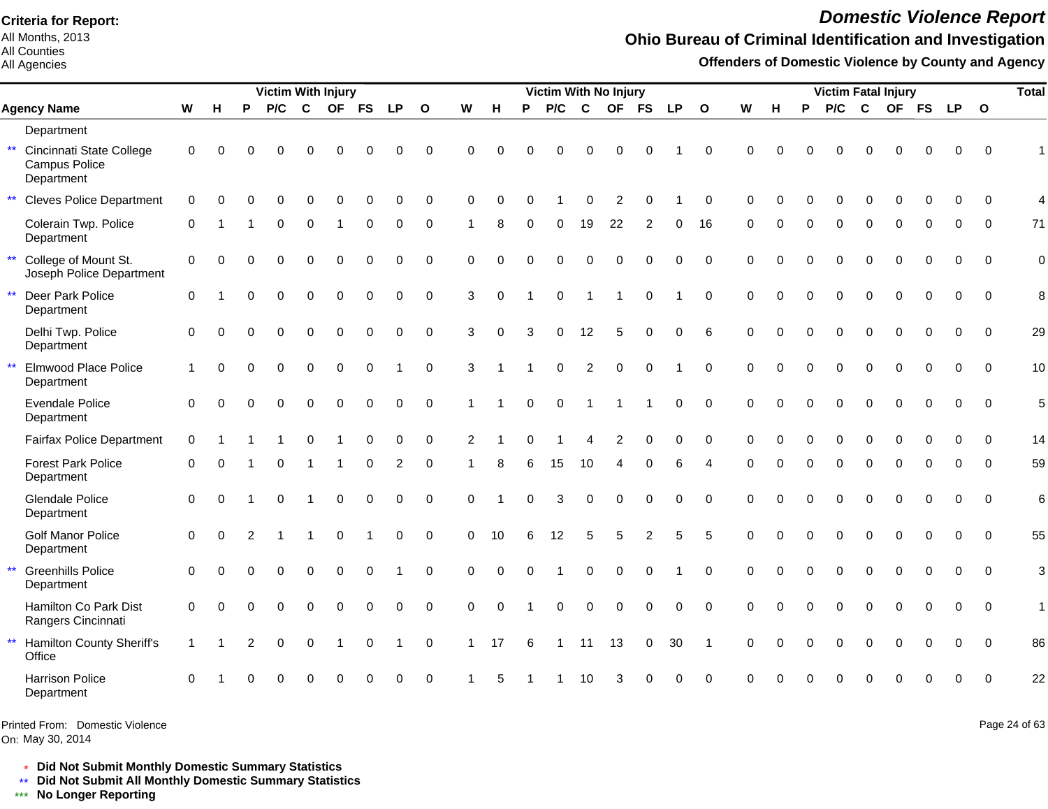All Months, 2013 All Counties

#### All Agencies

# *Domestic Violence Report*

#### **Ohio Bureau of Criminal Identification and Investigation**

**Offenders of Domestic Violence by County and Agency**

|              |                                                         |              |          |                | <b>Victim With Injury</b> |              |             |             |             |              |              |          |          |             |                | Victim With No Injury |                |             |              |           |          |          | <b>Victim Fatal Injury</b> |             |             |              |          |             | <b>Total</b>    |
|--------------|---------------------------------------------------------|--------------|----------|----------------|---------------------------|--------------|-------------|-------------|-------------|--------------|--------------|----------|----------|-------------|----------------|-----------------------|----------------|-------------|--------------|-----------|----------|----------|----------------------------|-------------|-------------|--------------|----------|-------------|-----------------|
|              | <b>Agency Name</b>                                      | W            | H        | P              | P/C                       | $\mathbf c$  | <b>OF</b>   | <b>FS</b>   | <b>LP</b>   | $\mathbf{o}$ | W            | н        | P        | P/C         | $\mathbf c$    | <b>OF</b>             | <b>FS</b>      | <b>LP</b>   | $\mathbf{o}$ | ${\bf W}$ | H        | P        | P/C                        | $\mathbf c$ |             | OF FS        | LP 0     |             |                 |
|              | Department                                              |              |          |                |                           |              |             |             |             |              |              |          |          |             |                |                       |                |             |              |           |          |          |                            |             |             |              |          |             |                 |
| $\star\star$ | Cincinnati State College<br>Campus Police<br>Department | 0            | $\Omega$ | O              | O                         | O            | $\Omega$    | $\Omega$    | 0           | $\Omega$     | $\Omega$     | $\Omega$ | $\Omega$ | O           | ∩              | ∩                     |                |             | $\Omega$     | $\Omega$  | $\Omega$ |          |                            | ∩           | 0           | $\Omega$     | $\Omega$ | $\Omega$    |                 |
| $\star\star$ | <b>Cleves Police Department</b>                         | $\mathbf 0$  | $\Omega$ | $\Omega$       | $\Omega$                  | $\Omega$     | $\Omega$    | 0           | $\Omega$    | $\Omega$     | $\Omega$     | $\Omega$ | $\Omega$ |             | $\Omega$       | 2                     | $\Omega$       |             | $\Omega$     | $\Omega$  | O        |          | 0                          | $\Omega$    | $\Omega$    | $\Omega$     | $\Omega$ | $\Omega$    | 4               |
|              | Colerain Twp. Police<br>Department                      | $\mathbf 0$  |          |                | $\Omega$                  | $\Omega$     |             | $\Omega$    | $\Omega$    | $\Omega$     |              | 8        | $\Omega$ | $\Omega$    | 19             | 22                    | 2              | 0           | 16           | $\Omega$  |          | $\Omega$ | $\Omega$                   | $\Omega$    | $\Omega$    | $\Omega$     | $\Omega$ | $\Omega$    | 71              |
| $\star\star$ | College of Mount St.<br>Joseph Police Department        | $\mathbf 0$  | $\Omega$ | $\Omega$       | $\Omega$                  | $\Omega$     | $\Omega$    | $\Omega$    | $\Omega$    | $\Omega$     | $\mathbf 0$  | $\Omega$ | $\Omega$ | $\Omega$    | $\Omega$       | $\Omega$              | $\Omega$       | 0           | $\Omega$     | $\Omega$  | $\Omega$ | $\Omega$ | 0                          | $\Omega$    | $\Omega$    | $\Omega$     | $\Omega$ | $\Omega$    | $\mathbf 0$     |
| $\star\star$ | Deer Park Police<br>Department                          | $\Omega$     |          | $\Omega$       | $\Omega$                  | $\Omega$     | $\Omega$    | $\Omega$    | $\Omega$    | $\Omega$     | 3            | $\Omega$ |          | $\Omega$    |                |                       | $\overline{0}$ |             | $\Omega$     | $\Omega$  | $\Omega$ | $\Omega$ | $\Omega$                   | $\Omega$    | $\Omega$    | $\Omega$     | $\Omega$ | $\Omega$    | 8               |
|              | Delhi Twp. Police<br>Department                         | $\Omega$     | $\Omega$ | $\Omega$       | $\Omega$                  | $\Omega$     | $\mathbf 0$ | $\mathbf 0$ | $\Omega$    | $\Omega$     | 3            | $\Omega$ | 3        | $\mathbf 0$ | 12             | 5                     | $\Omega$       | $\Omega$    | 6            | $\Omega$  | $\Omega$ | $\Omega$ | $\Omega$                   | $\Omega$    | $\Omega$    | $\Omega$     | $\Omega$ | $\Omega$    | 29              |
| $\star\star$ | <b>Elmwood Place Police</b><br>Department               | $\mathbf{1}$ | $\Omega$ | $\Omega$       | $\Omega$                  | $\mathbf 0$  | $\mathbf 0$ | $\mathbf 0$ |             | $\mathbf 0$  | 3            |          |          | $\mathbf 0$ | $\overline{c}$ | $\mathbf 0$           | $\mathbf 0$    |             | $\Omega$     | $\Omega$  | $\Omega$ | $\Omega$ | $\Omega$                   | $\Omega$    | $\mathbf 0$ | $\mathbf 0$  | 0        | $\mathbf 0$ | 10              |
|              | <b>Evendale Police</b><br>Department                    | $\Omega$     | $\Omega$ |                | $\Omega$                  | $\Omega$     | $\Omega$    | $\Omega$    | $\Omega$    | $\Omega$     | 1            |          | $\Omega$ | $\Omega$    |                |                       |                | $\Omega$    | $\Omega$     | $\Omega$  | $\Omega$ | $\Omega$ | $\Omega$                   | $\Omega$    | $\Omega$    | $\Omega$     | $\Omega$ | $\Omega$    | 5               |
|              | <b>Fairfax Police Department</b>                        | $\mathbf 0$  |          |                |                           | $\Omega$     |             | $\Omega$    | 0           | $\mathbf 0$  | 2            |          | 0        |             | 4              | 2                     | 0              | 0           | $\Omega$     | $\Omega$  |          | $\Omega$ | 0                          | 0           | $\mathbf 0$ | $\mathbf 0$  | 0        | $\mathbf 0$ | 14              |
|              | <b>Forest Park Police</b><br>Department                 | $\Omega$     | $\Omega$ |                | $\Omega$                  | -1           |             | $\Omega$    | 2           | $\mathbf 0$  |              | 8        | 6        | 15          | 10             | Δ                     |                | 6           | Δ            |           |          |          | 0                          | $\Omega$    | $\Omega$    | $\Omega$     | 0        | $\Omega$    | 59              |
|              | <b>Glendale Police</b><br>Department                    | $\mathbf 0$  | $\Omega$ |                | $\Omega$                  | $\mathbf 1$  | $\mathbf 0$ | $\Omega$    | $\Omega$    | $\Omega$     | $\Omega$     |          | $\Omega$ | 3           | $\Omega$       | $\mathbf 0$           | $\Omega$       | $\Omega$    | $\Omega$     | $\Omega$  | $\Omega$ | $\Omega$ | $\Omega$                   | $\Omega$    | $\Omega$    | $\mathbf{0}$ | $\Omega$ | $\Omega$    | $6\phantom{1}6$ |
|              | Golf Manor Police<br>Department                         | $\mathbf 0$  | $\Omega$ | $\overline{2}$ | -1                        | $\mathbf{1}$ | $\mathbf 0$ | $\mathbf 1$ | $\mathbf 0$ | $\mathbf 0$  | $\Omega$     | 10       | 6        | 12          | 5              | 5                     | 2              | 5           | 5            | $\Omega$  | $\Omega$ | $\Omega$ | $\Omega$                   | $\Omega$    | $\Omega$    | $\mathbf{0}$ | $\Omega$ | $\Omega$    | 55              |
| $\star\star$ | <b>Greenhills Police</b><br>Department                  | $\Omega$     | $\Omega$ |                | $\Omega$                  | $\mathbf 0$  | $\mathbf 0$ | $\mathbf 0$ |             | $\mathbf 0$  | $\Omega$     | $\Omega$ | $\Omega$ |             | $\Omega$       | $\Omega$              | $\Omega$       |             | $\Omega$     | $\Omega$  | $\Omega$ | $\Omega$ | 0                          | $\Omega$    | $\mathbf 0$ | $\mathbf 0$  | 0        | $\mathbf 0$ | 3               |
|              | Hamilton Co Park Dist<br>Rangers Cincinnati             | 0            | $\Omega$ | $\Omega$       | $\mathbf 0$               | $\mathbf 0$  | $\mathbf 0$ | $\Omega$    | $\mathbf 0$ | $\mathbf 0$  | $\mathbf 0$  | $\Omega$ |          | $\mathbf 0$ | $\mathbf 0$    | $\mathbf 0$           | $\Omega$       | $\mathbf 0$ | $\Omega$     | $\Omega$  |          |          | 0                          | $\mathbf 0$ | $\mathbf 0$ | $\mathbf 0$  | 0        | $\mathbf 0$ | $\overline{1}$  |
| $\star\star$ | Hamilton County Sheriff's<br>Office                     | $\mathbf{1}$ |          | 2              | $\Omega$                  | $\Omega$     |             | $\Omega$    |             | $\mathbf 0$  | $\mathbf{1}$ | 17       | 6        |             | 11             | 13                    | $\mathbf 0$    | 30          | $\mathbf{1}$ | $\Omega$  | $\Omega$ |          | $\Omega$                   | $\Omega$    | $\Omega$    | $\Omega$     | $\Omega$ | $\Omega$    | 86              |
|              | <b>Harrison Police</b><br>Department                    | $\Omega$     |          |                |                           |              |             |             |             | $\Omega$     |              |          |          |             | 10             |                       |                | ∩           | $\Omega$     |           |          |          |                            |             |             |              |          | $\Omega$    | 22              |
|              |                                                         |              |          |                |                           |              |             |             |             |              |              |          |          |             |                |                       |                |             |              |           |          |          |                            |             |             |              |          |             |                 |

Printed From: Domestic Violence

On: May 30, 2014

Page 24 of 63

\* **Did Not Submit Monthly Domestic Summary Statistics**

**Did Not Submit All Monthly Domestic Summary Statistics**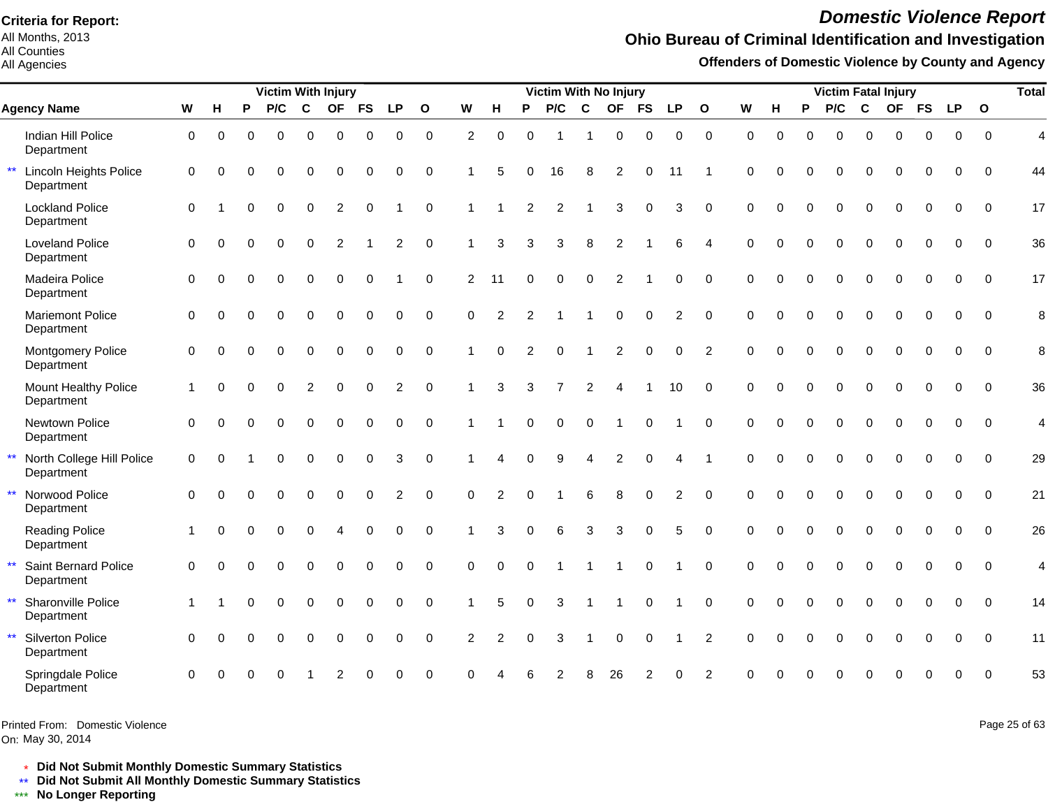All Months, 2013 All Counties

All Agencies

# *Domestic Violence Report*

## **Ohio Bureau of Criminal Identification and Investigation**

**Offenders of Domestic Violence by County and Agency**

|                                                         |                     |          |          | <b>Victim With Injury</b> |             |             |             |                |                |                |                |          | Victim With No Injury |             |                |              |                |                |             |          |          | <b>Victim Fatal Injury</b> |             |             |             |             |              | <b>Total</b>   |
|---------------------------------------------------------|---------------------|----------|----------|---------------------------|-------------|-------------|-------------|----------------|----------------|----------------|----------------|----------|-----------------------|-------------|----------------|--------------|----------------|----------------|-------------|----------|----------|----------------------------|-------------|-------------|-------------|-------------|--------------|----------------|
| <b>Agency Name</b>                                      | W                   | H        | P        | P/C                       | $\mathbf c$ | <b>OF</b>   | <b>FS</b>   | <b>LP</b>      | $\mathbf{o}$   | W              | н              | P        | P/C                   | C           | <b>OF</b>      | <b>FS</b>    | <b>LP</b>      | $\mathbf{o}$   | W           | н        | P        | P/C                        | C           | <b>OF</b>   | <b>FS</b>   | <b>LP</b>   | $\mathbf{o}$ |                |
| Indian Hill Police<br>Department                        | $\mathbf 0$         | $\Omega$ | $\Omega$ | $\Omega$                  | 0           | $\mathbf 0$ | $\Omega$    | $\Omega$       | $\overline{0}$ | $\overline{c}$ | $\Omega$       | $\Omega$ |                       | 1           | 0              | $\Omega$     | 0              | $\mathbf 0$    | $\Omega$    | $\Omega$ | $\Omega$ | $\Omega$                   | $\Omega$    | $\Omega$    | $\mathbf 0$ | $\Omega$    | $\Omega$     | $\overline{4}$ |
| $\star\star$<br>Lincoln Heights Police<br>Department    | $\mathbf 0$         | $\Omega$ | 0        | $\Omega$                  | 0           | 0           | 0           | 0              | $\mathbf 0$    |                | 5              | $\Omega$ | 16                    | 8           | 2              | $\Omega$     | 11             |                | $\Omega$    | $\Omega$ | $\Omega$ | 0                          | $\mathbf 0$ | $\Omega$    | 0           | $\Omega$    | $\Omega$     | 44             |
| <b>Lockland Police</b><br>Department                    | $\mathbf 0$         |          | 0        | $\Omega$                  | $\Omega$    | 2           | $\Omega$    |                | $\mathbf 0$    |                |                | 2        | 2                     |             | 3              | $\Omega$     | 3              | $\Omega$       | $\Omega$    | 0        | $\Omega$ | $\Omega$                   | $\Omega$    | $\Omega$    | $\Omega$    | $\Omega$    | $\Omega$     | 17             |
| <b>Loveland Police</b><br>Department                    | $\mathbf 0$         | $\Omega$ | $\Omega$ | $\Omega$                  | $\mathbf 0$ | 2           |             | $\overline{2}$ | $\mathbf 0$    | 1              | 3              | 3        | 3                     | 8           | $\overline{c}$ |              | 6              | $\overline{4}$ | $\Omega$    | $\Omega$ | $\Omega$ | $\overline{0}$             | $\mathbf 0$ | $\mathbf 0$ | $\Omega$    | $\Omega$    | $\mathbf{0}$ | 36             |
| Madeira Police<br>Department                            | $\mathbf 0$         | $\Omega$ | 0        | $\Omega$                  | $\Omega$    | $\mathbf 0$ | $\mathbf 0$ |                | $\mathbf 0$    | 2              | 11             | $\Omega$ | $\Omega$              | $\mathbf 0$ | 2              |              | 0              | $\Omega$       | $\mathbf 0$ | $\Omega$ | $\Omega$ | $\Omega$                   | $\Omega$    | $\Omega$    | $\Omega$    | $\Omega$    | $\Omega$     | 17             |
| <b>Mariemont Police</b><br>Department                   | $\Omega$            | $\Omega$ | 0        | $\Omega$                  | $\Omega$    | $\Omega$    | $\Omega$    | $\mathbf{0}$   | $\mathbf 0$    | $\Omega$       | 2              | 2        |                       |             | $\Omega$       | $\mathbf{0}$ | 2              | $\Omega$       | $\Omega$    | $\Omega$ | $\Omega$ | $\Omega$                   | $\Omega$    | $\Omega$    | $\Omega$    | $\Omega$    | $\Omega$     | 8              |
| Montgomery Police<br>Department                         | $\mathbf 0$         | $\Omega$ | 0        | $\Omega$                  | 0           | $\mathbf 0$ | $\mathbf 0$ | $\mathbf 0$    | $\mathbf 0$    |                | $\Omega$       | 2        | $\Omega$              |             | 2              | $\Omega$     | 0              | 2              | $\Omega$    | $\Omega$ | $\Omega$ | $\Omega$                   | $\Omega$    | $\Omega$    | $\Omega$    | $\Omega$    | $\Omega$     | 8              |
| <b>Mount Healthy Police</b><br>Department               | 1                   | $\Omega$ | 0        | $\Omega$                  | 2           | $\Omega$    | $\Omega$    | 2              | $\Omega$       | 1              | 3              | 3        |                       | 2           |                |              | 10             | $\Omega$       | $\Omega$    | $\Omega$ | $\Omega$ | $\Omega$                   | $\Omega$    | $\Omega$    | $\Omega$    | $\Omega$    | $\Omega$     | 36             |
| Newtown Police<br>Department                            | $\Omega$            | $\Omega$ |          |                           | 0           | $\Omega$    | $\Omega$    | 0              | $\mathbf 0$    |                |                | $\Omega$ | $\mathbf 0$           | $\mathbf 0$ |                |              |                | $\Omega$       | $\Omega$    | $\Omega$ | $\Omega$ | $\overline{0}$             | $\Omega$    | $\Omega$    | $\Omega$    | $\Omega$    | $\Omega$     | $\overline{4}$ |
| $\star\star$<br>North College Hill Police<br>Department | $\mathsf{O}\xspace$ | $\Omega$ |          | $\Omega$                  | $\Omega$    | $\mathbf 0$ | $\mathbf 0$ | 3              | $\mathbf 0$    |                | Δ              | $\Omega$ | 9                     | 4           | $\overline{2}$ | $\Omega$     | Δ              |                | $\Omega$    | $\Omega$ | $\Omega$ | $\Omega$                   | $\Omega$    | $\Omega$    | $\Omega$    | $\Omega$    | $\Omega$     | 29             |
| $\star\star$<br>Norwood Police<br>Department            | $\Omega$            | ∩        | 0        | $\Omega$                  | 0           | $\mathbf 0$ | $\mathbf 0$ | $\overline{c}$ | $\mathbf 0$    | $\mathbf 0$    | $\overline{c}$ | $\Omega$ |                       | 6           | 8              | $\mathbf 0$  | $\overline{2}$ | $\mathbf 0$    | $\Omega$    | $\Omega$ | $\Omega$ | 0                          | $\mathbf 0$ | $\mathbf 0$ | $\mathbf 0$ | $\mathbf 0$ | $\mathbf 0$  | 21             |
| <b>Reading Police</b><br>Department                     |                     | $\Omega$ | $\Omega$ | $\Omega$                  | $\Omega$    | 4           | $\Omega$    | $\Omega$       | $\Omega$       |                | 3              | $\Omega$ | 6                     | 3           | 3              | $\Omega$     | 5              | $\Omega$       | $\Omega$    | $\Omega$ | $\Omega$ | $\Omega$                   | $\Omega$    | $\Omega$    | $\Omega$    | $\Omega$    | $\Omega$     | 26             |
| $\star\star$<br>Saint Bernard Police<br>Department      | $\Omega$            | $\Omega$ |          |                           | $\Omega$    | $\Omega$    | $\Omega$    | $\Omega$       | $\Omega$       | $\Omega$       | $\Omega$       | $\Omega$ |                       |             |                | $\Omega$     |                | $\Omega$       | $\Omega$    | $\Omega$ | $\Omega$ | $\Omega$                   | $\Omega$    | $\Omega$    | $\Omega$    | $\Omega$    | $\Omega$     | 4              |
| $\star\star$<br>Sharonville Police<br>Department        | -1                  |          |          | $\Omega$                  | $\Omega$    | $\mathbf 0$ | 0           | $\Omega$       | $\Omega$       |                | 5              | $\Omega$ | 3                     |             |                | $\Omega$     |                | $\Omega$       | $\Omega$    | $\Omega$ | $\Omega$ | $\Omega$                   | 0           | $\Omega$    | $\Omega$    | $\Omega$    | $\Omega$     | 14             |
| $\star\star$<br>Silverton Police<br>Department          | $\mathbf 0$         | $\Omega$ | 0        | $\Omega$                  | 0           | $\mathbf 0$ | $\mathbf 0$ | $\mathbf 0$    | $\overline{0}$ | 2              | 2              | $\Omega$ | 3                     | 1           | $\mathbf 0$    | $\mathbf 0$  | -1             | $\overline{2}$ | $\mathbf 0$ | $\Omega$ | $\Omega$ | $\Omega$                   | $\mathbf 0$ | $\Omega$    | $\mathbf 0$ | $\mathbf 0$ | $\Omega$     | 11             |
| Springdale Police<br>Department                         | $\Omega$            |          |          |                           |             |             |             | 0              | $\mathbf 0$    |                |                |          |                       |             | 26             |              | 0              | 2              |             |          |          |                            |             |             | 0           | $\Omega$    | $\Omega$     | 53             |

Printed From: Domestic Violence

On: May 30, 2014

Page 25 of 63

\* **Did Not Submit Monthly Domestic Summary Statistics**

**Did Not Submit All Monthly Domestic Summary Statistics**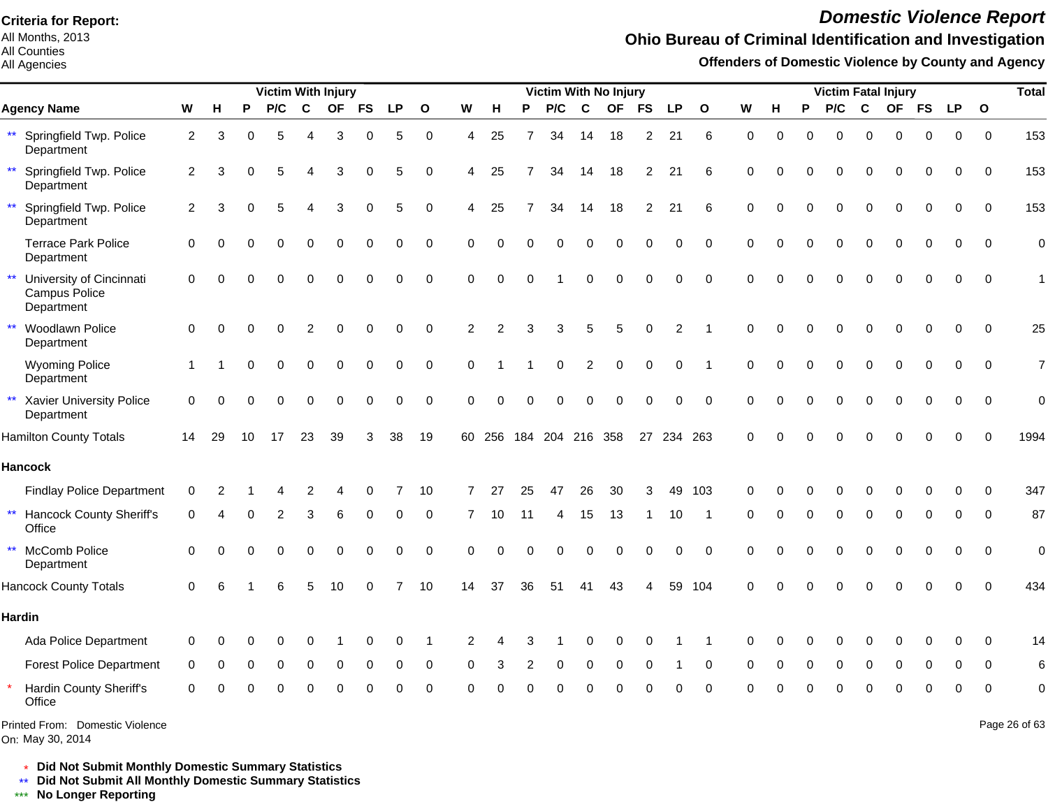All Months, 2013 All Counties

All Agencies

# *Domestic Violence Report*

## **Ohio Bureau of Criminal Identification and Investigation**

**Offenders of Domestic Violence by County and Agency**

|                                                                  |                |          |          | <b>Victim With Injury</b> |             |           |           |          |              |          |          |          | Victim With No Injury |                |             |                |                |              |          |          |          |          |             | <b>Victim Fatal Injury</b> |             |             |             | <b>Total</b>   |
|------------------------------------------------------------------|----------------|----------|----------|---------------------------|-------------|-----------|-----------|----------|--------------|----------|----------|----------|-----------------------|----------------|-------------|----------------|----------------|--------------|----------|----------|----------|----------|-------------|----------------------------|-------------|-------------|-------------|----------------|
| <b>Agency Name</b>                                               | W              | н        | P        | P/C                       | $\mathbf c$ | <b>OF</b> | <b>FS</b> | LP       | $\mathbf{o}$ | W        | н        | P        | P/C                   | $\mathbf{C}$   | <b>OF</b>   | <b>FS</b>      | <b>LP</b>      | $\mathbf{o}$ | W        | н        | P        | P/C      | C           | <b>OF</b>                  | <b>FS</b>   | <b>LP</b>   | $\mathbf 0$ |                |
| ** Springfield Twp. Police<br>Department                         | $\overline{2}$ | 3        | O        | 5                         | 4           | 3         | 0         | 5        | $\mathbf 0$  | 4        | 25       | 7        | 34                    | 14             | 18          | $\overline{2}$ | 21             | 6            | $\Omega$ | $\Omega$ | $\Omega$ | $\Omega$ | $\Omega$    | $\Omega$                   | $\Omega$    | $\Omega$    | $\Omega$    | 153            |
| $\star\star$<br>Springfield Twp. Police<br>Department            | $\overline{2}$ | 3        |          | 5                         | 4           | 3         | 0         | 5        | $\Omega$     | 4        | 25       | 7        | 34                    | 14             | 18          | $\overline{2}$ | 21             | 6            | $\Omega$ |          | ∩        | $\Omega$ | $\Omega$    | $\Omega$                   | $\Omega$    | $\Omega$    | $\Omega$    | 153            |
| $\star\star$<br>Springfield Twp. Police<br>Department            | $\overline{2}$ | 3        |          | 5                         |             | 3         | 0         | 5        | $\mathbf 0$  | 4        | 25       | 7        | 34                    | 14             | 18          | $\overline{2}$ | 21             | 6            | $\Omega$ |          | $\Omega$ | $\Omega$ | $\mathbf 0$ | 0                          | 0           | $\Omega$    | $\Omega$    | 153            |
| <b>Terrace Park Police</b><br>Department                         | 0              | ∩        |          |                           | O           | $\Omega$  | 0         | 0        | $\mathbf 0$  | $\Omega$ | $\Omega$ | $\Omega$ | $\Omega$              | $\Omega$       | $\Omega$    | $\Omega$       | 0              | $\Omega$     | $\Omega$ | $\Omega$ | $\Omega$ | $\Omega$ | $\Omega$    | $\Omega$                   | $\Omega$    | $\Omega$    | $\mathbf 0$ | $\overline{0}$ |
| $***$<br>University of Cincinnati<br>Campus Police<br>Department | 0              | $\Omega$ |          |                           |             | $\Omega$  | $\Omega$  | $\Omega$ | 0            | $\Omega$ | $\Omega$ | $\Omega$ |                       | $\Omega$       | $\Omega$    | $\Omega$       | 0              | $\Omega$     | $\Omega$ | U        |          |          | $\Omega$    | $\Omega$                   | $\Omega$    | 0           | $\mathbf 0$ | 1              |
| $\star\star$<br>Woodlawn Police<br>Department                    | $\mathbf 0$    | $\Omega$ | $\Omega$ | $\Omega$                  | 2           | 0         | 0         | 0        | $\mathbf 0$  | 2        | 2        | 3        | 3                     | 5              | 5           | 0              | $\overline{c}$ |              | $\Omega$ | $\Omega$ | $\Omega$ | 0        | $\mathbf 0$ | 0                          | $\mathbf 0$ | 0           | $\mathbf 0$ | 25             |
| <b>Wyoming Police</b><br>Department                              | $\mathbf{1}$   |          |          |                           | $\Omega$    | $\Omega$  | $\Omega$  | 0        | $\mathbf 0$  | $\Omega$ |          |          | $\Omega$              | $\overline{2}$ | $\mathbf 0$ | 0              | 0              |              | ∩        |          |          | $\Omega$ | $\Omega$    | $\Omega$                   | $\Omega$    | $\Omega$    | $\Omega$    | $\overline{7}$ |
| $\star\star$<br>Xavier University Police<br>Department           | $\Omega$       | $\Omega$ |          | O                         | $\Omega$    | $\Omega$  | 0         | 0        | $\Omega$     | $\Omega$ | $\Omega$ |          | $\Omega$              | $\Omega$       | $\Omega$    | $\Omega$       | 0              | $\Omega$     | $\Omega$ |          |          | $\Omega$ | $\Omega$    | 0                          | 0           | 0           | $\Omega$    | $\overline{0}$ |
| <b>Hamilton County Totals</b>                                    | 14             | 29       | 10       | 17                        | 23          | 39        | 3         | 38       | 19           | 60       | 256      | 184      | 204 216 358           |                |             | 27             | 234 263        |              | $\Omega$ |          |          |          | n           |                            |             |             | $\Omega$    | 1994           |
| <b>Hancock</b>                                                   |                |          |          |                           |             |           |           |          |              |          |          |          |                       |                |             |                |                |              |          |          |          |          |             |                            |             |             |             |                |
| <b>Findlay Police Department</b>                                 | 0              |          |          |                           | 2           | 4         | 0         |          | 10           | 7        | 27       | 25       | 47                    | 26             | 30          | 3              | 49             | 103          | 0        |          |          | O        | $\Omega$    | U                          | 0           | O           | $\Omega$    | 347            |
| $\star\star$<br><b>Hancock County Sheriff's</b><br>Office        | 0              |          |          | 2                         | 3           | 6         | 0         | 0        | 0            | 7        | 10       | 11       | 4                     | 15             | 13          | 1              | 10             | -1           | ∩        |          | O        | 0        | $\mathbf 0$ | $\Omega$                   | 0           | 0           | $\Omega$    | 87             |
| $\star\star$<br>McComb Police<br>Department                      | $\Omega$       | $\Omega$ | O        | $\Omega$                  | 0           | $\Omega$  | 0         | 0        | $\mathbf 0$  | $\Omega$ | $\Omega$ | O        | $\Omega$              | $\mathbf 0$    | 0           | 0              | $\mathbf 0$    | $\Omega$     | $\Omega$ | ∩        | O        | 0        | $\Omega$    | 0                          | $\Omega$    | $\Omega$    | $\Omega$    | $\overline{0}$ |
| <b>Hancock County Totals</b>                                     | $\Omega$       |          |          |                           | 5           | 10        | U         |          | 10           | 14       | 37       | 36       | 51                    | 41             | 43          |                |                | 59 104       | $\Omega$ |          |          | U        | ∩           | U                          | $\Omega$    | $\Omega$    | $\Omega$    | 434            |
| <b>Hardin</b>                                                    |                |          |          |                           |             |           |           |          |              |          |          |          |                       |                |             |                |                |              |          |          |          |          |             |                            |             |             |             |                |
| Ada Police Department                                            | 0              | ∩        |          |                           | 0           |           | 0         | 0        | 1            | 2        |          | 3        |                       | 0              | 0           | $\Omega$       |                | -1           | $\Omega$ | O        | O        | 0        | $\Omega$    | 0                          | 0           | $\Omega$    | $\Omega$    | 14             |
| <b>Forest Police Department</b>                                  | 0              | 0        | 0        | 0                         | 0           | 0         | 0         | 0        | 0            | 0        | 3        | 2        | 0                     | 0              | 0           | 0              |                | 0            | 0        | 0        | 0        | 0        | $\mathbf 0$ | 0                          | 0           | 0           | $\mathbf 0$ | 6              |
| Hardin County Sheriff's<br>Office                                | 0              |          |          |                           |             |           |           | ი        | $\mathbf 0$  | O        |          |          |                       |                |             |                | n              | $\Omega$     |          |          |          |          |             |                            | $\Omega$    | $\mathbf 0$ | $\mathbf 0$ | $\mathbf 0$    |
| Printed From: Domestic Violence<br>On: May 30, 2014              |                |          |          |                           |             |           |           |          |              |          |          |          |                       |                |             |                |                |              |          |          |          |          |             |                            |             |             |             | Page 26 of 63  |

\* **Did Not Submit Monthly Domestic Summary Statistics**

**Did Not Submit All Monthly Domestic Summary Statistics**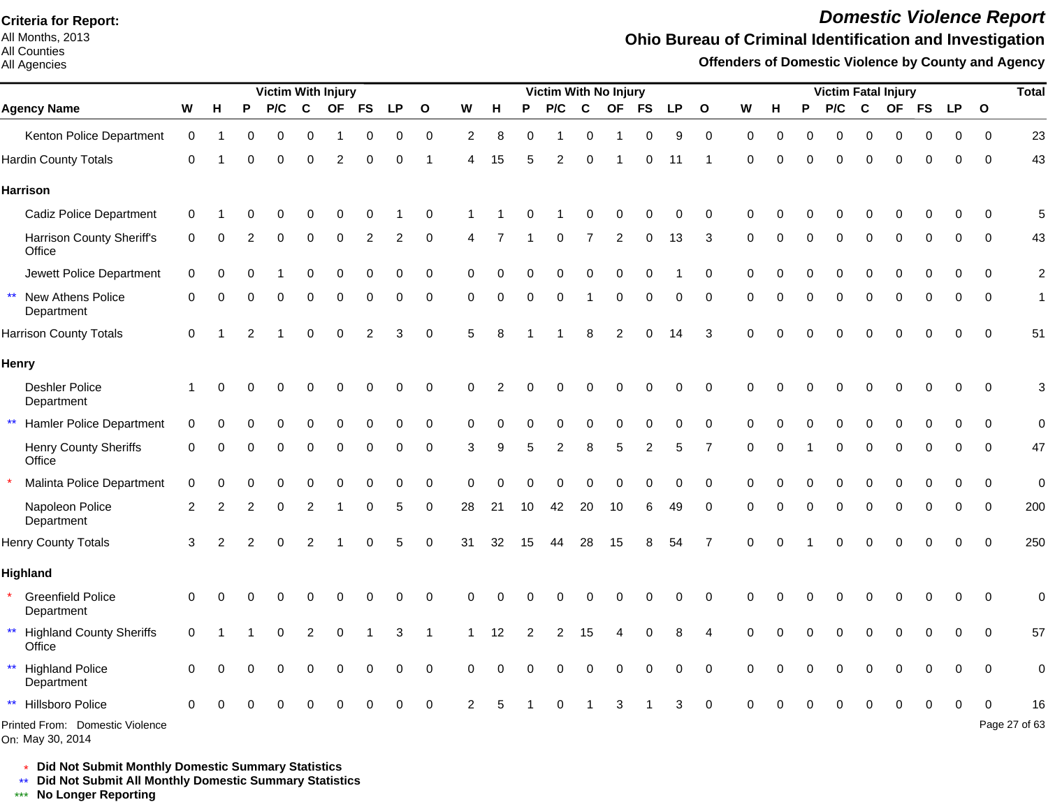All Months, 2013 All Counties

All Agencies

# *Domestic Violence Report*

## **Ohio Bureau of Criminal Identification and Investigation**

**Offenders of Domestic Violence by County and Agency**

| Victim With Injury                     |             |   |   |          |             |           |                |           |              |          |    | Victim With No Injury |          |             |             |           |           |                  |          |             |   |          | Victim Fatal Injury |           |           |           | <b>Total</b> |                |
|----------------------------------------|-------------|---|---|----------|-------------|-----------|----------------|-----------|--------------|----------|----|-----------------------|----------|-------------|-------------|-----------|-----------|------------------|----------|-------------|---|----------|---------------------|-----------|-----------|-----------|--------------|----------------|
| <b>Agency Name</b>                     | W           | н | P | P/C      | $\mathbf c$ | <b>OF</b> | <b>FS</b>      | <b>LP</b> | $\mathbf{o}$ | W        | н  | P                     | P/C      | $\mathbf c$ | <b>OF</b>   | <b>FS</b> | <b>LP</b> | $\mathbf{o}$     | W        | н           | P | P/C      | C                   | <b>OF</b> | <b>FS</b> | <b>LP</b> | $\mathbf{o}$ |                |
| Kenton Police Department               | 0           |   |   |          | 0           |           |                | 0         | 0            | 2        | 8  |                       |          | 0           |             | 0         | 9         | $\boldsymbol{0}$ | $\Omega$ | $\Omega$    |   | Ω        |                     |           |           | 0         | $\Omega$     | 23             |
| <b>Hardin County Totals</b>            | 0           |   |   |          |             |           | U              | O         | 1            | 4        | 15 |                       |          |             |             | O         | 11        |                  | $\Omega$ | ∩           |   | ∩        |                     |           |           | 0         | $\Omega$     | 43             |
| <b>Harrison</b>                        |             |   |   |          |             |           |                |           |              |          |    |                       |          |             |             |           |           |                  |          |             |   |          |                     |           |           |           |              |                |
| <b>Cadiz Police Department</b>         | 0           |   |   |          |             |           |                |           | $\Omega$     |          |    |                       |          |             |             |           |           | $\Omega$         | 0        |             |   |          |                     |           |           |           | ∩            | 5              |
| Harrison County Sheriff's<br>Office    | 0           |   |   |          | U           | ∩         | 2              | 2         | 0            |          |    |                       | 0        |             | 2           | 0         | 13        | 3                | 0        | $\Omega$    |   | U        |                     |           |           | 0         | 0            | 43             |
| Jewett Police Department               | $\mathbf 0$ |   |   |          | U           | O         | $\Omega$       | $\Omega$  | 0            | 0        |    |                       |          |             | O           | $\Omega$  |           | 0                | $\Omega$ | C           |   |          |                     |           |           | O         | $\Omega$     | $\overline{c}$ |
| ** New Athens Police<br>Department     | 0           | ∩ |   | ∩        | U           | $\Omega$  | $\Omega$       | $\Omega$  | 0            | $\Omega$ | O  | O                     | $\Omega$ | 1           | $\mathbf 0$ | 0         | $\Omega$  | 0                | $\Omega$ | n           |   | $\Omega$ | $\Omega$            | O         |           | 0         | $\mathbf 0$  | $\mathbf{1}$   |
| <b>Harrison County Totals</b>          | $\Omega$    |   |   |          | 0           | $\Omega$  | $\overline{2}$ | 3         | $\mathbf 0$  | 5        | 8  |                       |          |             |             | ∩         | 14        | 3                | $\Omega$ |             |   |          |                     |           |           | $\Omega$  | $\Omega$     | 51             |
| Henry                                  |             |   |   |          |             |           |                |           |              |          |    |                       |          |             |             |           |           |                  |          |             |   |          |                     |           |           |           |              |                |
| Deshler Police<br>Department           |             |   |   |          |             |           |                | ∩         | $\mathbf 0$  | 0        |    |                       |          |             |             | ∩         | 0         | $\mathbf 0$      | 0        | ∩           |   |          |                     |           |           | n         | 0            | 3              |
| ** Hamler Police Department            | 0           |   |   |          |             |           |                |           | 0            | $\Omega$ |    |                       |          |             |             |           |           | $\Omega$         | $\Omega$ |             |   |          |                     |           |           |           | ∩            | $\mathbf 0$    |
| <b>Henry County Sheriffs</b><br>Office | 0           | ∩ | O | $\Omega$ | 0           | $\Omega$  | 0              | $\Omega$  | 0            | 3        | 9  | 5                     | 2        | 8           | 5           | 2         | 5         | 7                | 0        | $\mathbf 0$ |   | 0        | $\Omega$            | 0         |           | 0         | 0            | 47             |
| Malinta Police Department              | $\mathbf 0$ |   |   |          |             |           | 0              | $\Omega$  | 0            | $\Omega$ |    |                       |          |             | $\Omega$    | $\Omega$  | $\Omega$  | 0                | $\Omega$ |             |   |          |                     |           |           | 0         | 0            | $\mathbf 0$    |
| Napoleon Police<br>Department          | 2           | 2 | 2 | $\Omega$ | 2           |           | U              | 5         | 0            | 28       | 21 | 10                    | 42       | 20          | 10          | 6         | 49        | $\Omega$         | $\Omega$ | n           |   | $\Omega$ | $\Omega$            | $\Omega$  |           | O         | $\Omega$     | 200            |
| <b>Henry County Totals</b>             | 3           | 2 |   |          |             |           |                | 5         | $\mathbf 0$  | 31       | 32 | 15                    | 44       | 28          | 15          | 8         | 54        | 7                | 0        | ∩           |   |          |                     |           |           | 0         | $\Omega$     | 250            |
| Highland                               |             |   |   |          |             |           |                |           |              |          |    |                       |          |             |             |           |           |                  |          |             |   |          |                     |           |           |           |              |                |
| <b>Greenfield Police</b><br>Department | 0           |   |   |          |             |           |                | ∩         | 0            | 0        |    |                       |          |             |             |           | U         | $\Omega$         | O        |             |   |          |                     |           |           |           | $\Omega$     | $\mathbf 0$    |
| ** Highland County Sheriffs<br>Office  | $\Omega$    |   |   |          | 2           |           |                |           |              |          | 12 |                       |          | 15          |             |           | 8         | Δ                | O        |             |   |          |                     |           |           |           | $\Omega$     | 57             |
| ** Highland Police<br>Department       | $\Omega$    |   |   |          |             |           |                | $\Omega$  | $\mathbf 0$  | 0        |    |                       |          |             | $\Omega$    | O         | $\Omega$  | 0                | $\Omega$ |             |   |          |                     |           |           | ი         | 0            | $\pmb{0}$      |
| Hillsboro Police<br>$***$              | $\Omega$    |   |   |          |             |           |                |           | 0            |          |    |                       |          |             |             |           |           | O                |          |             |   |          |                     |           |           |           |              | 16             |
| Printed From: Domestic Violence        |             |   |   |          |             |           |                |           |              |          |    |                       |          |             |             |           |           |                  |          |             |   |          |                     |           |           |           |              | Page 27 of 63  |

On: May 30, 2014

\* **Did Not Submit Monthly Domestic Summary Statistics**

**Did Not Submit All Monthly Domestic Summary Statistics**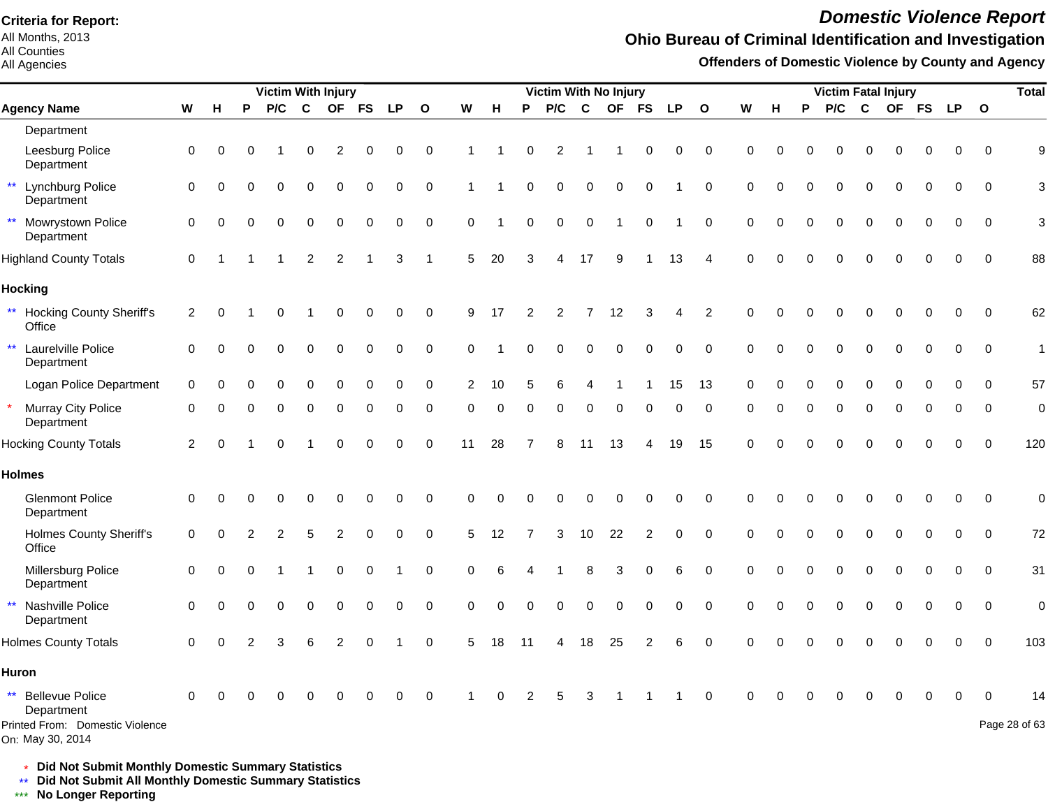All Months, 2013 All Counties

All Agencies

# *Domestic Violence Report*

## **Ohio Bureau of Criminal Identification and Investigation**

**Offenders of Domestic Violence by County and Agency**

|                                                     |                |          |          | <b>Victim With Injury</b> |                |                |           |             |              |                |          |          | <b>Victim With No Injury</b> |             |             |                |           |                        |             |          |          | <b>Victim Fatal Injury</b> |             |           |           |           |              | <b>Total</b>  |
|-----------------------------------------------------|----------------|----------|----------|---------------------------|----------------|----------------|-----------|-------------|--------------|----------------|----------|----------|------------------------------|-------------|-------------|----------------|-----------|------------------------|-------------|----------|----------|----------------------------|-------------|-----------|-----------|-----------|--------------|---------------|
| <b>Agency Name</b>                                  | W              | H        | P        | P/C                       | C              | <b>OF</b>      | <b>FS</b> | <b>LP</b>   | $\mathbf{o}$ | W              | н        | P        | P/C                          | C           | <b>OF</b>   | <b>FS</b>      | <b>LP</b> | $\mathbf{o}$           | W           | н        | P        | P/C                        | C           | <b>OF</b> | <b>FS</b> | <b>LP</b> | $\mathbf{o}$ |               |
| Department                                          |                |          |          |                           |                |                |           |             |              |                |          |          |                              |             |             |                |           |                        |             |          |          |                            |             |           |           |           |              |               |
| Leesburg Police<br>Department                       | $\mathbf 0$    | 0        | 0        |                           | 0              | $\overline{2}$ | 0         | $\pmb{0}$   | $\pmb{0}$    |                |          | 0        | $\overline{c}$               |             |             | 0              | 0         | $\mathbf 0$            | 0           | $\Omega$ |          | 0                          | $\Omega$    | 0         |           | 0         | $\mathbf 0$  | 9             |
| ** Lynchburg Police<br>Department                   | $\mathbf 0$    | $\Omega$ | $\Omega$ | $\Omega$                  | 0              | 0              | 0         | 0           | 0            |                |          | $\Omega$ | $\mathbf 0$                  | $\mathbf 0$ | $\mathbf 0$ | 0              |           | $\pmb{0}$              | $\mathbf 0$ | $\Omega$ |          | 0                          | $\Omega$    | 0         |           | 0         | $\mathbf 0$  | 3             |
| ** Mowrystown Police<br>Department                  | $\mathbf 0$    | 0        | O        | $\Omega$                  | 0              | 0              | 0         | $\Omega$    | 0            | $\Omega$       |          | $\Omega$ | $\Omega$                     | 0           |             | 0              |           | $\mathbf 0$            | 0           | $\Omega$ |          | 0                          | $\Omega$    | 0         |           | 0         | 0            | 3             |
| <b>Highland County Totals</b>                       | $\mathbf 0$    |          |          |                           | $\overline{c}$ | $\overline{2}$ |           | 3           | 1            | 5              | 20       |          | 4                            | 17          | 9           |                | 13        | $\boldsymbol{\Lambda}$ | $\Omega$    | $\Omega$ |          |                            |             |           |           |           | $\Omega$     | 88            |
| <b>Hocking</b>                                      |                |          |          |                           |                |                |           |             |              |                |          |          |                              |             |             |                |           |                        |             |          |          |                            |             |           |           |           |              |               |
| ** Hocking County Sheriff's<br>Office               | $\overline{2}$ | $\Omega$ |          | ∩                         |                | 0              | 0         | 0           | 0            | 9              | 17       | 2        | 2                            | 7           | 12          | 3              | 4         | $\overline{2}$         | 0           | $\Omega$ |          | U                          | ∩           | 0         | ∩         | 0         | $\mathbf 0$  | 62            |
| $\star\star$<br>Laurelville Police<br>Department    | $\Omega$       | $\Omega$ |          | $\Omega$                  | $\Omega$       | 0              | 0         | 0           | 0            | $\Omega$       |          |          | 0                            | $\Omega$    | $\mathbf 0$ | 0              | 0         | 0                      | $\Omega$    | $\Omega$ |          | 0                          | $\Omega$    | $\Omega$  | $\Omega$  | 0         | $\mathbf 0$  | $\mathbf{1}$  |
| Logan Police Department                             | $\mathbf 0$    |          |          |                           | $\Omega$       | 0              | $\Omega$  | $\Omega$    | 0            | $\overline{2}$ | 10       |          | 6                            |             |             |                | 15        | 13                     | $\mathbf 0$ | n        |          | ი                          |             | O         |           | O         | 0            | 57            |
| Murray City Police<br>$\star$<br>Department         | $\mathbf 0$    | $\Omega$ | U        | $\Omega$                  | 0              | 0              | 0         | $\Omega$    | 0            | 0              | 0        | $\Omega$ | 0                            | 0           | $\mathbf 0$ | 0              | 0         | $\mathbf 0$            | 0           | $\Omega$ | $\Omega$ | 0                          | $\mathbf 0$ | 0         | $\Omega$  | 0         | $\mathbf 0$  | $\mathbf 0$   |
| <b>Hocking County Totals</b>                        | $\overline{2}$ | $\Omega$ |          | $\Omega$                  |                | $\Omega$       | $\Omega$  | $\mathbf 0$ | $\pmb{0}$    | 11             | 28       |          | 8                            | 11          | 13          | 4              | 19        | 15                     | $\Omega$    | ∩        |          | 0                          | ∩           | 0         |           | 0         | $\mathbf 0$  | 120           |
| <b>Holmes</b>                                       |                |          |          |                           |                |                |           |             |              |                |          |          |                              |             |             |                |           |                        |             |          |          |                            |             |           |           |           |              |               |
| <b>Glenmont Police</b><br>Department                | $\mathbf 0$    | ∩        |          | ∩                         | $\Omega$       | $\Omega$       | 0         | $\Omega$    | $\mathbf 0$  | 0              | $\Omega$ |          | O                            | $\Omega$    | $\Omega$    | $\Omega$       | 0         | $\mathbf 0$            | $\Omega$    | C        |          | 0                          | ∩           | 0         |           | 0         | $\mathbf 0$  | $\mathbf 0$   |
| <b>Holmes County Sheriff's</b><br>Office            | $\mathbf 0$    | $\Omega$ |          | 2                         | 5              | $\overline{c}$ | 0         | 0           | 0            | 5              | 12       |          | 3                            | 10          | 22          | $\overline{c}$ | 0         | $\mathbf 0$            | 0           | $\Omega$ |          | O                          | $\Omega$    | $\Omega$  | $\Omega$  | 0         | $\mathbf 0$  | 72            |
| Millersburg Police<br>Department                    | $\mathbf 0$    | $\Omega$ |          |                           |                | 0              | 0         |             | 0            | 0              | 6        |          |                              | 8           | 3           | 0              | 6         | 0                      | 0           | $\Omega$ |          | U                          |             | 0         |           | 0         | $\mathbf 0$  | 31            |
| Nashville Police<br>$***$<br>Department             | $\mathbf 0$    | $\Omega$ | O        | $\Omega$                  | 0              | $\Omega$       | $\Omega$  | $\Omega$    | $\mathbf 0$  | 0              | $\Omega$ | $\Omega$ | $\Omega$                     | $\Omega$    | $\Omega$    | $\mathbf 0$    | 0         | $\mathbf 0$            | $\mathbf 0$ | $\Omega$ |          | 0                          | $\Omega$    | 0         |           | 0         | $\mathbf 0$  | $\mathbf 0$   |
| <b>Holmes County Totals</b>                         | $\Omega$       | $\Omega$ |          | З                         |                | 2              |           |             | $\Omega$     | 5              | 18       | 11       | 4                            | 18          | 25          | 2              | 6         | $\Omega$               | $\Omega$    | $\Omega$ |          |                            |             |           |           |           | $\Omega$     | 103           |
| <b>Huron</b>                                        |                |          |          |                           |                |                |           |             |              |                |          |          |                              |             |             |                |           |                        |             |          |          |                            |             |           |           |           |              |               |
| ** Bellevue Police<br>Department                    | 0              |          |          |                           |                |                |           |             | O            |                |          |          |                              | з           |             |                |           | $\Omega$               | ∩           |          |          |                            |             |           |           |           | ∩            | 14            |
| Printed From: Domestic Violence<br>On: May 30, 2014 |                |          |          |                           |                |                |           |             |              |                |          |          |                              |             |             |                |           |                        |             |          |          |                            |             |           |           |           |              | Page 28 of 63 |

\* **Did Not Submit Monthly Domestic Summary Statistics**

**Did Not Submit All Monthly Domestic Summary Statistics**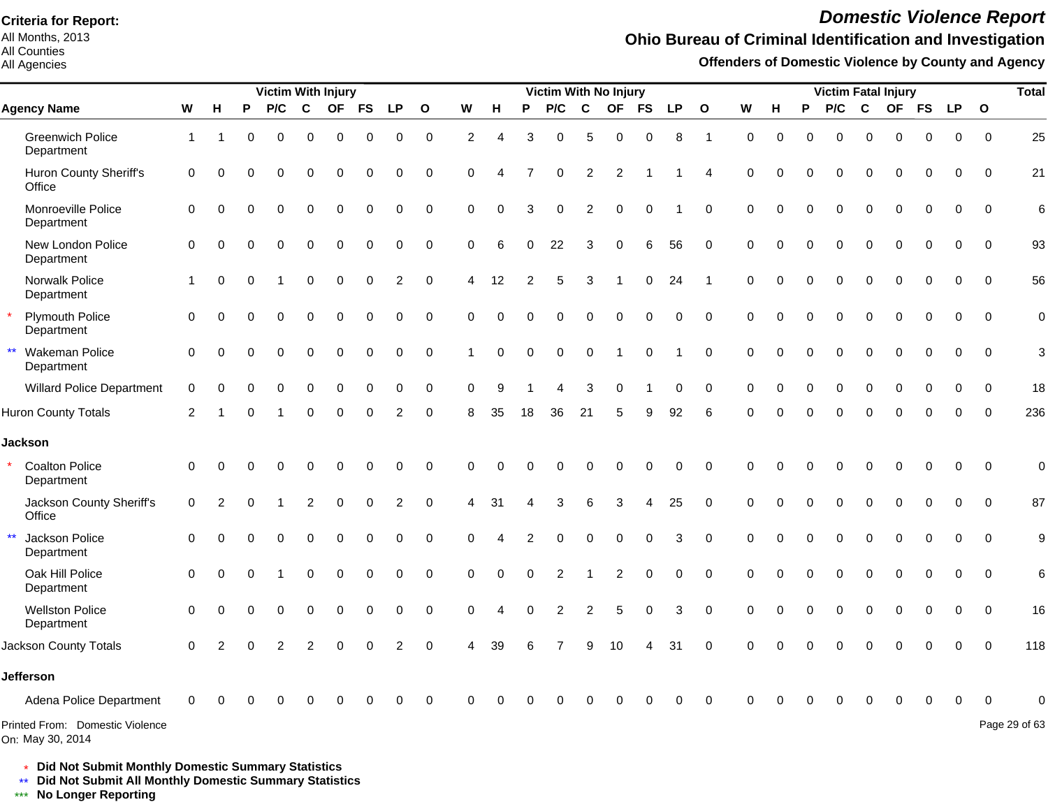All Months, 2013 All Counties

#### All Agencies

# *Domestic Violence Report*

## **Ohio Bureau of Criminal Identification and Investigation**

**Offenders of Domestic Violence by County and Agency**

|                                                     |                      |          |          | <b>Victim With Injury</b> |          |           |             |                |              |                |          |          |                |                | <b>Victim With No Injury</b> |                     |              |                         |             |          |             | <b>Victim Fatal Injury</b> |              |             |              |             |              | <b>Total</b>  |
|-----------------------------------------------------|----------------------|----------|----------|---------------------------|----------|-----------|-------------|----------------|--------------|----------------|----------|----------|----------------|----------------|------------------------------|---------------------|--------------|-------------------------|-------------|----------|-------------|----------------------------|--------------|-------------|--------------|-------------|--------------|---------------|
| <b>Agency Name</b>                                  | W                    | н        | P        | P/C                       | C        | <b>OF</b> | <b>FS</b>   | <b>LP</b>      | $\mathbf{o}$ | W              | н        | P        | P/C            | $\mathbf{C}$   | <b>OF</b>                    | <b>FS</b>           | <b>LP</b>    | $\mathbf{o}$            | W           | н        | P           | P/C                        | $\mathbf{C}$ | <b>OF</b>   | <b>FS</b>    | <b>LP</b>   | $\mathbf{o}$ |               |
| <b>Greenwich Police</b><br>Department               | $\mathbf{1}$         |          | $\Omega$ | $\Omega$                  | $\Omega$ | $\Omega$  | $\Omega$    | 0              | $\Omega$     | 2              | 4        | 3        | $\Omega$       | 5              | 0                            | $\Omega$            | 8            | $\overline{1}$          | $\Omega$    | $\Omega$ | $\Omega$    | $\Omega$                   | $\Omega$     | $\Omega$    | $\Omega$     | $\Omega$    | $\Omega$     | 25            |
| Huron County Sheriff's<br>Office                    | 0                    | $\Omega$ |          | 0                         | $\Omega$ | O         |             | 0              | 0            | 0              |          |          | 0              | $\overline{2}$ | $\overline{2}$               |                     |              |                         | $\mathbf 0$ | $\Omega$ | $\Omega$    | $\Omega$                   | $\mathbf 0$  | 0           | 0            | 0           | $\mathbf 0$  | 21            |
| Monroeville Police<br>Department                    | $\mathbf 0$          | $\Omega$ | $\Omega$ | 0                         | $\Omega$ | $\Omega$  | $\Omega$    | 0              | $\mathbf 0$  | $\mathbf 0$    | 0        | 3        | $\mathbf 0$    | $\overline{c}$ | 0                            | $\mathbf 0$         |              | 0                       | $\mathbf 0$ | $\Omega$ | $\Omega$    | $\Omega$                   | $\mathbf 0$  | $\mathbf 0$ | $\mathbf 0$  | 0           | $\mathbf 0$  | 6             |
| New London Police<br>Department                     | $\Omega$             | $\Omega$ |          | $\Omega$                  | $\Omega$ | $\Omega$  | $\Omega$    | 0              | $\Omega$     | $\Omega$       | 6        | $\Omega$ | 22             | 3              | $\Omega$                     | $\,6$               | 56           | $\mathbf 0$             | $\Omega$    | $\Omega$ | $\Omega$    | $\Omega$                   | $\Omega$     | $\Omega$    | $\mathbf{0}$ | $\Omega$    | $\mathbf 0$  | 93            |
| Norwalk Police<br>Department                        | $\blacktriangleleft$ | O        |          |                           | $\Omega$ | $\Omega$  | $\Omega$    | 2              | $\Omega$     | 4              | 12       | 2        | 5              | $\mathsf 3$    | $\overline{\mathbf{1}}$      | $\mathsf{O}\xspace$ | 24           | $\overline{\mathbf{1}}$ | $\Omega$    | $\Omega$ | $\Omega$    | $\Omega$                   | $\Omega$     | $\Omega$    | $\mathbf{0}$ | $\Omega$    | 0            | 56            |
| <b>Plymouth Police</b><br>Department                | $\Omega$             |          |          | 0                         | $\Omega$ | $\Omega$  | $\Omega$    | 0              | $\mathbf 0$  | $\mathbf 0$    | $\Omega$ | $\Omega$ | $\Omega$       | $\mathbf 0$    | $\mathbf 0$                  | $\pmb{0}$           | 0            | $\mathbf 0$             | $\mathbf 0$ | $\Omega$ | $\mathbf 0$ | 0                          | $\mathbf 0$  | $\Omega$    | $\mathbf 0$  | $\mathbf 0$ | $\mathbf 0$  | $\mathbf 0$   |
| Wakeman Police<br>Department                        | $\Omega$             | $\Omega$ |          | 0                         | $\Omega$ | $\Omega$  | $\mathbf 0$ | 0              | $\mathbf 0$  | $\overline{1}$ | 0        | $\Omega$ | 0              | $\mathbf 0$    | 1                            | $\pmb{0}$           | $\mathbf{1}$ | $\mathbf 0$             | $\mathbf 0$ | $\Omega$ | $\Omega$    | $\Omega$                   | $\mathbf 0$  | $\Omega$    | $\mathbf 0$  | $\mathbf 0$ | $\mathbf 0$  | 3             |
| <b>Willard Police Department</b>                    | $\Omega$             |          |          |                           |          |           | $\Omega$    | 0              | 0            | $\Omega$       | я        |          | 4              | 3              | 0                            |                     | 0            | $\Omega$                | $\Omega$    | O        | $\Omega$    | $\Omega$                   | $\Omega$     | O           | $\Omega$     | 0           | $\Omega$     | 18            |
| Huron County Totals                                 | 2                    |          |          |                           | $\Omega$ | $\Omega$  | $\Omega$    | $\overline{c}$ | $\Omega$     | 8              | 35       | 18       | 36             | 21             | 5                            | 9                   | 92           | 6                       | $\Omega$    | $\Omega$ | $\Omega$    | $\Omega$                   | $\Omega$     | $\Omega$    | $\Omega$     | $\Omega$    | $\Omega$     | 236           |
| <b>Jackson</b>                                      |                      |          |          |                           |          |           |             |                |              |                |          |          |                |                |                              |                     |              |                         |             |          |             |                            |              |             |              |             |              |               |
| <b>Coalton Police</b><br>Department                 | $\Omega$             |          |          |                           |          |           |             | 0              | $\Omega$     | $\Omega$       |          |          | O              | $\Omega$       | 0                            | 0                   | 0            | $\Omega$                | $\Omega$    |          |             | O                          | $\Omega$     | O           | $\Omega$     | $\Omega$    | $\Omega$     | $\mathbf 0$   |
| Jackson County Sheriff's<br>Office                  | $\mathbf 0$          | 2        |          |                           | 2        | O         | $\Omega$    | 2              | $\Omega$     | $\overline{4}$ | 31       |          | 3              | 6              | 3                            | 4                   | 25           | 0                       | $\Omega$    |          | O           | $\Omega$                   | $\Omega$     | $\Omega$    | $\Omega$     | 0           | $\Omega$     | 87            |
| $\star\star$<br>Jackson Police<br>Department        | $\mathbf 0$          |          |          |                           | $\Omega$ |           | $\Omega$    | 0              | $\Omega$     | $\Omega$       |          | 2        | $\Omega$       | $\mathbf 0$    | $\mathbf 0$                  | $\Omega$            | 3            | $\Omega$                | $\Omega$    | $\Omega$ | $\Omega$    | $\Omega$                   | $\mathbf{0}$ | $\Omega$    | $\Omega$     | $\Omega$    | $\Omega$     | 9             |
| Oak Hill Police<br>Department                       | $\Omega$             | $\Omega$ |          |                           | $\Omega$ | $\Omega$  | $\Omega$    | 0              | $\Omega$     | $\Omega$       | $\Omega$ | $\Omega$ | $\overline{2}$ |                | $\overline{2}$               | $\mathbf 0$         | 0            | $\Omega$                | $\Omega$    |          |             | $\Omega$                   | $\mathbf{0}$ | $\Omega$    | $\Omega$     | $\Omega$    | $\Omega$     | 6             |
| <b>Wellston Police</b><br>Department                | $\mathbf 0$          | U        |          | $\Omega$                  | $\Omega$ | $\Omega$  |             | 0              | $\Omega$     | $\Omega$       |          |          | 2              | $\overline{c}$ | 5                            | 0                   | 3            | $\mathbf 0$             | $\Omega$    |          |             | $\Omega$                   | $\Omega$     | 0           | $\Omega$     | 0           | $\mathbf 0$  | 16            |
| Jackson County Totals                               | $\Omega$             |          |          | 2                         | 2        |           |             | 2              | $\Omega$     |                | 39       |          |                | $\mathbf{Q}$   | 10                           |                     | 31           | $\Omega$                | $\Omega$    |          |             |                            |              |             |              |             | $\Omega$     | 118           |
| <b>Jefferson</b>                                    |                      |          |          |                           |          |           |             |                |              |                |          |          |                |                |                              |                     |              |                         |             |          |             |                            |              |             |              |             |              |               |
| Adena Police Department                             | $\Omega$             |          |          |                           |          |           |             |                | $\Omega$     |                |          |          |                |                |                              |                     | 0            | $\Omega$                |             |          |             |                            | $\Omega$     | 0           | 0            | $\mathbf 0$ | $\Omega$     | $\Omega$      |
| Printed From: Domestic Violence<br>On: May 30, 2014 |                      |          |          |                           |          |           |             |                |              |                |          |          |                |                |                              |                     |              |                         |             |          |             |                            |              |             |              |             |              | Page 29 of 63 |

\* **Did Not Submit Monthly Domestic Summary Statistics**

**Did Not Submit All Monthly Domestic Summary Statistics**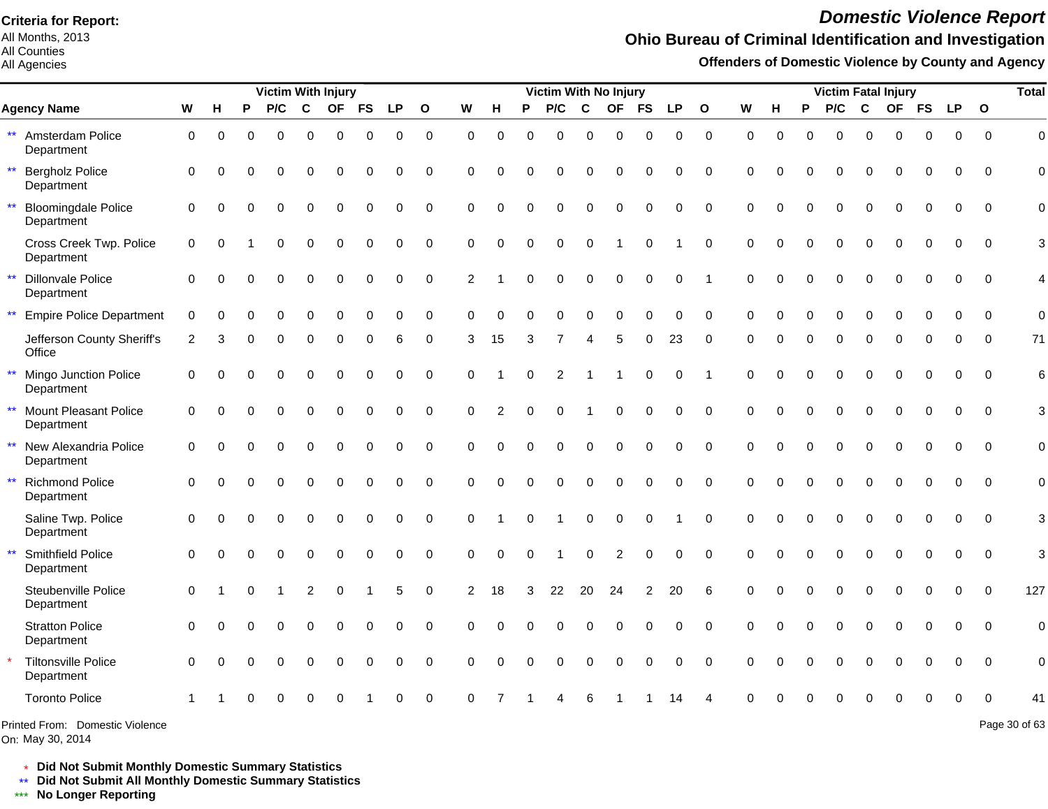All Months, 2013 All Counties

All Agencies

# *Domestic Violence Report*

## **Ohio Bureau of Criminal Identification and Investigation**

**Offenders of Domestic Violence by County and Agency**

|                                                            |             |             |          | <b>Victim With Injury</b> |                |             |             |             |              |                |          |          | Victim With No Injury |                        |                |                  |           |                 |             |             |              | <b>Victim Fatal Injury</b> |                  |             |              |                  |                | <b>Total</b>   |
|------------------------------------------------------------|-------------|-------------|----------|---------------------------|----------------|-------------|-------------|-------------|--------------|----------------|----------|----------|-----------------------|------------------------|----------------|------------------|-----------|-----------------|-------------|-------------|--------------|----------------------------|------------------|-------------|--------------|------------------|----------------|----------------|
| <b>Agency Name</b>                                         | W           | н           | P        | P/C                       | $\mathbf c$    | <b>OF</b>   | <b>FS</b>   | <b>LP</b>   | $\mathbf{o}$ | W              | н        | P        | P/C                   | C                      | <b>OF</b>      | <b>FS</b>        | <b>LP</b> | $\mathbf{o}$    | W           | н           | P            | P/C                        | C                | <b>OF</b>   | <b>FS</b>    | <b>LP</b>        | $\mathbf{o}$   |                |
| ** Amsterdam Police<br>Department                          | $\mathbf 0$ | $\mathbf 0$ | $\Omega$ | $\mathbf 0$               | $\mathbf 0$    | $\mathbf 0$ | 0           | 0           | $\mathbf 0$  | $\Omega$       | $\Omega$ | $\Omega$ | $\mathbf 0$           | $\mathbf 0$            | 0              | $\mathbf 0$      | 0         | $\pmb{0}$       | $\mathbf 0$ | $\mathbf 0$ | $\Omega$     | 0                          | $\mathbf 0$      | $\mathbf 0$ | $\mathbf 0$  | $\mathbf 0$      | $\overline{0}$ | $\mathbf 0$    |
| $\star\star$<br><b>Bergholz Police</b><br>Department       | $\Omega$    | $\Omega$    | $\Omega$ | $\Omega$                  | $\Omega$       | 0           | 0           | 0           | $\Omega$     | $\Omega$       | $\Omega$ |          | 0                     | $\Omega$               | $\Omega$       | $\Omega$         | $\Omega$  | $\Omega$        | $\Omega$    | $\Omega$    | $\Omega$     | $\Omega$                   | $\Omega$         | 0           | $\Omega$     | $\Omega$         | $\Omega$       | $\overline{0}$ |
| $\star\star$<br><b>Bloomingdale Police</b><br>Department   | $\Omega$    | $\Omega$    | $\Omega$ | $\Omega$                  | $\Omega$       | $\Omega$    | 0           | 0           | $\Omega$     | $\Omega$       | $\Omega$ | $\Omega$ | $\Omega$              | $\Omega$               | $\Omega$       | $\mathbf 0$      | 0         | $\mathbf 0$     | $\Omega$    | $\Omega$    | $\Omega$     | $\overline{0}$             | $\mathbf 0$      | $\Omega$    | $\mathbf 0$  | 0                | $\mathbf 0$    | $\overline{0}$ |
| Cross Creek Twp. Police<br>Department                      | $\mathbf 0$ | $\Omega$    |          | 0                         | $\Omega$       | $\Omega$    | $\mathbf 0$ | $\mathbf 0$ | $\mathbf 0$  | $\Omega$       | $\Omega$ | $\Omega$ | $\mathbf 0$           | $\mathbf 0$            | $\overline{ }$ | $\mathbf 0$      | 1         | $\mathbf 0$     | 0           | $\Omega$    | $\mathbf{0}$ | 0                          | $\mathbf 0$      | $\mathbf 0$ | $\mathbf 0$  | $\mathbf 0$      | $\overline{0}$ | 3              |
| $\star\star$<br><b>Dillonvale Police</b><br>Department     | $\Omega$    | 0           | $\Omega$ | 0                         | $\mathbf 0$    | 0           | 0           | 0           | $\mathbf 0$  | $\overline{2}$ |          |          | 0                     | $\mathbf 0$            | 0              | $\boldsymbol{0}$ | 0         | $\overline{1}$  | $\Omega$    | $\Omega$    | $\Omega$     | 0                          | $\mathbf 0$      | $\mathbf 0$ | $\mathbf 0$  | 0                | $\overline{0}$ | 4              |
| $\star\star$<br><b>Empire Police Department</b>            | $\Omega$    | $\Omega$    | $\Omega$ | $\Omega$                  | 0              | $\Omega$    | $\Omega$    | $\Omega$    | $\Omega$     | $\Omega$       | O        |          | 0                     | $\Omega$               | $\Omega$       | $\Omega$         | $\Omega$  | $\Omega$        | $\Omega$    | $\Omega$    | $\Omega$     | 0                          | $\mathbf 0$      | $\Omega$    | $\Omega$     | $\Omega$         | $\Omega$       | $\mathbf 0$    |
| Jefferson County Sheriff's<br>Office                       | 2           |             |          | 0                         | $\Omega$       | O           | $\Omega$    | 6           | $\Omega$     | 3              | 15       | 3        |                       | $\boldsymbol{\Lambda}$ | 5              | $\Omega$         | 23        | $\Omega$        |             | O           | $\Omega$     | 0                          | $\Omega$         | 0           | $\Omega$     | O                | $\Omega$       | 71             |
| $\star\star$<br>Mingo Junction Police<br>Department        | $\Omega$    | $\Omega$    | $\Omega$ | 0                         | 0              | 0           | 0           | 0           | 0            | $\Omega$       |          | $\Omega$ | $\overline{2}$        |                        | -1             | $\mathbf 0$      | 0         | -1              | $\Omega$    | $\Omega$    | $\Omega$     | 0                          | $\mathbf 0$      | 0           | 0            | 0                | $\Omega$       | 6              |
| $\star\star$<br><b>Mount Pleasant Police</b><br>Department | $\Omega$    | $\Omega$    | ∩        | $\Omega$                  | $\Omega$       | 0           | 0           | $\Omega$    | $\Omega$     | $\Omega$       | 2        | $\Omega$ | $\Omega$              |                        | $\mathbf 0$    | $\mathbf 0$      | 0         | $\Omega$        | $\Omega$    | $\Omega$    | $\Omega$     | $\Omega$                   | $\mathbf 0$      | $\mathbf 0$ | $\Omega$     | $\mathbf 0$      | $\Omega$       | 3              |
| $\star\star$<br>New Alexandria Police<br>Department        | $\mathbf 0$ | $\Omega$    | $\Omega$ | $\Omega$                  | $\Omega$       | $\Omega$    | 0           | 0           | $\Omega$     | $\Omega$       | $\Omega$ | $\Omega$ | $\Omega$              | $\Omega$               | $\mathbf 0$    | $\mathbf 0$      | 0         | $\mathbf 0$     | $\mathbf 0$ | $\Omega$    | $\Omega$     | 0                          | $\mathbf 0$      | $\mathbf 0$ | $\mathbf 0$  | $\mathbf 0$      | $\mathbf 0$    | $\mathbf 0$    |
| $\star\star$<br><b>Richmond Police</b><br>Department       | $\Omega$    | $\Omega$    | $\Omega$ | $\Omega$                  | $\Omega$       | $\Omega$    | $\mathbf 0$ | $\Omega$    | $\Omega$     | $\Omega$       | $\Omega$ | $\Omega$ | $\Omega$              | $\Omega$               | $\Omega$       | $\mathbf 0$      | 0         | $\mathbf 0$     | $\Omega$    | $\Omega$    | $\Omega$     | $\Omega$                   | $\Omega$         | $\Omega$    | $\mathbf{0}$ | $\Omega$         | $\Omega$       | $\mathbf 0$    |
| Saline Twp. Police<br>Department                           | $\Omega$    | $\Omega$    | $\Omega$ | $\Omega$                  | $\Omega$       | $\Omega$    | $\mathbf 0$ | 0           | $\Omega$     | $\Omega$       |          | $\Omega$ |                       | $\mathbf 0$            | $\mathbf 0$    | $\mathbf 0$      |           | $\Omega$        | $\Omega$    | $\Omega$    | $\Omega$     | $\Omega$                   | $\Omega$         | $\Omega$    | $\Omega$     | $\mathbf 0$      | $\Omega$       | 3              |
| $\star\star$<br>Smithfield Police<br>Department            | $\Omega$    | $\Omega$    | $\Omega$ | 0                         | 0              | 0           | 0           | 0           | $\mathbf 0$  | $\Omega$       | $\Omega$ | $\Omega$ |                       | $\mathbf 0$            | $\overline{c}$ | 0                | 0         | $\mathbf 0$     | $\mathbf 0$ | $\Omega$    | $\mathbf 0$  | 0                          | $\boldsymbol{0}$ | 0           | $\mathbf 0$  | $\boldsymbol{0}$ | $\mathbf 0$    | 3              |
| Steubenville Police<br>Department                          | $\mathbf 0$ |             | $\Omega$ |                           | $\overline{c}$ | $\mathbf 0$ |             | 5           | $\mathbf 0$  | 2              | 18       | 3        | 22                    | 20                     | 24             | $\overline{2}$   | 20        | $6\phantom{1}6$ | $\Omega$    | $\Omega$    | 0            | 0                          | $\mathbf 0$      | $\mathbf 0$ | $\mathbf 0$  | $\mathbf 0$      | $\mathbf 0$    | 127            |
| <b>Stratton Police</b><br>Department                       | $\Omega$    | $\Omega$    | $\Omega$ | $\Omega$                  | $\Omega$       | $\Omega$    | $\Omega$    | $\Omega$    | $\Omega$     | $\Omega$       |          |          | 0                     | $\Omega$               | $\Omega$       | $\Omega$         | $\Omega$  | $\Omega$        | $\Omega$    | 0           | $\Omega$     | $\Omega$                   | $\Omega$         | $\Omega$    | $\Omega$     | $\Omega$         | $\Omega$       | $\mathbf 0$    |
| <b>Tiltonsville Police</b><br>Department                   | $\Omega$    | $\Omega$    | $\Omega$ | $\Omega$                  | $\Omega$       | $\Omega$    | $\Omega$    | 0           | $\Omega$     | $\Omega$       | O        |          | 0                     | $\Omega$               | $\Omega$       | $\Omega$         | $\Omega$  | $\Omega$        | $\Omega$    | $\Omega$    | $\Omega$     | $\Omega$                   | $\Omega$         | $\Omega$    | $\Omega$     | $\Omega$         | $\Omega$       | $\mathbf 0$    |
| <b>Toronto Police</b>                                      |             |             |          |                           |                |             |             |             | $\Omega$     | ∩              |          |          |                       |                        |                |                  | 14        |                 |             |             |              |                            |                  |             | $\Omega$     | $\Omega$         | $\Omega$       | 41             |
| Printed From: Domestic Violence                            |             |             |          |                           |                |             |             |             |              |                |          |          |                       |                        |                |                  |           |                 |             |             |              |                            |                  |             |              |                  |                | Page 30 of 63  |

On: May 30, 2014

\* **Did Not Submit Monthly Domestic Summary Statistics**

**Did Not Submit All Monthly Domestic Summary Statistics**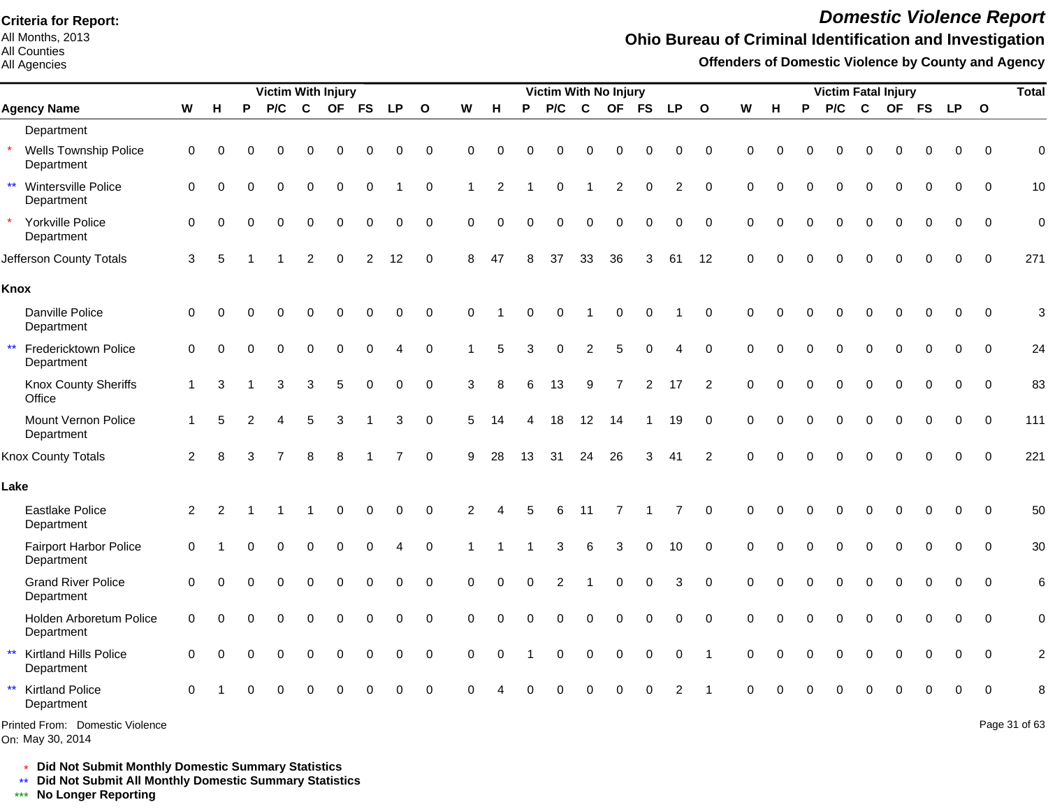All Months, 2013 All Counties

#### All Agencies

# *Domestic Violence Report*

## **Ohio Bureau of Criminal Identification and Investigation**

**Offenders of Domestic Violence by County and Agency**

|                                                      |                |                | <b>Victim With Injury</b> |          |                |             |             |                |                |                |             |          |             | Victim With No Injury |                |                |                |                |             |             | <b>Victim Fatal Injury</b> |          |             |             |          |             | <b>Total</b> |                 |
|------------------------------------------------------|----------------|----------------|---------------------------|----------|----------------|-------------|-------------|----------------|----------------|----------------|-------------|----------|-------------|-----------------------|----------------|----------------|----------------|----------------|-------------|-------------|----------------------------|----------|-------------|-------------|----------|-------------|--------------|-----------------|
| <b>Agency Name</b>                                   | W              | н              | P                         | P/C      | $\mathbf c$    | <b>OF</b>   | <b>FS</b>   | <b>LP</b>      | $\overline{O}$ | W              | H           | P        | P/C         | $\mathbf c$           | <b>OF</b>      | <b>FS</b>      | <b>LP</b>      | $\mathbf{o}$   | W           | H           | P                          | P/C      | $\mathbf c$ |             | OF FS LP |             | $\mathbf{o}$ |                 |
| Department                                           |                |                |                           |          |                |             |             |                |                |                |             |          |             |                       |                |                |                |                |             |             |                            |          |             |             |          |             |              |                 |
| <b>Wells Township Police</b><br>Department           | $\mathbf 0$    | $\Omega$       | O                         |          | O              | ∩           | ∩           | ∩              | 0              | 0              | $\Omega$    | $\Omega$ | $\Omega$    | 0                     | $\Omega$       | 0              | $\Omega$       | $\mathbf 0$    | $\Omega$    | $\Omega$    |                            | 0        | $\Omega$    | $\Omega$    |          | 0           | $\Omega$     | $\mathbf 0$     |
| $\star\star$<br>Wintersville Police<br>Department    | $\mathbf 0$    | $\Omega$       | $\Omega$                  | $\Omega$ | $\Omega$       | $\Omega$    | 0           |                | 0              | -1             | 2           |          | $\mathbf 0$ | 1                     | $\overline{2}$ | $\mathbf 0$    | 2              | $\mathbf 0$    | $\Omega$    | $\Omega$    | $\Omega$                   | $\Omega$ | $\Omega$    | $\Omega$    | $\Omega$ | $\Omega$    | $\Omega$     | 10              |
| Yorkville Police<br>Department                       | $\Omega$       | ∩              |                           |          | 0              | $\Omega$    | $\Omega$    | $\mathbf 0$    | $\mathbf 0$    | $\Omega$       | $\Omega$    | $\Omega$ | $\Omega$    | $\Omega$              | $\Omega$       | $\Omega$       | $\mathbf 0$    | $\mathbf 0$    | $\Omega$    | $\Omega$    | $\Omega$                   | $\Omega$ | $\Omega$    | $\Omega$    |          | 0           | $\Omega$     | $\pmb{0}$       |
| Jefferson County Totals                              | 3              | 5              |                           |          | $\overline{2}$ | $\Omega$    | 2           | 12             | $\pmb{0}$      | 8              | 47          |          | 37          | 33                    | 36             | 3              | 61             | 12             | $\Omega$    | $\Omega$    |                            |          |             |             |          | 0           | $\Omega$     | 271             |
| Knox                                                 |                |                |                           |          |                |             |             |                |                |                |             |          |             |                       |                |                |                |                |             |             |                            |          |             |             |          |             |              |                 |
| Danville Police<br>Department                        | $\mathbf 0$    | 0              | 0                         |          | 0              | $\mathbf 0$ | $\mathbf 0$ | $\mathbf 0$    | $\mathsf 0$    | 0              |             | $\Omega$ | $\Omega$    |                       | $\mathbf 0$    | $\mathbf 0$    |                | $\pmb{0}$      | $\mathbf 0$ | $\Omega$    | $\Omega$                   | 0        | $\Omega$    | $\Omega$    | $\Omega$ | $\mathbf 0$ | $\mathbf 0$  | 3               |
| $\star\star$<br>Fredericktown Police<br>Department   | $\mathbf 0$    | $\Omega$       |                           |          | 0              | $\Omega$    | 0           | $\overline{4}$ | $\mathbf 0$    |                | 5           | 3        | $\Omega$    | $\overline{2}$        | 5              | $\Omega$       | $\overline{4}$ | $\mathbf 0$    | $\Omega$    | $\Omega$    | $\Omega$                   | $\Omega$ | $\Omega$    | $\Omega$    | $\Omega$ | $\mathbf 0$ | $\mathbf 0$  | 24              |
| Knox County Sheriffs<br>Office                       | $\mathbf 1$    | 3              |                           | 3        | 3              | 5           | $\Omega$    | $\Omega$       | $\mathbf 0$    | 3              | 8           | 6        | 13          | 9                     | $\overline{7}$ | $\overline{2}$ | 17             | $\overline{2}$ | $\Omega$    | $\Omega$    | $\Omega$                   | $\Omega$ | $\Omega$    | $\Omega$    | $\Omega$ | $\Omega$    | $\Omega$     | 83              |
| Mount Vernon Police<br>Department                    | $\mathbf{1}$   | 5              | 2                         | Δ        | 5              | 3           | -1          | 3              | $\mathbf 0$    | 5              | 14          | 4        | 18          | 12                    | 14             |                | 19             | $\mathbf 0$    | $\mathbf 0$ | $\Omega$    | $\Omega$                   | $\Omega$ | $\Omega$    | $\Omega$    | $\Omega$ | $\Omega$    | $\Omega$     | 111             |
| Knox County Totals                                   | 2              | 8              | 3                         |          | 8              | 8           |             | $\overline{7}$ | $\Omega$       | 9              | 28          | 13       | 31          | 24                    | 26             | 3              | 41             | 2              | $\Omega$    | $\Omega$    | $\Omega$                   | $\Omega$ | $\Omega$    | $\Omega$    |          | $\Omega$    | $\Omega$     | 221             |
| Lake                                                 |                |                |                           |          |                |             |             |                |                |                |             |          |             |                       |                |                |                |                |             |             |                            |          |             |             |          |             |              |                 |
| <b>Eastlake Police</b><br>Department                 | $\overline{2}$ | $\overline{2}$ |                           |          |                | $\Omega$    | 0           | $\mathbf 0$    | $\pmb{0}$      | $\overline{2}$ |             | 5        | 6           | 11                    | 7              |                |                | $\mathbf 0$    | $\Omega$    | $\Omega$    |                            |          |             | O           |          | 0           | $\Omega$     | 50              |
| Fairport Harbor Police<br>Department                 | $\mathbf 0$    |                |                           |          | 0              | $\Omega$    | 0           |                | $\mathbf 0$    |                |             |          | 3           | 6                     | $\mathbf{3}$   | $\mathbf 0$    | 10             | $\mathbf 0$    | $\mathbf 0$ | $\Omega$    |                            | $\Omega$ | $\Omega$    | 0           |          | $\Omega$    | $\Omega$     | 30              |
| <b>Grand River Police</b><br>Department              | $\mathbf 0$    | $\Omega$       |                           |          | $\Omega$       | $\Omega$    | $\mathbf 0$ | $\Omega$       | $\mathbf 0$    | $\mathbf 0$    | $\Omega$    | $\Omega$ | 2           | 1                     | $\mathbf 0$    | $\mathbf 0$    | 3              | $\mathbf 0$    | $\mathbf 0$ | $\Omega$    | $\Omega$                   | $\Omega$ | 0           | $\mathbf 0$ | $\Omega$ | 0           | $\Omega$     | $6\phantom{1}6$ |
| Holden Arboretum Police<br>Department                | $\mathbf 0$    | $\Omega$       | $\Omega$                  | $\Omega$ | $\Omega$       | $\Omega$    | $\mathbf 0$ | $\Omega$       | $\mathbf 0$    | $\mathbf 0$    | $\Omega$    | $\Omega$ | $\Omega$    | 0                     | $\mathbf 0$    | $\mathbf 0$    | $\mathbf 0$    | $\mathbf 0$    | $\Omega$    | $\Omega$    | $\Omega$                   | $\Omega$ | $\Omega$    | $\Omega$    | $\Omega$ | $\Omega$    | $\Omega$     | $\mathbf 0$     |
| $\star\star$<br>Kirtland Hills Police<br>Department  | 0              | $\Omega$       | $\Omega$                  | $\Omega$ | $\Omega$       | $\Omega$    | 0           | $\mathbf 0$    | 0              | 0              | $\mathbf 0$ |          | $\mathbf 0$ | 0                     | 0              | $\mathbf 0$    | 0              | $\overline{1}$ | $\mathbf 0$ | $\mathbf 0$ | $\Omega$                   | $\Omega$ | $\Omega$    | $\Omega$    | $\Omega$ | 0           | $\mathbf 0$  | $\overline{c}$  |
| $\star\star$<br><b>Kirtland Police</b><br>Department | $\Omega$       |                |                           |          | 0              | $\Omega$    | $\Omega$    | $\Omega$       | $\mathbf 0$    | $\Omega$       |             |          |             |                       | $\Omega$       | $\Omega$       | 2              |                | $\Omega$    | $\Omega$    |                            |          |             |             |          | $\mathbf 0$ | $\mathbf 0$  | 8               |
| Printed From: Domestic Violence                      |                |                |                           |          |                |             |             |                |                |                |             |          |             |                       |                |                |                |                |             |             |                            |          |             |             |          |             |              | Page 31 of 63   |

On: May 30, 2014

\* **Did Not Submit Monthly Domestic Summary Statistics**

**Did Not Submit All Monthly Domestic Summary Statistics**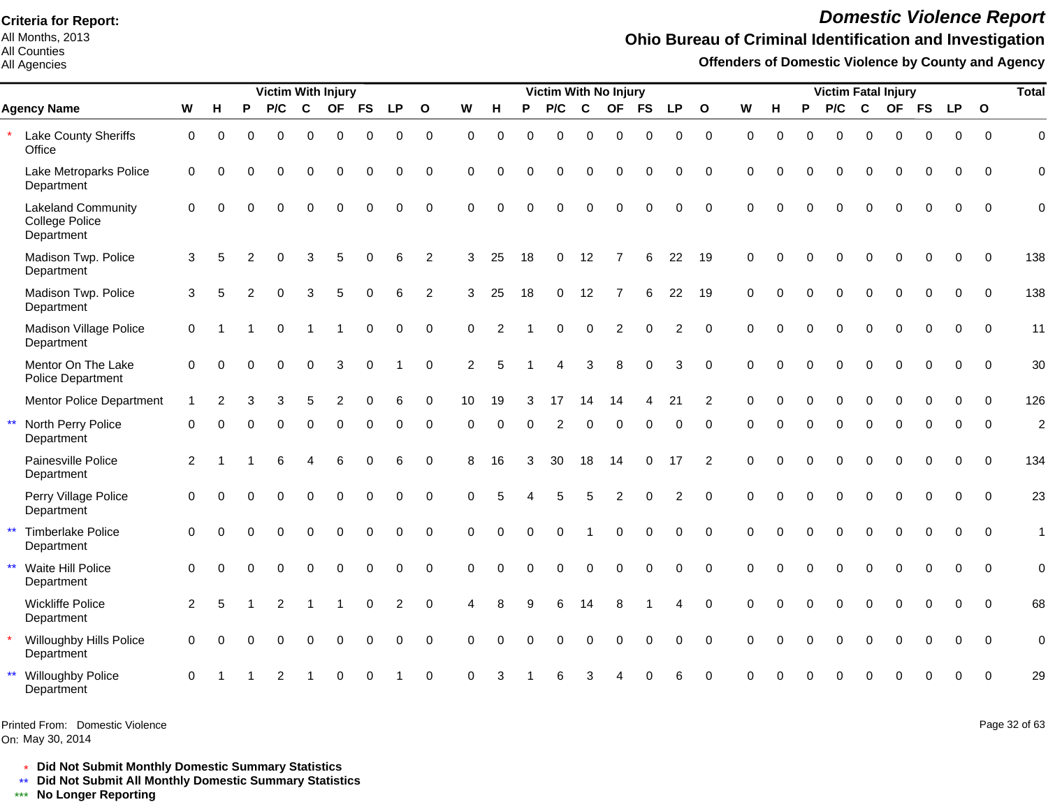All Months, 2013 All Counties

All Agencies

# *Domestic Violence Report*

### **Ohio Bureau of Criminal Identification and Investigation**

**Offenders of Domestic Violence by County and Agency**

|              |                                                           |                |          |              | Victim With Injury |             |             |             |             |                |          |          |          | Victim With No Injury |             |           |           |                |              |          |          |          | <b>Victim Fatal Injury</b> |             |             |             |             |              | <b>Total</b>   |
|--------------|-----------------------------------------------------------|----------------|----------|--------------|--------------------|-------------|-------------|-------------|-------------|----------------|----------|----------|----------|-----------------------|-------------|-----------|-----------|----------------|--------------|----------|----------|----------|----------------------------|-------------|-------------|-------------|-------------|--------------|----------------|
|              | <b>Agency Name</b>                                        | W              | н        | P            | P/C                | $\mathbf c$ | <b>OF</b>   | <b>FS</b>   | <b>LP</b>   | $\mathbf{o}$   | W        | н        | P        | P/C                   | C           | <b>OF</b> | <b>FS</b> | <b>LP</b>      | $\mathbf{o}$ | W        | н        | P        | P/C                        | $\mathbf c$ |             | OF FS       | <b>LP</b>   | $\mathbf{o}$ |                |
|              | Lake County Sheriffs<br>Office                            | 0              | $\Omega$ | 0            | $\Omega$           | $\Omega$    | $\Omega$    | $\Omega$    | $\Omega$    | $\mathbf 0$    | $\Omega$ | $\Omega$ | $\Omega$ | $\Omega$              | $\Omega$    | $\Omega$  | $\Omega$  | $\Omega$       | $\mathbf 0$  | $\Omega$ | $\Omega$ | $\Omega$ | $\Omega$                   | $\Omega$    | $\Omega$    | $\Omega$    | $\Omega$    | $\Omega$     | $\Omega$       |
|              | Lake Metroparks Police<br>Department                      | $\mathbf 0$    | $\Omega$ | $\Omega$     | $\Omega$           | 0           | 0           | 0           | $\mathbf 0$ | $\mathbf 0$    | $\Omega$ | $\Omega$ | $\Omega$ | 0                     | $\Omega$    | $\Omega$  | $\Omega$  | 0              | $\mathbf 0$  | $\Omega$ | $\Omega$ | 0        | 0                          | $\mathbf 0$ | $\Omega$    | $\Omega$    | $\Omega$    | $\Omega$     | 0              |
|              | <b>Lakeland Community</b><br>College Police<br>Department | $\Omega$       | $\Omega$ | ∩            | $\Omega$           | $\Omega$    | $\Omega$    | $\Omega$    | $\Omega$    | $\Omega$       | $\Omega$ | $\Omega$ | $\Omega$ | $\Omega$              | $\Omega$    | $\Omega$  | $\Omega$  | $\Omega$       | $\Omega$     | $\Omega$ | $\Omega$ | $\Omega$ | $\Omega$                   | $\Omega$    | $\Omega$    | $\Omega$    | $\Omega$    | $\Omega$     | $\Omega$       |
|              | Madison Twp. Police<br>Department                         | 3              | 5        | 2            | $\Omega$           | 3           | 5           | $\Omega$    | 6           | $\overline{2}$ | 3        | 25       | 18       | 0                     | 12          |           | 6         | 22             | 19           | $\Omega$ | $\Omega$ | O        | $\Omega$                   | $\Omega$    | $\Omega$    | $\Omega$    | $\Omega$    | $\Omega$     | 138            |
|              | Madison Twp. Police<br>Department                         | 3              | 5        |              |                    | 3           | 5           | $\Omega$    | 6           | $\overline{2}$ | 3        | 25       | 18       | 0                     | 12          |           | 6         | 22             | 19           | $\Omega$ |          | $\Omega$ | $\Omega$                   | $\Omega$    | $\Omega$    | $\Omega$    | $\Omega$    | $\Omega$     | 138            |
|              | Madison Village Police<br>Department                      | $\mathbf 0$    |          |              | $\Omega$           |             |             | $\Omega$    | $\Omega$    | $\Omega$       | $\Omega$ | 2        |          | $\Omega$              | $\mathbf 0$ | 2         | $\Omega$  | $\overline{c}$ | $\Omega$     | $\Omega$ |          | $\Omega$ | $\Omega$                   | $\Omega$    | $\Omega$    | $\Omega$    | $\Omega$    | $\Omega$     | 11             |
|              | Mentor On The Lake<br>Police Department                   | $\Omega$       | $\Omega$ | <sup>0</sup> | $\Omega$           | $\Omega$    | 3           | $\Omega$    |             | $\Omega$       | 2        | 5        |          |                       | 3           | 8         | $\Omega$  | 3              | $\Omega$     | $\Omega$ | $\Omega$ | $\Omega$ | $\Omega$                   | $\Omega$    | $\Omega$    | $\Omega$    | $\Omega$    | $\Omega$     | 30             |
|              | <b>Mentor Police Department</b>                           |                | 2        | 3            | 3                  | 5           | 2           | $\Omega$    | 6           | $\mathbf 0$    | 10       | 19       |          | 17                    | 14          | 14        |           | 21             | 2            | $\Omega$ | $\Omega$ | $\Omega$ | 0                          | 0           | $\mathbf 0$ | $\mathbf 0$ | $\mathbf 0$ | $\Omega$     | 126            |
| $\star\star$ | North Perry Police<br>Department                          | $\Omega$       |          |              |                    |             | $\Omega$    |             | ი           | 0              | $\Omega$ | $\Omega$ | 0        | 2                     | $\Omega$    | $\Omega$  |           | 0              | $\Omega$     | ∩        |          | 0        | $\Omega$                   | $\Omega$    | $\Omega$    | $\Omega$    | $\Omega$    | $\Omega$     | $\overline{2}$ |
|              | Painesville Police<br>Department                          | $\overline{2}$ |          |              |                    | Δ           | 6           | $\Omega$    | 6           | $\Omega$       | 8        | 16       | 3        | 30                    | 18          | 14        | $\Omega$  | 17             | 2            | $\Omega$ | 0        | $\Omega$ | $\Omega$                   | $\Omega$    | $\Omega$    | $\Omega$    | $\Omega$    | $\Omega$     | 134            |
|              | Perry Village Police<br>Department                        | $\mathbf 0$    | ∩        | 0            | $\Omega$           | $\mathbf 0$ | $\mathbf 0$ | $\mathbf 0$ | $\mathbf 0$ | $\overline{0}$ | $\Omega$ | 5        |          | 5                     | 5           | 2         | $\Omega$  | 2              | $\mathbf 0$  | $\Omega$ | $\Omega$ | $\Omega$ | 0                          | $\mathbf 0$ | $\mathbf 0$ | $\mathbf 0$ | $\mathbf 0$ | $\Omega$     | 23             |
| $\star\star$ | <b>Timberlake Police</b><br>Department                    | $\Omega$       |          |              | $\Omega$           | 0           | $\mathbf 0$ | 0           | $\mathbf 0$ | $\mathbf 0$    | $\Omega$ | $\Omega$ | $\Omega$ | $\Omega$              |             | $\Omega$  | $\Omega$  | 0              | $\Omega$     | $\Omega$ | $\Omega$ | $\Omega$ | $\Omega$                   | $\mathbf 0$ | $\Omega$    | $\Omega$    | $\Omega$    | $\Omega$     | $\mathbf{1}$   |
| $\star\star$ | Waite Hill Police<br>Department                           | $\mathbf 0$    | $\Omega$ |              | $\Omega$           | $\Omega$    | $\Omega$    | $\Omega$    | $\Omega$    | $\Omega$       | $\Omega$ | $\Omega$ | $\Omega$ | $\Omega$              | $\Omega$    | $\Omega$  | $\Omega$  | 0              | $\Omega$     | $\Omega$ | $\Omega$ | $\Omega$ | $\Omega$                   | $\Omega$    | $\Omega$    | $\Omega$    | $\Omega$    | $\Omega$     | $\mathbf 0$    |
|              | <b>Wickliffe Police</b><br>Department                     | $\overline{2}$ | 5        |              | 2                  |             |             | $\Omega$    | 2           | $\Omega$       | Δ        | 8        | q        | 6                     | 14          | 8         |           | 4              | $\Omega$     | $\Omega$ |          |          | $\Omega$                   | $\Omega$    | $\Omega$    | $\Omega$    | $\Omega$    | $\Omega$     | 68             |
|              | Willoughby Hills Police<br>Department                     | $\mathbf 0$    | $\Omega$ |              | $\Omega$           | 0           | $\pmb{0}$   | $\mathbf 0$ | $\mathbf 0$ | $\mathbf 0$    | $\Omega$ | $\Omega$ | $\Omega$ | 0                     | 0           | $\Omega$  | $\Omega$  | 0              | $\Omega$     | $\Omega$ | $\Omega$ | $\Omega$ | 0                          | $\mathbf 0$ | $\mathbf 0$ | $\mathbf 0$ | $\mathbf 0$ | $\Omega$     | $\mathbf 0$    |
|              | <b>Willoughby Police</b><br>Department                    | $\Omega$       |          |              |                    |             | 0           |             |             | $\Omega$       |          |          |          |                       |             |           |           |                |              |          |          |          |                            |             |             |             | $\Omega$    | $\Omega$     | 29             |

Printed From: Domestic Violence

On: May 30, 2014

Page 32 of 63

\* **Did Not Submit Monthly Domestic Summary Statistics**

**Did Not Submit All Monthly Domestic Summary Statistics**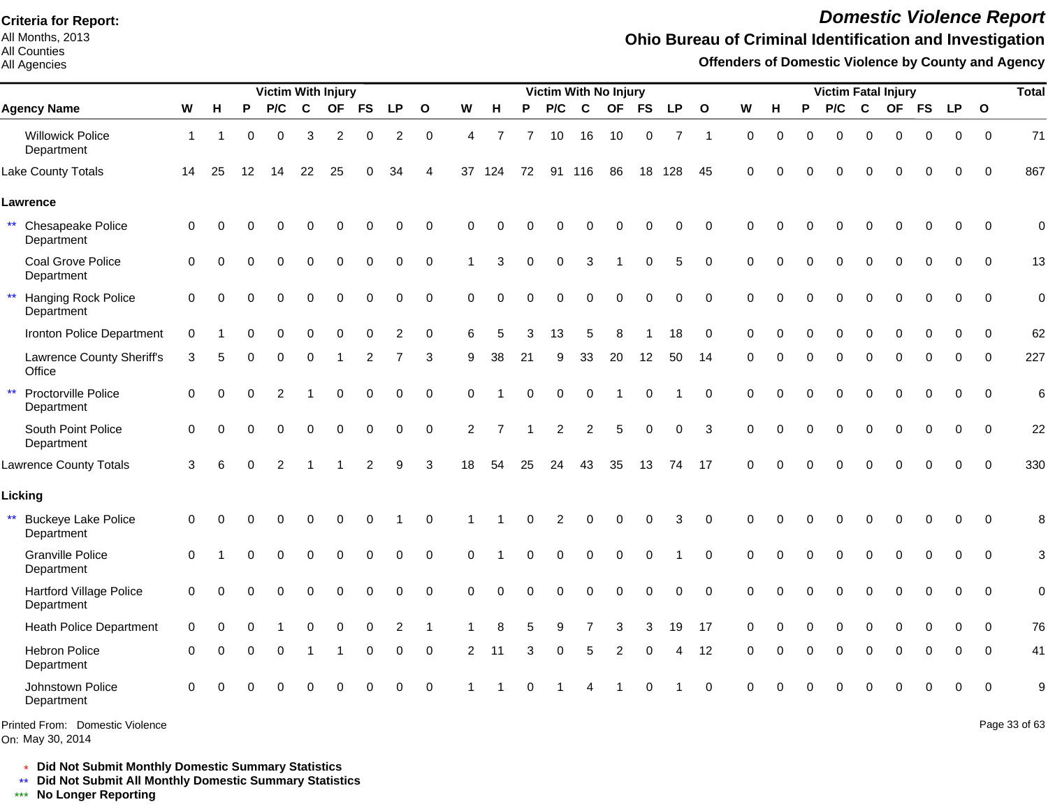All Months, 2013 All Counties

All Agencies

# *Domestic Violence Report*

## **Ohio Bureau of Criminal Identification and Investigation**

**Offenders of Domestic Violence by County and Agency**

|                                                          |                |          |          | <b>Victim With Injury</b> |             |             |             |                |              |                |                |          |             |                | <b>Victim With No Injury</b> |             |                |                     |             |             |                | <b>Victim Fatal Injury</b> |              |             |             |             |              | <b>Total</b>  |
|----------------------------------------------------------|----------------|----------|----------|---------------------------|-------------|-------------|-------------|----------------|--------------|----------------|----------------|----------|-------------|----------------|------------------------------|-------------|----------------|---------------------|-------------|-------------|----------------|----------------------------|--------------|-------------|-------------|-------------|--------------|---------------|
| <b>Agency Name</b>                                       | W              | H        | P        | P/C                       | $\mathbf c$ | <b>OF</b>   | <b>FS</b>   | <b>LP</b>      | $\mathbf{o}$ | W              | н              | P        | P/C         | $\mathbf c$    | <b>OF</b>                    | <b>FS</b>   | <b>LP</b>      | $\mathbf{o}$        | W           | н           | P              | P/C                        | $\mathbf{C}$ | OF FS       |             | <b>LP</b>   | $\mathbf{o}$ |               |
| <b>Willowick Police</b><br>Department                    | $\overline{1}$ |          | 0        | $\mathbf 0$               | 3           | 2           | $\mathbf 0$ | $\overline{c}$ | $\mathbf 0$  | 4              | 7              |          | 10          | 16             | 10                           | $\mathbf 0$ | $\overline{7}$ | $\overline{1}$      | $\mathbf 0$ | $\mathbf 0$ | $\overline{0}$ | $\mathbf 0$                | $\mathbf 0$  | $\mathbf 0$ | 0           | $\mathbf 0$ | $\mathbf 0$  | 71            |
| Lake County Totals                                       | 14             | 25       | 12       | 14                        | 22          | 25          | 0           | 34             | 4            |                | 37 124         | 72       |             | 91 116         | 86                           | 18          | 128            | 45                  | $\Omega$    |             |                | O                          | $\Omega$     | ∩           | 0           | $\Omega$    | $\Omega$     | 867           |
| Lawrence                                                 |                |          |          |                           |             |             |             |                |              |                |                |          |             |                |                              |             |                |                     |             |             |                |                            |              |             |             |             |              |               |
| $\star\star$<br>Chesapeake Police<br>Department          | 0              | 0        | 0        |                           |             | $\Omega$    | 0           | 0              | $\pmb{0}$    | $\Omega$       | $\Omega$       |          |             |                | O                            | $\Omega$    | 0              | $\mathbf 0$         | $\Omega$    | U           |                |                            | $\Omega$     | $\Omega$    | $\mathbf 0$ | $\mathbf 0$ | $\mathbf 0$  | $\mathbf 0$   |
| Coal Grove Police<br>Department                          | $\Omega$       | $\Omega$ | $\Omega$ | 0                         | $\mathbf 0$ | $\mathbf 0$ | $\mathbf 0$ | $\mathbf 0$    | $\mathbf 0$  |                | 3              | $\Omega$ | $\mathbf 0$ | 3              | -1                           | $\mathbf 0$ | 5              | $\mathbf 0$         | $\Omega$    | $\Omega$    | $\Omega$       | $\mathbf 0$                | $\mathbf 0$  | $\Omega$    | $\mathbf 0$ | 0           | $\Omega$     | 13            |
| $\star\star$<br><b>Hanging Rock Police</b><br>Department | $\mathbf 0$    | $\Omega$ | $\Omega$ | 0                         | 0           | $\mathbf 0$ | $\mathbf 0$ | $\mathbf 0$    | $\mathbf 0$  | $\mathbf 0$    | $\Omega$       | ∩        | 0           | $\mathbf 0$    | $\mathbf 0$                  | $\mathbf 0$ | 0              | $\mathbf 0$         | $\mathbf 0$ | $\Omega$    | $\mathbf 0$    | 0                          | $\mathbf 0$  | $\mathbf 0$ | $\mathbf 0$ | $\mathbf 0$ | $\Omega$     | $\mathbf 0$   |
| Ironton Police Department                                | $\Omega$       |          | O        | 0                         | $\Omega$    | $\Omega$    | $\Omega$    | 2              | $\mathbf 0$  | 6              | 5              | 3        | 13          | 5              | 8                            |             | 18             | $\Omega$            | $\Omega$    | $\Omega$    | 0              | $\Omega$                   | $\Omega$     | $\Omega$    | $\Omega$    | $\Omega$    | $\Omega$     | 62            |
| Lawrence County Sheriff's<br>Office                      | 3              | 5        |          | 0                         | 0           |             | 2           |                | 3            | 9              | 38             | 21       | 9           | 33             | 20                           | 12          | 50             | 14                  | $\Omega$    | O           | $\Omega$       | 0                          | $\mathbf 0$  | $\Omega$    | 0           | 0           | $\Omega$     | 227           |
| $\star\star$<br>Proctorville Police<br>Department        | $\mathbf 0$    | $\Omega$ | $\Omega$ | 2                         | 1           | $\mathbf 0$ | 0           | $\mathbf 0$    | $\mathbf 0$  | $\Omega$       |                | $\Omega$ | 0           | $\mathbf 0$    | -1                           | $\mathbf 0$ |                | $\mathbf 0$         | $\Omega$    | $\Omega$    | 0              | $\mathbf 0$                | $\mathbf 0$  | $\mathbf 0$ | $\mathbf 0$ | $\mathbf 0$ | $\mathbf 0$  | 6             |
| South Point Police<br>Department                         | $\Omega$       | $\Omega$ |          | $\Omega$                  | $\Omega$    | $\Omega$    | $\Omega$    | $\Omega$       | $\mathbf 0$  | $\overline{2}$ | $\overline{7}$ |          | 2           | $\overline{c}$ | 5                            | $\Omega$    | 0              | 3                   | $\Omega$    | $\Omega$    | $\Omega$       | $\Omega$                   | $\Omega$     | $\Omega$    | $\Omega$    | $\Omega$    | $\Omega$     | 22            |
| <b>Lawrence County Totals</b>                            | 3              | 6        | $\Omega$ | 2                         |             |             | 2           | 9              | 3            | 18             | 54             | 25       | 24          | 43             | 35                           | 13          | 74             | 17                  | $\Omega$    |             |                | $\Omega$                   | $\Omega$     | $\Omega$    | $\Omega$    | $\Omega$    | $\Omega$     | 330           |
| Licking                                                  |                |          |          |                           |             |             |             |                |              |                |                |          |             |                |                              |             |                |                     |             |             |                |                            |              |             |             |             |              |               |
| $\star\star$<br><b>Buckeye Lake Police</b><br>Department | 0              | $\Omega$ |          | 0                         | 0           | $\Omega$    | 0           |                | 0            |                |                | 0        | 2           | $\Omega$       |                              | $\Omega$    | 3              | 0                   | $\Omega$    |             |                |                            | $\Omega$     | O           | 0           | 0           | $\Omega$     | 8             |
| <b>Granville Police</b><br>Department                    | $\Omega$       |          | 0        | $\Omega$                  | $\Omega$    | $\mathbf 0$ | 0           | 0              | $\pmb{0}$    | $\Omega$       |                | U        | 0           | $\Omega$       | $\Omega$                     | 0           |                | $\Omega$            | $\Omega$    | $\Omega$    |                | $\Omega$                   | $\Omega$     | $\Omega$    | $\Omega$    | $\Omega$    | $\Omega$     | 3             |
| <b>Hartford Village Police</b><br>Department             | $\mathbf 0$    | 0        | 0        | 0                         | $\mathbf 0$ | $\Omega$    | 0           | 0              | $\mathbf 0$  | $\mathbf 0$    | $\Omega$       |          | 0           | $\Omega$       | 0                            | $\mathbf 0$ | 0              | $\mathsf{O}\xspace$ | $\Omega$    | 0           |                | $\Omega$                   | $\mathbf 0$  | 0           | 0           | $\mathbf 0$ | $\mathbf 0$  | $\mathbf 0$   |
| <b>Heath Police Department</b>                           | $\Omega$       | $\Omega$ | $\Omega$ |                           | 0           | $\Omega$    | $\Omega$    | 2              | $\mathbf 1$  |                | 8              | 5        | 9           | 7              | 3                            | 3           | 19             | 17                  | $\Omega$    | $\Omega$    | 0              | 0                          | $\mathbf 0$  | $\Omega$    | 0           | 0           | $\mathbf{0}$ | 76            |
| <b>Hebron Police</b><br>Department                       | $\Omega$       | $\Omega$ | 0        | $\Omega$                  |             |             | $\Omega$    | $\Omega$       | $\Omega$     | 2              | 11             | 3        | 0           | 5              | 2                            | $\Omega$    | Δ              | 12                  | $\Omega$    | O           | $\Omega$       | $\Omega$                   | $\Omega$     | $\Omega$    | $\Omega$    | $\Omega$    | $\Omega$     | 41            |
| Johnstown Police<br>Department                           | $\Omega$       | $\Omega$ |          |                           | $\Omega$    | $\Omega$    |             | $\Omega$       | $\mathbf 0$  |                |                |          |             |                |                              | $\Omega$    |                | $\Omega$            | $\Omega$    |             |                |                            | $\Omega$     |             |             | $\Omega$    | $\Omega$     | 9             |
| Printed From: Domestic Violence                          |                |          |          |                           |             |             |             |                |              |                |                |          |             |                |                              |             |                |                     |             |             |                |                            |              |             |             |             |              | Page 33 of 63 |

\* **Did Not Submit Monthly Domestic Summary Statistics**

**Did Not Submit All Monthly Domestic Summary Statistics**

<u>\*\*</u> Did Not Submit All M∗<br><mark>\*\*\*</mark> No Longer Reporting

On: May 30, 2014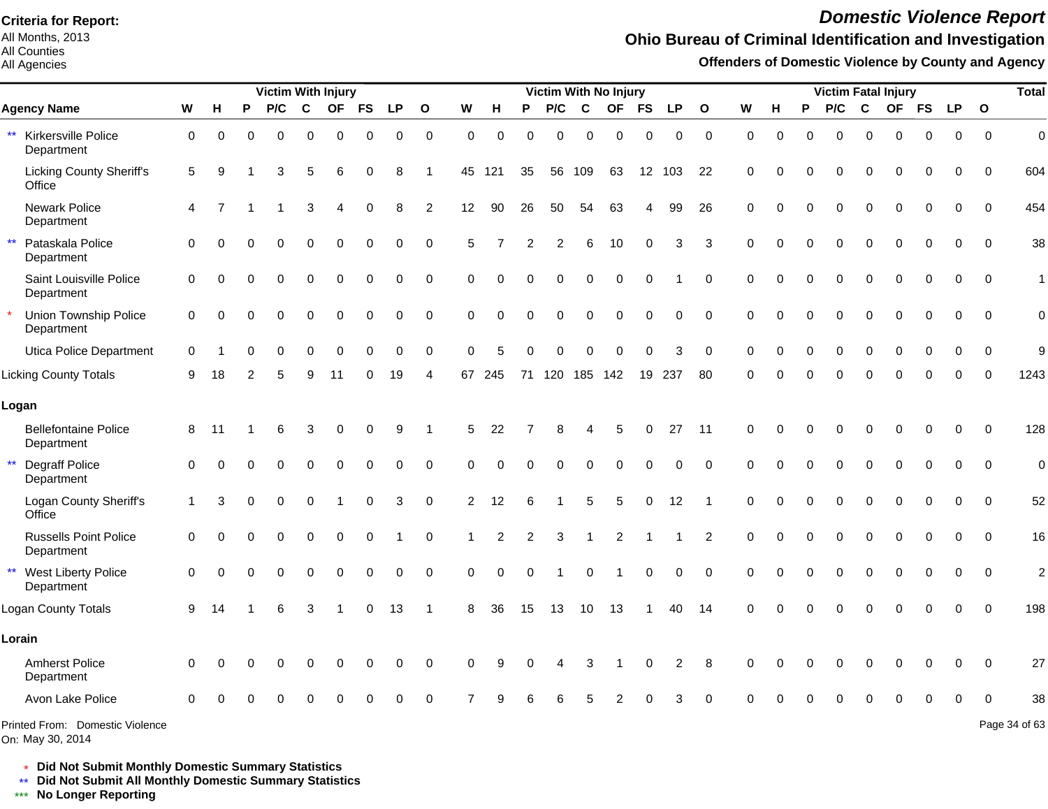All Months, 2013 All Counties

#### All Agencies

# *Domestic Violence Report*

### **Ohio Bureau of Criminal Identification and Investigation**

**Offenders of Domestic Violence by County and Agency**

|                                                          |          |           |          | <b>Victim With Injury</b> |             |             |             |           |                |                |          |          |          |          | <b>Victim With No Injury</b> |             |           |                |             |          |          |          |             | <b>Victim Fatal Injury</b> |             |             |              | <b>Total</b>   |
|----------------------------------------------------------|----------|-----------|----------|---------------------------|-------------|-------------|-------------|-----------|----------------|----------------|----------|----------|----------|----------|------------------------------|-------------|-----------|----------------|-------------|----------|----------|----------|-------------|----------------------------|-------------|-------------|--------------|----------------|
| <b>Agency Name</b>                                       | W        | н         | P        | P/C                       | $\mathbf c$ | <b>OF</b>   | <b>FS</b>   | <b>LP</b> | $\mathbf{o}$   | W              | н        | P        | P/C      | C        | <b>OF</b>                    | <b>FS</b>   | <b>LP</b> | $\mathbf{o}$   | W           | н        | P        | P/C      | $\mathbf c$ |                            | OF FS       | <b>LP</b>   | $\mathbf{o}$ |                |
| Kirkersville Police<br>$***$<br>Department               | 0        | $\Omega$  | $\Omega$ | $\Omega$                  | $\Omega$    | 0           | 0           | 0         | 0              | $\Omega$       | $\Omega$ | $\Omega$ | $\Omega$ | $\Omega$ | $\Omega$                     | 0           | 0         | $\mathbf 0$    | $\mathbf 0$ | $\Omega$ | $\Omega$ | $\Omega$ | $\mathbf 0$ | $\Omega$                   | 0           | 0           | $\Omega$     | $\mathbf 0$    |
| <b>Licking County Sheriff's</b><br>Office                | 5        | 9         |          | 3                         | 5           |             | ∩           | 8         |                | 45             | 121      | 35       | 56       | 109      | 63                           |             | 12 103    | 22             | $\Omega$    |          |          | O        | $\Omega$    | $\Omega$                   | 0           | 0           | $\Omega$     | 604            |
| Newark Police<br>Department                              | 4        |           |          |                           | 3           |             |             | 8         | 2              | 12             | 90       | 26       | 50       | 54       | 63                           | 4           | 99        | 26             | $\Omega$    |          |          | $\Omega$ | $\Omega$    | $\Omega$                   | $\Omega$    | $\Omega$    | $\Omega$     | 454            |
| $\star\star$<br>Pataskala Police<br>Department           | $\Omega$ |           |          | 0                         | $\Omega$    | $\Omega$    | $\mathbf 0$ | 0         | $\mathbf 0$    | 5              |          |          | 2        | 6        | 10                           | $\Omega$    | 3         | 3              | $\Omega$    |          |          | $\Omega$ | 0           | $\Omega$                   | 0           | 0           | $\Omega$     | 38             |
| Saint Louisville Police<br>Department                    | 0        | $\Omega$  | O        | $\Omega$                  | 0           | $\Omega$    | $\Omega$    | 0         | $\mathbf 0$    | $\Omega$       |          |          | $\Omega$ | $\Omega$ | $\Omega$                     | $\mathbf 0$ |           | $\mathbf 0$    | $\Omega$    | $\Omega$ | $\Omega$ | 0        | $\mathbf 0$ | $\Omega$                   | $\mathbf 0$ | $\Omega$    | $\Omega$     | $\mathbf{1}$   |
| Union Township Police<br>Department                      | 0        | $\bigcap$ | O        | $\Omega$                  | $\Omega$    | $\Omega$    | 0           | $\Omega$  | $\Omega$       | $\Omega$       | 0        |          | 0        | $\Omega$ | $\Omega$                     | $\Omega$    | 0         | $\Omega$       | $\Omega$    | O        | $\Omega$ | $\Omega$ | $\Omega$    | $\Omega$                   | $\Omega$    | $\Omega$    | $\Omega$     | $\mathbf 0$    |
| Utica Police Department                                  | $\Omega$ |           |          | $\Omega$                  | $\Omega$    | O           |             | O         | $\Omega$       | ∩              | 5        |          | 0        |          | 0                            | $\Omega$    | 3         | $\Omega$       | $\Omega$    | O        | $\Omega$ | $\Omega$ | $\Omega$    | $\Omega$                   | $\Omega$    | $\Omega$    | $\Omega$     | 9              |
| <b>Licking County Totals</b>                             | 9        | 18        |          | 5                         | 9           | 11          |             | 19        | 4              | 67             | 245      | 71       | 120      | 185 142  |                              | 19          | 237       | 80             | ∩           |          |          |          | ſ           |                            |             |             |              | 1243           |
| Logan                                                    |          |           |          |                           |             |             |             |           |                |                |          |          |          |          |                              |             |           |                |             |          |          |          |             |                            |             |             |              |                |
| <b>Bellefontaine Police</b><br>Department                | 8        | 11        |          | 6                         | 3           | 0           | 0           | 9         | $\overline{1}$ | 5              | 22       |          | 8        |          | 5                            | $\Omega$    | 27        | 11             | $\Omega$    | O        | ሰ        | O        | 0           | $\Omega$                   | $\mathbf 0$ | $\mathbf 0$ | $\mathbf 0$  | 128            |
| $\star\star$<br>Degraff Police<br>Department             | 0        | $\Omega$  |          | 0                         | 0           | $\mathbf 0$ | 0           | 0         | $\mathbf 0$    | $\Omega$       | $\Omega$ |          | 0        | $\Omega$ | $\Omega$                     | 0           | 0         | 0              | $\Omega$    | $\Omega$ | $\Omega$ | $\Omega$ | $\Omega$    | $\mathbf 0$                | $\mathbf 0$ | $\mathbf 0$ | $\mathbf 0$  | $\mathbf 0$    |
| Logan County Sheriff's<br>Office                         | 1        | 3         |          | $\Omega$                  | $\Omega$    |             | 0           | 3         | $\pmb{0}$      | $\overline{c}$ | 12       |          |          | 5        | 5                            | $\mathbf 0$ | 12        |                | $\Omega$    |          |          |          | $\Omega$    |                            | 0           | 0           | $\mathbf 0$  | 52             |
| <b>Russells Point Police</b><br>Department               | 0        |           |          |                           | $\Omega$    | 0           | $\Omega$    |           | $\mathbf 0$    |                |          |          | 3        |          | $\overline{c}$               |             |           | $\overline{c}$ | $\Omega$    |          |          | 0        | $\Omega$    | $\Omega$                   | 0           | 0           | $\mathbf 0$  | 16             |
| $\star\star$<br><b>West Liberty Police</b><br>Department | 0        | $\bigcap$ |          | 0                         | 0           | $\mathbf 0$ | 0           | 0         | $\pmb{0}$      | $\Omega$       | 0        | $\Omega$ |          | 0        |                              | $\pmb{0}$   | 0         | $\mathbf 0$    | $\Omega$    |          | 0        | 0        | $\mathbf 0$ | 0                          | 0           | 0           | $\mathbf 0$  | $\overline{2}$ |
| Logan County Totals                                      | 9        | 14        |          | 6                         | 3           |             | $\mathbf 0$ | 13        | $\mathbf 1$    | 8              | 36       | 15       | 13       | 10       | 13                           |             | 40        | 14             | $\Omega$    |          | 0        | $\Omega$ | $\Omega$    | $\Omega$                   | $\Omega$    | $\Omega$    | $\Omega$     | 198            |
| Lorain                                                   |          |           |          |                           |             |             |             |           |                |                |          |          |          |          |                              |             |           |                |             |          |          |          |             |                            |             |             |              |                |
| <b>Amherst Police</b><br>Department                      | 0        | C         |          | 0                         | $\Omega$    | O           | $\Omega$    | 0         | 0              | $\Omega$       |          |          |          | 3        |                              | $\Omega$    | 2         | 8              | $\Omega$    |          |          | O        | 0           | 0                          | 0           | 0           | $\Omega$     | 27             |
| Avon Lake Police                                         | $\Omega$ |           |          |                           |             |             |             |           |                |                |          |          |          |          |                              |             |           |                |             |          |          |          |             |                            |             |             |              | 38             |
| Printed From: Domestic Violence                          |          |           |          |                           |             |             |             |           |                |                |          |          |          |          |                              |             |           |                |             |          |          |          |             |                            |             |             |              | Page 34 of 63  |

On: May 30, 2014

\* **Did Not Submit Monthly Domestic Summary Statistics**

**Did Not Submit All Monthly Domestic Summary Statistics**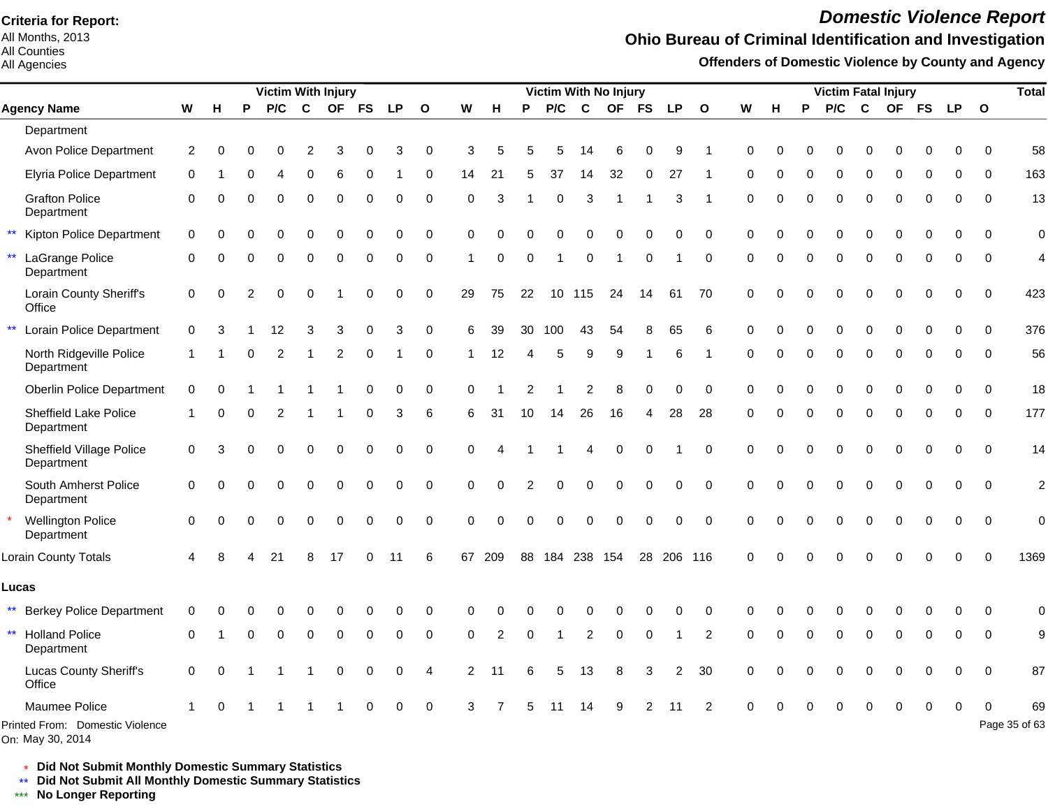All Months, 2013 All Counties

#### All Agencies

# *Domestic Violence Report*

## **Ohio Bureau of Criminal Identification and Investigation**

**Offenders of Domestic Violence by County and Agency**

|              |                                                  |          |          |          | Victim With Injury |             |             |             |           |                |                |                |             |     |                | <b>Victim With No Injury</b> |             |                |                |             |          |          | <b>Victim Fatal Injury</b> |             |             |           |           |                | <b>Total</b>             |
|--------------|--------------------------------------------------|----------|----------|----------|--------------------|-------------|-------------|-------------|-----------|----------------|----------------|----------------|-------------|-----|----------------|------------------------------|-------------|----------------|----------------|-------------|----------|----------|----------------------------|-------------|-------------|-----------|-----------|----------------|--------------------------|
|              | <b>Agency Name</b>                               | W        | н        | P        | P/C                | $\mathbf c$ | <b>OF</b>   | <b>FS</b>   | <b>LP</b> | $\mathbf{o}$   | W              | н              | P           | P/C | $\mathbf{C}$   | <b>OF</b>                    | <b>FS</b>   | <b>LP</b>      | $\mathbf{o}$   | W           | н        | P        | P/C                        | C           | <b>OF</b>   | <b>FS</b> | <b>LP</b> | $\overline{O}$ |                          |
|              | Department                                       |          |          |          |                    |             |             |             |           |                |                |                |             |     |                |                              |             |                |                |             |          |          |                            |             |             |           |           |                |                          |
|              | Avon Police Department                           | 2        | $\Omega$ |          | 0                  | 2           | 3           |             | 3         | 0              | 3              |                |             | 5   | 14             | 6                            | O           | 9              |                | $\Omega$    |          | 0        | 0                          | $\Omega$    | $\Omega$    | ŋ         | ∩         | $\Omega$       | 58                       |
|              | <b>Elyria Police Department</b>                  | $\Omega$ |          |          |                    |             |             |             |           | $\Omega$       | 14             | 21             |             | 37  | 14             | 32                           | 0           | 27             |                |             |          | 0        | 0                          | $\Omega$    |             | 0         |           | $\Omega$       | 163                      |
|              | <b>Grafton Police</b><br>Department              | $\Omega$ |          |          | 0                  | $\Omega$    | 0           | $\Omega$    | $\Omega$  | $\mathbf 0$    | $\Omega$       | 3              |             | 0   | 3              |                              |             | 3              |                | $\Omega$    | $\Omega$ | $\Omega$ | $\mathbf 0$                | $\Omega$    | $\Omega$    | 0         | $\Omega$  | $\Omega$       | 13                       |
|              | Kipton Police Department                         | 0        |          |          |                    |             |             |             | 0         | $\Omega$       | $\Omega$       |                |             |     |                |                              |             | $\Omega$       | $\Omega$       | $\Omega$    |          |          | $\Omega$                   | $\Omega$    | $\Omega$    | U         | ∩         | ∩              | $\mathbf 0$              |
|              | LaGrange Police<br>Department                    | 0        | ∩        | $\Omega$ | $\Omega$           | 0           | 0           | $\Omega$    | 0         | $\mathbf 0$    | -1             | 0              | $\Omega$    | 1   | $\pmb{0}$      | -1                           | $\mathbf 0$ |                | $\mathbf 0$    | $\mathbf 0$ | $\Omega$ | $\Omega$ | 0                          | $\mathbf 0$ | $\mathbf 0$ | 0         | 0         | $\Omega$       | $\overline{\mathcal{L}}$ |
|              | Lorain County Sheriff's<br>Office                | 0        | $\Omega$ | 2        | $\mathbf 0$        | $\Omega$    |             | $\Omega$    | 0         | $\mathbf 0$    | 29             | 75             | 22          | 10  | 115            | 24                           | 14          | 61             | 70             | $\mathbf 0$ |          | 0        | $\Omega$                   | $\Omega$    | $\Omega$    | 0         | $\Omega$  | $\Omega$       | 423                      |
|              | Lorain Police Department                         | $\Omega$ |          |          | 12                 | 3           | 3           | $\Omega$    | 3         | $\Omega$       | 6              | 39             | 30          | 100 | 43             | 54                           |             | 65             | 6              | $\Omega$    |          |          | $\Omega$                   | $\Omega$    |             | 0         |           | $\Omega$       | 376                      |
|              | North Ridgeville Police<br>Department            |          |          | ∩        | 2                  |             | 2           | $\Omega$    |           | $\Omega$       | -1             | 12             | 4           | 5   | 9              | 9                            |             | 6              |                | $\Omega$    | O        | $\Omega$ | $\Omega$                   | $\Omega$    | $\Omega$    | 0         | $\Omega$  | $\Omega$       | 56                       |
|              | <b>Oberlin Police Department</b>                 | $\Omega$ |          |          |                    |             |             |             | 0         | $\Omega$       | $\Omega$       |                | 2           |     | $\overline{2}$ | 8                            | $\Omega$    | $\Omega$       | $\Omega$       | $\Omega$    |          |          | O                          | O           | $\Omega$    | O         |           | $\Omega$       | 18                       |
|              | <b>Sheffield Lake Police</b><br>Department       | 1        | 0        | $\Omega$ | 2                  |             |             | 0           | 3         | 6              | 6              | 31             | 10          | 14  | 26             | 16                           | 4           | 28             | 28             | $\Omega$    | $\Omega$ | $\Omega$ | $\Omega$                   | $\Omega$    | $\Omega$    | 0         | 0         | $\Omega$       | 177                      |
|              | <b>Sheffield Village Police</b><br>Department    | 0        |          |          | 0                  | $\Omega$    | 0           | $\mathbf 0$ | 0         | $\mathbf 0$    | $\Omega$       | Δ              |             |     | $\overline{4}$ | $\mathbf 0$                  | $\mathbf 0$ |                | $\mathbf 0$    | $\Omega$    | $\Omega$ | $\Omega$ | $\Omega$                   | $\Omega$    | $\Omega$    | $\Omega$  | $\Omega$  | $\Omega$       | 14                       |
|              | South Amherst Police<br>Department               | $\Omega$ |          |          | 0                  | $\Omega$    | 0           | $\Omega$    | 0         | $\Omega$       | $\Omega$       | $\Omega$       | 2           | 0   | $\Omega$       | $\Omega$                     | $\mathbf 0$ | $\mathbf 0$    | $\Omega$       | $\Omega$    | $\Omega$ | $\Omega$ | $\Omega$                   | $\Omega$    | $\Omega$    | $\Omega$  | $\Omega$  | $\Omega$       | $\overline{2}$           |
|              | <b>Wellington Police</b><br>Department           | $\Omega$ |          |          | 0                  | $\Omega$    | 0           | $\Omega$    | 0         | $\Omega$       | $\Omega$       | 0              | $\Omega$    | 0   | $\mathbf 0$    | $\Omega$                     | $\mathbf 0$ | $\mathbf 0$    | $\Omega$       | $\Omega$    | $\Omega$ | 0        | $\Omega$                   | $\mathbf 0$ | $\Omega$    | $\Omega$  | $\Omega$  | $\Omega$       | $\mathbf 0$              |
|              | Lorain County Totals                             | 4        |          |          | 21                 | 8           | 17          | $\Omega$    | 11        | 6              | 67             | 209            | 88          |     |                | 184 238 154                  |             | 28 206 116     |                | $\Omega$    | $\Omega$ | $\Omega$ | $\Omega$                   | $\Omega$    | $\Omega$    | 0         | $\Omega$  | $\Omega$       | 1369                     |
|              | Lucas                                            |          |          |          |                    |             |             |             |           |                |                |                |             |     |                |                              |             |                |                |             |          |          |                            |             |             |           |           |                |                          |
| $***$        | <b>Berkey Police Department</b>                  | $\Omega$ |          |          |                    |             |             | O           | O         | $\Omega$       |                |                |             |     |                |                              |             | U              | $\Omega$       |             |          |          |                            | O           |             | ŋ         |           | ∩              | $\mathbf 0$              |
| $\star\star$ | <b>Holland Police</b><br>Department              | $\Omega$ |          | $\Omega$ | $\mathbf 0$        | $\mathbf 0$ | 0           | $\mathbf 0$ | 0         | 0              | $\Omega$       | $\mathfrak{p}$ | $\mathbf 0$ | 1   | $\overline{2}$ | 0                            | 0           |                | $\overline{2}$ | $\Omega$    | $\Omega$ | 0        | $\mathbf 0$                | $\mathbf 0$ | $\mathbf 0$ | 0         | 0         | $\Omega$       | 9                        |
|              | <b>Lucas County Sheriff's</b><br>Office          | 0        | $\Omega$ |          |                    |             | $\mathbf 0$ | $\mathbf 0$ | 0         | $\overline{4}$ | $\overline{2}$ | 11             | 6           | 5   | 13             | 8                            | 3           | $\overline{2}$ | 30             | $\Omega$    |          | O        | 0                          | $\Omega$    | $\Omega$    | 0         | $\Omega$  | $\Omega$       | 87                       |
|              | Maumee Police<br>Printed From: Domestic Violence |          |          |          |                    |             |             |             | 0         | $\Omega$       | ্ব             |                |             |     | 14             | g                            |             |                |                |             |          |          |                            |             |             | 0         | $\Omega$  |                | 69<br>Page 35 of 63      |

On: May 30, 2014

\* **Did Not Submit Monthly Domestic Summary Statistics**

**Did Not Submit All Monthly Domestic Summary Statistics**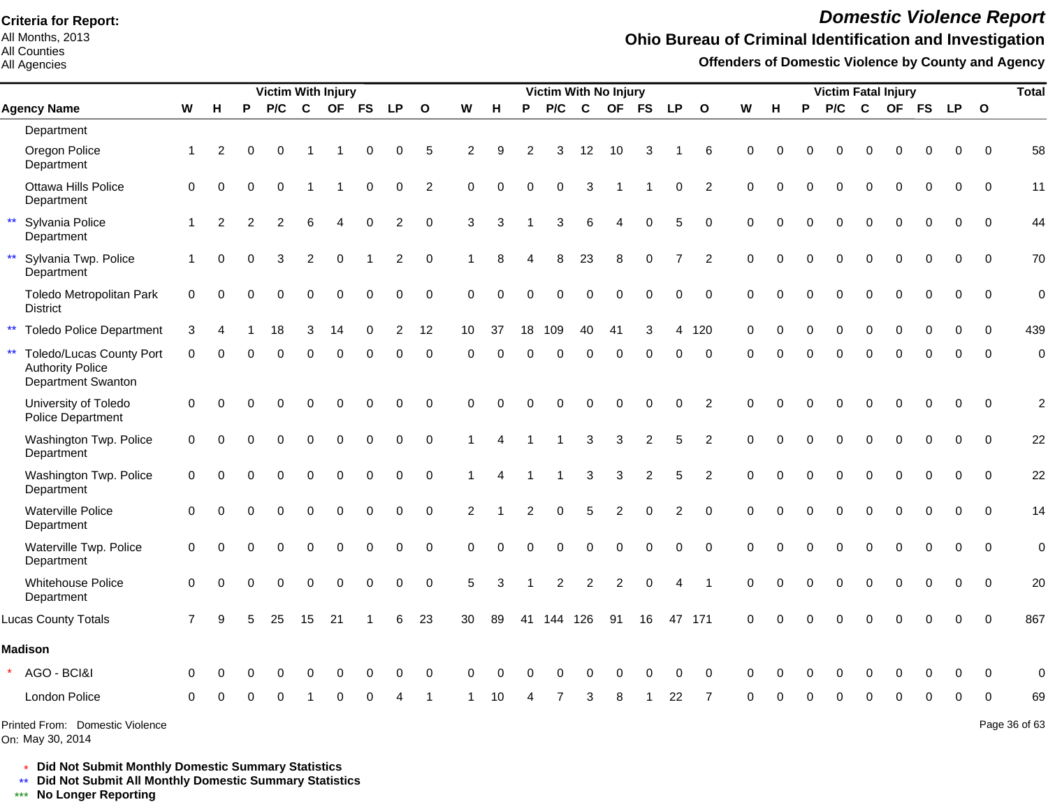All Months, 2013 All Counties

All Agencies

# *Domestic Violence Report*

#### **Ohio Bureau of Criminal Identification and Investigation**

**Offenders of Domestic Violence by County and Agency**

|                                                                                                         |                |                |          | <b>Victim With Injury</b> |                |             |             |                |              |                |                        |                | Victim With No Injury |                  |                |                |                |                |             |          |          | <b>Victim Fatal Injury</b> |             |             |             |          |              | <b>Total</b>   |
|---------------------------------------------------------------------------------------------------------|----------------|----------------|----------|---------------------------|----------------|-------------|-------------|----------------|--------------|----------------|------------------------|----------------|-----------------------|------------------|----------------|----------------|----------------|----------------|-------------|----------|----------|----------------------------|-------------|-------------|-------------|----------|--------------|----------------|
| <b>Agency Name</b>                                                                                      | W              | н              | P        | P/C                       | $\mathbf{C}$   |             | OF FS       | <b>LP</b>      | $\mathbf{o}$ | W              | н                      | P              | P/C                   | $\mathbf{C}$     |                | OF FS          | <b>LP</b>      | $\mathbf{o}$   | W           | н        | P        | P/C                        | C           |             |             | OF FS LP | $\mathbf{o}$ |                |
| Department                                                                                              |                |                |          |                           |                |             |             |                |              |                |                        |                |                       |                  |                |                |                |                |             |          |          |                            |             |             |             |          |              |                |
| Oregon Police<br>Department                                                                             | $\mathbf{1}$   | 2              | $\Omega$ | 0                         |                |             | $\Omega$    | 0              | 5            | $\overline{c}$ | 9                      | 2              | 3                     | 12               | 10             | 3              |                | 6              | $\Omega$    |          |          | $\Omega$                   | $\Omega$    | $\Omega$    | 0           | 0        | $\Omega$     | 58             |
| Ottawa Hills Police<br>Department                                                                       | $\mathbf 0$    | $\Omega$       |          | $\Omega$                  |                |             | 0           | 0              | 2            | $\Omega$       | $\Omega$               | $\Omega$       | 0                     | 3                |                |                | $\Omega$       | 2              | $\mathbf 0$ | $\Omega$ | 0        | $\Omega$                   | $\Omega$    | $\Omega$    | $\Omega$    | $\Omega$ | $\mathbf{0}$ | 11             |
| $\star\star$<br>Sylvania Police<br>Department                                                           | $\mathbf{1}$   | $\overline{2}$ | 2        | $\overline{2}$            | 6              | 4           | $\Omega$    | $\overline{2}$ | $\mathbf 0$  | 3              | 3                      |                | 3                     | $\,6$            | 4              | $\Omega$       | 5              | $\Omega$       | $\mathbf 0$ | $\Omega$ | $\Omega$ | $\Omega$                   | $\Omega$    | $\Omega$    | $\Omega$    | $\Omega$ | $\Omega$     | 44             |
| Sylvania Twp. Police<br>Department                                                                      | $\mathbf{1}$   | $\Omega$       | $\Omega$ | 3                         | $\overline{c}$ | 0           |             | 2              | $\mathbf 0$  | 1              | 8                      | 4              | 8                     | 23               | 8              | $\pmb{0}$      | $\overline{7}$ | 2              | $\mathbf 0$ | $\Omega$ | $\Omega$ | $\mathbf 0$                | $\mathbf 0$ | $\mathbf 0$ | $\mathbf 0$ | 0        | $\mathbf 0$  | 70             |
| Toledo Metropolitan Park<br><b>District</b>                                                             | 0              | O              |          | $\Omega$                  | $\Omega$       | 0           | $\Omega$    | 0              | $\mathbf 0$  | $\Omega$       | $\Omega$               | $\Omega$       | $\overline{0}$        | $\Omega$         | $\Omega$       | $\mathbf 0$    | $\mathbf 0$    | $\mathbf 0$    | $\Omega$    | $\Omega$ | $\Omega$ | $\Omega$                   | $\Omega$    | $\Omega$    | $\Omega$    | $\Omega$ | $\Omega$     | $\mathbf 0$    |
| $\star\star$<br><b>Toledo Police Department</b>                                                         | 3              |                |          | 18                        | 3              | 14          | $\mathbf 0$ | $\overline{2}$ | 12           | 10             | 37                     | 18             | 109                   | 40               | 41             | 3              | 4              | 120            | $\Omega$    | 0        | $\Omega$ | $\mathbf 0$                | $\mathbf 0$ | $\Omega$    | $\Omega$    | $\Omega$ | $\Omega$     | 439            |
| $\star\star$<br><b>Toledo/Lucas County Port</b><br><b>Authority Police</b><br><b>Department Swanton</b> | $\Omega$       | $\Omega$       |          | $\Omega$                  | $\Omega$       | $\Omega$    | $\Omega$    | $\Omega$       | $\mathbf 0$  | $\Omega$       | $\Omega$               | $\Omega$       | $\Omega$              | $\Omega$         | $\mathbf 0$    | $\mathbf 0$    | $\Omega$       | $\mathbf 0$    | $\Omega$    | $\Omega$ | $\Omega$ | $\Omega$                   | $\Omega$    | $\Omega$    | $\Omega$    | $\Omega$ | $\Omega$     | $\mathbf 0$    |
| University of Toledo<br><b>Police Department</b>                                                        | $\pmb{0}$      | $\Omega$       | $\Omega$ | $\Omega$                  | $\Omega$       | 0           | $\Omega$    | 0              | $\mathbf 0$  | $\mathbf 0$    | 0                      | $\Omega$       | 0                     | $\mathbf 0$      | $\Omega$       | $\mathbf 0$    | $\mathbf 0$    | $\overline{2}$ | $\mathbf 0$ | $\Omega$ | $\Omega$ | $\Omega$                   | $\Omega$    | $\Omega$    | $\Omega$    | $\Omega$ | $\Omega$     | $\mathcal{P}$  |
| Washington Twp. Police<br>Department                                                                    | $\mathbf 0$    | 0              |          | 0                         | $\Omega$       | 0           | $\Omega$    | $\Omega$       | $\Omega$     | -1             | $\boldsymbol{\Lambda}$ |                |                       | 3                | 3              | 2              | 5              | 2              | $\Omega$    | $\Omega$ | $\Omega$ | $\Omega$                   | $\Omega$    | $\Omega$    | $\Omega$    | $\Omega$ | $\Omega$     | 22             |
| Washington Twp. Police<br>Department                                                                    | 0              |                |          | O                         | $\Omega$       | O           | $\Omega$    | 0              | $\Omega$     |                | $\boldsymbol{\Lambda}$ |                |                       | 3                | 3              | $\overline{c}$ | 5              | 2              | $\Omega$    |          | $\Omega$ | $\Omega$                   | $\Omega$    | $\Omega$    | $\Omega$    | $\Omega$ | $\Omega$     | 22             |
| <b>Waterville Police</b><br>Department                                                                  | 0              |                |          | $\Omega$                  | $\Omega$       | $\mathbf 0$ | $\mathbf 0$ | 0              | $\mathbf 0$  | 2              |                        | $\overline{c}$ | 0                     | 5                | $\overline{c}$ | $\mathbf 0$    | $\mathfrak{p}$ | $\Omega$       | $\mathbf 0$ |          | $\Omega$ | $\Omega$                   | $\mathbf 0$ | $\mathbf 0$ | $\Omega$    | $\Omega$ | $\Omega$     | 14             |
| Waterville Twp. Police<br>Department                                                                    | $\Omega$       | $\Omega$       |          | $\Omega$                  | $\Omega$       | 0           | $\mathbf 0$ | $\Omega$       | $\Omega$     | $\Omega$       | $\Omega$               | $\Omega$       | 0                     | $\boldsymbol{0}$ | $\mathbf 0$    | $\mathbf 0$    | $\Omega$       | $\Omega$       | $\Omega$    | $\Omega$ | 0        | $\mathbf 0$                | $\mathbf 0$ | $\Omega$    | $\mathbf 0$ | $\Omega$ | $\Omega$     | $\overline{0}$ |
| Whitehouse Police<br>Department                                                                         | $\overline{0}$ | 0              |          | 0                         | $\mathbf 0$    | $\mathbf 0$ | $\mathbf 0$ | 0              | $\mathbf 0$  | 5              | 3                      |                | $\overline{c}$        | $\overline{c}$   | $\overline{c}$ | $\pmb{0}$      | 4              | -1             | $\Omega$    | $\Omega$ | 0        | $\mathbf 0$                | $\mathbf 0$ | $\mathbf 0$ | $\mathbf 0$ | $\Omega$ | $\Omega$     | 20             |
| <b>Lucas County Totals</b>                                                                              |                |                |          | 25                        | 15             | 21          |             | 6              | 23           | 30             | 89                     | 41             | 144                   | 126              | 91             | 16             |                | 47 171         | $\Omega$    |          |          |                            | O           |             | O           |          | $\Omega$     | 867            |
| <b>Madison</b>                                                                                          |                |                |          |                           |                |             |             |                |              |                |                        |                |                       |                  |                |                |                |                |             |          |          |                            |             |             |             |          |              |                |
| AGO - BCI&I                                                                                             | ∩              |                |          |                           |                |             |             | 0              | $\Omega$     | <sup>0</sup>   |                        |                | O                     | O                |                | 0              | 0              | $\Omega$       | $\Omega$    |          |          |                            |             |             | 0           | $\Omega$ | <sup>0</sup> | 0              |
| London Police                                                                                           | $\Omega$       |                |          |                           |                |             |             |                |              |                | 10                     |                |                       | 3                |                |                | 22             | 7              | $\Omega$    |          | ∩        | ∩                          | ∩           | $\Omega$    | 0           | 0        | $\Omega$     | 69             |
| Printed From: Domestic Violence                                                                         |                |                |          |                           |                |             |             |                |              |                |                        |                |                       |                  |                |                |                |                |             |          |          |                            |             |             |             |          |              | Page 36 of 63  |

On: May 30, 2014

Page 36 of 63

\* **Did Not Submit Monthly Domestic Summary Statistics**

**Did Not Submit All Monthly Domestic Summary Statistics**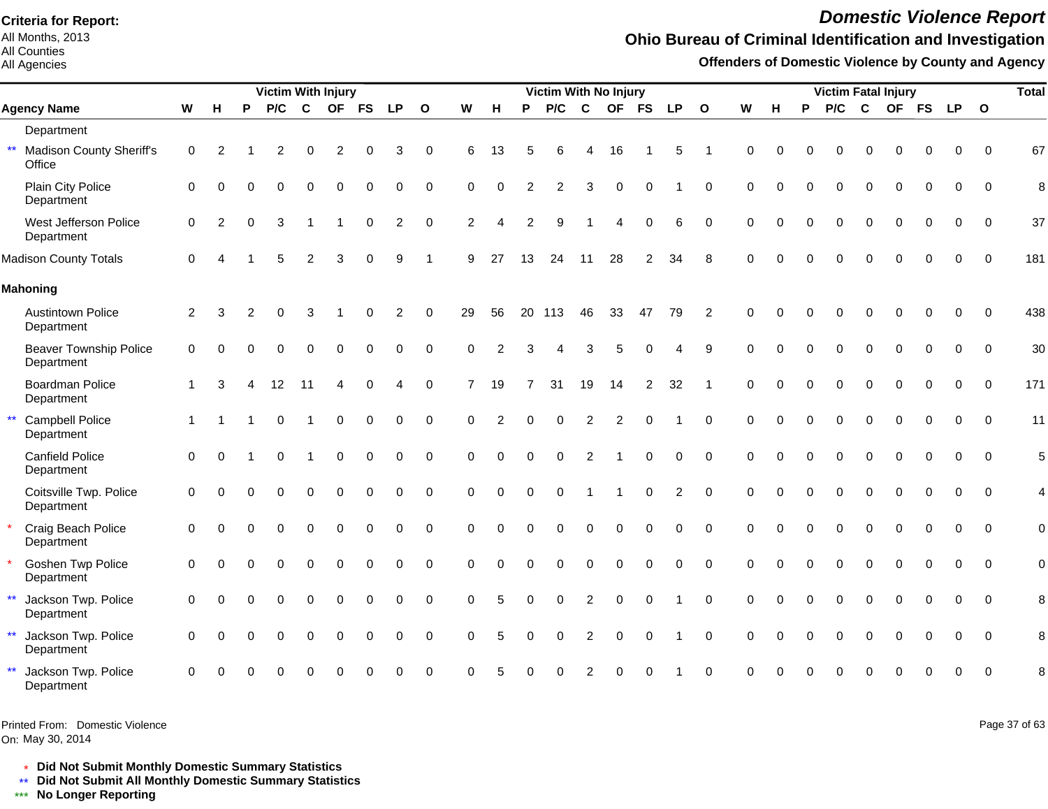All Months, 2013 All Counties

All Agencies

# *Domestic Violence Report*

#### **Ohio Bureau of Criminal Identification and Investigation**

**Offenders of Domestic Violence by County and Agency**

|                                                           |              |          |          | <b>Victim With Injury</b> |                |             |             |             |                     |                |                |          | <b>Victim With No Injury</b> |                |             |                |           |                         |                    |          |          | <b>Victim Fatal Injury</b> |             |             |             |          |             | <b>Total</b> |
|-----------------------------------------------------------|--------------|----------|----------|---------------------------|----------------|-------------|-------------|-------------|---------------------|----------------|----------------|----------|------------------------------|----------------|-------------|----------------|-----------|-------------------------|--------------------|----------|----------|----------------------------|-------------|-------------|-------------|----------|-------------|--------------|
| <b>Agency Name</b>                                        | W            | н        | P        | P/C                       | $\mathbf c$    | <b>OF</b>   | <b>FS</b>   | <b>LP</b>   | $\overline{O}$      | W              | H              | P        | P/C                          | $\mathbf c$    | <b>OF</b>   | <b>FS</b>      | <b>LP</b> | $\overline{\mathbf{O}}$ | $\pmb{\mathsf{W}}$ | н        | P        | P/C                        | $\mathbf c$ |             | OF FS       | LP 0     |             |              |
| Department                                                |              |          |          |                           |                |             |             |             |                     |                |                |          |                              |                |             |                |           |                         |                    |          |          |                            |             |             |             |          |             |              |
| $\star\star$<br><b>Madison County Sheriff's</b><br>Office | $\mathbf 0$  | 2        |          | 2                         | 0              | 2           | 0           | 3           | 0                   | 6              | 13             | 5        | 6                            | 4              | 16          |                | 5         | -1                      | $\Omega$           | $\Omega$ |          | 0                          | $\Omega$    | $\Omega$    | $\Omega$    | 0        | $\mathbf 0$ | 67           |
| Plain City Police<br>Department                           | $\mathbf 0$  | $\Omega$ | O        | $\Omega$                  | 0              | 0           | $\mathbf 0$ | $\mathbf 0$ | $\mathbf 0$         | $\Omega$       | $\Omega$       | 2        | 2                            | 3              | $\mathbf 0$ | $\Omega$       |           | $\mathbf 0$             | $\Omega$           | $\Omega$ |          | 0                          | $\Omega$    | $\Omega$    | $\mathbf 0$ | 0        | $\mathbf 0$ | 8            |
| West Jefferson Police<br>Department                       | 0            | 2        | $\Omega$ | 3                         |                |             | $\Omega$    | 2           | $\mathbf 0$         | $\overline{2}$ | Δ              | 2        | 9                            |                |             | $\Omega$       | 6         | $\Omega$                | $\Omega$           | $\Omega$ |          | 0                          | $\Omega$    | 0           | $\Omega$    | $\Omega$ | $\Omega$    | 37           |
| <b>Madison County Totals</b>                              | $\mathbf 0$  |          |          |                           | $\overline{c}$ | 3           | $\Omega$    | 9           |                     | 9              | 27             | 13       | 24                           | 11             | 28          | 2              | 34        | 8                       | $\Omega$           |          |          |                            |             |             |             |          | $\Omega$    | 181          |
| <b>Mahoning</b>                                           |              |          |          |                           |                |             |             |             |                     |                |                |          |                              |                |             |                |           |                         |                    |          |          |                            |             |             |             |          |             |              |
| <b>Austintown Police</b><br>Department                    | 2            | 3        | 2        | $\Omega$                  | 3              |             | $\Omega$    | 2           | $\mathbf 0$         | 29             | 56             | 20       | 113                          | 46             | 33          | 47             | 79        | $\overline{2}$          | $\Omega$           | $\Omega$ |          | O                          | $\Omega$    | $\Omega$    | $\Omega$    | $\Omega$ | $\Omega$    | 438          |
| <b>Beaver Township Police</b><br>Department               | $\mathbf 0$  | ∩        |          |                           | 0              | 0           | 0           | $\mathbf 0$ | $\mathsf{O}\xspace$ | $\Omega$       | $\mathcal{P}$  | з        | 4                            | 3              | 5           | $\Omega$       | 4         | 9                       | $\Omega$           | $\Omega$ |          | 0                          | $\Omega$    | 0           | $\mathbf 0$ | 0        | $\mathbf 0$ | 30           |
| Boardman Police<br>Department                             | 1            | 3        |          | 12                        | 11             | 4           | $\Omega$    |             | 0                   | $\overline{7}$ | 19             |          | 31                           | 19             | 14          | $\overline{c}$ | 32        | -1                      | $\mathbf 0$        | $\Omega$ |          | 0                          | $\Omega$    | 0           | $\Omega$    | $\Omega$ | $\mathbf 0$ | 171          |
| $\star\star$<br><b>Campbell Police</b><br>Department      | $\mathbf{1}$ |          |          | $\Omega$                  |                | $\Omega$    | $\Omega$    | $\Omega$    | 0                   | $\Omega$       | $\overline{2}$ | $\Omega$ | $\Omega$                     | 2              | 2           | $\Omega$       |           | $\Omega$                | $\Omega$           | $\Omega$ |          | 0                          | $\Omega$    | $\Omega$    | $\Omega$    | 0        | $\Omega$    | 11           |
| <b>Canfield Police</b><br>Department                      | $\mathbf 0$  | $\Omega$ |          | $\Omega$                  |                | $\Omega$    | $\Omega$    | $\Omega$    | 0                   | $\Omega$       | $\Omega$       | $\Omega$ | $\Omega$                     | 2              |             | $\Omega$       | $\Omega$  | $\Omega$                | $\Omega$           | $\Omega$ |          | 0                          | $\Omega$    | $\Omega$    | $\Omega$    | $\Omega$ | $\Omega$    | 5            |
| Coitsville Twp. Police<br>Department                      | 0            | ∩        |          | $\Omega$                  | 0              | $\mathbf 0$ | $\mathbf 0$ | 0           | 0                   | 0              | $\mathbf 0$    | $\Omega$ | $\Omega$                     |                |             | $\mathbf 0$    | 2         | $\mathbf 0$             | $\Omega$           | $\Omega$ | $\Omega$ | 0                          | $\Omega$    | $\mathbf 0$ | $\mathbf 0$ | 0        | $\mathbf 0$ | 4            |
| Craig Beach Police<br>Department                          | $\mathbf 0$  | $\Omega$ |          |                           | 0              | $\Omega$    | $\Omega$    | $\mathbf 0$ | $\mathbf 0$         | $\Omega$       | $\Omega$       | $\Omega$ | $\Omega$                     | $\mathbf 0$    | $\mathbf 0$ | $\Omega$       | 0         | $\Omega$                | $\Omega$           | $\Omega$ |          | 0                          | $\Omega$    | $\Omega$    | $\Omega$    | $\Omega$ | $\Omega$    | $\mathbf 0$  |
| <b>Goshen Twp Police</b><br>Department                    | $\mathbf 0$  | $\Omega$ |          |                           | $\Omega$       | $\Omega$    | $\Omega$    | $\Omega$    | 0                   | $\Omega$       | $\Omega$       | $\Omega$ | $\Omega$                     | $\Omega$       | $\Omega$    | $\Omega$       | $\Omega$  | $\Omega$                | $\Omega$           | $\Omega$ |          | $\Omega$                   | $\Omega$    | $\Omega$    | $\Omega$    | $\Omega$ | $\Omega$    | $\mathbf 0$  |
| $\star\star$<br>Jackson Twp. Police<br>Department         | $\Omega$     | ∩        |          |                           | 0              | $\Omega$    | $\Omega$    | $\Omega$    | $\Omega$            | $\Omega$       |                | $\Omega$ | $\Omega$                     | $\overline{2}$ | $\Omega$    | $\Omega$       |           | $\Omega$                | $\Omega$           | $\Omega$ |          | 0                          | $\Omega$    | 0           |             | 0        | $\Omega$    | 8            |
| $\star\star$<br>Jackson Twp. Police<br>Department         | $\mathbf 0$  | $\Omega$ | $\Omega$ | $\Omega$                  | 0              | $\Omega$    | $\mathbf 0$ | $\mathbf 0$ | $\mathbf 0$         | $\Omega$       | 5              | $\Omega$ | $\mathbf 0$                  | 2              | $\mathbf 0$ | $\mathbf 0$    |           | $\mathbf 0$             | $\mathbf 0$        | $\Omega$ | $\Omega$ | $\Omega$                   | $\Omega$    | $\Omega$    | $\Omega$    | 0        | $\mathbf 0$ | 8            |
| $\star\star$<br>Jackson Twp. Police<br>Department         | $\Omega$     |          |          |                           |                |             |             |             | 0                   | 0              |                |          |                              |                |             |                |           | $\Omega$                | ∩                  |          |          |                            |             |             |             | 0        | $\mathbf 0$ | 8            |

Printed From: Domestic Violence

On: May 30, 2014

Page 37 of 63

\* **Did Not Submit Monthly Domestic Summary Statistics**

**Did Not Submit All Monthly Domestic Summary Statistics**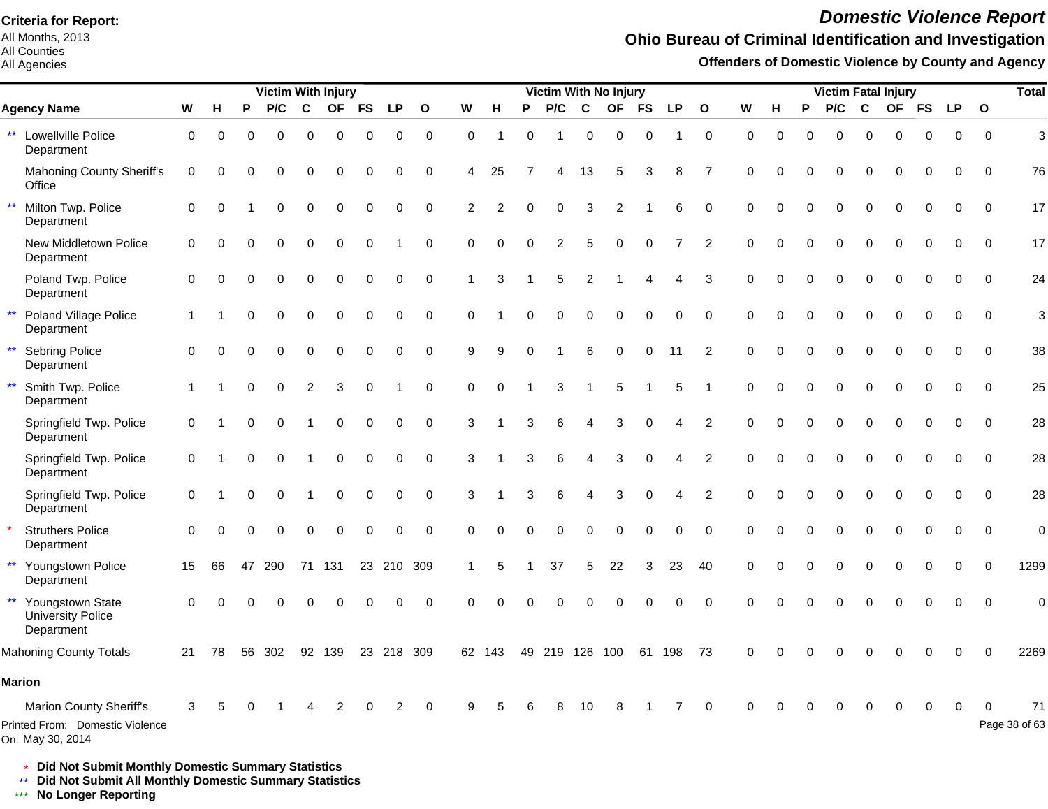All Months, 2013 All Counties

#### All Agencies

# *Domestic Violence Report*

## **Ohio Bureau of Criminal Identification and Investigation**

**Offenders of Domestic Violence by County and Agency**

|              |                                                                                |              |          |          | <b>Victim With Injury</b> |                         |              |             |             |                     |                |             |              | <b>Victim With No Injury</b> |                |             |                  |             |                         |                |          |          | <b>Victim Fatal Injury</b> |              |             |              |             |              | <b>Total</b>        |
|--------------|--------------------------------------------------------------------------------|--------------|----------|----------|---------------------------|-------------------------|--------------|-------------|-------------|---------------------|----------------|-------------|--------------|------------------------------|----------------|-------------|------------------|-------------|-------------------------|----------------|----------|----------|----------------------------|--------------|-------------|--------------|-------------|--------------|---------------------|
|              | <b>Agency Name</b>                                                             | W            | н        | P        | P/C                       | C                       | <b>OF</b>    | <b>FS</b>   | <b>LP</b>   | $\overline{O}$      | W              | H           | P            | P/C                          | C              | <b>OF</b>   | <b>FS</b>        | <b>LP</b>   | $\overline{\mathbf{o}}$ | W              | н        | P        | P/C                        | $\mathbf{C}$ | <b>OF</b>   | <b>FS</b>    | <b>LP</b>   | $\mathbf{o}$ |                     |
| $\star\star$ | Lowellville Police<br>Department                                               | $\mathbf 0$  | 0        | $\Omega$ | $\Omega$                  | 0                       | $\mathbf 0$  | 0           | $\mathbf 0$ | $\mathsf{O}\xspace$ | $\mathbf 0$    | -1          | $\Omega$     |                              | $\mathbf 0$    | $\mathbf 0$ | $\mathbf 0$      |             | $\mathbf 0$             | $\mathbf 0$    | $\Omega$ | $\Omega$ | 0                          | $\Omega$     | $\mathbf 0$ | $\mathbf 0$  | 0           | $\mathbf 0$  | 3                   |
|              | <b>Mahoning County Sheriff's</b><br>Office                                     | 0            | $\Omega$ | 0        | 0                         | 0                       | $\mathbf 0$  | $\mathbf 0$ | 0           | 0                   | 4              | 25          |              | 4                            | 13             | 5           | 3                | 8           | 7                       | $\Omega$       | $\Omega$ | 0        | 0                          | $\mathbf 0$  | $\Omega$    | 0            | 0           | $\Omega$     | 76                  |
| $\star\star$ | Milton Twp. Police<br>Department                                               | $\mathbf 0$  | $\Omega$ |          | $\Omega$                  | 0                       | $\mathbf 0$  | 0           | $\mathbf 0$ | 0                   | $\overline{2}$ | 2           | 0            | $\mathbf 0$                  | 3              | 2           |                  | 6           | $\mathbf 0$             | $\mathbf 0$    | $\Omega$ | $\Omega$ | 0                          | 0            | 0           | 0            | 0           | $\mathbf 0$  | 17                  |
|              | New Middletown Police<br>Department                                            | $\mathbf 0$  | $\Omega$ | $\Omega$ | $\Omega$                  | $\Omega$                | $\Omega$     | 0           |             | 0                   | $\Omega$       | $\Omega$    | $\Omega$     | $\overline{2}$               | 5              | $\Omega$    | $\mathbf 0$      | 7           | 2                       | $\Omega$       | $\Omega$ | $\Omega$ | $\Omega$                   | $\Omega$     | $\Omega$    | $\Omega$     | $\Omega$    | $\Omega$     | 17                  |
|              | Poland Twp. Police<br>Department                                               | $\mathbf 0$  | $\Omega$ | $\Omega$ | $\Omega$                  | $\mathbf 0$             | $\mathbf 0$  | 0           | 0           | $\mathbf 0$         | 1              | 3           |              | 5                            | $\overline{c}$ |             | 4                | 4           | 3                       | $\mathbf 0$    | $\Omega$ | $\Omega$ | $\Omega$                   | $\Omega$     | $\mathbf 0$ | $\mathbf 0$  | 0           | $\mathbf 0$  | 24                  |
| $\star\star$ | Poland Village Police<br>Department                                            | $\mathbf{1}$ |          | $\Omega$ | $\Omega$                  | $\Omega$                | $\Omega$     | $\mathbf 0$ | $\mathbf 0$ | $\mathbf 0$         | $\Omega$       |             | $\Omega$     | $\Omega$                     | $\mathbf 0$    | $\mathbf 0$ | $\pmb{0}$        | $\mathbf 0$ | $\mathbf 0$             | $\mathbf 0$    | $\Omega$ | $\Omega$ | $\Omega$                   | $\Omega$     | $\Omega$    | $\mathbf 0$  | 0           | $\mathbf 0$  | 3                   |
| $\star\star$ | Sebring Police<br>Department                                                   | $\Omega$     | $\Omega$ | $\Omega$ | $\Omega$                  | $\Omega$                | $\Omega$     | 0           | 0           | 0                   | 9              | 9           | $\Omega$     |                              | 6              | $\mathbf 0$ | 0                | 11          | $\overline{2}$          | $\pmb{0}$      | $\Omega$ | $\Omega$ | $\Omega$                   | $\Omega$     | $\Omega$    | $\mathbf{0}$ | 0           | $\mathbf 0$  | 38                  |
| $\star\star$ | Smith Twp. Police<br>Department                                                | $\mathbf 1$  |          | $\Omega$ | $\Omega$                  | $\overline{2}$          | $\mathbf{3}$ | 0           | 1           | $\mathbf 0$         | 0              | $\mathbf 0$ | $\mathbf{1}$ | 3                            | 1              | $\sqrt{5}$  | $\overline{1}$   | 5           | $\overline{1}$          | $\mathbf 0$    | $\Omega$ | $\Omega$ | $\Omega$                   | $\Omega$     | $\Omega$    | $\mathbf 0$  | $\mathbf 0$ | $\mathbf 0$  | 25                  |
|              | Springfield Twp. Police<br>Department                                          | $\mathbf 0$  |          | $\Omega$ | $\Omega$                  | -1                      | $\mathbf 0$  | $\mathbf 0$ | $\mathbf 0$ | $\mathbf 0$         | 3              |             | 3            | 6                            | $\overline{4}$ | 3           | $\mathbf 0$      | 4           | $\overline{2}$          | $\Omega$       | $\Omega$ | $\Omega$ | $\Omega$                   | $\Omega$     | $\Omega$    | $\mathbf 0$  | $\mathbf 0$ | $\mathbf 0$  | 28                  |
|              | Springfield Twp. Police<br>Department                                          | 0            |          | $\Omega$ | $\Omega$                  | $\overline{\mathbf{1}}$ | $\mathbf 0$  | 0           | $\mathbf 0$ | $\mathbf 0$         | 3              |             | 3            | 6                            | $\overline{4}$ | $\sqrt{3}$  | $\boldsymbol{0}$ | 4           | $\overline{c}$          | $\mathbf 0$    | $\Omega$ |          | 0                          | $\Omega$     | $\Omega$    | $\mathbf 0$  | 0           | $\mathbf 0$  | 28                  |
|              | Springfield Twp. Police<br>Department                                          | $\mathbf 0$  |          | $\Omega$ | $\Omega$                  | 1                       | $\mathbf 0$  | 0           | $\mathbf 0$ | $\mathbf 0$         | 3              |             | 3            | 6                            | 4              | 3           | 0                | 4           | $\overline{2}$          | $\Omega$       | $\Omega$ |          | 0                          | $\Omega$     | $\mathbf 0$ | $\mathbf 0$  | 0           | $\mathbf 0$  | 28                  |
|              | <b>Struthers Police</b><br>Department                                          | $\Omega$     |          | O        | $\Omega$                  | $\mathbf 0$             | $\mathbf 0$  | 0           | 0           | $\mathbf 0$         | 0              | 0           | 0            | $\mathbf 0$                  | $\mathbf 0$    | $\mathbf 0$ | 0                | 0           | $\mathbf 0$             | $\Omega$       | $\Omega$ |          | 0                          | $\mathbf 0$  | $\mathbf 0$ | 0            | 0           | $\mathbf 0$  | $\mathbf 0$         |
| $\star\star$ | Youngstown Police<br>Department                                                | 15           | 66       | 47       | 290                       | 71                      | 131          |             |             | 23 210 309          |                | 5           |              | 37                           | 5              | 22          | 3                | 23          | 40                      | $\mathbf 0$    | $\Omega$ |          | 0                          | $\mathbf 0$  | 0           | $\mathbf 0$  | 0           | $\mathbf 0$  | 1299                |
| $\star\star$ | Youngstown State<br><b>University Police</b><br>Department                     | $\Omega$     | ∩        |          |                           |                         | O            | 0           | $\Omega$    | $\pmb{0}$           | $\Omega$       | $\Omega$    | $\Omega$     | $\Omega$                     | $\Omega$       | $\Omega$    | $\Omega$         | 0           | $\Omega$                | $\overline{0}$ | $\Omega$ |          | 0                          | $\Omega$     | $\Omega$    | $\Omega$     | 0           | $\pmb{0}$    | 0                   |
|              | <b>Mahoning County Totals</b>                                                  | 21           | 78       | 56       | 302                       | 92                      | 139          | 23          |             | 218 309             |                | 62 143      | 49           | 219 126 100                  |                |             | 61               | 198         | 73                      | $\Omega$       | $\Omega$ |          |                            |              |             |              | $\Omega$    | $\Omega$     | 2269                |
|              | <b>Marion</b>                                                                  |              |          |          |                           |                         |              |             |             |                     |                |             |              |                              |                |             |                  |             |                         |                |          |          |                            |              |             |              |             |              |                     |
|              | Marion County Sheriff's<br>Printed From: Domestic Violence<br>On: May 30, 2014 | 3            |          |          |                           |                         | 2            |             | 2           | $\mathbf 0$         | 9              | 5           |              | 8                            | 10             | 8           |                  |             | 0                       | $\Omega$       |          |          |                            | 0            | $\Omega$    | 0            | $\mathbf 0$ | 0            | 71<br>Page 38 of 63 |

\* **Did Not Submit Monthly Domestic Summary Statistics**

**Did Not Submit All Monthly Domestic Summary Statistics**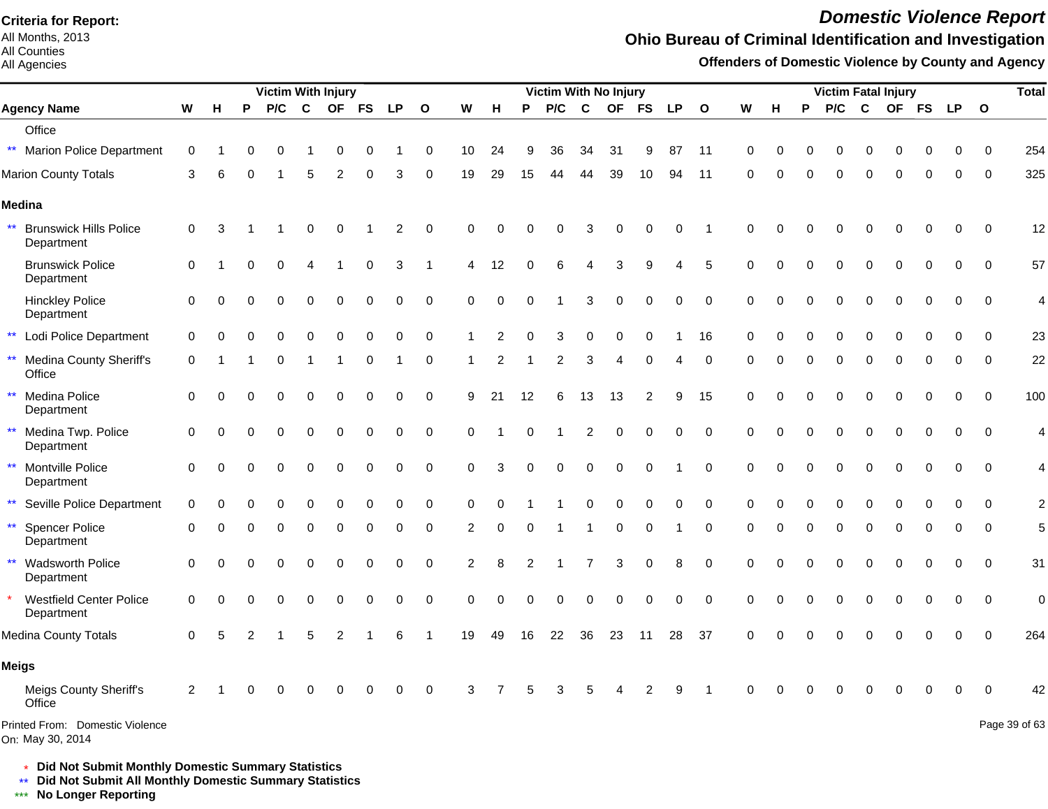All Months, 2013 All Counties

All Agencies

# *Domestic Violence Report*

## **Ohio Bureau of Criminal Identification and Investigation**

**Offenders of Domestic Violence by County and Agency**

|                                                             |             |          |          | <b>Victim With Injury</b> |             |                |             |                |              |                |                |          | Victim With No Injury |                |    |                |           |              |          |          |          |          | <b>Victim Fatal Injury</b> |             |             |             |              | <b>Total</b>             |
|-------------------------------------------------------------|-------------|----------|----------|---------------------------|-------------|----------------|-------------|----------------|--------------|----------------|----------------|----------|-----------------------|----------------|----|----------------|-----------|--------------|----------|----------|----------|----------|----------------------------|-------------|-------------|-------------|--------------|--------------------------|
| <b>Agency Name</b>                                          | W           | н        | P        | P/C                       | $\mathbf c$ | <b>OF</b>      | <b>FS</b>   | <b>LP</b>      | $\mathbf{o}$ | W              | н              | P        | P/C                   | C              | OF | <b>FS</b>      | <b>LP</b> | $\mathbf{o}$ | W        | н        | P        | P/C      | C                          | OF FS       |             | <b>LP</b>   | $\mathbf{o}$ |                          |
| Office                                                      |             |          |          |                           |             |                |             |                |              |                |                |          |                       |                |    |                |           |              |          |          |          |          |                            |             |             |             |              |                          |
| <b>Marion Police Department</b><br>$***$                    | 0           |          | 0        | 0                         |             | 0              | 0           |                | 0            | 10             | 24             | 9        | 36                    | 34             | 31 | 9              | 87        | 11           | 0        | 0        | 0        | 0        | 0                          | 0           | 0           | 0           | 0            | 254                      |
| <b>Marion County Totals</b>                                 | 3           | 6        |          |                           | 5           | $\overline{2}$ |             | 3              | 0            | 19             | 29             | 15       | 44                    | 44             | 39 | 10             | 94        | 11           | $\Omega$ |          |          | $\Omega$ | $\Omega$                   |             | 0           | $\Omega$    | $\mathbf 0$  | 325                      |
| Medina                                                      |             |          |          |                           |             |                |             |                |              |                |                |          |                       |                |    |                |           |              |          |          |          |          |                            |             |             |             |              |                          |
| $\star\star$<br><b>Brunswick Hills Police</b><br>Department | $\mathbf 0$ | 3        |          |                           | 0           | 0              |             | $\overline{c}$ | 0            | 0              | $\Omega$       |          | ი                     | 3              | 0  | 0              | 0         |              | $\Omega$ |          |          |          | C                          |             | 0           | 0           | 0            | 12                       |
| <b>Brunswick Police</b><br>Department                       | 0           |          | O        | $\Omega$                  | 4           |                | 0           | 3              | 1            | 4              | 12             | $\Omega$ | 6                     | 4              | 3  | 9              | 4         | 5            | 0        | O        | O        | 0        | 0                          | 0           | 0           | 0           | 0            | 57                       |
| <b>Hinckley Police</b><br>Department                        | $\mathbf 0$ | $\Omega$ | $\Omega$ | $\Omega$                  | 0           | $\Omega$       | $\mathbf 0$ | $\mathbf 0$    | $\mathbf 0$  | $\mathbf 0$    | $\mathbf 0$    | $\Omega$ |                       | 3              | 0  | $\mathbf 0$    | 0         | $\mathbf 0$  | $\Omega$ | 0        |          | 0        | $\Omega$                   | $\Omega$    | 0           | $\mathbf 0$ | $\Omega$     | $\overline{\mathcal{L}}$ |
| $\star\star$<br>Lodi Police Department                      | $\mathbf 0$ | ∩        |          | 0                         | 0           | 0              | 0           | 0              | $\mathbf 0$  | 1              | 2              | $\Omega$ | 3                     | 0              | 0  | $\mathbf 0$    |           | 16           | 0        | 0        | 0        | 0        | $\mathbf 0$                | 0           | $\mathbf 0$ | 0           | 0            | 23                       |
| <b>Medina County Sheriff's</b><br>**<br>Office              | 0           |          |          | ∩                         |             |                | 0           |                | 0            |                | $\overline{c}$ |          | 2                     | 3              | Δ  | $\Omega$       |           | $\Omega$     | 0        |          | ŋ        | O        | $\Omega$                   | 0           | 0           | $\Omega$    | $\Omega$     | 22                       |
| $\star\star$<br>Medina Police<br>Department                 | $\mathbf 0$ | $\Omega$ |          | $\Omega$                  | 0           | $\mathbf 0$    | 0           | $\Omega$       | $\mathbf 0$  | 9              | 21             | 12       | 6                     | 13             | 13 | $\overline{2}$ | 9         | 15           | $\Omega$ | 0        | $\Omega$ | $\Omega$ | $\Omega$                   | 0           | $\Omega$    | $\Omega$    | $\Omega$     | 100                      |
| $\star\star$<br>Medina Twp. Police<br>Department            | $\mathbf 0$ | $\Omega$ |          | $\Omega$                  | 0           | $\mathbf 0$    | 0           | 0              | $\mathbf 0$  | $\mathbf 0$    |                | $\Omega$ |                       | $\overline{c}$ | 0  | 0              | 0         | $\mathbf 0$  | $\Omega$ | $\Omega$ | $\Omega$ | $\Omega$ | $\Omega$                   | 0           | 0           | 0           | $\Omega$     | 4                        |
| Montville Police<br>$\star\star$<br>Department              | $\mathbf 0$ | $\Omega$ |          |                           | $\Omega$    | $\mathbf 0$    | 0           | $\Omega$       | $\mathbf 0$  | $\Omega$       | 3              | $\Omega$ | 0                     | 0              | 0  | $\Omega$       |           | $\Omega$     | $\Omega$ | 0        | 0        | 0        | $\Omega$                   | $\mathbf 0$ | $\mathbf 0$ | 0           | $\Omega$     | 4                        |
| $\star\star$<br>Seville Police Department                   | 0           |          |          |                           |             |                |             | O              | 0            | 0              | $\Omega$       |          |                       |                |    |                |           | 0            | 0        |          |          |          | 0                          | 0           | ŋ           | $\Omega$    | $\Omega$     | $\overline{2}$           |
| <b>Spencer Police</b><br>$***$<br>Department                | 0           | ∩        |          | $\Omega$                  | 0           | 0              | 0           | 0              | 0            | 2              | 0              | 0        |                       |                | 0  | 0              |           | $\mathbf 0$  | 0        | O        | O        | 0        | $\Omega$                   | 0           | 0           | 0           | $\Omega$     | 5                        |
| $\star\star$<br><b>Wadsworth Police</b><br>Department       | 0           | ∩        |          | $\Omega$                  | 0           | $\Omega$       | $\Omega$    | 0              | $\mathbf 0$  | $\overline{2}$ | 8              |          |                       |                | 3  | $\Omega$       | 8         | $\mathbf 0$  | $\Omega$ | 0        |          | $\Omega$ | $\Omega$                   | $\Omega$    | $\Omega$    | $\Omega$    | $\Omega$     | 31                       |
| <b>Westfield Center Police</b><br>Department                | 0           |          |          |                           |             |                |             | 0              | $\mathbf 0$  | $\Omega$       | 0              |          | U                     |                |    | $\Omega$       | 0         | $\mathbf 0$  | $\Omega$ |          |          |          | 0                          |             | 0           | $\mathbf 0$ | $\mathbf 0$  | $\mathbf 0$              |
| Medina County Totals                                        | 0           | 5        |          |                           | 5           | $\overline{2}$ |             | 6              | -1           | 19             | 49             | 16       | 22                    | 36             | 23 | 11             | 28        | 37           | $\Omega$ |          |          |          |                            |             | 0           | $\Omega$    | $\Omega$     | 264                      |
| Meigs                                                       |             |          |          |                           |             |                |             |                |              |                |                |          |                       |                |    |                |           |              |          |          |          |          |                            |             |             |             |              |                          |
| Meigs County Sheriff's<br>Office                            | 2           |          |          |                           |             | ∩              | O           | O              | $\mathbf 0$  | 3              |                |          | 3                     | 5              |    | 2              | 9         |              | ∩        |          |          |          | 0                          |             | 0           | 0           | $\Omega$     | 42                       |
| Printed From: Domestic Violence<br>On: May 30, 2014         |             |          |          |                           |             |                |             |                |              |                |                |          |                       |                |    |                |           |              |          |          |          |          |                            |             |             |             |              | Page 39 of 63            |

\* **Did Not Submit Monthly Domestic Summary Statistics**

**Did Not Submit All Monthly Domestic Summary Statistics**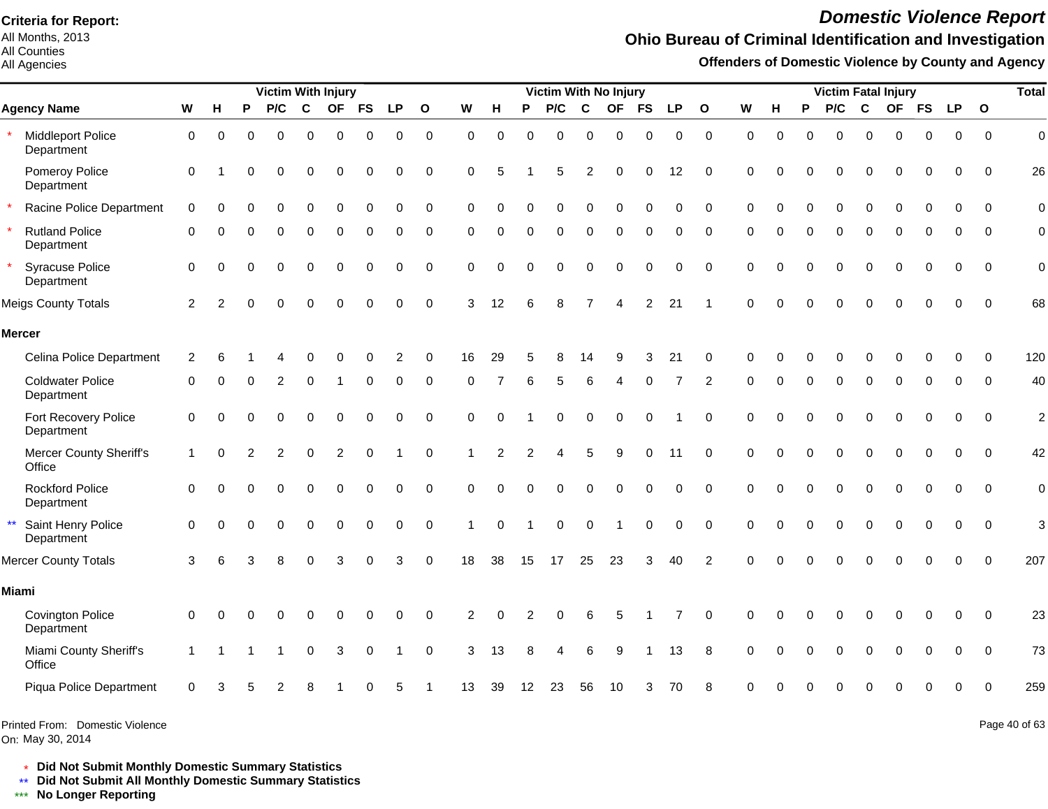All Months, 2013 All Counties

#### All Agencies

# *Domestic Violence Report*

## **Ohio Bureau of Criminal Identification and Investigation**

**Offenders of Domestic Violence by County and Agency**

| <b>Victim With Injury</b>                        |                |          |          |          |             |                |             |             |              |                |                |          | Victim With No Injury |             |           |           |             |                |             |          |          |          |              | <b>Victim Fatal Injury</b> |             |             |             | <b>Total</b>   |
|--------------------------------------------------|----------------|----------|----------|----------|-------------|----------------|-------------|-------------|--------------|----------------|----------------|----------|-----------------------|-------------|-----------|-----------|-------------|----------------|-------------|----------|----------|----------|--------------|----------------------------|-------------|-------------|-------------|----------------|
| <b>Agency Name</b>                               | W              | н        | P        | P/C      | $\mathbf c$ | <b>OF</b>      | <b>FS</b>   | <b>LP</b>   | $\mathbf{o}$ | W              | н              | P        | P/C                   | $\mathbf c$ | <b>OF</b> | <b>FS</b> | <b>LP</b>   | $\mathbf{o}$   | W           | H        | P        | P/C      | $\mathbf{C}$ |                            | OF FS       | <b>LP</b>   | $\mathbf 0$ |                |
| Middleport Police<br>Department                  | 0              | 0        | $\Omega$ | 0        | 0           | $\mathbf 0$    | 0           | 0           | $\pmb{0}$    | $\Omega$       | $\Omega$       | ∩        | 0                     | $\Omega$    | $\Omega$  | $\Omega$  | 0           | $\mathbf 0$    | $\Omega$    | $\Omega$ | $\Omega$ | $\Omega$ | $\mathbf 0$  | 0                          | $\mathbf 0$ | $\mathbf 0$ | $\mathbf 0$ | $\mathbf 0$    |
| Pomeroy Police<br>Department                     | 0              |          | O        | $\Omega$ | 0           | $\mathbf 0$    | $\Omega$    | 0           | $\mathbf 0$  | $\Omega$       | 5              |          | 5                     | 2           | $\Omega$  | $\Omega$  | 12          | $\Omega$       | $\Omega$    |          |          | 0        | $\Omega$     | $\Omega$                   | $\Omega$    | $\Omega$    | $\Omega$    | 26             |
| Racine Police Department                         | $\mathbf 0$    | $\Omega$ | U        | $\Omega$ | $\Omega$    | $\Omega$       | $\Omega$    | $\Omega$    | 0            | $\Omega$       | O              |          | 0                     | $\Omega$    | $\Omega$  | $\Omega$  | $\Omega$    | $\Omega$       | $\Omega$    | 0        | $\Omega$ | $\Omega$ | $\Omega$     | $\Omega$                   | $\Omega$    | $\Omega$    | $\Omega$    | $\mathbf 0$    |
| <b>Rutland Police</b><br>Department              | 0              |          |          | 0        | 0           | 0              | 0           | 0           | 0            | $\Omega$       | $\Omega$       | ∩        | 0                     | 0           | $\Omega$  | 0         | 0           | $\Omega$       | 0           | 0        | 0        | 0        | 0            | 0                          | 0           | 0           | $\Omega$    | 0              |
| <b>Syracuse Police</b><br>Department             | $\Omega$       | $\Omega$ |          | $\Omega$ | $\Omega$    | $\Omega$       | $\Omega$    | $\Omega$    | $\Omega$     | $\Omega$       | $\Omega$       |          | O                     | $\Omega$    | O         | $\Omega$  | $\Omega$    | $\Omega$       | $\Omega$    | $\Omega$ | $\Omega$ | $\Omega$ | $\Omega$     | $\Omega$                   | $\Omega$    | $\Omega$    | $\Omega$    | $\overline{0}$ |
| <b>Meigs County Totals</b>                       | 2              | 2        |          | $\Omega$ | $\Omega$    | $\Omega$       | $\Omega$    | $\mathbf 0$ | $\mathbf 0$  | 3              | 12             |          | 8                     |             |           | 2         | 21          |                | $\Omega$    | $\Omega$ | $\Omega$ | U        | $\Omega$     | $\Omega$                   | $\Omega$    | 0           | $\Omega$    | 68             |
| <b>Mercer</b>                                    |                |          |          |          |             |                |             |             |              |                |                |          |                       |             |           |           |             |                |             |          |          |          |              |                            |             |             |             |                |
| Celina Police Department                         | $\overline{c}$ | 6        |          |          | O           | $\Omega$       | 0           | 2           | 0            | 16             | 29             |          | 8                     | 14          | 9         | 3         | 21          | 0              | $\Omega$    |          |          | 0        | 0            | 0                          | 0           | $\Omega$    | $\mathbf 0$ | 120            |
| <b>Coldwater Police</b><br>Department            | $\Omega$       |          |          |          | $\Omega$    |                | $\Omega$    | $\Omega$    | $\Omega$     | $\Omega$       |                |          | 5                     |             |           |           |             | $\overline{2}$ | $\Omega$    | $\Omega$ | $\Omega$ | $\Omega$ | $\Omega$     | $\Omega$                   | $\Omega$    | $\Omega$    | $\Omega$    | 40             |
| Fort Recovery Police<br>Department               | $\mathbf 0$    | $\Omega$ |          | $\Omega$ | $\Omega$    | $\mathbf 0$    | $\Omega$    | 0           | $\mathbf 0$  | $\mathbf 0$    | $\Omega$       |          | 0                     | $\Omega$    | $\Omega$  | $\Omega$  |             | $\Omega$       | $\Omega$    | $\Omega$ |          | $\Omega$ | $\mathbf 0$  | 0                          | 0           | 0           | $\Omega$    | $\overline{c}$ |
| Mercer County Sheriff's<br>Office                | 1              | $\Omega$ |          | 2        | $\Omega$    | $\overline{2}$ | $\Omega$    |             | $\Omega$     |                | $\overline{2}$ | 2        |                       | 5           | g         | $\Omega$  | 11          | $\Omega$       | $\Omega$    |          | $\Omega$ | O        | $\Omega$     | $\Omega$                   | $\Omega$    | $\Omega$    | $\Omega$    | 42             |
| <b>Rockford Police</b><br>Department             | 0              | $\Omega$ |          | 0        | $\Omega$    | $\Omega$       | $\mathbf 0$ | $\mathbf 0$ | $\mathbf 0$  | $\mathbf 0$    | $\Omega$       | $\Omega$ | 0                     | $\Omega$    | $\Omega$  | $\Omega$  | $\mathbf 0$ | $\mathbf 0$    | $\mathbf 0$ | $\Omega$ | $\Omega$ | $\Omega$ | $\Omega$     | $\Omega$                   | $\mathbf 0$ | $\mathbf 0$ | $\mathbf 0$ | $\mathbf 0$    |
| $\star\star$<br>Saint Henry Police<br>Department | $\Omega$       |          |          |          | $\Omega$    | $\Omega$       | $\Omega$    | 0           | $\mathbf 0$  |                | $\Omega$       |          | 0                     | $\Omega$    |           | $\Omega$  | 0           | $\mathbf 0$    | $\Omega$    | $\Omega$ | $\Omega$ | 0        | $\Omega$     | $\Omega$                   | $\Omega$    | $\mathbf 0$ | $\Omega$    | 3              |
| <b>Mercer County Totals</b>                      | 3              | 6        | 3        | 8        | $\Omega$    | 3              | $\Omega$    | 3           | $\mathbf 0$  | 18             | 38             | 15       | 17                    | 25          | 23        | 3         | 40          | 2              | $\Omega$    | $\Omega$ | $\Omega$ | $\Omega$ | $\Omega$     | $\Omega$                   | $\Omega$    | $\Omega$    | $\Omega$    | 207            |
| Miami                                            |                |          |          |          |             |                |             |             |              |                |                |          |                       |             |           |           |             |                |             |          |          |          |              |                            |             |             |             |                |
| <b>Covington Police</b><br>Department            | 0              | ∩        |          |          |             | ∩              | ∩           | O           | $\Omega$     | $\overline{2}$ | ∩              |          |                       |             |           |           |             | $\Omega$       | $\Omega$    |          |          |          | ∩            | U                          | O           | O           | $\Omega$    | 23             |
| Miami County Sheriff's<br>Office                 | 1              |          |          |          | $\Omega$    | 3              | $\Omega$    |             | $\Omega$     | 3              | 13             |          |                       |             | 9         |           | 13          | 8              | $\Omega$    |          |          |          |              |                            |             | $\Omega$    | $\Omega$    | 73             |
| Piqua Police Department                          | $\Omega$       |          |          |          |             |                |             |             |              | 13             | 39             | 12       | 23                    | 56          | 10        |           | 70          |                |             |          |          |          |              |                            |             |             | $\Omega$    | 259            |
|                                                  |                |          |          |          |             |                |             |             |              |                |                |          |                       |             |           |           |             |                |             |          |          |          |              |                            |             |             |             |                |

Printed From: Domestic Violence

On: May 30, 2014

Page 40 of 63

\* **Did Not Submit Monthly Domestic Summary Statistics**

**Did Not Submit All Monthly Domestic Summary Statistics**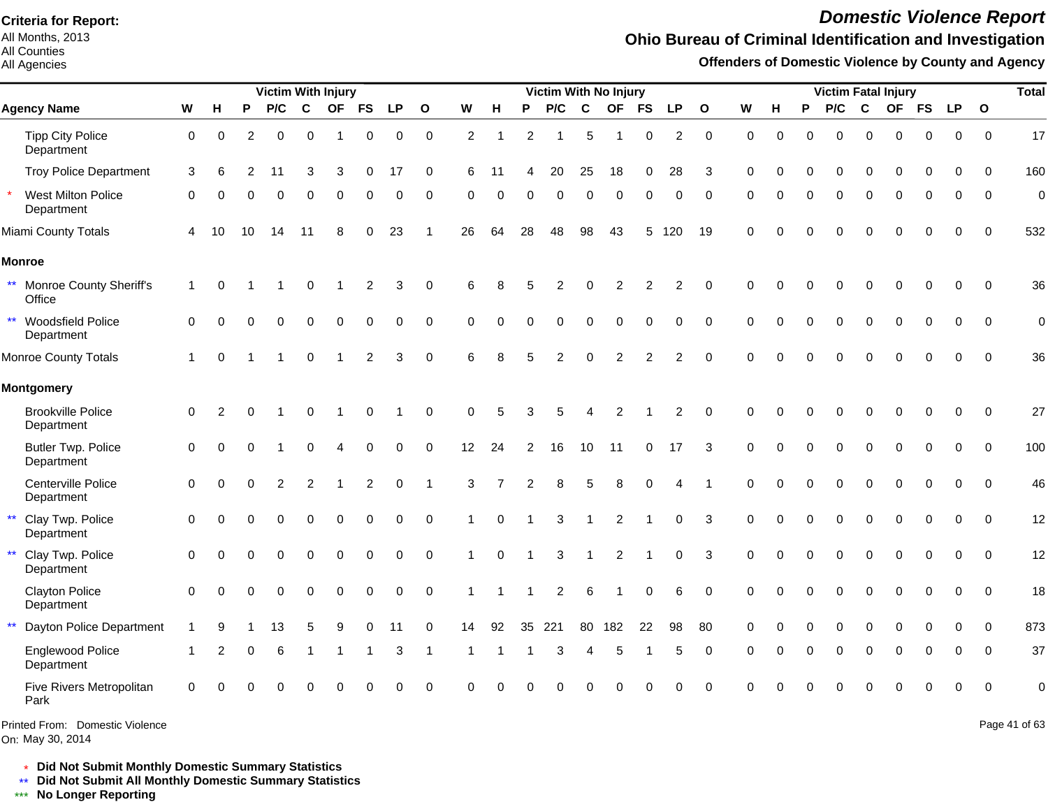All Months, 2013 All Counties

#### All Agencies

# *Domestic Violence Report*

#### **Ohio Bureau of Criminal Identification and Investigation**

**Offenders of Domestic Violence by County and Agency**

|              |                                         |                | <b>Victim With Injury</b> |          |          |               |           |                |           |              |          |                         |                | Victim With No Injury |             |                |                |                |              |          |          |          | <b>Victim Fatal Injury</b> |              |          |             | <b>Total</b> |              |                |
|--------------|-----------------------------------------|----------------|---------------------------|----------|----------|---------------|-----------|----------------|-----------|--------------|----------|-------------------------|----------------|-----------------------|-------------|----------------|----------------|----------------|--------------|----------|----------|----------|----------------------------|--------------|----------|-------------|--------------|--------------|----------------|
|              | <b>Agency Name</b>                      | W              | н                         | P        | P/C      | $\mathbf c$   | <b>OF</b> | <b>FS</b>      | <b>LP</b> | $\mathbf{o}$ | W        | н                       | Ρ              | P/C                   | $\mathbf c$ | OF             | <b>FS</b>      | <b>LP</b>      | $\mathbf{o}$ | W        | н        | P        | P/C                        | $\mathbf{C}$ |          | OF FS       | <b>LP</b>    | $\mathbf{o}$ |                |
|              | <b>Tipp City Police</b><br>Department   | $\mathbf 0$    | $\Omega$                  | 2        | $\Omega$ | $\Omega$      | -1        | $\Omega$       | 0         | $\mathbf 0$  | 2        | $\overline{\mathbf{1}}$ | $\overline{2}$ |                       | 5           |                | 0              | $\overline{c}$ | $\mathbf 0$  | $\Omega$ | $\Omega$ | U        | $\Omega$                   | $\Omega$     | $\Omega$ | 0           | $\Omega$     | $\Omega$     | 17             |
|              | <b>Troy Police Department</b>           | 3              | 6                         | 2        | 11       | 3             | 3         | 0              | 17        | 0            | 6        | 11                      |                | 20                    | 25          | 18             | 0              | 28             | 3            | $\Omega$ |          |          | 0                          | 0            | 0        | 0           | $\Omega$     | $\Omega$     | 160            |
| $\star$      | West Milton Police<br>Department        | $\Omega$       | ∩                         |          | U        | ∩             | ∩         |                | 0         | $\Omega$     | $\Omega$ |                         | ∩              | 0                     | ∩           | $\Omega$       | $\Omega$       | $\Omega$       | $\Omega$     | ∩        |          | $\Omega$ | $\Omega$                   | $\Omega$     | $\Omega$ | 0           | 0            | $\Omega$     | 0              |
|              | Miami County Totals                     | $\overline{4}$ | 10                        | 10       | 14       | 11            | 8         |                | 23        |              | 26       | 64                      | 28             | 48                    | 98          | 43             | 5              | 120            | 19           | $\Omega$ |          |          | $\Omega$                   | $\Omega$     | 0        |             |              | $\Omega$     | 532            |
|              | <b>Monroe</b>                           |                |                           |          |          |               |           |                |           |              |          |                         |                |                       |             |                |                |                |              |          |          |          |                            |              |          |             |              |              |                |
|              | ** Monroe County Sheriff's<br>Office    | 1              | $\Omega$                  |          |          | $\Omega$      |           | 2              | 3         | $\Omega$     | 6        |                         |                | 2                     | $\Omega$    | 2              | $\overline{2}$ | 2              | $\Omega$     | $\Omega$ |          |          | O                          | 0            | ∩        | 0           | $\Omega$     | $\Omega$     | 36             |
|              | ** Woodsfield Police<br>Department      | $\Omega$       | $\Omega$                  | ∩        | 0        | $\Omega$      |           | $\Omega$       | 0         | $\Omega$     | $\Omega$ |                         |                | 0                     | $\Omega$    | $\Omega$       | $\mathbf 0$    | $\Omega$       | $\Omega$     | $\Omega$ | $\Omega$ | $\Omega$ | $\Omega$                   | $\Omega$     | $\Omega$ | 0           | 0            | 0            | $\mathbf 0$    |
|              | <b>Monroe County Totals</b>             |                | $\Omega$                  |          |          | $\Omega$      |           | $\overline{c}$ | 3         | $\mathbf 0$  | 6        |                         |                | 2                     | $\Omega$    | $\overline{2}$ | $\overline{2}$ | $\overline{2}$ | $\Omega$     | $\Omega$ |          |          |                            | $\Omega$     |          | 0           | $\Omega$     | $\Omega$     | 36             |
|              | <b>Montgomery</b>                       |                |                           |          |          |               |           |                |           |              |          |                         |                |                       |             |                |                |                |              |          |          |          |                            |              |          |             |              |              |                |
|              | <b>Brookville Police</b><br>Department  | $\mathbf 0$    | 2                         |          |          | 0             |           | ∩              |           | $\Omega$     | 0        | 5                       | 3              | 5                     |             | 2              |                | 2              | $\Omega$     | $\Omega$ |          |          | 0                          | 0            | ∩        | 0           | $\Omega$     | $\Omega$     | 27             |
|              | <b>Butler Twp. Police</b><br>Department | $\mathbf 0$    | 0                         | ∩        |          |               |           |                | 0         | $\Omega$     | 12       | 24                      | $\overline{2}$ | 16                    | 10          | 11             | 0              | 17             | 3            | $\Omega$ |          | n        | O                          | $\Omega$     | 0        | 0           | $\Omega$     | $\Omega$     | 100            |
|              | Centerville Police<br>Department        | $\mathbf 0$    | $\Omega$                  | $\Omega$ | 2        | $\mathcal{P}$ |           | $\overline{2}$ | 0         |              | 3        |                         | $\overline{c}$ | 8                     | 5           |                | $\Omega$       |                |              | $\Omega$ |          | $\Omega$ | $\Omega$                   | $\Omega$     | $\Omega$ | $\mathbf 0$ | $\Omega$     | $\Omega$     | 46             |
| $\star\star$ | Clay Twp. Police<br>Department          | $\mathbf 0$    | $\Omega$                  |          | U        |               | $\Omega$  |                | 0         | $\Omega$     | -1       | $\Omega$                |                | 3                     |             | $\overline{c}$ |                | 0              | 3            | $\Omega$ |          |          | $\Omega$                   | $\mathbf 0$  | 0        | 0           |              | $\Omega$     | 12             |
|              | ** Clay Twp. Police<br>Department       | $\Omega$       | $\Omega$                  |          | 0        | $\Omega$      | $\Omega$  | $\Omega$       | 0         | $\Omega$     |          | $\Omega$                |                | 3                     |             | 2              |                | $\Omega$       | 3            | $\Omega$ | $\Omega$ | $\Omega$ | $\Omega$                   | $\Omega$     | $\Omega$ | $\Omega$    | $\Omega$     | $\Omega$     | 12             |
|              | <b>Clayton Police</b><br>Department     | $\Omega$       | $\Omega$                  |          | U        | ∩             | $\Omega$  |                | 0         | $\Omega$     |          |                         |                | 2                     | 6           |                | $\Omega$       | 6              | $\Omega$     | $\Omega$ |          |          | $\Omega$                   | $\Omega$     | $\Omega$ | O           | $\Omega$     | $\Omega$     | 18             |
| $***$        | Dayton Police Department                |                |                           |          | 13       |               |           |                | 11        | $\Omega$     | 14       | 92                      | 35             | 221                   | 80          | 182            | 22             | 98             | 80           | $\Omega$ |          |          |                            | $\Omega$     | $\Omega$ | 0           | $\Omega$     | $\Omega$     | 873            |
|              | Englewood Police<br>Department          |                | 2                         | $\Omega$ | 6        |               |           |                | 3         | -1           | -1       |                         |                | 3                     | 4           | 5              |                | 5              | $\Omega$     | $\Omega$ |          | $\Omega$ | $\Omega$                   | $\Omega$     | 0        | $\Omega$    | $\Omega$     | $\Omega$     | 37             |
|              | Five Rivers Metropolitan<br>Park        | $\Omega$       |                           |          |          |               |           |                |           | $\Omega$     |          |                         |                |                       |             |                |                | $\Omega$       | $\Omega$     | ∩        |          |          |                            | ∩            | ∩        | U           | ∩            | $\Omega$     | $\overline{0}$ |

Printed From: Domestic Violence

On: May 30, 2014

Page 41 of 63

\* **Did Not Submit Monthly Domestic Summary Statistics**

**Did Not Submit All Monthly Domestic Summary Statistics**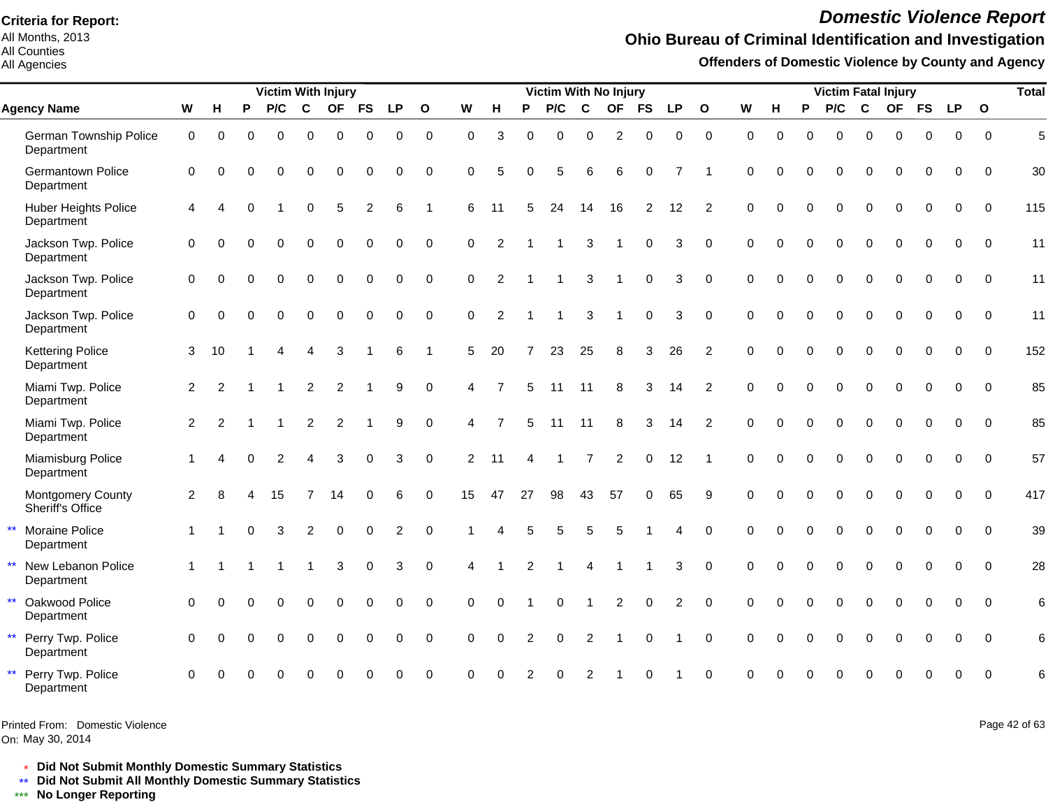All Months, 2013 All Counties

All Agencies

# *Domestic Violence Report*

## **Ohio Bureau of Criminal Identification and Investigation**

**Offenders of Domestic Violence by County and Agency**

|                                                     |                |                |          | <b>Victim With Injury</b> |                |             |                |             |              |             |                |                | <b>Victim With No Injury</b> |                |                |                |                |                |             |             |              |             |              | <b>Victim Fatal Injury</b> |             |             |              | <b>Total</b> |
|-----------------------------------------------------|----------------|----------------|----------|---------------------------|----------------|-------------|----------------|-------------|--------------|-------------|----------------|----------------|------------------------------|----------------|----------------|----------------|----------------|----------------|-------------|-------------|--------------|-------------|--------------|----------------------------|-------------|-------------|--------------|--------------|
| <b>Agency Name</b>                                  | W              | н              | P        | P/C                       | C              | <b>OF</b>   | <b>FS</b>      | <b>LP</b>   | $\mathbf{o}$ | W           | н              | P              | P/C                          | C              | <b>OF</b>      | FS             | <b>LP</b>      | $\mathbf{o}$   | W           | н           | P            | P/C         | $\mathbf{C}$ |                            | OF FS       | <b>LP</b>   | $\mathbf{o}$ |              |
| German Township Police<br>Department                | $\mathbf 0$    | $\mathbf 0$    | 0        | $\mathbf 0$               | 0              | $\pmb{0}$   | $\mathbf 0$    | $\mathbf 0$ | $\pmb{0}$    | $\mathbf 0$ | 3              | $\Omega$       | $\mathbf 0$                  | $\mathbf 0$    | $\overline{c}$ | $\Omega$       | 0              | $\mathbf 0$    | $\mathbf 0$ | $\mathbf 0$ | $\Omega$     | $\mathbf 0$ | $\mathbf 0$  | $\mathbf 0$                | $\mathbf 0$ | $\mathbf 0$ | $\Omega$     | 5            |
| Germantown Police<br>Department                     | $\mathbf 0$    | $\Omega$       | $\Omega$ | $\mathbf 0$               | 0              | $\mathbf 0$ | $\Omega$       | $\Omega$    | $\mathbf 0$  | $\Omega$    | 5              | $\Omega$       | 5                            | 6              | 6              | $\Omega$       | 7              | -1             | $\Omega$    | $\Omega$    | $\Omega$     | $\Omega$    | $\Omega$     | $\Omega$                   | $\Omega$    | $\Omega$    | $\Omega$     | 30           |
| <b>Huber Heights Police</b><br>Department           | $\overline{4}$ |                | U        |                           | $\Omega$       | 5           | $\overline{c}$ | 6           |              | 6           | 11             | 5              | 24                           | 14             | 16             | $\overline{2}$ | 12             | 2              | $\Omega$    | $\Omega$    | $\Omega$     | $\Omega$    | $\Omega$     | $\Omega$                   | $\Omega$    | $\Omega$    | $\Omega$     | 115          |
| Jackson Twp. Police<br>Department                   | $\mathbf 0$    | $\Omega$       | $\Omega$ | $\mathbf 0$               | $\mathbf 0$    | $\mathbf 0$ | $\mathbf 0$    | $\Omega$    | $\mathbf 0$  | $\Omega$    | $\overline{2}$ |                | $\overline{1}$               | 3              | $\overline{1}$ | $\Omega$       | 3              | $\mathbf 0$    | $\Omega$    | $\Omega$    | $\mathbf 0$  | $\mathbf 0$ | $\Omega$     | $\Omega$                   | $\Omega$    | $\Omega$    | $\Omega$     | 11           |
| Jackson Twp. Police<br>Department                   | $\mathbf 0$    | $\Omega$       | 0        | $\Omega$                  | $\Omega$       | $\mathbf 0$ | $\mathbf 0$    | $\mathbf 0$ | $\mathbf 0$  | $\Omega$    | 2              |                | $\overline{1}$               | 3              | -1             | $\mathbf 0$    | 3              | $\Omega$       | $\Omega$    | $\Omega$    | $\Omega$     | $\Omega$    | $\Omega$     | $\Omega$                   | $\mathbf 0$ | $\Omega$    | $\Omega$     | 11           |
| Jackson Twp. Police<br>Department                   | $\mathbf 0$    | $\Omega$       | $\Omega$ | $\mathbf 0$               | $\mathbf 0$    | $\mathbf 0$ | $\mathbf 0$    | $\mathbf 0$ | $\mathbf 0$  | $\Omega$    | 2              |                |                              | 3              | -1             | $\Omega$       | 3              | $\mathbf 0$    | $\Omega$    | $\Omega$    | $\Omega$     | $\Omega$    | $\mathbf 0$  | 0                          | $\mathbf 0$ | $\mathbf 0$ | $\Omega$     | 11           |
| <b>Kettering Police</b><br>Department               | 3              | 10             |          | 4                         | 4              | 3           |                | 6           | -1           | 5           | 20             | $\overline{7}$ | 23                           | 25             | 8              | 3              | 26             | $\overline{2}$ | $\Omega$    | $\Omega$    | $\Omega$     | $\Omega$    | $\Omega$     | $\Omega$                   | $\Omega$    | $\Omega$    | $\Omega$     | 152          |
| Miami Twp. Police<br>Department                     | 2              | $\overline{2}$ |          |                           | 2              | 2           |                | 9           | $\mathbf 0$  | 4           | $\overline{7}$ | 5              | 11                           | 11             | 8              | 3              | 14             | 2              | $\Omega$    | $\Omega$    | $\Omega$     | $\Omega$    | $\Omega$     | $\Omega$                   | $\Omega$    | $\Omega$    | $\Omega$     | 85           |
| Miami Twp. Police<br>Department                     | 2              | 2              |          | $\overline{1}$            | 2              | 2           |                | 9           | $\mathbf 0$  | 4           | $\overline{7}$ | 5              | 11                           | 11             | 8              | 3              | 14             | $\overline{2}$ | $\Omega$    | $\Omega$    | $\Omega$     | $\Omega$    | $\Omega$     | $\Omega$                   | $\Omega$    | $\Omega$    | $\Omega$     | 85           |
| Miamisburg Police<br>Department                     | $\overline{1}$ | 4              | 0        | 2                         | 4              | 3           | $\mathbf 0$    | 3           | $\mathbf 0$  | 2           | 11             | 4              | $\overline{1}$               | $\overline{7}$ | 2              | $\mathbf 0$    | 12             | -1             | $\Omega$    | $\Omega$    | $\Omega$     | $\Omega$    | $\Omega$     | $\Omega$                   | 0           | $\Omega$    | $\Omega$     | 57           |
| <b>Montgomery County</b><br>Sheriff's Office        | $\overline{2}$ | 8              |          | 15                        | $\overline{7}$ | 14          | $\Omega$       | 6           | $\Omega$     | 15          | 47             | 27             | 98                           | 43             | 57             | $\Omega$       | 65             | 9              | $\Omega$    | $\Omega$    | $\Omega$     | $\Omega$    | $\Omega$     | $\Omega$                   | $\Omega$    | $\Omega$    | $\Omega$     | 417          |
| $\star\star$<br><b>Moraine Police</b><br>Department | 1              |                | $\Omega$ | 3                         | 2              | $\Omega$    | $\Omega$       | 2           | $\Omega$     |             |                |                | 5                            | 5              | 5              |                | 4              | $\Omega$       | $\Omega$    | $\Omega$    | $\Omega$     | $\Omega$    | $\Omega$     | $\Omega$                   | $\Omega$    | $\Omega$    | $\Omega$     | 39           |
| $\star\star$<br>New Lebanon Police<br>Department    | $\mathbf{1}$   |                |          |                           |                | 3           | $\Omega$       | 3           | $\Omega$     | 4           |                | $\mathcal{P}$  |                              | 4              |                |                | 3              | $\Omega$       | $\Omega$    | $\Omega$    | $\Omega$     | $\Omega$    | $\Omega$     | $\Omega$                   | $\Omega$    | $\Omega$    | $\Omega$     | 28           |
| $\star\star$<br>Oakwood Police<br>Department        | $\Omega$       | $\Omega$       |          | $\Omega$                  | $\Omega$       | $\Omega$    | $\Omega$       | $\Omega$    | $\Omega$     | $\Omega$    | $\Omega$       |                | $\Omega$                     | $\overline{1}$ | $\overline{2}$ | $\Omega$       | $\overline{c}$ | $\Omega$       | $\Omega$    | $\Omega$    | $\Omega$     | $\Omega$    | $\Omega$     | $\Omega$                   | $\Omega$    | $\Omega$    | $\Omega$     | 6            |
| $\star\star$<br>Perry Twp. Police<br>Department     | 0              | $\Omega$       | $\Omega$ | $\mathbf 0$               | $\mathbf 0$    | $\mathbf 0$ | $\mathbf 0$    | 0           | $\mathbf 0$  | $\mathbf 0$ | 0              | $\overline{2}$ | 0                            | $\overline{2}$ | -1             | $\mathbf 0$    |                | $\mathbf 0$    | $\mathbf 0$ | 0           | $\mathbf{0}$ | 0           | $\mathbf 0$  | $\mathbf 0$                | $\mathbf 0$ | $\mathbf 0$ | $\mathbf 0$  | 6            |
| $\star\star$<br>Perry Twp. Police<br>Department     | $\mathbf 0$    |                |          |                           |                |             |                | 0           | 0            | ∩           |                |                |                              |                |                |                |                | 0              |             |             |              |             |              |                            | 0           | $\Omega$    | $\Omega$     | 6            |

Printed From: Domestic Violence

On: May 30, 2014

Page 42 of 63

\* **Did Not Submit Monthly Domestic Summary Statistics**

**Did Not Submit All Monthly Domestic Summary Statistics**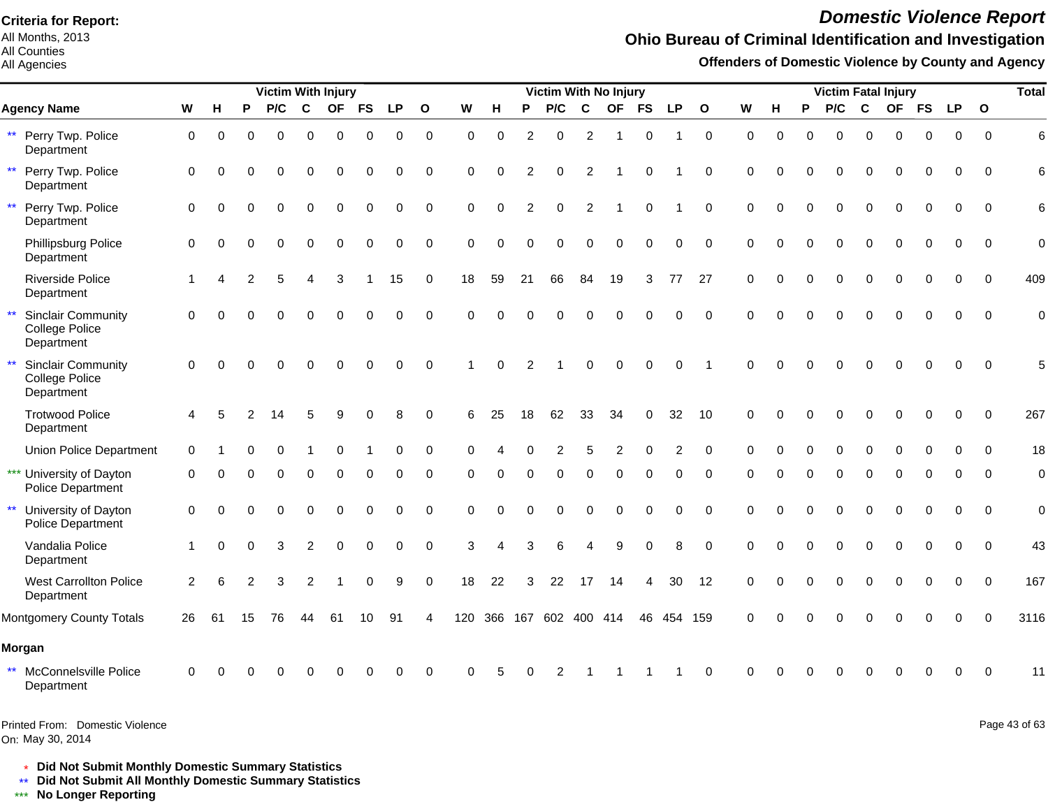All Months, 2013 All Counties

All Agencies

# *Domestic Violence Report*

## **Ohio Bureau of Criminal Identification and Investigation**

**Offenders of Domestic Violence by County and Agency**

|              |                                                           |                |          |    | <b>Victim With Injury</b> |                |           |           |             |              |          |          |          | <b>Victim With No Injury</b> |                |           |           |          |              |          |          |          |          |             | <b>Victim Fatal Injury</b> |           |             |              | <b>Total</b>   |
|--------------|-----------------------------------------------------------|----------------|----------|----|---------------------------|----------------|-----------|-----------|-------------|--------------|----------|----------|----------|------------------------------|----------------|-----------|-----------|----------|--------------|----------|----------|----------|----------|-------------|----------------------------|-----------|-------------|--------------|----------------|
|              | <b>Agency Name</b>                                        | W              | н        | P  | P/C                       | $\mathbf c$    | <b>OF</b> | <b>FS</b> | <b>LP</b>   | $\mathbf{o}$ | W        | н        | P        | P/C                          | C              | <b>OF</b> | <b>FS</b> | LP       | $\mathbf{o}$ | W        | н        | P        | P/C      | C           | <b>OF</b>                  | <b>FS</b> | <b>LP</b>   | $\mathbf{o}$ |                |
| $\star\star$ | Perry Twp. Police<br>Department                           | $\mathbf 0$    | $\Omega$ | 0  | $\Omega$                  | $\Omega$       | $\Omega$  | $\Omega$  | $\mathbf 0$ | $\mathbf 0$  | $\Omega$ | $\Omega$ | 2        | $\Omega$                     | $\overline{2}$ | -1        | $\Omega$  |          | $\mathbf 0$  | $\Omega$ | $\Omega$ | $\Omega$ | $\Omega$ | $\Omega$    | $\Omega$                   | $\Omega$  | $\mathbf 0$ | $\Omega$     | 6              |
| $\star\star$ | Perry Twp. Police<br>Department                           | $\mathbf 0$    |          |    |                           |                | $\Omega$  | 0         | 0           | $\mathbf 0$  | 0        | $\Omega$ |          | 0                            | 2              |           |           |          | $\Omega$     | $\Omega$ |          |          | 0        | $\Omega$    | $\Omega$                   | 0         | $\Omega$    | 0            | 6              |
| $\star\star$ | Perry Twp. Police<br>Department                           | $\mathbf 0$    | ∩        |    | ∩                         | $\Omega$       | $\Omega$  | $\Omega$  | $\Omega$    | $\Omega$     | $\Omega$ | $\Omega$ | 2        | 0                            | $\mathcal{P}$  |           | ∩         |          | $\Omega$     | $\Omega$ | $\Omega$ | O        | $\Omega$ | $\Omega$    | $\Omega$                   | $\Omega$  | $\Omega$    | $\Omega$     | 6              |
|              | Phillipsburg Police<br>Department                         | $\Omega$       |          |    |                           | O              | $\Omega$  | $\Omega$  | $\Omega$    | $\Omega$     | $\Omega$ | $\Omega$ | ∩        | $\Omega$                     | ∩              | ∩         | $\Omega$  | 0        | $\Omega$     | $\Omega$ | O        |          | $\Omega$ | $\Omega$    | $\Omega$                   | $\Omega$  | $\Omega$    | $\Omega$     | $\Omega$       |
|              | <b>Riverside Police</b><br>Department                     | $\overline{1}$ |          |    |                           |                | 3         |           | 15          | $\mathbf 0$  | 18       | 59       | 21       | 66                           | 84             | 19        | 3         | 77       | 27           | $\Omega$ | $\Omega$ | $\Omega$ | $\Omega$ | $\mathbf 0$ | $\Omega$                   | $\Omega$  | $\Omega$    | $\Omega$     | 409            |
| $\star\star$ | <b>Sinclair Community</b><br>College Police<br>Department | $\Omega$       |          |    |                           |                | $\Omega$  |           | $\Omega$    | $\Omega$     | $\Omega$ | $\Omega$ |          |                              |                |           |           | $\Omega$ | $\Omega$     | $\Omega$ |          |          |          | $\Omega$    |                            | O         | $\Omega$    |              | $\Omega$       |
| $\star\star$ | <b>Sinclair Community</b><br>College Police<br>Department | $\mathbf 0$    |          |    |                           |                |           |           | $\Omega$    | $\Omega$     |          | $\Omega$ |          |                              |                |           |           | $\Omega$ |              | $\Omega$ |          |          |          |             |                            |           |             |              |                |
|              | <b>Trotwood Police</b><br>Department                      | 4              | 5        |    |                           | 5              | 9         | $\Omega$  | 8           | $\Omega$     | 6        | 25       | 18       | 62                           | 33             | 34        | $\Omega$  | 32       | 10           | $\Omega$ | ∩        |          |          | $\Omega$    | $\Omega$                   | $\Omega$  | $\Omega$    | $\Omega$     | 267            |
|              | <b>Union Police Department</b>                            | $\Omega$       |          |    |                           |                |           |           | n           | $\Omega$     |          |          |          |                              |                |           |           | 2        | $\Omega$     | $\Omega$ |          |          |          |             |                            |           | ∩           | <sup>0</sup> | 18             |
|              | *** University of Dayton<br>Police Department             | $\Omega$       |          |    |                           |                | ∩         | U         | 0           | $\Omega$     | U        | $\Omega$ | $\Omega$ | 0                            | $\Omega$       | $\Omega$  | $\Omega$  | 0        | $\Omega$     | ∩        |          | O        | $\Omega$ | $\Omega$    | $\Omega$                   | $\Omega$  | $\Omega$    | <sup>n</sup> | $\mathbf 0$    |
| $\star\star$ | University of Dayton<br>Police Department                 | $\mathbf 0$    | $\Omega$ |    |                           | 0              | $\Omega$  | $\Omega$  |             | $\Omega$     | $\Omega$ | $\Omega$ |          |                              | $\Omega$       | $\Omega$  |           | 0        | $\Omega$     | $\Omega$ |          |          | $\Omega$ | $\Omega$    | $\Omega$                   | $\Omega$  | $\Omega$    | $\mathbf{0}$ | $\overline{0}$ |
|              | Vandalia Police<br>Department                             |                | $\Omega$ | 0  | 3                         | $\overline{2}$ | $\Omega$  | $\Omega$  | $\Omega$    | $\mathbf 0$  | 3        |          |          | 6                            |                | 9         |           | 8        | $\Omega$     | $\Omega$ | $\Omega$ |          | $\Omega$ | $\Omega$    | $\Omega$                   | $\Omega$  | $\Omega$    | $\Omega$     | 43             |
|              | <b>West Carrollton Police</b><br>Department               | $\overline{2}$ | 6        | 2  | 3                         | 2              |           |           | 9           | $\mathbf 0$  | 18       | 22       | 3        | 22                           | 17             | 14        |           | 30       | 12           | $\Omega$ |          |          |          |             |                            | 0         | $\Omega$    | $\Omega$     | 167            |
|              | Montgomery County Totals                                  | 26             | 61       | 15 | 76                        | 44             | 61        |           | 91          | 4            |          |          |          | 120 366 167 602 400 414      |                |           | 46        | 454 159  |              | $\Omega$ |          |          |          | $\Omega$    | O                          | O         | $\Omega$    | $\Omega$     | 3116           |
|              | Morgan                                                    |                |          |    |                           |                |           |           |             |              |          |          |          |                              |                |           |           |          |              |          |          |          |          |             |                            |           |             |              |                |
| $***$        | McConnelsville Police<br>Department                       | 0              |          |    |                           |                |           |           |             | $\Omega$     | ∩        |          |          |                              |                |           |           |          | $\Omega$     | ∩        |          |          |          |             |                            |           |             |              | 11             |

On: May 30, 2014 Printed From: Domestic Violence Page 43 of 63

\* **Did Not Submit Monthly Domestic Summary Statistics**

**Did Not Submit All Monthly Domestic Summary Statistics**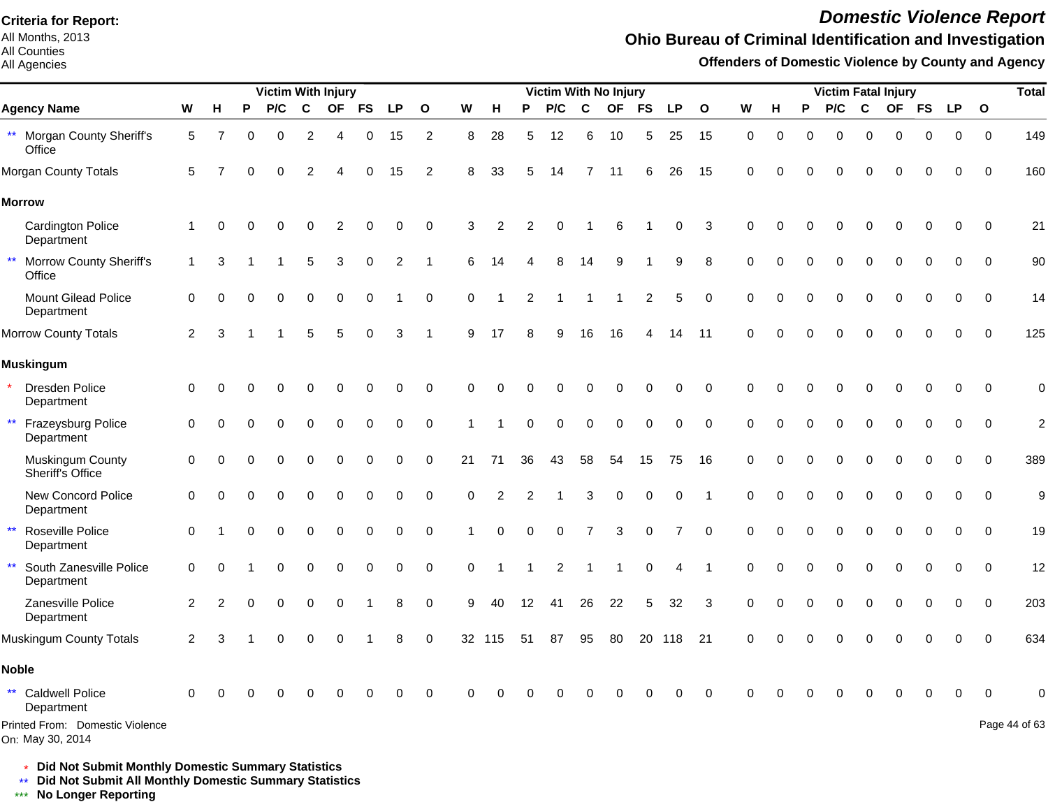All Months, 2013 All Counties

#### All Agencies

# *Domestic Violence Report*

## **Ohio Bureau of Criminal Identification and Investigation**

**Offenders of Domestic Violence by County and Agency**

|                                                       |                |          |          | <b>Victim With Injury</b> |                |             |           |                |                  |          |                |          | <b>Victim With No Injury</b> |                |             |              |                |                |          |             |          |          |             | <b>Victim Fatal Injury</b> |             |             |              | <b>Total</b>   |
|-------------------------------------------------------|----------------|----------|----------|---------------------------|----------------|-------------|-----------|----------------|------------------|----------|----------------|----------|------------------------------|----------------|-------------|--------------|----------------|----------------|----------|-------------|----------|----------|-------------|----------------------------|-------------|-------------|--------------|----------------|
| <b>Agency Name</b>                                    | W              | н        | P        | P/C                       | C              | <b>OF</b>   | <b>FS</b> | <b>LP</b>      | $\mathbf{o}$     | W        | H              | P        | P/C                          | $\mathbf{C}$   | <b>OF</b>   | <b>FS</b>    | <b>LP</b>      | $\mathbf{o}$   | W        | н           | P        | P/C      | C           | <b>OF</b>                  | <b>FS</b>   | <b>LP</b>   | $\mathbf{o}$ |                |
| ** Morgan County Sheriff's<br>Office                  | 5              |          | $\Omega$ | $\Omega$                  | $\overline{2}$ | 4           | 0         | 15             | 2                | 8        | 28             | 5        | 12                           | 6              | 10          | 5            | 25             | 15             | 0        | $\mathbf 0$ | $\Omega$ | 0        | $\mathbf 0$ | $\mathbf 0$                | $\mathbf 0$ | 0           | $\mathbf 0$  | 149            |
| Morgan County Totals                                  | 5              |          | U        | ∩                         | 2              |             | 0         | 15             | 2                | 8        | 33             | 5        | 14                           | 7              | 11          | 6            | 26             | 15             | $\Omega$ |             |          |          | $\Omega$    | $\Omega$                   | $\Omega$    | $\Omega$    | $\Omega$     | 160            |
| <b>Morrow</b>                                         |                |          |          |                           |                |             |           |                |                  |          |                |          |                              |                |             |              |                |                |          |             |          |          |             |                            |             |             |              |                |
| <b>Cardington Police</b><br>Department                | $\mathbf{1}$   | $\Omega$ |          | $\Omega$                  | $\Omega$       | 2           | 0         | $\mathbf 0$    | $\mathbf 0$      | 3        | $\overline{2}$ | 2        | $\Omega$                     |                | 6           |              | 0              | 3              | $\Omega$ | $\Omega$    |          |          | $\Omega$    | $\Omega$                   | $\mathbf 0$ | $\mathbf 0$ | $\mathbf 0$  | 21             |
| $\star\star$<br>Morrow County Sheriff's<br>Office     | $\mathbf{1}$   | 3        |          |                           | 5              | 3           | 0         | $\overline{2}$ | 1                | 6        | 14             |          | 8                            | 14             | 9           |              | 9              | 8              | $\Omega$ | $\Omega$    | $\Omega$ | O        | $\Omega$    | $\Omega$                   | $\mathbf 0$ | 0           | $\mathbf 0$  | 90             |
| <b>Mount Gilead Police</b><br>Department              | $\mathbf 0$    |          |          | $\Omega$                  | $\Omega$       | $\Omega$    | $\Omega$  |                | $\mathbf 0$      | $\Omega$ |                | 2        |                              |                | -1          | $\mathbf{2}$ | 5              | $\mathbf 0$    | $\Omega$ | $\Omega$    | $\Omega$ | $\Omega$ | $\Omega$    | $\Omega$                   | $\mathbf 0$ | $\Omega$    | 0            | 14             |
| Morrow County Totals                                  | $\overline{2}$ | 3        |          |                           | 5              | 5           | $\Omega$  | 3              | 1                | 9        | 17             |          | 9                            | 16             | 16          | 4            | 14             | 11             | $\Omega$ |             |          |          |             |                            | $\Omega$    | $\mathbf 0$ | $\Omega$     | 125            |
| <b>Muskingum</b>                                      |                |          |          |                           |                |             |           |                |                  |          |                |          |                              |                |             |              |                |                |          |             |          |          |             |                            |             |             |              |                |
| Dresden Police<br>Department                          | 0              |          |          |                           | 0              | $\Omega$    | 0         | 0              | 0                | $\Omega$ | $\Omega$       |          |                              | $\Omega$       | $\Omega$    | 0            | 0              | $\mathbf 0$    | 0        |             |          | O        | $\Omega$    | $\Omega$                   | 0           | 0           | $\mathbf 0$  | $\mathbf 0$    |
| $\star\star$<br>Frazeysburg Police<br>Department      | 0              | $\Omega$ | O        | $\Omega$                  | $\Omega$       | $\mathbf 0$ | 0         | $\mathbf 0$    | $\mathbf 0$      |          |                | 0        | $\Omega$                     | $\mathbf 0$    | $\mathbf 0$ | $\mathbf 0$  | $\mathbf 0$    | $\Omega$       | $\Omega$ | $\Omega$    |          | 0        | $\mathbf 0$ | $\Omega$                   | 0           | $\mathbf 0$ | $\mathbf 0$  | $\overline{c}$ |
| Muskingum County<br>Sheriff's Office                  | 0              | $\Omega$ | $\Omega$ |                           | 0              | 0           | 0         | 0              | $\pmb{0}$        | 21       | 71             | 36       | 43                           | 58             | 54          | 15           | 75             | 16             | $\Omega$ | $\Omega$    | $\Omega$ | 0        | $\mathbf 0$ | 0                          | $\mathbf 0$ | $\mathbf 0$ | $\mathbf 0$  | 389            |
| New Concord Police<br>Department                      | 0              | $\Omega$ |          |                           | 0              | 0           | 0         | 0              | $\pmb{0}$        | 0        | 2              |          |                              | 3              | $\mathbf 0$ | 0            | 0              | $\overline{1}$ | $\Omega$ |             |          | 0        | $\mathbf 0$ | 0                          | $\mathbf 0$ | 0           | $\mathbf 0$  | 9              |
| $\star\star$<br>Roseville Police<br>Department        | $\Omega$       |          |          |                           | 0              | $\mathbf 0$ | 0         | 0              | $\mathbf 0$      |          | $\Omega$       | $\Omega$ | $\Omega$                     | $\overline{7}$ | 3           | $\mathbf 0$  | $\overline{7}$ | $\mathbf 0$    | 0        |             |          | 0        | $\Omega$    | 0                          | $\mathbf 0$ | $\mathbf 0$ | $\Omega$     | 19             |
| $\star\star$<br>South Zanesville Police<br>Department | 0              | $\Omega$ |          |                           | 0              | $\mathbf 0$ | 0         | $\mathbf 0$    | $\pmb{0}$        | 0        |                |          | $\overline{2}$               |                |             | $\mathbf 0$  | 4              | $\overline{1}$ | $\Omega$ |             |          | 0        | $\mathbf 0$ | 0                          | 0           | $\mathbf 0$ | $\mathbf 0$  | 12             |
| Zanesville Police<br>Department                       | $\overline{2}$ | 2        |          | 0                         | 0              | $\mathbf 0$ |           | 8              | $\mathbf 0$      | 9        | 40             | 12       | -41                          | 26             | 22          | 5            | 32             | 3              | $\Omega$ | O           | $\Omega$ | 0        | $\mathbf 0$ | 0                          | $\mathbf 0$ | $\mathbf 0$ | $\mathbf 0$  | 203            |
| Muskingum County Totals                               | $\overline{2}$ | 3        |          | $\Omega$                  | 0              | $\mathbf 0$ |           | 8              | $\boldsymbol{0}$ |          | 32 115         | 51       | 87                           | 95             | 80          | 20           | 118            | 21             | $\Omega$ | $\Omega$    | $\Omega$ | $\Omega$ | $\mathbf 0$ | $\Omega$                   | $\mathbf 0$ | $\mathbf 0$ | $\Omega$     | 634            |
| <b>Noble</b>                                          |                |          |          |                           |                |             |           |                |                  |          |                |          |                              |                |             |              |                |                |          |             |          |          |             |                            |             |             |              |                |
| $\star\star$<br><b>Caldwell Police</b><br>Department  | $\Omega$       |          |          |                           |                |             |           | ∩              | $\Omega$         | $\Omega$ |                |          |                              |                |             |              | $\Omega$       | $\Omega$       |          |             |          |          | O           | O                          | $\Omega$    | $\Omega$    | $\Omega$     | 0              |
| Printed From: Domestic Violence<br>On: May 30, 2014   |                |          |          |                           |                |             |           |                |                  |          |                |          |                              |                |             |              |                |                |          |             |          |          |             |                            |             |             |              | Page 44 of 63  |

\* **Did Not Submit Monthly Domestic Summary Statistics**

**Did Not Submit All Monthly Domestic Summary Statistics**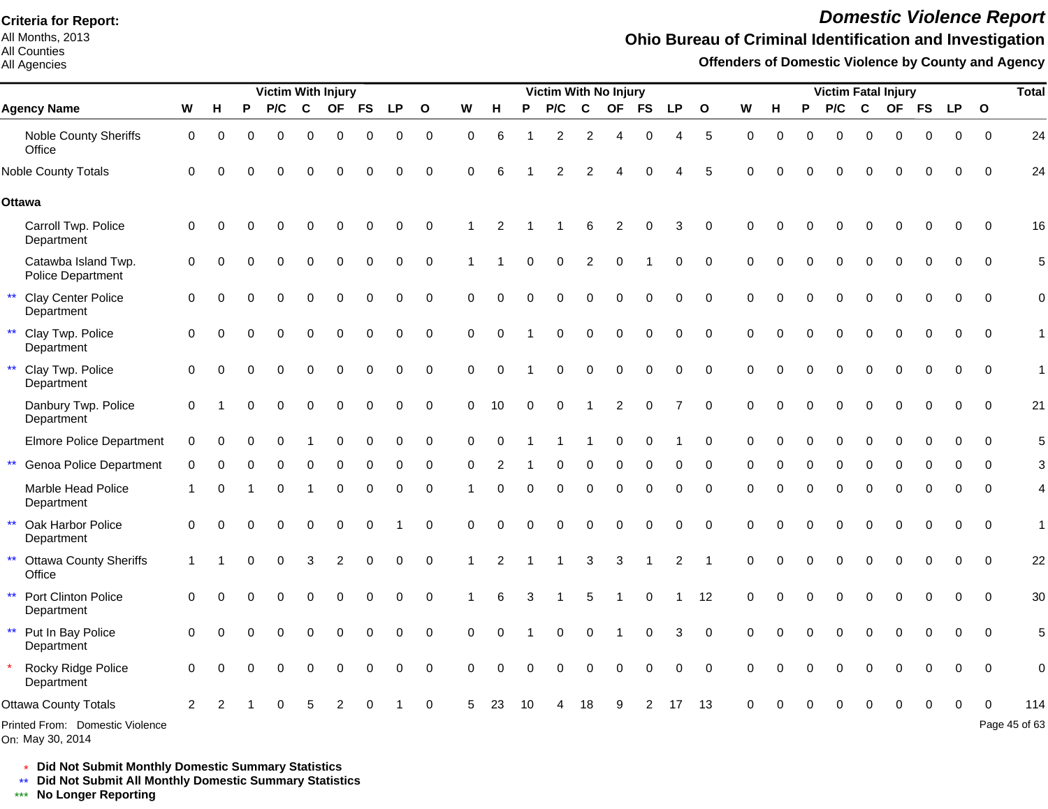All Months, 2013 All Counties

All Agencies

# *Domestic Violence Report*

## **Ohio Bureau of Criminal Identification and Investigation**

**Offenders of Domestic Violence by County and Agency**

|                                                         |                |          |   | <b>Victim With Injury</b> |             |           |           |             |              |          |          |          | Victim With No Injury |                |           |           |           |                |          |   |   | <b>Victim Fatal Injury</b> |             |           |             |             |              | <b>Total</b>  |
|---------------------------------------------------------|----------------|----------|---|---------------------------|-------------|-----------|-----------|-------------|--------------|----------|----------|----------|-----------------------|----------------|-----------|-----------|-----------|----------------|----------|---|---|----------------------------|-------------|-----------|-------------|-------------|--------------|---------------|
| <b>Agency Name</b>                                      | W              | н        | P | P/C                       | $\mathbf c$ | <b>OF</b> | <b>FS</b> | <b>LP</b>   | $\mathbf{o}$ | W        | н        | P        | P/C                   | C              | <b>OF</b> | <b>FS</b> | <b>LP</b> | $\mathbf{o}$   | W        | н | P | P/C                        | $\mathbf c$ | <b>OF</b> | <b>FS</b>   | <b>LP</b>   | $\mathbf{o}$ |               |
| Noble County Sheriffs<br>Office                         | 0              | 0        | 0 | $\Omega$                  | 0           | $\Omega$  | 0         | $\mathbf 0$ | $\mathbf 0$  | $\Omega$ | 6        |          | 2                     | $\overline{2}$ | Δ         | 0         | 4         | 5              | $\Omega$ | 0 | 0 | 0                          | $\Omega$    | $\Omega$  | $\mathbf 0$ | $\mathbf 0$ | $\Omega$     | 24            |
| <b>Noble County Totals</b>                              | 0              |          |   |                           |             |           | O         | 0           | $\mathbf 0$  | $\Omega$ | 6        |          | 2                     | 2              |           |           |           | 5              | $\Omega$ |   |   |                            | ∩           | O         | $\Omega$    | 0           | $\Omega$     | 24            |
| <b>Ottawa</b>                                           |                |          |   |                           |             |           |           |             |              |          |          |          |                       |                |           |           |           |                |          |   |   |                            |             |           |             |             |              |               |
| Carroll Twp. Police<br>Department                       | 0              |          |   |                           |             |           |           | $\Omega$    | $\Omega$     |          |          |          |                       |                | 2         |           | 3         | $\Omega$       | $\Omega$ |   |   |                            |             |           | 0           | $\Omega$    | $\Omega$     | 16            |
| Catawba Island Twp.<br>Police Department                | 0              |          |   |                           |             | $\Omega$  | $\Omega$  | 0           | $\mathbf 0$  |          |          |          | 0                     | 2              | $\Omega$  |           | 0         | $\mathbf 0$    | $\Omega$ |   |   |                            | $\Omega$    | $\Omega$  | 0           | 0           | $\mathbf 0$  | 5             |
| <b>Clay Center Police</b><br>$\star\star$<br>Department | $\Omega$       |          |   |                           | 0           | $\Omega$  | O         | ი           | $\mathbf 0$  | O        |          |          | 0                     | $\Omega$       |           |           | 0         | $\Omega$       |          |   |   | $\Omega$                   | $\Omega$    | $\Omega$  | 0           | $\Omega$    | $\Omega$     | 0             |
| $\star\star$<br>Clay Twp. Police<br>Department          | 0              |          |   |                           | 0           | $\Omega$  | 0         | 0           | $\mathbf 0$  | $\Omega$ | $\Omega$ |          | 0                     | 0              | 0         |           | 0         | $\Omega$       | $\Omega$ |   |   | 0                          | $\Omega$    | 0         | 0           | $\Omega$    | $\Omega$     | 1             |
| $\star\star$<br>Clay Twp. Police<br>Department          | 0              |          |   | $\Omega$                  | 0           | $\Omega$  | 0         | $\Omega$    | $\mathbf 0$  | 0        | $\Omega$ |          | O                     | $\Omega$       | 0         | $\Omega$  | 0         | $\Omega$       | $\Omega$ |   |   | $\Omega$                   | $\Omega$    | $\Omega$  | $\Omega$    | $\Omega$    | $\Omega$     |               |
| Danbury Twp. Police<br>Department                       | $\mathbf 0$    |          |   |                           | 0           | $\Omega$  | 0         | 0           | $\mathbf 0$  | 0        | 10       | 0        | 0                     |                | 2         |           |           | $\Omega$       | $\Omega$ |   |   | O                          | $\Omega$    | $\Omega$  | $\Omega$    | $\Omega$    | $\Omega$     | 21            |
| <b>Elmore Police Department</b>                         | $\Omega$       |          |   |                           |             | ∩         | 0         | 0           | 0            | $\Omega$ | $\Omega$ |          |                       |                | O         | $\Omega$  |           | $\Omega$       | $\Omega$ |   | ŋ | O                          | $\Omega$    | $\Omega$  | $\Omega$    | $\Omega$    | $\Omega$     |               |
| $\star\star$<br>Genoa Police Department                 | 0              | ∩        |   | 0                         | 0           | 0         | 0         | 0           | 0            | $\Omega$ |          |          | 0                     | 0              | 0         | ∩         | 0         | 0              | 0        | 0 | 0 | $\Omega$                   | $\Omega$    | $\Omega$  | 0           | ∩           | ∩            |               |
| Marble Head Police<br>Department                        |                | ∩        |   |                           |             | $\Omega$  | 0         | 0           | $\mathbf 0$  |          | 0        | $\Omega$ | 0                     | 0              | 0         | 0         | 0         | $\Omega$       | $\Omega$ |   | O | $\Omega$                   | $\Omega$    | $\Omega$  | $\Omega$    | 0           | $\Omega$     | 4             |
| $\star\star$<br>Oak Harbor Police<br>Department         | $\mathbf 0$    | $\Omega$ |   | 0                         | 0           | 0         | 0         |             | $\mathbf 0$  | $\Omega$ | $\Omega$ | $\Omega$ | 0                     | $\Omega$       | $\Omega$  | $\Omega$  | 0         | $\mathbf 0$    | $\Omega$ |   | 0 | 0                          | $\Omega$    | $\Omega$  | 0           | $\mathbf 0$ | $\Omega$     | 1             |
| $\star\star$<br><b>Ottawa County Sheriffs</b><br>Office |                |          |   |                           | 3           | 2         | 0         | 0           | $\mathbf 0$  |          | 2        |          |                       | 3              | 3         |           | 2         | $\overline{1}$ | $\Omega$ |   |   | 0                          | $\Omega$    | $\Omega$  | $\Omega$    | $\Omega$    | $\Omega$     | 22            |
| $\star\star$<br>Port Clinton Police<br>Department       | 0              |          |   |                           | 0           | $\Omega$  | $\Omega$  | $\Omega$    | $\mathbf 0$  |          | 6        |          |                       |                |           |           |           | 12             | $\Omega$ |   | O | $\Omega$                   | $\Omega$    | $\Omega$  | $\Omega$    | $\Omega$    | $\Omega$     | 30            |
| ** Put In Bay Police<br>Department                      | $\Omega$       |          |   |                           |             | O         |           | O           | $\Omega$     | $\Omega$ | $\Omega$ |          | 0                     | $\Omega$       |           |           | 3         | $\Omega$       | $\Omega$ |   |   | O                          | O           | O         | $\Omega$    | $\Omega$    | $\Omega$     | 5             |
| Rocky Ridge Police<br>Department                        | $\Omega$       |          |   |                           | 0           | $\Omega$  | $\Omega$  | $\Omega$    | $\Omega$     | $\Omega$ | $\Omega$ | $\Omega$ | 0                     | $\Omega$       | $\Omega$  |           | 0         | $\Omega$       | $\Omega$ |   |   |                            | $\Omega$    | $\Omega$  | $\Omega$    | $\Omega$    | $\Omega$     | $\mathbf 0$   |
| Ottawa County Totals                                    | $\overline{2}$ |          |   |                           |             |           |           |             | $\Omega$     | 5        | 23       | 10       |                       | 18             |           |           |           | 13             |          |   |   |                            |             |           |             |             |              | 114           |
| Printed From: Domestic Violence                         |                |          |   |                           |             |           |           |             |              |          |          |          |                       |                |           |           |           |                |          |   |   |                            |             |           |             |             |              | Page 45 of 63 |

On: May 30, 2014

\* **Did Not Submit Monthly Domestic Summary Statistics**

**Did Not Submit All Monthly Domestic Summary Statistics**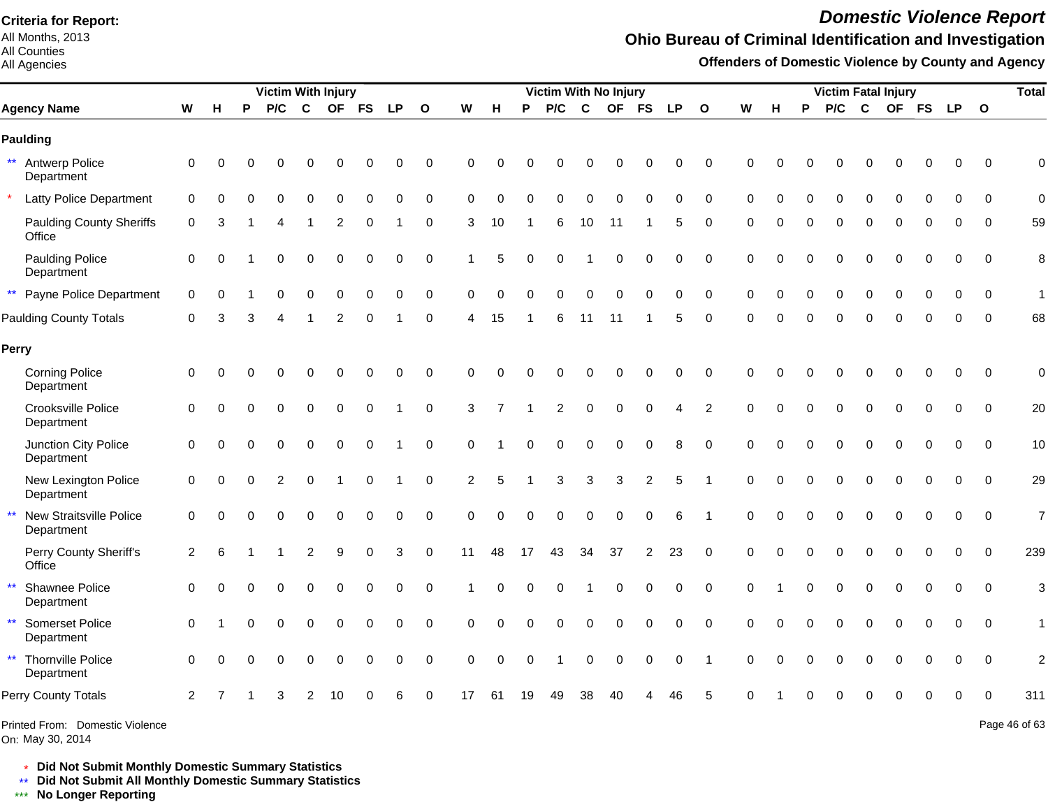All Months, 2013 All Counties

#### All Agencies

#### *Domestic Violence Report*

## **Ohio Bureau of Criminal Identification and Investigation**

**Offenders of Domestic Violence by County and Agency**

|                                                       |             |           |          | <b>Victim With Injury</b> |             |             |             |           |              |                |          |          | Victim With No Injury |          |           |                |    |                |             |   |          |     |             | <b>Victim Fatal Injury</b> |             |            |                          | <b>Total</b>   |
|-------------------------------------------------------|-------------|-----------|----------|---------------------------|-------------|-------------|-------------|-----------|--------------|----------------|----------|----------|-----------------------|----------|-----------|----------------|----|----------------|-------------|---|----------|-----|-------------|----------------------------|-------------|------------|--------------------------|----------------|
| <b>Agency Name</b>                                    | W           | н         | P        | P/C                       | C           | <b>OF</b>   | <b>FS</b>   | <b>LP</b> | $\mathbf{o}$ | W              | н        | P        | P/C                   | C        | <b>OF</b> | <b>FS</b>      | LP | $\mathbf{o}$   | W           | н | P        | P/C | $\mathbf c$ |                            |             | OF FS LP O |                          |                |
| <b>Paulding</b>                                       |             |           |          |                           |             |             |             |           |              |                |          |          |                       |          |           |                |    |                |             |   |          |     |             |                            |             |            |                          |                |
| ** Antwerp Police<br>Department                       | 0           | $\Omega$  |          |                           |             |             |             | 0         | $\Omega$     | $\Omega$       |          |          |                       |          |           |                | ი  | $\Omega$       |             |   |          |     |             |                            |             | 0          | $\mathbf 0$              | 0              |
| <b>Latty Police Department</b>                        | 0           |           |          |                           | $\Omega$    | 0           |             | ი         | 0            | $\Omega$       |          |          |                       |          |           |                |    | $\Omega$       | $\Omega$    |   |          |     | 0           |                            | $\Omega$    | 0          | $\Omega$                 | $\mathbf 0$    |
| <b>Paulding County Sheriffs</b><br>Office             | 0           | 3         |          | Δ                         |             | 2           | 0           |           | $\pmb{0}$    | 3              | 10       |          | 6                     | 10       | 11        |                | 5  | $\mathbf 0$    | $\Omega$    |   |          | 0   | $\Omega$    | 0                          | 0           | 0          | $\mathbf 0$              | 59             |
| <b>Paulding Police</b><br>Department                  | $\mathbf 0$ | 0         |          | 0                         | 0           | 0           | $\Omega$    | 0         | $\pmb{0}$    |                |          |          |                       |          | 0         |                | 0  | $\mathbf 0$    | $\Omega$    |   |          |     | $\Omega$    | 0                          | 0           | 0          | $\mathbf 0$              | 8              |
| ** Payne Police Department                            | $\mathbf 0$ | $\Omega$  |          | 0                         | $\Omega$    | $\Omega$    | 0           | 0         | $\Omega$     | $\Omega$       | O        |          | 0                     | $\Omega$ | O         |                | 0  | $\Omega$       | $\Omega$    | O | $\Omega$ | 0   | $\Omega$    | $\Omega$                   | $\Omega$    | $\Omega$   | $\Omega$                 | $\overline{1}$ |
| <b>Paulding County Totals</b>                         | $\Omega$    |           |          |                           |             | 2           | ∩           |           | 0            | 4              | 15       |          | 6                     | 11       | 11        |                | 5  | $\Omega$       |             |   |          |     | $\Omega$    |                            |             |            | $\Omega$                 | 68             |
| Perry                                                 |             |           |          |                           |             |             |             |           |              |                |          |          |                       |          |           |                |    |                |             |   |          |     |             |                            |             |            |                          |                |
| <b>Corning Police</b><br>Department                   | $\Omega$    | $\Omega$  |          | U                         | $\Omega$    | O           | $\Omega$    | 0         | $\Omega$     | $\Omega$       | O        |          |                       |          |           |                | 0  | $\Omega$       | $\Omega$    |   |          |     | ∩           | 0                          | $\Omega$    | $\Omega$   | $\Omega$                 | $\mathbf 0$    |
| Crooksville Police<br>Department                      | $\mathbf 0$ | $\Omega$  | $\Omega$ | $\Omega$                  | $\mathbf 0$ | $\mathbf 0$ | $\mathbf 0$ |           | $\mathbf 0$  | 3              |          |          | 2                     | $\Omega$ | $\Omega$  | $\Omega$       |    | $\overline{2}$ | $\Omega$    |   |          | O   | $\Omega$    | $\Omega$                   | $\mathbf 0$ | 0          | $\mathbf 0$              | 20             |
| Junction City Police<br>Department                    | $\Omega$    |           |          | O                         | $\Omega$    | 0           | 0           |           | $\Omega$     | $\Omega$       |          |          | 0                     |          | O         | $\Omega$       | 8  | $\Omega$       | ∩           |   |          |     | ∩           | 0                          | $\Omega$    | 0          | $\mathbf 0$              | 10             |
| New Lexington Police<br>Department                    | $\mathbf 0$ | $\Omega$  | O        | 2                         | $\Omega$    |             | $\Omega$    |           | $\mathbf 0$  | $\overline{2}$ | 5        |          | 3                     | 3        | 3         | $\overline{2}$ | 5  | 1              | $\Omega$    |   |          |     | $\Omega$    | $\Omega$                   | $\Omega$    | $\Omega$   | $\mathbf 0$              | 29             |
| $\star\star$<br>New Straitsville Police<br>Department | $\mathbf 0$ | $\bigcap$ |          | O                         | $\Omega$    | O           | ∩           | 0         | $\Omega$     | $\Omega$       | O        |          | $\Omega$              | $\Omega$ | $\Omega$  |                | 6  |                | $\Omega$    |   |          | 0   | $\Omega$    | $\Omega$                   | $\Omega$    | 0          | $\Omega$                 | $\overline{7}$ |
| Perry County Sheriff's<br>Office                      | 2           | 6         |          |                           | 2           | 9           | $\Omega$    | 3         | $\Omega$     | 11             | 48       | 17       | 43                    | 34       | 37        | 2              | 23 | $\Omega$       | $\Omega$    |   |          | 0   | $\Omega$    | $\Omega$                   | $\Omega$    | $\Omega$   | $\Omega$                 | 239            |
| $\star\star$<br>Shawnee Police<br>Department          | $\mathbf 0$ | $\Omega$  | $\Omega$ | $\Omega$                  | $\Omega$    | $\Omega$    | $\Omega$    | 0         | $\mathbf 0$  |                | $\Omega$ |          | $\Omega$              |          | $\Omega$  | $\Omega$       | 0  | $\mathbf 0$    | $\mathbf 0$ |   | $\Omega$ | 0   | $\Omega$    | $\Omega$                   | $\Omega$    | $\Omega$   | $\mathbf 0$              | 3              |
| $\star\star$<br>Somerset Police<br>Department         | $\Omega$    |           |          | ∩                         | $\Omega$    | 0           | $\Omega$    | 0         | $\Omega$     | $\Omega$       | $\Omega$ |          | O                     | $\Omega$ | 0         | $\Omega$       | 0  | $\Omega$       | $\Omega$    |   |          | O   | $\Omega$    | $\Omega$                   | $\Omega$    | 0          | $\Omega$                 | $\overline{1}$ |
| <b>Thornville Police</b><br>$***$<br>Department       | $\Omega$    | $\Omega$  |          | $\Omega$                  | 0           | 0           | 0           | 0         | $\mathbf 0$  | $\mathbf 0$    | 0        | $\Omega$ |                       | 0        | 0         | $\mathbf 0$    | 0  |                | $\Omega$    |   |          | 0   | $\Omega$    | $\Omega$                   | $\Omega$    | 0          | $\mathbf 0$              | $\overline{c}$ |
| Perry County Totals                                   | 2           |           |          |                           |             | 10          |             |           | $\Omega$     | 17             |          |          | 49                    | 38       |           |                |    |                |             |   |          |     |             |                            |             |            | $\Omega$                 | 311            |
| and the contract of the contract of                   |             |           |          |                           |             |             |             |           |              |                |          |          |                       |          |           |                |    |                |             |   |          |     |             |                            |             |            | $\overline{\phantom{0}}$ |                |

On: May 30, 2014 Printed From: Domestic Violence Page 46 of 63

\* **Did Not Submit Monthly Domestic Summary Statistics**

**Did Not Submit All Monthly Domestic Summary Statistics**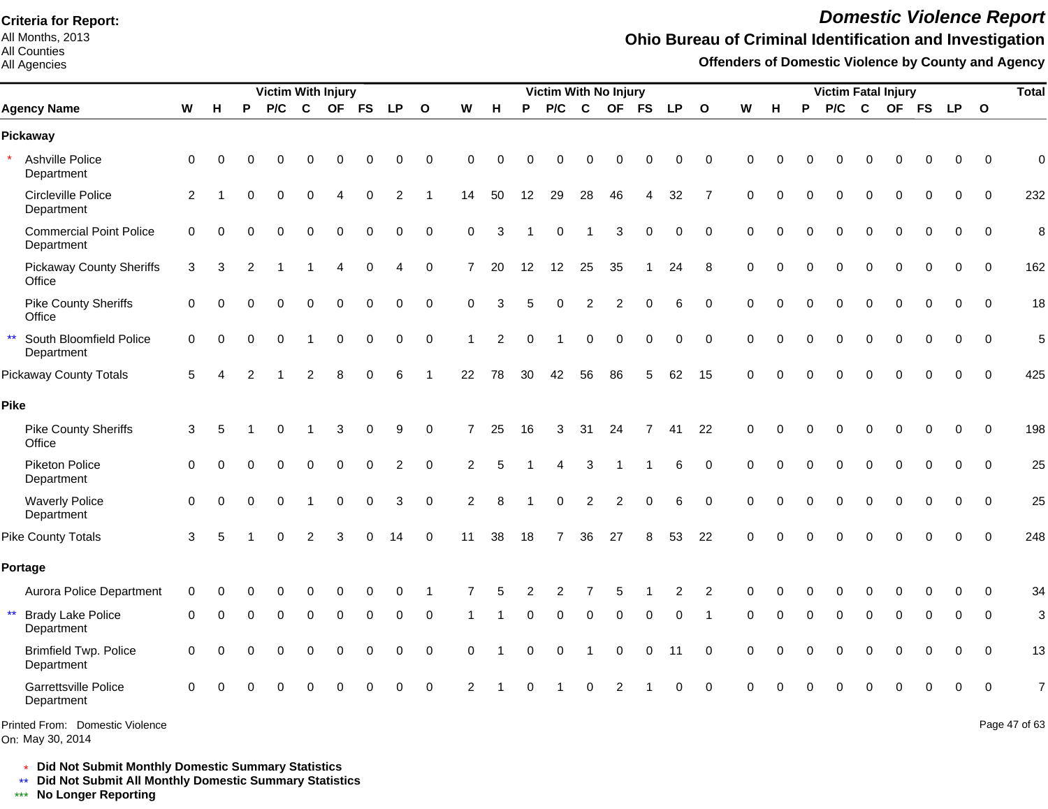All Months, 2013 All Counties

#### All Agencies

# *Domestic Violence Report*

### **Ohio Bureau of Criminal Identification and Investigation**

**Offenders of Domestic Violence by County and Agency**

|                                                        |                |          |          | Victim With Injury |                |             |             |                |                  |                |                |          | Victim With No Injury |                  |                          |                |           |                |             |          |          |             |             | <b>Victim Fatal Injury</b> |             |             |              | <b>Total</b>   |
|--------------------------------------------------------|----------------|----------|----------|--------------------|----------------|-------------|-------------|----------------|------------------|----------------|----------------|----------|-----------------------|------------------|--------------------------|----------------|-----------|----------------|-------------|----------|----------|-------------|-------------|----------------------------|-------------|-------------|--------------|----------------|
| <b>Agency Name</b>                                     | W              | H        | P        | P/C                | $\mathbf c$    | <b>OF</b>   | <b>FS</b>   | <b>LP</b>      | $\mathbf{o}$     | W              | н              | P        | P/C                   | $\mathbf c$      | <b>OF</b>                | <b>FS</b>      | <b>LP</b> | $\mathbf{o}$   | W           | н        | P        | P/C         | $\mathbf c$ |                            | OF FS       | <b>LP</b>   | $\mathbf{o}$ |                |
| Pickaway                                               |                |          |          |                    |                |             |             |                |                  |                |                |          |                       |                  |                          |                |           |                |             |          |          |             |             |                            |             |             |              |                |
| Ashville Police<br>Department                          | 0              | $\Omega$ | $\Omega$ | $\Omega$           | 0              | $\Omega$    | 0           | $\Omega$       | $\mathbf 0$      | $\Omega$       | $\Omega$       |          | 0                     | $\Omega$         | O                        | $\Omega$       | $\Omega$  | $\Omega$       | $\Omega$    | U        | O        | 0           | $\Omega$    | $\Omega$                   | $\Omega$    | $\Omega$    | $\Omega$     | $\Omega$       |
| Circleville Police<br>Department                       | $\overline{2}$ |          | U        | $\Omega$           | $\Omega$       |             | $\Omega$    | 2              |                  | 14             | 50             | 12       | 29                    | 28               | 46                       | 4              | 32        | $\overline{7}$ | $\Omega$    | $\Omega$ | $\Omega$ | $\Omega$    | $\Omega$    | $\Omega$                   | $\Omega$    | $\Omega$    | $\Omega$     | 232            |
| <b>Commercial Point Police</b><br>Department           | $\mathbf 0$    | $\Omega$ | $\Omega$ | $\mathbf 0$        | 0              | $\mathbf 0$ | $\mathbf 0$ | $\mathbf 0$    | $\mathbf 0$      | $\mathbf 0$    | 3              |          | 0                     | -1               | 3                        | $\mathbf 0$    | 0         | $\mathbf 0$    | $\mathbf 0$ | $\Omega$ | $\Omega$ | 0           | $\mathbf 0$ | $\mathbf 0$                | $\mathbf 0$ | $\mathbf 0$ | $\mathbf 0$  | 8              |
| <b>Pickaway County Sheriffs</b><br>Office              | 3              | 3        | 2        |                    |                |             | $\mathbf 0$ | 4              | $\pmb{0}$        | $\overline{7}$ | 20             | 12       | 12                    | 25               | 35                       |                | 24        | 8              | $\mathbf 0$ | $\Omega$ | $\Omega$ | $\mathbf 0$ | $\mathbf 0$ | $\Omega$                   | 0           | $\mathbf 0$ | $\Omega$     | 162            |
| <b>Pike County Sheriffs</b><br>Office                  | $\mathbf 0$    | $\Omega$ | 0        | $\Omega$           | $\Omega$       | $\Omega$    | 0           | 0              | $\mathbf 0$      | $\Omega$       | 3              | 5        | 0                     | $\overline{2}$   | $\overline{2}$           | $\Omega$       | 6         | $\mathbf 0$    | $\Omega$    | $\Omega$ | $\Omega$ | $\Omega$    | $\Omega$    | $\Omega$                   | $\mathbf 0$ | 0           | $\Omega$     | 18             |
| $\star\star$<br>South Bloomfield Police<br>Department  | 0              | 0        | $\Omega$ | $\Omega$           |                | $\mathbf 0$ | 0           | $\pmb{0}$      | $\boldsymbol{0}$ | 1              | $\overline{2}$ | $\Omega$ |                       | $\boldsymbol{0}$ | $\mathbf 0$              | $\mathbf 0$    | 0         | $\mathbf 0$    | $\Omega$    | $\Omega$ | $\Omega$ | $\mathbf 0$ | $\mathbf 0$ | $\mathbf 0$                | 0           | 0           | $\Omega$     | 5              |
| <b>Pickaway County Totals</b>                          | 5              |          |          |                    | $\overline{2}$ | 8           | $\Omega$    | 6              |                  | 22             | 78             | 30       | 42                    | 56               | 86                       | 5              | 62        | 15             | $\Omega$    | $\Omega$ | $\Omega$ | $\Omega$    | $\Omega$    | $\Omega$                   | 0           | $\Omega$    | $\Omega$     | 425            |
| Pike                                                   |                |          |          |                    |                |             |             |                |                  |                |                |          |                       |                  |                          |                |           |                |             |          |          |             |             |                            |             |             |              |                |
| <b>Pike County Sheriffs</b><br>Office                  | 3              | 5        |          | $\Omega$           |                | 3           | $\Omega$    | 9              | $\pmb{0}$        | 7              | 25             | 16       | 3                     | 31               | 24                       | $\overline{7}$ | 41        | 22             | $\Omega$    | $\Omega$ | $\Omega$ | $\Omega$    | $\Omega$    | $\Omega$                   | $\Omega$    | $\Omega$    | $\Omega$     | 198            |
| Piketon Police<br>Department                           | $\mathbf 0$    | $\Omega$ | $\Omega$ | $\Omega$           | 0              | $\mathbf 0$ | $\mathbf 0$ | $\overline{c}$ | $\mathbf 0$      | $\overline{c}$ | 5              |          | 4                     | 3                | $\overline{\phantom{a}}$ |                | 6         | 0              | $\mathbf 0$ | 0        | $\Omega$ | $\Omega$    | $\mathbf 0$ | $\mathbf 0$                | 0           | $\mathbf 0$ | 0            | 25             |
| <b>Waverly Police</b><br>Department                    | $\mathbf 0$    | $\Omega$ | $\Omega$ | $\mathbf 0$        |                | $\mathbf 0$ | $\mathbf 0$ | 3              | $\mathbf 0$      | $\overline{c}$ | 8              |          | 0                     | $\overline{2}$   | $\overline{c}$           | $\mathbf 0$    | 6         | $\mathbf 0$    | $\mathbf 0$ | $\Omega$ | $\Omega$ | $\Omega$    | $\Omega$    | $\Omega$                   | $\mathbf 0$ | $\mathbf 0$ | $\mathbf 0$  | 25             |
| <b>Pike County Totals</b>                              | 3              | 5        |          |                    |                | 3           |             | 14             | $\mathbf 0$      | 11             | 38             | 18       | $\overline{7}$        | 36               | 27                       | 8              | 53        | 22             | $\Omega$    |          |          |             |             |                            | 0           | $\Omega$    | $\Omega$     | 248            |
| Portage                                                |                |          |          |                    |                |             |             |                |                  |                |                |          |                       |                  |                          |                |           |                |             |          |          |             |             |                            |             |             |              |                |
| Aurora Police Department                               | 0              | 0        |          |                    |                | 0           | 0           | 0              | 1                | 7              | 5              | 2        | 2                     | 7                | 5                        |                | 2         | $\overline{2}$ | $\Omega$    |          |          | 0           | 0           | 0                          | 0           | 0           | $\mathbf{0}$ | 34             |
| $\star\star$<br><b>Brady Lake Police</b><br>Department | $\Omega$       | $\Omega$ | U        | $\Omega$           | $\Omega$       | $\Omega$    | $\Omega$    | 0              | 0                |                |                |          | 0                     | $\Omega$         | 0                        | $\Omega$       | 0         |                | $\Omega$    | O        | $\Omega$ | $\Omega$    | $\Omega$    | $\Omega$                   | 0           | 0           | $\Omega$     | 3              |
| <b>Brimfield Twp. Police</b><br>Department             | $\Omega$       | $\Omega$ |          | $\Omega$           | $\Omega$       | $\Omega$    | 0           | $\Omega$       | $\mathbf 0$      | $\Omega$       |                | 0        | 0                     | $\mathbf 1$      | $\mathbf 0$              | $\Omega$       | 11        | $\Omega$       | $\Omega$    |          |          | $\Omega$    | $\Omega$    | $\Omega$                   | $\Omega$    | 0           | $\Omega$     | 13             |
| <b>Garrettsville Police</b><br>Department              | $\Omega$       | O        |          |                    | $\Omega$       | $\Omega$    | $\Omega$    | 0              | $\Omega$         | $\mathcal{P}$  |                |          |                       | $\Omega$         | 2                        |                | $\Omega$  | $\Omega$       | $\Omega$    |          |          |             | $\Omega$    |                            | ი           | $\Omega$    | $\mathbf{0}$ | $\overline{7}$ |
| Printed From: Domestic Violence                        |                |          |          |                    |                |             |             |                |                  |                |                |          |                       |                  |                          |                |           |                |             |          |          |             |             |                            |             |             |              | Page 47 of 63  |

\* **Did Not Submit Monthly Domestic Summary Statistics**

**Did Not Submit All Monthly Domestic Summary Statistics**

<u>\*\*</u> Did Not Submit All M∗<br><mark>\*\*\*</mark> No Longer Reporting

On: May 30, 2014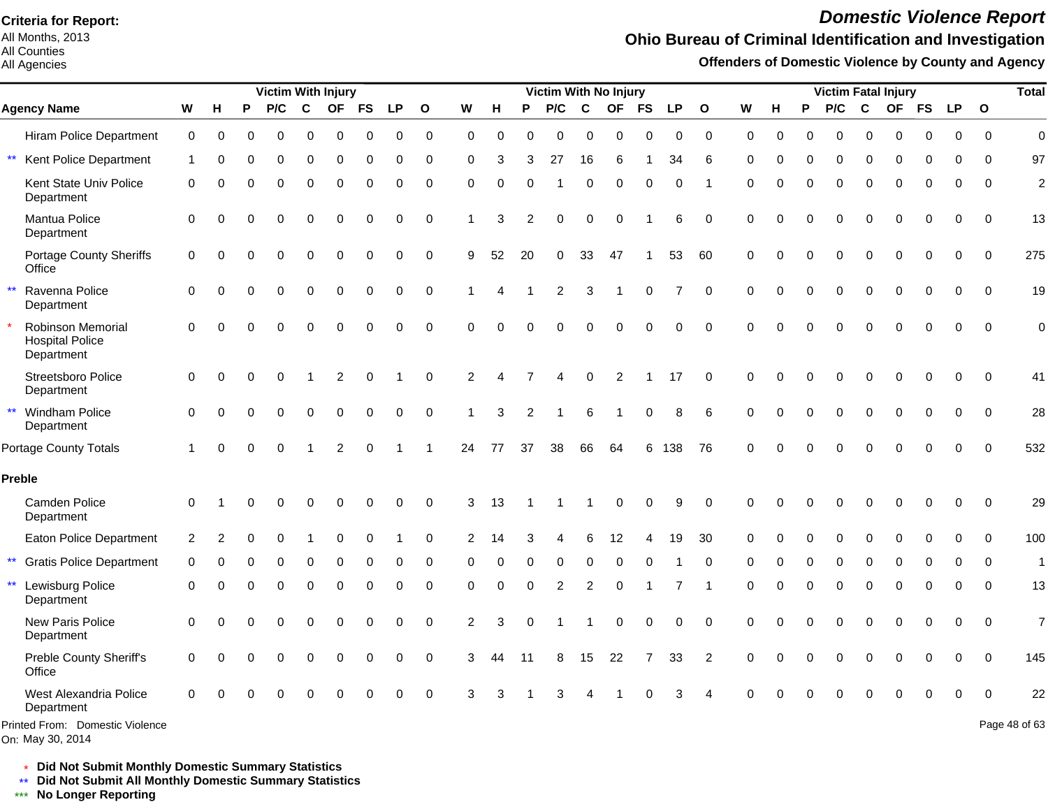All Months, 2013 All Counties

#### All Agencies

# *Domestic Violence Report*

### **Ohio Bureau of Criminal Identification and Investigation**

**Offenders of Domestic Violence by County and Agency**

|                                                           |             |           |          | <b>Victim With Injury</b> |             |                |           |          |              |                |          |          | Victim With No Injury |          |           |             |     |                |             |          |          | <b>Victim Fatal Injury</b> |             |           |           |           |              | <b>Total</b>   |
|-----------------------------------------------------------|-------------|-----------|----------|---------------------------|-------------|----------------|-----------|----------|--------------|----------------|----------|----------|-----------------------|----------|-----------|-------------|-----|----------------|-------------|----------|----------|----------------------------|-------------|-----------|-----------|-----------|--------------|----------------|
| <b>Agency Name</b>                                        | W           | Н         | P        | P/C                       | $\mathbf c$ | <b>OF</b>      | <b>FS</b> | LP.      | $\mathbf{o}$ | W              | н        | P        | P/C                   | C        | <b>OF</b> | <b>FS</b>   | LP. | $\mathbf{o}$   | W           | н        | Ρ        | P/C                        | C           | <b>OF</b> | <b>FS</b> | <b>LP</b> | $\mathbf{o}$ |                |
| <b>Hiram Police Department</b>                            | $\mathbf 0$ | 0         | 0        | 0                         | 0           | 0              | 0         | 0        | $\mathbf 0$  | $\mathbf 0$    | 0        | 0        | 0                     | 0        | 0         | $\Omega$    | 0   | $\mathbf 0$    | $\Omega$    | 0        | 0        | $\mathbf 0$                | $\Omega$    | $\Omega$  | 0         | 0         | $\Omega$     | $\overline{0}$ |
| $\star\star$<br>Kent Police Department                    | 1           | $\Omega$  | 0        | 0                         | 0           | 0              | $\Omega$  | 0        | 0            | 0              | 3        | 3        | 27                    | 16       | 6         |             | 34  | 6              | $\Omega$    | 0        | 0        | 0                          | 0           | 0         | 0         | $\Omega$  | 0            | 97             |
| Kent State Univ Police<br>Department                      | 0           | $\bigcap$ |          | $\Omega$                  | 0           | $\Omega$       | 0         | 0        | 0            | 0              | 0        |          |                       | $\Omega$ | 0         | 0           | 0   |                | $\Omega$    | $\Omega$ | $\Omega$ | 0                          | $\Omega$    | $\Omega$  | 0         | 0         | $\Omega$     | $\overline{c}$ |
| Mantua Police<br>Department                               | 0           | $\Omega$  | $\Omega$ | $\Omega$                  | 0           | $\Omega$       | $\Omega$  | 0        | $\Omega$     |                | 3        | 2        | $\Omega$              | $\Omega$ | 0         |             | 6   | $\mathbf 0$    | $\Omega$    | $\Omega$ | $\Omega$ | $\Omega$                   | $\Omega$    | $\Omega$  | 0         | 0         | $\Omega$     | 13             |
| Portage County Sheriffs<br>Office                         | 0           | $\Omega$  | O        | 0                         | 0           | $\Omega$       | $\Omega$  | 0        | 0            | 9              | 52       | 20       | 0                     | 33       | 47        |             | 53  | 60             | 0           | O        | $\Omega$ | 0                          | $\Omega$    | 0         | 0         | $\Omega$  | $\Omega$     | 275            |
| $\star\star$<br>Ravenna Police<br>Department              | 0           | $\Omega$  |          | $\Omega$                  | $\mathbf 0$ | $\Omega$       | 0         | 0        | $\mathbf 0$  |                |          |          | $\overline{c}$        | 3        | 1         | $\mathbf 0$ | 7   | $\Omega$       | $\mathbf 0$ | $\Omega$ | $\Omega$ | $\mathbf 0$                | $\mathbf 0$ | 0         | 0         | $\Omega$  | $\Omega$     | 19             |
| Robinson Memorial<br><b>Hospital Police</b><br>Department | $\Omega$    | $\Omega$  |          | $\Omega$                  | $\Omega$    | $\Omega$       | $\Omega$  | $\Omega$ | $\Omega$     | $\Omega$       | $\Omega$ |          | 0                     | $\Omega$ | $\Omega$  | $\Omega$    | 0   | $\Omega$       | $\Omega$    | $\Omega$ | $\Omega$ | $\Omega$                   | $\Omega$    | $\Omega$  | 0         | $\Omega$  | $\Omega$     | $\mathbf 0$    |
| Streetsboro Police<br>Department                          | 0           | $\Omega$  | $\Omega$ | 0                         |             | 2              | $\Omega$  |          | $\Omega$     | 2              |          |          |                       | $\Omega$ | 2         |             | 17  | $\Omega$       | $\Omega$    | O        | O        | O                          | 0           | $\Omega$  | $\Omega$  | $\Omega$  | $\Omega$     | 41             |
| ** Windham Police<br>Department                           | 0           | $\Omega$  | O        | $\Omega$                  | $\Omega$    | $\Omega$       | $\Omega$  | 0        | 0            |                | 3        | 2        |                       | 6        |           | 0           | 8   | 6              | $\Omega$    | $\Omega$ | $\Omega$ | $\Omega$                   | $\Omega$    | $\Omega$  | 0         | $\Omega$  | $\Omega$     | 28             |
| <b>Portage County Totals</b>                              | 1           | $\Omega$  | $\Omega$ | $\Omega$                  |             | $\mathfrak{p}$ | $\Omega$  |          |              | 24             | 77       | 37       | 38                    | 66       | 64        | 6           | 138 | 76             | $\Omega$    | O        | O        | O                          | $\Omega$    | ∩         | 0         | $\Omega$  | $\Omega$     | 532            |
| Preble                                                    |             |           |          |                           |             |                |           |          |              |                |          |          |                       |          |           |             |     |                |             |          |          |                            |             |           |           |           |              |                |
| Camden Police<br>Department                               | $\Omega$    |           |          |                           |             |                |           | 0        | $\Omega$     | 3              | 13       |          |                       |          | 0         | 0           | 9   | $\Omega$       | $\Omega$    |          |          |                            | C           |           | O         | $\Omega$  | $\Omega$     | 29             |
| Eaton Police Department                                   | 2           |           |          |                           |             | 0              |           |          | $\Omega$     | 2              | 14       |          |                       | 6        | 12        |             | 19  | 30             | 0           |          |          | 0                          | $\Omega$    |           | 0         | $\Omega$  | $\Omega$     | 100            |
| $***$<br><b>Gratis Police Department</b>                  | 0           | $\Omega$  | O        | 0                         | 0           | 0              | $\Omega$  | 0        | 0            | ∩              | 0        | $\Omega$ | 0                     | 0        | 0         | 0           |     | 0              | 0           | O        | $\Omega$ | 0                          | 0           | $\Omega$  | 0         | 0         | $\Omega$     | $\mathbf{1}$   |
| $\star\star$<br>Lewisburg Police<br>Department            | 0           | C         | U        | 0                         | 0           | 0              | 0         | 0        | $\mathbf 0$  | 0              | $\Omega$ | $\Omega$ | 2                     | 2        | 0         |             | 7   | -1             | $\Omega$    | O        | $\Omega$ | 0                          | $\mathbf 0$ | 0         | 0         | 0         | $\Omega$     | 13             |
| New Paris Police<br>Department                            | 0           | $\bigcap$ |          | $\Omega$                  | $\Omega$    | $\Omega$       | $\Omega$  | $\Omega$ | $\mathbf 0$  | $\overline{2}$ | 3        |          |                       |          | 0         | $\Omega$    | 0   | $\Omega$       | $\Omega$    |          | 0        | $\Omega$                   | $\Omega$    | $\Omega$  | $\Omega$  | $\Omega$  | $\Omega$     | $\overline{7}$ |
| Preble County Sheriff's<br>Office                         | 0           | $\bigcap$ |          | $\Omega$                  | 0           | $\Omega$       | $\Omega$  | 0        | $\Omega$     | 3              | 44       | 11       | 8                     | 15       | 22        | 7           | 33  | $\overline{2}$ | $\Omega$    |          | $\Omega$ | 0                          | $\Omega$    | 0         | 0         | $\Omega$  | $\Omega$     | 145            |
| West Alexandria Police<br>Department                      | $\Omega$    |           |          | ∩                         | ∩           | U              |           | O        | $\Omega$     | 3              | 3        |          | 3                     |          |           | ∩           | 3   |                | $\Omega$    |          |          |                            | 0           | 0         | O         | $\Omega$  | 0            | 22             |
| Printed From: Domestic Violence<br>On: May 30, 2014       |             |           |          |                           |             |                |           |          |              |                |          |          |                       |          |           |             |     |                |             |          |          |                            |             |           |           |           |              | Page 48 of 63  |

\* **Did Not Submit Monthly Domestic Summary Statistics**

**Did Not Submit All Monthly Domestic Summary Statistics**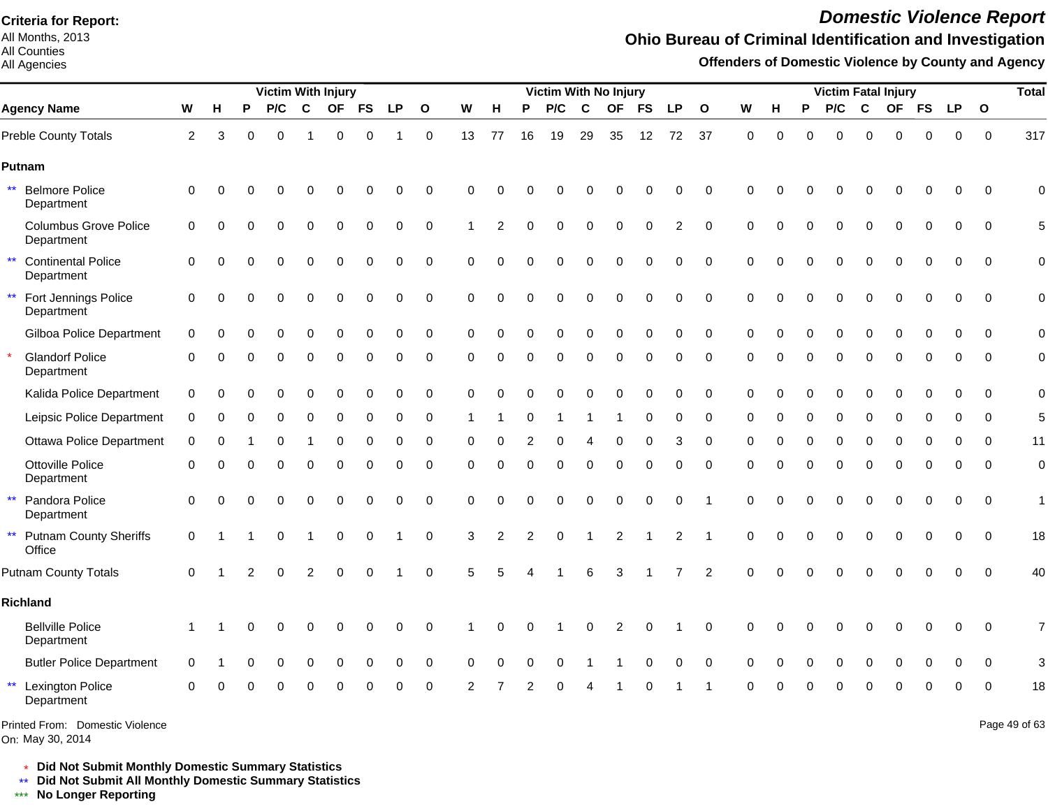All Months, 2013 All Counties

#### All Agencies

# *Domestic Violence Report*

## **Ohio Bureau of Criminal Identification and Investigation**

**Offenders of Domestic Violence by County and Agency**

|                                                         |              |          |   | <b>Victim With Injury</b> |                |             |             |             |              |          |                |                | Victim With No Injury |          |                |           |                |                |             |          |          | <b>Victim Fatal Injury</b> |              |             |             |             |              | <b>Total</b>   |
|---------------------------------------------------------|--------------|----------|---|---------------------------|----------------|-------------|-------------|-------------|--------------|----------|----------------|----------------|-----------------------|----------|----------------|-----------|----------------|----------------|-------------|----------|----------|----------------------------|--------------|-------------|-------------|-------------|--------------|----------------|
| <b>Agency Name</b>                                      | W            | н        | P | P/C                       | $\mathbf c$    | <b>OF</b>   | <b>FS</b>   | <b>LP</b>   | $\mathbf{o}$ | W        | н              | P              | P/C                   | C        | <b>OF</b>      | <b>FS</b> | <b>LP</b>      | $\mathbf{o}$   | W           | н        | P        | P/C                        | $\mathbf{C}$ |             | OF FS       | <b>LP</b>   | $\mathbf{o}$ |                |
| Preble County Totals                                    | $\mathbf{2}$ | 3        | ∩ | $\Omega$                  |                | 0           | $\Omega$    |             | $\mathbf 0$  | 13       | 77             | 16             | 19                    | 29       | 35             | 12        | 72             | 37             | $\mathbf 0$ | $\Omega$ | O        | $\Omega$                   | $\Omega$     | O           | 0           | $\mathbf 0$ | $\mathbf 0$  | 317            |
| Putnam                                                  |              |          |   |                           |                |             |             |             |              |          |                |                |                       |          |                |           |                |                |             |          |          |                            |              |             |             |             |              |                |
| $\star\star$<br><b>Belmore Police</b><br>Department     | $\mathbf 0$  |          |   |                           |                |             | 0           | 0           | $\mathbf 0$  | $\Omega$ | 0              |                |                       |          |                |           | 0              | $\mathbf 0$    | $\Omega$    |          |          |                            | C            |             | 0           | 0           | $\mathbf 0$  | $\Omega$       |
| <b>Columbus Grove Police</b><br>Department              | $\mathbf 0$  | $\Omega$ | O | $\Omega$                  | 0              | $\mathbf 0$ | $\mathbf 0$ | $\mathbf 0$ | $\mathbf 0$  |          | $\overline{2}$ | $\Omega$       | 0                     | 0        | $\mathbf 0$    | $\Omega$  | 2              | $\mathbf 0$    | 0           | O        | 0        | 0                          | $\mathbf 0$  | $\mathbf 0$ | $\mathbf 0$ | $\mathbf 0$ | 0            | 5              |
| $\star\star$<br><b>Continental Police</b><br>Department | $\Omega$     | ∩        | ∩ | 0                         | 0              | $\Omega$    | 0           | 0           | $\mathbf 0$  | $\Omega$ | $\Omega$       | $\Omega$       | 0                     | 0        | 0              | $\Omega$  | 0              | $\Omega$       | $\Omega$    | ი        | 0        | 0                          | $\Omega$     | 0           | 0           | 0           | $\Omega$     | $\overline{0}$ |
| $\star\star$<br>Fort Jennings Police<br>Department      | $\mathbf 0$  | $\Omega$ | ∩ | $\Omega$                  | $\Omega$       | $\Omega$    | $\Omega$    | $\Omega$    | $\mathbf 0$  | $\Omega$ | $\Omega$       | $\Omega$       | 0                     | $\Omega$ | 0              | $\Omega$  | 0              | $\Omega$       | $\Omega$    | 0        | O        | $\Omega$                   | $\Omega$     | $\Omega$    | $\Omega$    | $\Omega$    | $\Omega$     | 0              |
| Gilboa Police Department                                | $\Omega$     |          |   | ∩                         | O              | ∩           | $\Omega$    | 0           | $\mathbf 0$  | $\Omega$ | $\Omega$       | ∩              | 0                     | $\Omega$ | O              | $\Omega$  | 0              | $\Omega$       | $\Omega$    | U        | ŋ        | O                          | $\Omega$     | $\Omega$    | $\Omega$    | $\Omega$    | $\Omega$     | $\mathbf 0$    |
| <b>Glandorf Police</b><br>Department                    | $\Omega$     | ∩        |   | $\Omega$                  | 0              | $\Omega$    | O           | 0           | 0            | $\Omega$ | $\Omega$       | $\Omega$       | 0                     | 0        | $\Omega$       | $\Omega$  | 0              | $\Omega$       | $\Omega$    | O        | O        | 0                          | $\Omega$     | $\Omega$    | 0           | $\Omega$    | $\Omega$     | 0              |
| Kalida Police Department                                | 0            | $\Omega$ |   | $\Omega$                  | 0              | 0           | 0           | 0           | 0            | 0        | $\Omega$       |                | O                     | $\Omega$ | $\Omega$       | $\Omega$  | 0              | 0              | 0           | 0        | 0        | 0                          | $\Omega$     | 0           | 0           | $\Omega$    | $\mathbf 0$  | $\mathbf 0$    |
| Leipsic Police Department                               | 0            | ∩        |   | O                         | 0              | 0           | $\Omega$    | 0           | 0            |          |                | ∩              |                       |          |                | $\Omega$  | 0              | 0              | $\Omega$    |          | 0        | 0                          | $\Omega$     | $\Omega$    | $\Omega$    | $\Omega$    | $\Omega$     | 5              |
| <b>Ottawa Police Department</b>                         | $\Omega$     |          |   |                           |                |             |             |             | 0            | O        |                |                |                       |          |                |           | 3              | $\Omega$       | $\Omega$    |          |          | O                          |              |             | O           | ∩           | $\Omega$     | 11             |
| Ottoville Police<br>Department                          | 0            | 0        | ∩ | $\Omega$                  | 0              | $\mathbf 0$ | 0           | 0           | 0            | 0        | $\mathbf 0$    | $\Omega$       | 0                     | 0        | 0              | $\Omega$  | 0              | 0              | $\Omega$    | $\Omega$ | 0        | 0                          | $\mathbf 0$  | $\Omega$    | 0           | 0           | $\mathbf 0$  | $\mathbf 0$    |
| $\star\star$<br>Pandora Police<br>Department            | 0            |          |   |                           | 0              | $\Omega$    | $\Omega$    | $\Omega$    | $\mathbf 0$  | $\Omega$ | C              |                | 0                     |          | C              | $\Omega$  | 0              | $\overline{1}$ | $\Omega$    |          |          | $\Omega$                   | C            | $\Omega$    | 0           | $\mathbf 0$ | $\mathbf 0$  | 1              |
| $\star\star$<br><b>Putnam County Sheriffs</b><br>Office | $\mathbf 0$  |          |   | $\Omega$                  |                | $\mathbf 0$ | $\mathbf 0$ |             | $\pmb{0}$    | 3        | $\overline{2}$ | $\overline{2}$ | 0                     |          | $\overline{2}$ |           | $\overline{c}$ |                | $\Omega$    |          | $\Omega$ | $\Omega$                   | $\Omega$     | $\mathbf 0$ | $\Omega$    | $\mathbf 0$ | $\mathbf 0$  | 18             |
| <b>Putnam County Totals</b>                             | $\Omega$     |          |   | $\Omega$                  | $\overline{2}$ | 0           | $\Omega$    |             | $\mathbf 0$  | 5        |                |                |                       | 6        | 3              |           | 7              | 2              | $\Omega$    | $\Omega$ | $\Omega$ | $\Omega$                   | $\Omega$     | $\Omega$    | $\mathbf 0$ | $\Omega$    | $\Omega$     | 40             |
| Richland                                                |              |          |   |                           |                |             |             |             |              |          |                |                |                       |          |                |           |                |                |             |          |          |                            |              |             |             |             |              |                |
| <b>Bellville Police</b><br>Department                   |              |          |   | ∩                         | 0              | O           | O           | $\Omega$    | $\Omega$     |          | C              |                |                       | ∩        | 2              | $\Omega$  |                | $\Omega$       | $\Omega$    |          |          | O                          | C            |             | 0           | $\Omega$    | $\Omega$     | 7              |
| <b>Butler Police Department</b>                         | $\Omega$     |          |   |                           | 0              | O           | 0           | 0           | 0            | O        | ∩              | ∩              | 0                     |          |                |           | ი              | $\Omega$       | $\Omega$    |          |          | O                          | 0            | O           | $\Omega$    | $\Omega$    | $\Omega$     | 3              |
| $\star\star$<br><b>Lexington Police</b><br>Department   | ∩            |          |   |                           |                |             |             | ი           | 0            |          |                |                | ი                     |          |                |           |                |                |             |          |          |                            |              |             | Ω           | ∩           | ∩            | 18             |
| Printed From: Domestic Violence                         |              |          |   |                           |                |             |             |             |              |          |                |                |                       |          |                |           |                |                |             |          |          |                            |              |             |             |             |              | Page 49 of 63  |

On: May 30, 2014

\* **Did Not Submit Monthly Domestic Summary Statistics**

**Did Not Submit All Monthly Domestic Summary Statistics**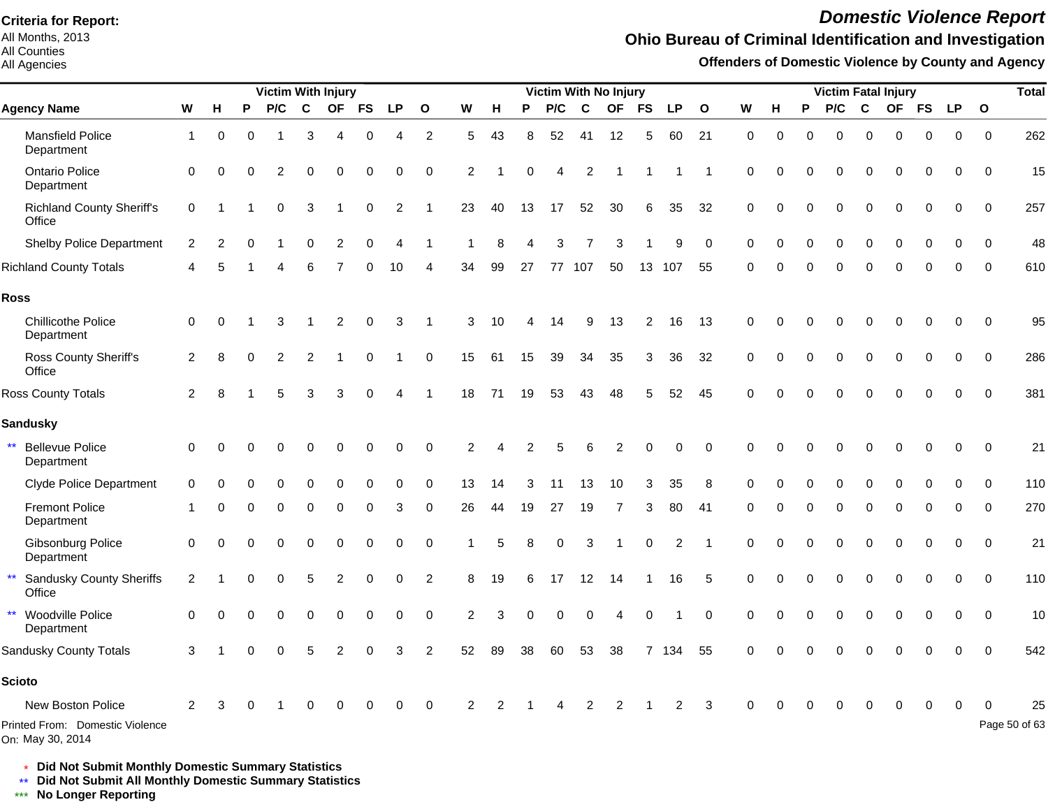All Months, 2013 All Counties

#### All Agencies

# *Domestic Violence Report*

#### **Ohio Bureau of Criminal Identification and Investigation**

**Offenders of Domestic Violence by County and Agency**

|                                                      |              |               |          | <b>Victim With Injury</b> |             |          |          |           |                |    |    |    |          | Victim With No Injury |                |           |           |              |             |             |          |          |          | <b>Victim Fatal Injury</b> |          |             |              | <b>Total</b>  |
|------------------------------------------------------|--------------|---------------|----------|---------------------------|-------------|----------|----------|-----------|----------------|----|----|----|----------|-----------------------|----------------|-----------|-----------|--------------|-------------|-------------|----------|----------|----------|----------------------------|----------|-------------|--------------|---------------|
| <b>Agency Name</b>                                   | W            | H             | P        | P/C                       | $\mathbf c$ |          | OF FS    | <b>LP</b> | $\mathbf{o}$   | W  | H  | P  | P/C      | $\mathbf c$           | <b>OF</b>      | <b>FS</b> | <b>LP</b> | $\mathbf{o}$ | W           | н           | P        | P/C      | C        |                            | OF FS    | <b>LP</b>   | $\mathbf{o}$ |               |
| <b>Mansfield Police</b><br>Department                | $\mathbf{1}$ | 0             | $\Omega$ |                           | 3           | 4        | 0        | 4         | 2              | 5  | 43 | 8  | 52       | 41                    | 12             | 5         | 60        | 21           | $\mathbf 0$ | $\mathbf 0$ | $\Omega$ | $\Omega$ | $\Omega$ | $\Omega$                   | 0        | $\mathbf 0$ | $\mathbf 0$  | 262           |
| <b>Ontario Police</b><br>Department                  | $\Omega$     | $\Omega$      | ∩        | 2                         | $\Omega$    | $\Omega$ | 0        | $\Omega$  | $\Omega$       | 2  |    | O  | 4        | 2                     |                |           |           |              | $\Omega$    | $\Omega$    | O        | $\Omega$ | $\Omega$ | $\Omega$                   | 0        | 0           | $\Omega$     | 15            |
| <b>Richland County Sheriff's</b><br>Office           | 0            |               |          | $\Omega$                  | 3           |          | $\Omega$ | 2         |                | 23 | 40 | 13 | 17       | 52                    | 30             | 6         | 35        | 32           | $\mathbf 0$ | $\Omega$    | 0        | $\Omega$ | $\Omega$ | $\Omega$                   | $\Omega$ | $\Omega$    | $\Omega$     | 257           |
| <b>Shelby Police Department</b>                      | 2            | $\mathcal{P}$ | $\Omega$ |                           | $\Omega$    | 2        | $\Omega$ |           |                |    | я  |    | 3        |                       | З              |           | 9         | $\mathbf 0$  | $\Omega$    |             | 0        | $\Omega$ | $\Omega$ |                            | O        | $\Omega$    | $\Omega$     | 48            |
| <b>Richland County Totals</b>                        | Δ            | 5             |          | Δ                         | 6           |          | $\Omega$ | 10        | Δ              | 34 | 99 | 27 |          | 77 107                | 50             | 13        | 107       | 55           | $\Omega$    | ∩           | $\Omega$ | $\Omega$ | $\Omega$ | ∩                          | $\Omega$ | $\Omega$    | $\Omega$     | 610           |
| <b>Ross</b>                                          |              |               |          |                           |             |          |          |           |                |    |    |    |          |                       |                |           |           |              |             |             |          |          |          |                            |          |             |              |               |
| <b>Chillicothe Police</b><br>Department              | 0            | 0             |          | 3                         |             | 2        | 0        | 3         |                | 3  | 10 |    | 14       | 9                     | 13             | 2         | 16        | 13           | 0           |             |          |          |          |                            | O        | $\Omega$    | $\Omega$     | 95            |
| Ross County Sheriff's<br>Office                      | 2            | 8             | $\Omega$ | 2                         | 2           |          | $\Omega$ |           | $\mathbf 0$    | 15 | 61 | 15 | 39       | 34                    | 35             | 3         | 36        | 32           | 0           | ∩           | 0        | $\Omega$ | $\Omega$ | $\Omega$                   | $\Omega$ | $\Omega$    | $\mathbf 0$  | 286           |
| Ross County Totals                                   | 2            | 8             |          | 5                         | 3           | 3        | $\Omega$ | 4         |                | 18 | 71 | 19 | 53       | 43                    | 48             | 5         | 52        | 45           | $\Omega$    | $\Omega$    | 0        | $\Omega$ | O        | $\Omega$                   | 0        | $\Omega$    | $\Omega$     | 381           |
| <b>Sandusky</b>                                      |              |               |          |                           |             |          |          |           |                |    |    |    |          |                       |                |           |           |              |             |             |          |          |          |                            |          |             |              |               |
| $\star\star$<br><b>Bellevue Police</b><br>Department | $\mathbf 0$  |               |          |                           |             |          | ი        | O         | $\Omega$       | 2  |    | 2  | 5        | 6                     |                | $\Omega$  | $\Omega$  | $\Omega$     | $\Omega$    |             |          |          |          |                            |          | ∩           | $\Omega$     | 21            |
| <b>Clyde Police Department</b>                       | $\Omega$     |               |          |                           |             |          |          | $\Omega$  | $\Omega$       | 13 | 14 | 3  | 11       | 13                    | 10             | 3         | 35        | 8            | $\Omega$    |             |          |          |          |                            |          |             | $\Omega$     | 110           |
| <b>Fremont Police</b><br>Department                  |              | 0             | $\Omega$ | $\Omega$                  | 0           | $\Omega$ | 0        | 3         | $\Omega$       | 26 | 44 | 19 | 27       | 19                    | 7              | 3         | 80        | 41           | $\Omega$    | $\Omega$    | $\Omega$ | $\Omega$ | $\Omega$ | $\Omega$                   | $\Omega$ | 0           | $\Omega$     | 270           |
| Gibsonburg Police<br>Department                      | 0            | 0             |          | O                         | $\Omega$    | $\Omega$ | 0        | 0         | $\Omega$       |    |    | 8  | 0        | 3                     |                | 0         | 2         |              | 0           | $\Omega$    | 0        | $\Omega$ | $\Omega$ | $\Omega$                   | 0        | 0           | 0            | 21            |
| <b>Sandusky County Sheriffs</b><br>Office            | 2            |               | O        | $\Omega$                  | 5           | 2        | $\Omega$ | $\Omega$  | $\overline{2}$ | 8  | 19 | 6  | 17       | 12                    | 14             |           | 16        | 5            | $\Omega$    | $\Omega$    | 0        | $\Omega$ | $\Omega$ | $\Omega$                   | $\Omega$ | 0           | $\Omega$     | 110           |
| $\star\star$<br>Woodville Police<br>Department       | $\Omega$     |               |          | $\Omega$                  | $\Omega$    | $\Omega$ | 0        | 0         | $\mathbf 0$    | 2  | 3  | 0  | $\Omega$ | $\mathbf 0$           | Δ              | 0         |           | $\mathbf 0$  | 0           | $\Omega$    | 0        | $\Omega$ | O        | $\Omega$                   | $\Omega$ | 0           | $\Omega$     | 10            |
| Sandusky County Totals                               | 3            |               |          |                           |             |          |          | 3         | $\overline{2}$ | 52 | 89 | 38 | 60       | 53                    | 38             |           | 7 134     | 55           | $\Omega$    |             |          |          |          |                            |          | $\Omega$    | $\Omega$     | 542           |
| <b>Scioto</b>                                        |              |               |          |                           |             |          |          |           |                |    |    |    |          |                       |                |           |           |              |             |             |          |          |          |                            |          |             |              |               |
| New Boston Police                                    | 2            |               |          |                           |             |          |          | 0         | $\mathbf 0$    | 2  | 2  |    | Δ        | $\overline{2}$        | $\overline{2}$ |           | 2         | 3            | $\Omega$    |             | 0        |          | 0        | 0                          | 0        |             |              | 25            |
| Printed From: Domestic Violence<br>On: May 30, 2014  |              |               |          |                           |             |          |          |           |                |    |    |    |          |                       |                |           |           |              |             |             |          |          |          |                            |          |             |              | Page 50 of 63 |

\* **Did Not Submit Monthly Domestic Summary Statistics**

**Did Not Submit All Monthly Domestic Summary Statistics**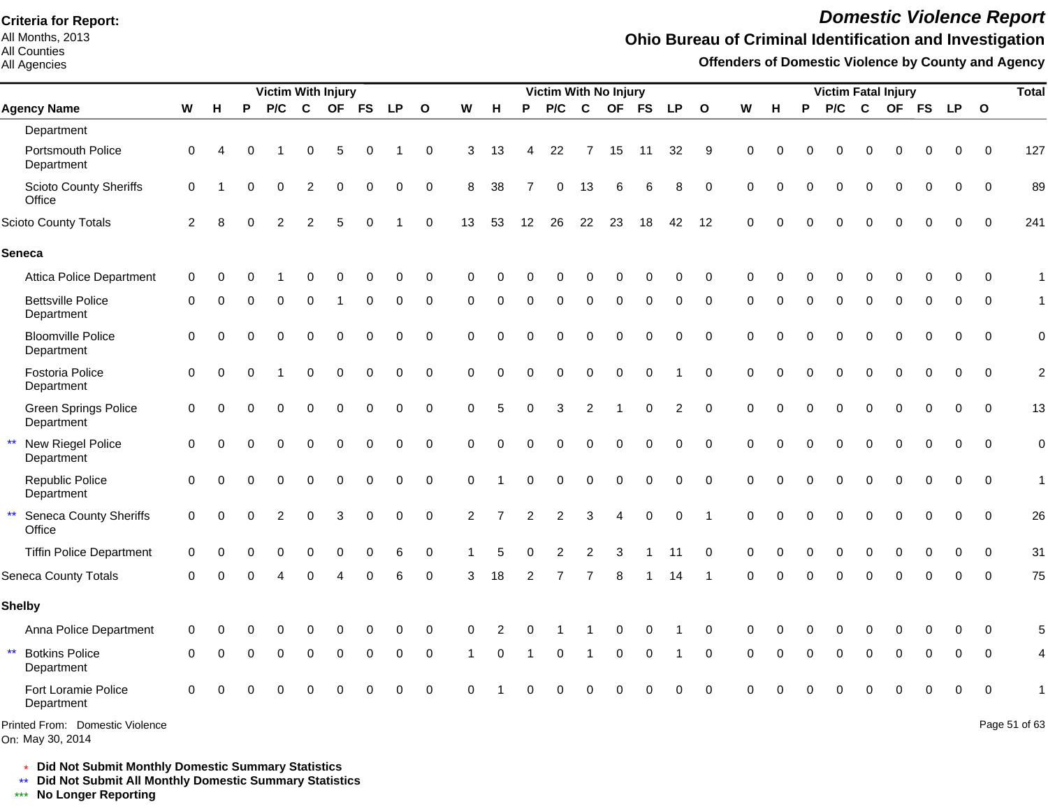All Months, 2013 All Counties

All Agencies

# *Domestic Violence Report*

## **Ohio Bureau of Criminal Identification and Investigation**

**Offenders of Domestic Violence by County and Agency**

|                                                         |             |   |          | <b>Victim With Injury</b> |                |          |                |           |              |                |                |                | <b>Victim With No Injury</b> |                |                |             |             |              |             |          |          | <b>Victim Fatal Injury</b> |              |          |              |            |          | <b>Total</b>             |
|---------------------------------------------------------|-------------|---|----------|---------------------------|----------------|----------|----------------|-----------|--------------|----------------|----------------|----------------|------------------------------|----------------|----------------|-------------|-------------|--------------|-------------|----------|----------|----------------------------|--------------|----------|--------------|------------|----------|--------------------------|
| <b>Agency Name</b>                                      | ${\bf W}$   | н | P        | P/C                       | $\mathbf{C}$   |          | OF FS          | <b>LP</b> | $\mathbf{o}$ | W              | H              | P              | P/C                          | $\mathbf c$    |                | OF FS       | <b>LP</b>   | $\mathbf{o}$ | W           | н        | P        | P/C                        | $\mathbf c$  |          |              | OF FS LP O |          |                          |
| Department                                              |             |   |          |                           |                |          |                |           |              |                |                |                |                              |                |                |             |             |              |             |          |          |                            |              |          |              |            |          |                          |
| Portsmouth Police<br>Department                         | $\Omega$    | Δ |          |                           | $\Omega$       | 5        | $\Omega$       |           | $\Omega$     | 3              | 13             | 4              | 22                           | 7              | 15             | 11          | 32          | 9            | $\Omega$    |          | O        | $\Omega$                   | O            | 0        | 0            | $\Omega$   | $\Omega$ | 127                      |
| <b>Scioto County Sheriffs</b><br>Office                 | $\mathbf 0$ |   | $\Omega$ | $\Omega$                  | 2              | 0        | $\mathbf 0$    | 0         | 0            | 8              | 38             |                | $\mathbf 0$                  | 13             | 6              | 6           | 8           | $\mathbf 0$  | $\mathbf 0$ | $\Omega$ | $\Omega$ | $\Omega$                   | $\Omega$     | $\Omega$ | 0            | $\Omega$   | $\Omega$ | 89                       |
| <b>Scioto County Totals</b>                             | 2           |   |          | $\overline{2}$            | $\overline{2}$ | 5        | $\Omega$       |           | $\mathbf 0$  | 13             | 53             | 12             | 26                           | 22             | 23             | 18          | 42          | 12           | $\Omega$    |          |          | $\Omega$                   | $\Omega$     | $\Omega$ | $\Omega$     | $\Omega$   | $\Omega$ | 241                      |
| <b>Seneca</b>                                           |             |   |          |                           |                |          |                |           |              |                |                |                |                              |                |                |             |             |              |             |          |          |                            |              |          |              |            |          |                          |
| <b>Attica Police Department</b>                         | 0           |   |          |                           |                |          | 0              | $\Omega$  | $\mathbf 0$  | $\Omega$       |                |                |                              |                |                | 0           | 0           | $\Omega$     | $\Omega$    |          |          |                            |              |          |              |            | 0        | $\mathbf{1}$             |
| <b>Bettsville Police</b><br>Department                  | 0           |   |          | 0                         | $\Omega$       |          | $\mathbf 0$    | $\Omega$  | $\mathbf 0$  | $\Omega$       | $\Omega$       | $\Omega$       | $\Omega$                     | $\Omega$       | $\Omega$       | $\mathbf 0$ | $\Omega$    | $\Omega$     | $\Omega$    | O        | 0        | $\Omega$                   | $\Omega$     | $\Omega$ | $\Omega$     | $\Omega$   | $\Omega$ | $\mathbf{1}$             |
| <b>Bloomville Police</b><br>Department                  | $\Omega$    | 0 | $\Omega$ | $\Omega$                  | $\Omega$       | $\Omega$ | $\overline{0}$ | $\Omega$  | $\Omega$     | $\Omega$       | $\Omega$       | $\Omega$       | $\Omega$                     | $\mathbf 0$    | 0              | $\mathbf 0$ | $\Omega$    | $\Omega$     | $\Omega$    |          |          | $\Omega$                   | $\Omega$     | $\Omega$ | 0            |            | $\Omega$ | $\mathbf 0$              |
| Fostoria Police<br>Department                           | $\Omega$    | 0 |          |                           | $\Omega$       | 0        | 0              | 0         | $\Omega$     | $\Omega$       | $\Omega$       | $\overline{0}$ | $\mathbf 0$                  | $\mathbf 0$    | $\mathbf 0$    | $\mathbf 0$ |             | $\Omega$     | $\Omega$    |          | $\Omega$ | $\mathbf 0$                | $\Omega$     | $\Omega$ | 0            | $\Omega$   | $\Omega$ | $\overline{a}$           |
| Green Springs Police<br>Department                      | $\Omega$    | 0 | $\Omega$ | $\Omega$                  | $\mathbf 0$    | 0        | $\mathbf 0$    | 0         | $\mathbf 0$  | $\mathbf 0$    | 5              | 0              | 3                            | $\overline{2}$ | -1             | $\mathbf 0$ | 2           | $\Omega$     | $\mathbf 0$ | $\Omega$ | 0        | $\mathbf 0$                | $\Omega$     | $\Omega$ | $\Omega$     | $\Omega$   | $\Omega$ | 13                       |
| New Riegel Police<br>Department                         | $\Omega$    | 0 | ∩        | $\Omega$                  | $\Omega$       | $\Omega$ | $\Omega$       | $\Omega$  | $\Omega$     | $\Omega$       | $\Omega$       | $\Omega$       | $\Omega$                     | $\Omega$       | $\Omega$       | $\Omega$    | $\Omega$    | $\Omega$     | $\Omega$    | $\Omega$ | $\Omega$ | $\Omega$                   | $\Omega$     | $\Omega$ | $\Omega$     | $\Omega$   | $\Omega$ | $\overline{0}$           |
| Republic Police<br>Department                           | $\Omega$    | 0 | $\Omega$ | $\Omega$                  | $\Omega$       | 0        | $\mathbf 0$    | 0         | $\Omega$     | $\mathbf 0$    |                | $\Omega$       | $\Omega$                     | $\mathbf 0$    | $\Omega$       | $\Omega$    | $\Omega$    | $\Omega$     | $\Omega$    | $\Omega$ | $\Omega$ | $\Omega$                   | $\Omega$     | $\Omega$ | $\Omega$     | $\Omega$   | $\Omega$ | $\mathbf{1}$             |
| $\star\star$<br><b>Seneca County Sheriffs</b><br>Office | $\Omega$    | 0 | $\Omega$ | 2                         | $\Omega$       | 3        | $\mathbf 0$    | 0         | $\mathbf 0$  | $\overline{2}$ | $\overline{7}$ | $\overline{2}$ | 2                            | 3              | $\overline{4}$ | $\mathbf 0$ | $\mathbf 0$ |              | $\Omega$    | $\Omega$ | $\Omega$ | $\Omega$                   | $\Omega$     | $\Omega$ | $\Omega$     | $\Omega$   | $\Omega$ | 26                       |
| <b>Tiffin Police Department</b>                         | $\Omega$    |   |          | 0                         | $\Omega$       | $\Omega$ | $\Omega$       | 6         | 0            |                | 5              | 0              | 2                            | 2              | 3              |             | 11          | $\Omega$     | $\Omega$    |          | 0        | $\Omega$                   | $\Omega$     | $\Omega$ | 0            | $\Omega$   | $\Omega$ | 31                       |
| <b>Seneca County Totals</b>                             | $\Omega$    |   |          |                           |                |          | ∩              | 6         | $\Omega$     | 3              | 18             | 2              |                              | 7              | 8              |             | 14          |              | $\Omega$    | $\Omega$ | $\Omega$ | $\Omega$                   | $\Omega$     | ∩        | ŋ            | $\Omega$   | $\Omega$ | 75                       |
| <b>Shelby</b>                                           |             |   |          |                           |                |          |                |           |              |                |                |                |                              |                |                |             |             |              |             |          |          |                            |              |          |              |            |          |                          |
| Anna Police Department                                  | $\Omega$    |   |          |                           |                |          |                |           | C            |                |                |                |                              |                |                |             |             | $\Omega$     | C           |          |          |                            |              |          |              |            |          | 5                        |
| $\star\star$<br><b>Botkins Police</b><br>Department     | $\Omega$    | 0 | $\Omega$ | $\Omega$                  | $\Omega$       | 0        | $\Omega$       | 0         | $\mathbf 0$  | $\overline{1}$ | $\Omega$       | $\overline{1}$ | 0                            | $\mathbf 1$    | $\mathbf 0$    | $\mathbf 0$ |             | $\mathbf 0$  | $\Omega$    | $\Omega$ | $\Omega$ | $\Omega$                   | $\mathbf{0}$ | $\Omega$ | $\mathbf{0}$ | $\Omega$   | $\Omega$ | $\overline{\mathcal{L}}$ |
| Fort Loramie Police<br>Department                       | $\Omega$    |   |          | 0                         | $\Omega$       | $\Omega$ | $\Omega$       | $\Omega$  | $\mathbf 0$  | $\Omega$       |                | ი              | $\Omega$                     | $\Omega$       | $\Omega$       | $\Omega$    | $\Omega$    | $\Omega$     | $\Omega$    |          |          |                            | $\Omega$     | $\Omega$ | $\Omega$     | $\Omega$   | $\Omega$ |                          |
| Printed From: Domestic Violence                         |             |   |          |                           |                |          |                |           |              |                |                |                |                              |                |                |             |             |              |             |          |          |                            |              |          |              |            |          | Page 51 of 63            |

On: May 30, 2014

Page 51 of 63

\* **Did Not Submit Monthly Domestic Summary Statistics**

**Did Not Submit All Monthly Domestic Summary Statistics**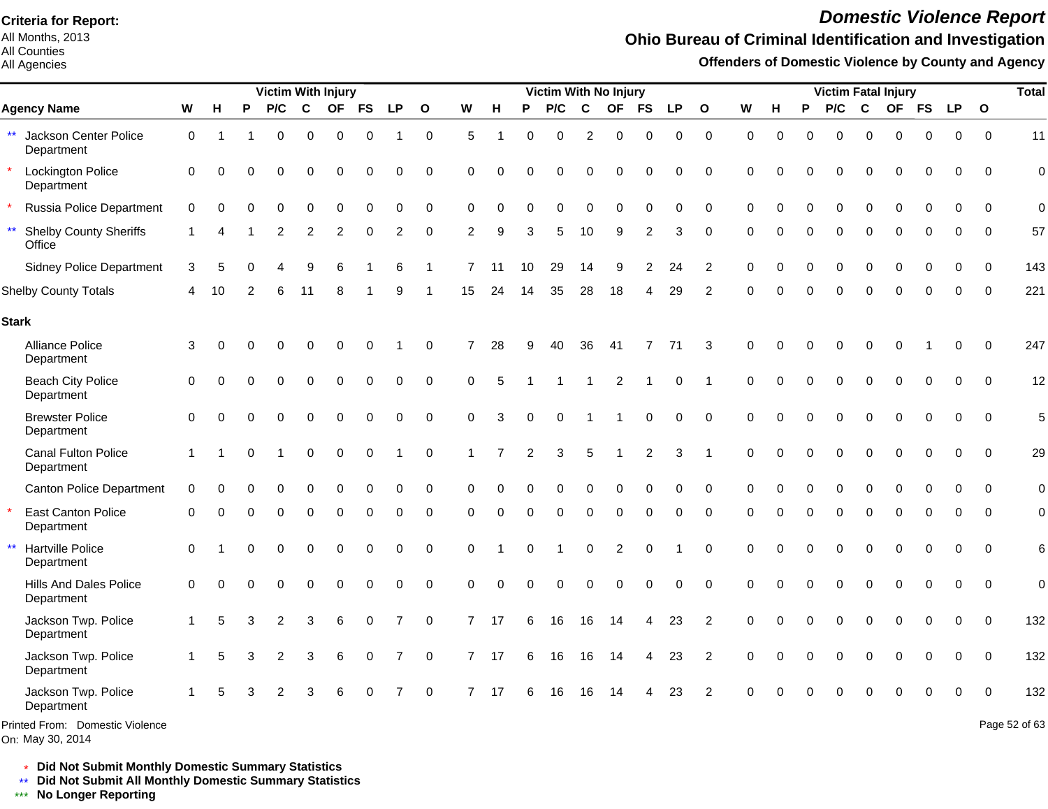All Months, 2013 All Counties

#### All Agencies

# *Domestic Violence Report*

## **Ohio Bureau of Criminal Identification and Investigation**

**Offenders of Domestic Violence by County and Agency**

|                                                     |             |             |   | <b>Victim With Injury</b> |             |             |             |                |              |                |          |          | <b>Victim With No Injury</b> |             |                |                |             |                |             |             |          | <b>Victim Fatal Injury</b> |             |           |           |             |              | <b>Total</b>  |
|-----------------------------------------------------|-------------|-------------|---|---------------------------|-------------|-------------|-------------|----------------|--------------|----------------|----------|----------|------------------------------|-------------|----------------|----------------|-------------|----------------|-------------|-------------|----------|----------------------------|-------------|-----------|-----------|-------------|--------------|---------------|
| <b>Agency Name</b>                                  | W           | н           | P | P/C                       | C           | <b>OF</b>   | <b>FS</b>   | <b>LP</b>      | $\mathbf{o}$ | W              | H        | P        | P/C                          | $\mathbf c$ | <b>OF</b>      | FS             | <b>LP</b>   | $\mathbf{o}$   | W           | н           | P        | P/C                        | $\mathbf c$ | <b>OF</b> | <b>FS</b> | <b>LP</b>   | $\mathbf{o}$ |               |
| $\star\star$<br>Jackson Center Police<br>Department | 0           |             |   | $\Omega$                  | $\mathbf 0$ | $\mathbf 0$ | $\mathbf 0$ |                | 0            | 5              |          | $\Omega$ | $\mathbf 0$                  | 2           | $\pmb{0}$      | $\mathbf 0$    | $\mathbf 0$ | $\mathbf 0$    | $\mathbf 0$ | $\mathbf 0$ | $\Omega$ | $\Omega$                   | 0           | 0         | $\Omega$  | $\mathbf 0$ | $\mathbf 0$  | 11            |
| <b>Lockington Police</b><br>Department              | 0           | $\mathbf 0$ | O | $\Omega$                  | 0           | $\Omega$    | 0           | 0              | 0            | 0              | $\Omega$ | 0        | $\mathbf 0$                  | 0           | $\Omega$       | 0              | 0           | 0              | $\mathbf 0$ | $\Omega$    | $\Omega$ | $\Omega$                   | $\Omega$    | $\Omega$  | $\Omega$  | 0           | 0            | $\mathbf 0$   |
| Russia Police Department                            | 0           | $\Omega$    |   |                           | 0           | $\Omega$    | $\Omega$    | ∩              | 0            | $\Omega$       | $\Omega$ | U        | $\Omega$                     | $\Omega$    | $\Omega$       | $\Omega$       | $\Omega$    | 0              | $\Omega$    | $\Omega$    |          | O                          | $\Omega$    | $\Omega$  |           | O           | $\Omega$     | $\mathbf 0$   |
| $***$<br><b>Shelby County Sheriffs</b><br>Office    |             |             |   | 2                         | 2           | 2           | 0           | 2              | $\mathbf 0$  | 2              | 9        | 3        | 5                            | 10          | 9              | 2              | 3           | 0              | $\Omega$    | $\Omega$    | $\Omega$ | $\mathbf 0$                | $\Omega$    | 0         | $\Omega$  | 0           | $\mathbf 0$  | 57            |
| <b>Sidney Police Department</b>                     | 3           | 5           | O |                           | 9           | 6           |             | 6              | -1           | 7              | 11       | 10       | 29                           | 14          | 9              | $\overline{c}$ | 24          | $\overline{2}$ | $\Omega$    | $\Omega$    | ∩        | $\Omega$                   | $\Omega$    | $\Omega$  | $\Omega$  | $\Omega$    | $\mathbf 0$  | 143           |
| <b>Shelby County Totals</b>                         | 4           | 10          |   | 6                         | 11          | 8           |             | я              |              | 15             | 24       | 14       | 35                           | 28          | 18             | 4              | 29          | $\overline{2}$ | O           | 0           | $\Omega$ | $\Omega$                   | $\Omega$    | U         |           | 0           | $\Omega$     | 221           |
| <b>Stark</b>                                        |             |             |   |                           |             |             |             |                |              |                |          |          |                              |             |                |                |             |                |             |             |          |                            |             |           |           |             |              |               |
| Alliance Police<br>Department                       | 3           | $\Omega$    |   |                           | 0           | $\Omega$    | 0           |                | 0            | $\overline{7}$ | 28       | 9        | 40                           | 36          | 41             | 7              | 71          | 3              | 0           | $\Omega$    |          | $\Omega$                   | $\Omega$    | Ω         |           | 0           | $\mathbf 0$  | 247           |
| <b>Beach City Police</b><br>Department              | $\mathbf 0$ | $\Omega$    |   |                           | 0           | 0           | 0           | 0              | 0            | 0              | 5        |          |                              | 1           | 2              | -1             | 0           |                | 0           | $\Omega$    | $\Omega$ | $\mathbf 0$                | $\Omega$    | $\Omega$  | 0         | 0           | 0            | 12            |
| <b>Brewster Police</b><br>Department                | $\Omega$    | $\Omega$    |   |                           | $\Omega$    | $\Omega$    | $\mathbf 0$ | 0              | $\mathbf 0$  | $\Omega$       | 3        | $\Omega$ | $\Omega$                     | -1          |                | $\mathbf 0$    | $\mathbf 0$ | $\Omega$       | $\Omega$    | $\Omega$    |          | $\Omega$                   | $\Omega$    | $\Omega$  | $\Omega$  | $\Omega$    | $\Omega$     | 5             |
| Canal Fulton Police<br>Department                   |             |             |   |                           | 0           | $\Omega$    | $\mathbf 0$ |                | $\mathbf 0$  |                | 7        | 2        | 3                            | 5           |                | $\overline{c}$ | 3           |                | $\Omega$    | $\Omega$    |          | $\Omega$                   | $\Omega$    | $\Omega$  | $\Omega$  | 0           | $\Omega$     | 29            |
| <b>Canton Police Department</b>                     | $\mathbf 0$ | $\Omega$    |   |                           | 0           | $\Omega$    | $\Omega$    | $\Omega$       | 0            | 0              | $\Omega$ |          | $\Omega$                     | $\Omega$    | 0              | 0              | O           | $\mathbf 0$    | $\Omega$    | $\Omega$    |          | $\Omega$                   | $\Omega$    | $\Omega$  |           | 0           | $\Omega$     | $\mathbf 0$   |
| <b>East Canton Police</b><br>Department             | $\mathbf 0$ | ∩           |   | 0                         | 0           | 0           | 0           | 0              | 0            | 0              | $\Omega$ | 0        | 0                            | 0           | 0              | 0              | 0           | 0              | 0           | $\Omega$    | 0        | $\mathbf 0$                | 0           | 0         | $\Omega$  | 0           | 0            | $\pmb{0}$     |
| $\star\star$<br>Hartville Police<br>Department      | $\Omega$    |             | ⋂ | $\Omega$                  | $\mathbf 0$ | $\mathbf 0$ | 0           | $\Omega$       | $\mathbf 0$  | 0              |          | 0        |                              | 0           | $\overline{2}$ | $\mathbf 0$    |             | $\mathbf 0$    | $\mathbf 0$ | $\Omega$    | $\Omega$ | 0                          | $\Omega$    | $\Omega$  | $\Omega$  | 0           | $\mathbf 0$  | $\,6$         |
| <b>Hills And Dales Police</b><br>Department         | $\mathbf 0$ | $\Omega$    | O | $\Omega$                  | 0           | $\mathbf 0$ | $\mathbf 0$ | $\mathbf 0$    | $\mathsf 0$  | $\mathbf 0$    | $\Omega$ | $\Omega$ | $\mathbf 0$                  | 0           | $\mathbf 0$    | $\mathbf 0$    | $\mathbf 0$ | $\mathbf 0$    | $\mathbf 0$ | $\Omega$    | $\Omega$ | 0                          | 0           | 0         | $\Omega$  | $\mathbf 0$ | $\mathbf 0$  | $\mathbf 0$   |
| Jackson Twp. Police<br>Department                   |             | 5           | 3 | 2                         | 3           | 6           | 0           | $\overline{7}$ | 0            | $\overline{7}$ | 17       | 6        | 16                           | 16          | 14             | 4              | 23          | $\overline{2}$ | $\mathbf 0$ | $\Omega$    | $\Omega$ | 0                          | $\Omega$    | 0         | $\Omega$  | 0           | $\mathbf 0$  | 132           |
| Jackson Twp. Police<br>Department                   | 1           | 5           | 3 | 2                         | 3           | 6           | $\mathbf 0$ | $\overline{7}$ | $\mathbf 0$  | $\overline{7}$ | -17      | 6        | 16                           | 16          | 14             | 4              | 23          | $\overline{2}$ | $\Omega$    | C           |          | 0                          | $\Omega$    | $\Omega$  | $\Omega$  | 0           | $\Omega$     | 132           |
| Jackson Twp. Police<br>Department                   |             | 5           |   | 2                         | 3           | 6           | 0           | 7              | $\mathbf 0$  | $\overline{7}$ | 17       | 6        | 16                           | 16          | -14            | 4              | 23          | 2              | $\Omega$    |             |          |                            |             |           |           | 0           | $\Omega$     | 132           |
| Printed From: Domestic Violence<br>On: May 30, 2014 |             |             |   |                           |             |             |             |                |              |                |          |          |                              |             |                |                |             |                |             |             |          |                            |             |           |           |             |              | Page 52 of 63 |

\* **Did Not Submit Monthly Domestic Summary Statistics**

**Did Not Submit All Monthly Domestic Summary Statistics**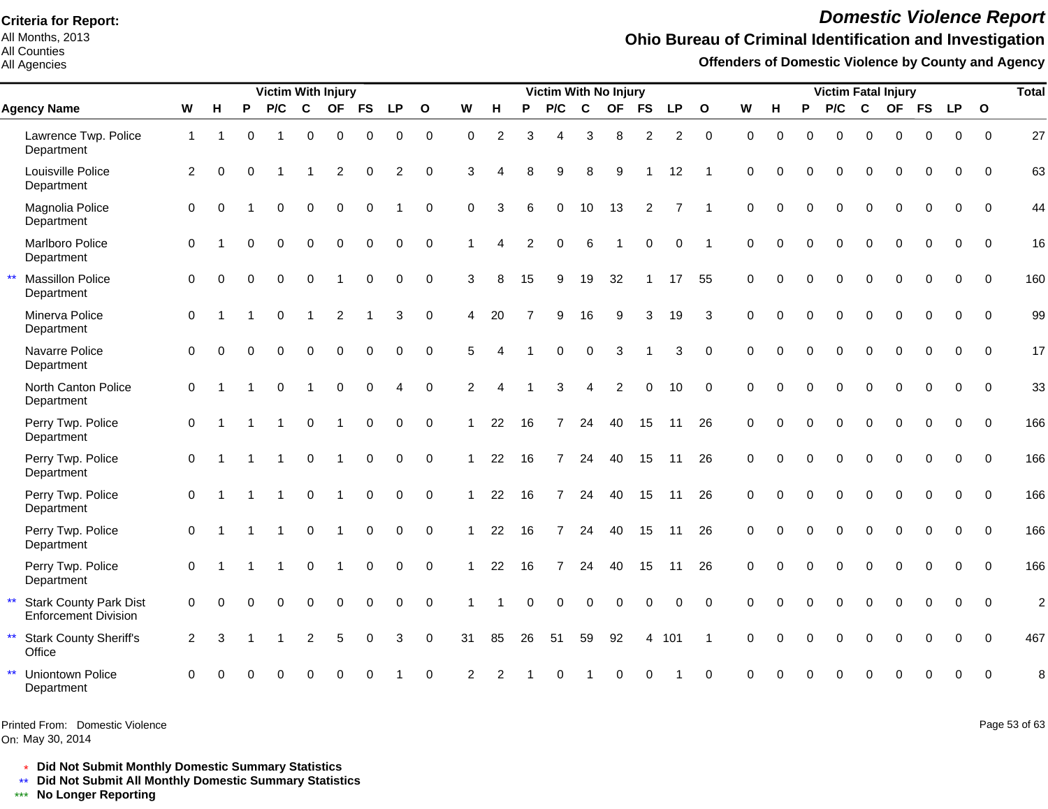All Months, 2013 All Counties

All Agencies

# *Domestic Violence Report*

## **Ohio Bureau of Criminal Identification and Investigation**

**Offenders of Domestic Violence by County and Agency**

|              |                                                              |                |             |          | <b>Victim With Injury</b> |                         |                      |             |                |              |                |                        |          | <b>Victim With No Injury</b> |                |             |                |                |                |             |          |              | <b>Victim Fatal Injury</b> |             |             |          |             |              | <b>Total</b>   |
|--------------|--------------------------------------------------------------|----------------|-------------|----------|---------------------------|-------------------------|----------------------|-------------|----------------|--------------|----------------|------------------------|----------|------------------------------|----------------|-------------|----------------|----------------|----------------|-------------|----------|--------------|----------------------------|-------------|-------------|----------|-------------|--------------|----------------|
|              | <b>Agency Name</b>                                           | W              | н           | P        | P/C                       | $\mathbf c$             |                      | OF FS       | <b>LP</b>      | $\mathbf{o}$ | W              | H                      | P        | P/C                          | $\mathbf c$    |             | OF FS          | <b>LP</b>      | $\mathbf{o}$   | W           | н        | P            | P/C                        | C           |             | OF FS LP |             | $\mathbf{o}$ |                |
|              | Lawrence Twp. Police<br>Department                           | $\overline{1}$ | $\mathbf 1$ | $\Omega$ |                           | 0                       | $\mathsf 0$          | 0           | 0              | $\pmb{0}$    | $\Omega$       | 2                      | 3        | 4                            | 3              | 8           | $\overline{c}$ | 2              | $\mathbf 0$    | $\mathbf 0$ | $\Omega$ | $\Omega$     | $\Omega$                   | 0           | $\mathbf 0$ | $\Omega$ | $\mathbf 0$ | $\mathbf 0$  | 27             |
|              | Louisville Police<br>Department                              | 2              | $\Omega$    | $\Omega$ |                           | -1                      | 2                    | 0           | $\overline{2}$ | $\mathbf 0$  | 3              | Δ                      | 8        | 9                            | 8              | 9           |                | 12             | -1             | $\Omega$    | $\Omega$ | $\Omega$     | $\Omega$                   | $\Omega$    | 0           | $\Omega$ | $\Omega$    | $\Omega$     | 63             |
|              | Magnolia Police<br>Department                                | $\Omega$       | $\Omega$    |          | $\Omega$                  | $\Omega$                | $\Omega$             | $\Omega$    |                | $\mathbf 0$  | $\Omega$       | 3                      | 6        | $\Omega$                     | 10             | 13          | 2              | $\overline{7}$ | -1             | $\Omega$    | $\Omega$ | $\Omega$     | $\Omega$                   | $\Omega$    | $\Omega$    |          | 0           | $\Omega$     | 44             |
|              | Marlboro Police<br>Department                                | $\Omega$       |             | $\Omega$ | $\Omega$                  | $\Omega$                | $\mathbf 0$          | $\Omega$    | $\Omega$       | $\Omega$     | 1              | Δ                      | 2        | $\mathbf 0$                  | 6              |             | $\Omega$       | $\Omega$       | $\overline{1}$ | $\Omega$    | $\Omega$ | $\Omega$     | $\Omega$                   | $\Omega$    | $\Omega$    | $\Omega$ | $\Omega$    | $\Omega$     | 16             |
| $\star\star$ | <b>Massillon Police</b><br>Department                        | $\Omega$       | $\Omega$    | $\Omega$ | $\Omega$                  | $\Omega$                | $\blacktriangleleft$ | 0           | $\mathbf 0$    | $\mathbf 0$  | 3              | 8                      | 15       | 9                            | 19             | 32          | -1             | 17             | 55             | $\Omega$    | $\Omega$ | $\mathbf{0}$ | $\Omega$                   | $\Omega$    | $\Omega$    | $\Omega$ | $\Omega$    | $\Omega$     | 160            |
|              | Minerva Police<br>Department                                 | $\mathbf{0}$   | -1          |          | $\mathbf{0}$              | $\overline{1}$          | $\overline{2}$       | -1          | 3              | $\pmb{0}$    | 4              | 20                     |          | 9                            | 16             | 9           | 3              | 19             | 3              | $\Omega$    | $\Omega$ | $\Omega$     | $\Omega$                   | $\Omega$    | $\Omega$    | $\Omega$ | 0           | $\Omega$     | 99             |
|              | Navarre Police<br>Department                                 | $\mathbf 0$    | $\Omega$    | $\Omega$ | $\Omega$                  | $\mathbf 0$             | $\mathbf 0$          | $\mathbf 0$ | $\mathbf 0$    | $\mathbf 0$  | 5              |                        |          | $\Omega$                     | $\mathbf 0$    | 3           |                | 3              | $\mathbf 0$    | $\Omega$    | $\Omega$ | $\Omega$     | $\Omega$                   | $\Omega$    | $\Omega$    | $\Omega$ | $\Omega$    | $\Omega$     | 17             |
|              | North Canton Police<br>Department                            | $\mathbf 0$    |             |          | $\Omega$                  | $\overline{\mathbf{1}}$ | $\Omega$             | $\Omega$    |                | $\mathbf 0$  | $\overline{2}$ | $\boldsymbol{\Lambda}$ |          | 3                            | $\overline{4}$ | 2           | $\Omega$       | 10             | $\Omega$       | $\Omega$    | $\Omega$ | $\Omega$     | $\Omega$                   | $\Omega$    | $\Omega$    | $\Omega$ | $\Omega$    | $\Omega$     | 33             |
|              | Perry Twp. Police<br>Department                              | $\mathbf 0$    |             |          |                           | 0                       | $\overline{1}$       | $\mathbf 0$ | $\mathbf 0$    | $\mathbf 0$  | $\mathbf{1}$   | 22                     | 16       | $\overline{7}$               | 24             | 40          | 15             | 11             | 26             | $\mathbf 0$ | $\Omega$ | $\Omega$     | $\mathbf 0$                | $\mathbf 0$ | $\Omega$    | $\Omega$ | $\Omega$    | $\Omega$     | 166            |
|              | Perry Twp. Police<br>Department                              | $\mathbf 0$    |             | -1       | $\overline{1}$            | $\mathbf 0$             | $\overline{1}$       | 0           | $\mathbf 0$    | $\mathbf 0$  | 1              | 22                     | 16       | $\overline{7}$               | 24             | 40          | 15             | 11             | 26             | $\mathbf 0$ | $\Omega$ | $\mathbf{0}$ | $\mathbf 0$                | $\Omega$    | $\Omega$    | $\Omega$ | $\Omega$    | $\Omega$     | 166            |
|              | Perry Twp. Police<br>Department                              | $\mathbf 0$    |             |          |                           | $\mathbf 0$             | $\blacktriangleleft$ | $\mathbf 0$ | $\mathbf 0$    | $\mathbf 0$  | $\mathbf 1$    | 22                     | 16       | $\overline{7}$               | 24             | 40          | 15             | 11             | 26             | $\mathbf 0$ | $\Omega$ | $\Omega$     | $\Omega$                   | 0           | $\Omega$    | $\Omega$ | 0           | $\Omega$     | 166            |
|              | Perry Twp. Police<br>Department                              | $\mathbf 0$    |             | -1       |                           | $\Omega$                | -1                   | $\Omega$    | $\Omega$       | $\Omega$     | 1              | 22                     | 16       | 7                            | 24             | 40          | 15             | 11             | 26             | $\Omega$    | $\Omega$ | $\Omega$     | $\Omega$                   | $\Omega$    | $\Omega$    | $\Omega$ | $\Omega$    | $\Omega$     | 166            |
|              | Perry Twp. Police<br>Department                              | $\Omega$       |             |          |                           | 0                       |                      | $\Omega$    | $\Omega$       | $\Omega$     | 1              | 22                     | 16       | $\overline{7}$               | 24             | 40          | 15             | 11             | 26             | $\Omega$    | $\Omega$ | $\Omega$     | $\Omega$                   | $\Omega$    | $\Omega$    | $\Omega$ | $\Omega$    | $\Omega$     | 166            |
| $\star\star$ | <b>Stark County Park Dist</b><br><b>Enforcement Division</b> | $\mathbf 0$    | $\Omega$    | $\Omega$ | $\Omega$                  | $\Omega$                | $\mathbf 0$          | $\mathbf 0$ | $\mathbf 0$    | $\mathbf 0$  |                |                        | $\Omega$ | $\Omega$                     | $\Omega$       | $\mathbf 0$ | $\Omega$       | $\Omega$       | $\Omega$       | $\Omega$    | $\Omega$ | $\Omega$     | $\Omega$                   | $\Omega$    | $\Omega$    | $\Omega$ | $\Omega$    | $\Omega$     | $\overline{c}$ |
| $\star\star$ | <b>Stark County Sheriff's</b><br>Office                      | $\overline{2}$ | 3           |          |                           | 2                       | 5                    | 0           | 3              | $\mathbf 0$  | 31             | 85                     | 26       | 51                           | 59             | 92          | 4              | 101            | $\overline{1}$ | $\Omega$    | $\Omega$ | $\Omega$     | $\Omega$                   | $\Omega$    | $\Omega$    | $\Omega$ | $\Omega$    | $\Omega$     | 467            |
| $\star\star$ | <b>Uniontown Police</b><br>Department                        | 0              |             |          |                           |                         |                      |             |                | $\mathbf 0$  | 2              |                        |          |                              |                |             |                |                | $\mathbf 0$    | 0           |          |              |                            |             |             |          | 0           | $\Omega$     | 8              |

Printed From: Domestic Violence

On: May 30, 2014

Page 53 of 63

\* **Did Not Submit Monthly Domestic Summary Statistics**

**Did Not Submit All Monthly Domestic Summary Statistics**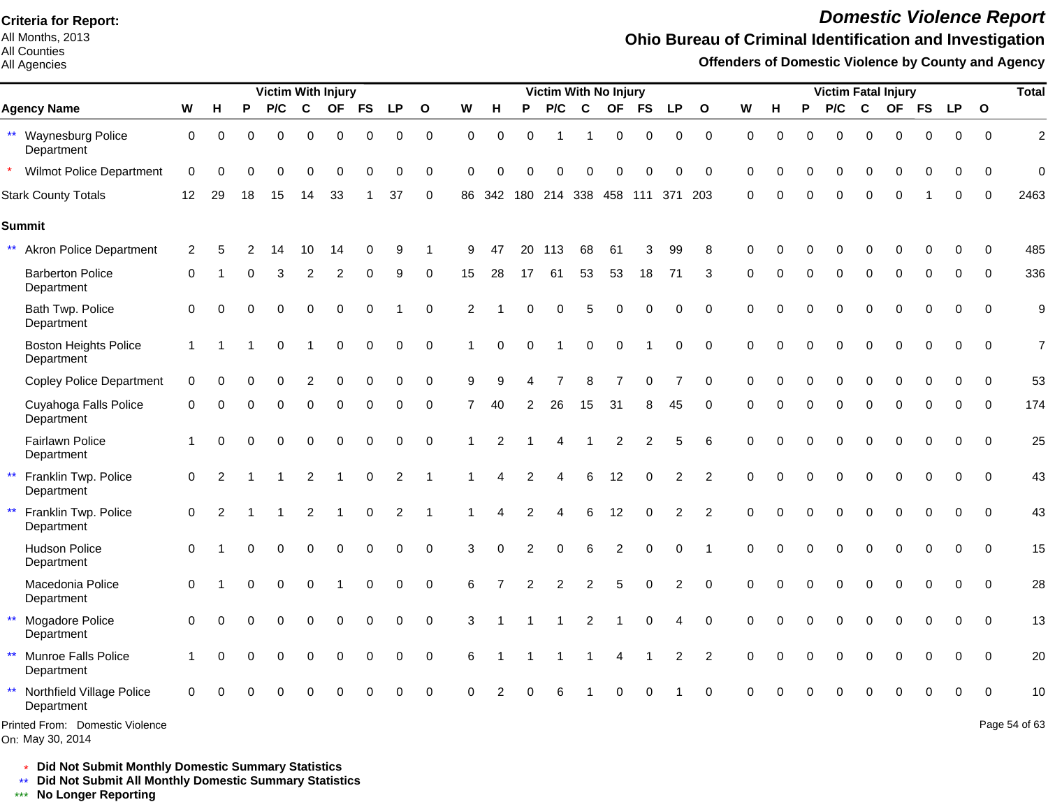All Months, 2013 All Counties

#### All Agencies

# *Domestic Violence Report*

#### **Ohio Bureau of Criminal Identification and Investigation**

**Offenders of Domestic Violence by County and Agency**

|                                                     |                |                |          | <b>Victim With Injury</b> |                |                |             |             |                |          |          |                | <b>Victim With No Injury</b> |                |                |                |                |                |             |             |             | <b>Victim Fatal Injury</b> |             |             |             |             |              | <b>Total</b>   |
|-----------------------------------------------------|----------------|----------------|----------|---------------------------|----------------|----------------|-------------|-------------|----------------|----------|----------|----------------|------------------------------|----------------|----------------|----------------|----------------|----------------|-------------|-------------|-------------|----------------------------|-------------|-------------|-------------|-------------|--------------|----------------|
| <b>Agency Name</b>                                  | W              | н              | P        | P/C                       | $\mathbf c$    | <b>OF</b>      | <b>FS</b>   | <b>LP</b>   | $\mathbf{o}$   | W        | н        | P              | P/C                          | C              | <b>OF</b>      | <b>FS</b>      | <b>LP</b>      | $\mathbf{o}$   | W           | н           | P           | P/C                        | C           | <b>OF</b>   | <b>FS</b>   | <b>LP</b>   | $\mathbf{o}$ |                |
| ** Waynesburg Police<br>Department                  | 0              | 0              | 0        | 0                         | 0              | $\mathbf 0$    | 0           | 0           | 0              | 0        | 0        | 0              | -1                           | $\mathbf 1$    | 0              | 0              | 0              | $\mathbf 0$    | 0           | $\mathbf 0$ | 0           | 0                          | $\mathbf 0$ | 0           | 0           | 0           | $\mathbf 0$  | $\overline{c}$ |
| <b>Wilmot Police Department</b>                     | $\mathbf 0$    | $\Omega$       | U        | $\Omega$                  | $\Omega$       | $\Omega$       | $\Omega$    | $\Omega$    | 0              | $\Omega$ | $\Omega$ | ∩              | 0                            | $\Omega$       | O              | O              | O              | $\Omega$       | $\Omega$    | 0           | $\Omega$    | 0                          | $\Omega$    | $\Omega$    | 0           | $\Omega$    | $\Omega$     | $\Omega$       |
| <b>Stark County Totals</b>                          | 12             | 29             | 18       | 15                        | 14             | 33             |             | 37          | $\mathbf 0$    | 86       | 342      |                | 180 214 338 458              |                |                | 111            | 371            | 203            | $\mathbf 0$ | $\Omega$    | $\mathbf 0$ | $\mathbf 0$                | $\mathbf 0$ | $\Omega$    |             | $\Omega$    | $\Omega$     | 2463           |
| <b>Summit</b>                                       |                |                |          |                           |                |                |             |             |                |          |          |                |                              |                |                |                |                |                |             |             |             |                            |             |             |             |             |              |                |
| $***$<br><b>Akron Police Department</b>             | 2              | 5              |          | 14                        | 10             | 14             | 0           | 9           |                | 9        | 47       | 20             | 113                          | 68             | 61             | 3              | 99             | 8              | $\Omega$    | U           | O           | O                          | $\Omega$    | $\Omega$    | 0           | $\Omega$    | 0            | 485            |
| <b>Barberton Police</b><br>Department               | 0              |                | U        | 3                         | 2              | $\overline{2}$ | 0           | 9           | 0              | 15       | 28       | 17             | 61                           | 53             | 53             | 18             | 71             | 3              | $\Omega$    | 0           | 0           | 0                          | 0           | 0           | 0           | $\Omega$    | 0            | 336            |
| Bath Twp. Police<br>Department                      | $\mathbf 0$    | $\Omega$       | $\Omega$ | 0                         | 0              | $\mathbf 0$    | 0           |             | $\pmb{0}$      | 2        |          | $\Omega$       | 0                            | 5              | $\mathbf 0$    | $\mathbf 0$    | 0              | $\mathbf 0$    | $\Omega$    | 0           | $\Omega$    | 0                          | $\mathbf 0$ | $\mathbf 0$ | 0           | 0           | $\mathbf 0$  | 9              |
| <b>Boston Heights Police</b><br>Department          | $\overline{1}$ |                |          | 0                         | 1              | $\pmb{0}$      | 0           | 0           | 0              |          | 0        | $\Omega$       | -1                           | $\pmb{0}$      | $\pmb{0}$      |                | 0              | $\mathbf 0$    | $\Omega$    | $\Omega$    | $\Omega$    | 0                          | $\mathbf 0$ | 0           | 0           | $\Omega$    | $\Omega$     | $\overline{7}$ |
| <b>Copley Police Department</b>                     | $\mathbf 0$    | 0              | 0        | 0                         | $\overline{2}$ | $\Omega$       | 0           | $\Omega$    | 0              | 9        | 9        |                | 7                            | 8              | $\overline{7}$ | 0              | 7              | 0              | $\Omega$    | 0           | 0           | 0                          | $\Omega$    | $\Omega$    | 0           | $\Omega$    | $\Omega$     | 53             |
| Cuyahoga Falls Police<br>Department                 | 0              | $\Omega$       | 0        | 0                         | $\mathbf 0$    | $\overline{0}$ | 0           | 0           | $\mathbf 0$    | 7        | 40       | $\overline{2}$ | 26                           | 15             | 31             | 8              | 45             | 0              | $\Omega$    | 0           | $\Omega$    | $\mathbf 0$                | $\mathbf 0$ | $\Omega$    | $\mathbf 0$ | 0           | $\mathbf 0$  | 174            |
| Fairlawn Police<br>Department                       |                | $\Omega$       | $\Omega$ | 0                         | 0              | $\mathbf 0$    | 0           | 0           | $\mathbf 0$    |          |          |                |                              |                | $\overline{c}$ | $\overline{c}$ | 5              | 6              | $\Omega$    | $\Omega$    | $\Omega$    | 0                          | $\Omega$    | $\Omega$    | $\Omega$    | $\pmb{0}$   | $\Omega$     | 25             |
| Franklin Twp. Police<br>$\star\star$<br>Department  | $\mathbf 0$    | $\overline{2}$ |          |                           | $\overline{2}$ |                | $\mathbf 0$ | 2           | $\overline{1}$ |          | Δ        | 2              | 4                            | 6              | 12             | $\Omega$       | $\overline{c}$ | $\overline{2}$ | $\Omega$    | 0           | 0           | $\mathbf 0$                | $\mathbf 0$ | $\mathbf 0$ | 0           | $\mathbf 0$ | $\mathbf 0$  | 43             |
| $\star\star$<br>Franklin Twp. Police<br>Department  | 0              | $\overline{2}$ |          |                           | 2              |                | 0           | 2           | -1             |          |          |                | 4                            | 6              | 12             | 0              | $\overline{c}$ | $\overline{2}$ | $\Omega$    | 0           | 0           | 0                          | $\mathbf 0$ | 0           | 0           | 0           | $\mathbf 0$  | 43             |
| <b>Hudson Police</b><br>Department                  | $\mathbf 0$    |                | $\Omega$ | $\mathbf 0$               | $\mathbf 0$    | $\mathbf 0$    | $\mathbf 0$ | $\mathbf 0$ | $\mathbf 0$    | 3        | $\Omega$ | 2              | $\mathbf 0$                  | 6              | $\overline{c}$ | $\mathbf 0$    | 0              | $\overline{1}$ | $\Omega$    | $\Omega$    | 0           | $\mathbf 0$                | $\mathbf 0$ | $\mathbf 0$ | $\mathbf 0$ | $\mathbf 0$ | $\mathbf 0$  | 15             |
| Macedonia Police<br>Department                      | $\mathbf 0$    |                | $\Omega$ | 0                         | 0              |                | 0           | 0           | $\pmb{0}$      | 6        |          | $\overline{2}$ | $\overline{c}$               | $\overline{c}$ | 5              | $\mathbf 0$    | $\overline{c}$ | $\mathbf 0$    | $\mathbf 0$ | 0           | 0           | 0                          | $\mathbf 0$ | $\mathbf 0$ | 0           | $\mathbf 0$ | $\mathbf 0$  | 28             |
| $\star\star$<br>Mogadore Police<br>Department       | $\mathbf 0$    | $\Omega$       | 0        | 0                         | $\mathbf 0$    | $\mathbf 0$    | $\mathbf 0$ | $\mathbf 0$ | $\mathbf 0$    | 3        |          |                |                              | $\overline{2}$ |                | $\mathbf 0$    | 4              | $\mathbf 0$    | $\Omega$    | $\Omega$    | 0           | $\mathbf 0$                | $\mathbf 0$ | $\mathbf 0$ | $\mathbf 0$ | $\mathbf 0$ | $\Omega$     | 13             |
| ** Munroe Falls Police<br>Department                |                | ∩              | U        | 0                         | 0              | $\mathbf 0$    | 0           | 0           | 0              | 6        |          |                |                              |                | 4              |                | 2              | 2              | $\Omega$    | O           | 0           | 0                          | $\Omega$    | 0           | 0           | $\Omega$    | $\Omega$     | 20             |
| ** Northfield Village Police<br>Department          | $\Omega$       | $\Omega$       |          | $\Omega$                  | $\Omega$       | $\bigcap$      | O           | 0           | $\Omega$       | $\Omega$ | 2        | $\Omega$       | 6                            |                | O              | $\Omega$       |                | $\Omega$       | $\cap$      |             |             | $\Omega$                   | $\Omega$    | O           | 0           | $\Omega$    | $\Omega$     | 10             |
| Printed From: Domestic Violence<br>On: May 30, 2014 |                |                |          |                           |                |                |             |             |                |          |          |                |                              |                |                |                |                |                |             |             |             |                            |             |             |             |             |              | Page 54 of 63  |

\* **Did Not Submit Monthly Domestic Summary Statistics**

**Did Not Submit All Monthly Domestic Summary Statistics**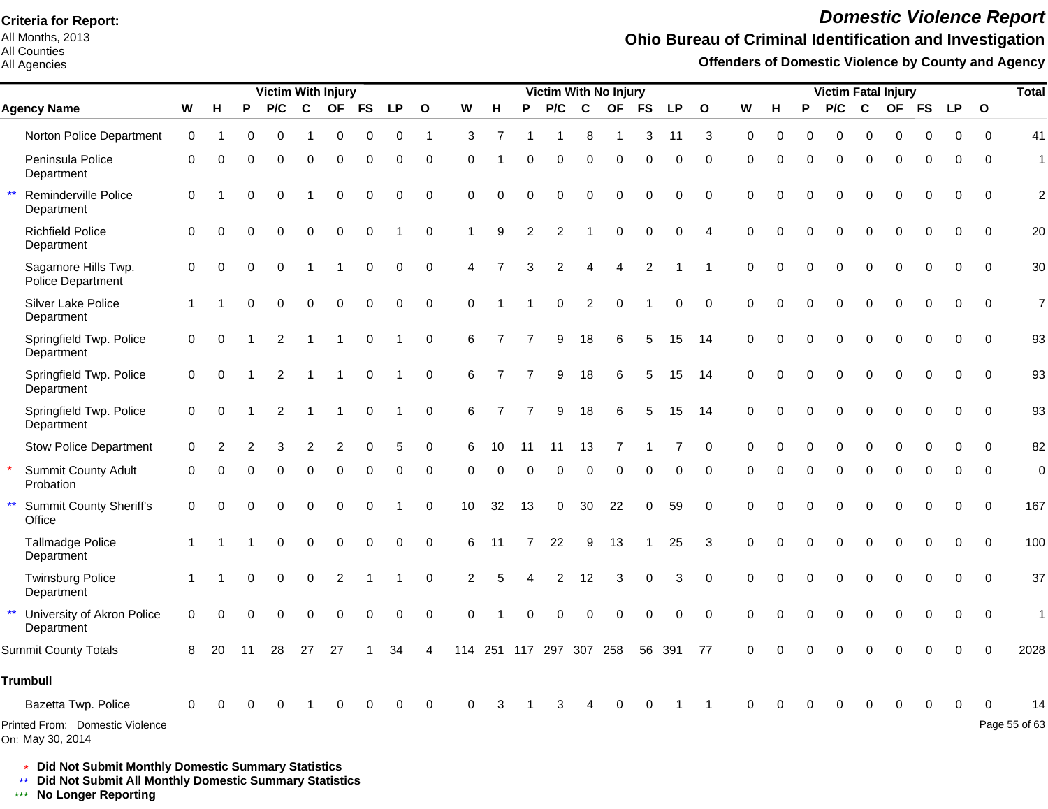All Months, 2013 All Counties

All Agencies

# *Domestic Violence Report*

## **Ohio Bureau of Criminal Identification and Investigation**

**Offenders of Domestic Violence by County and Agency**

|                                                          |                     |          |          |             |                | <b>Victim With Injury</b> |             |             |                |                |                |                |                |              | Victim With No Injury |             |                |                |             |          |             | <b>Victim Fatal Injury</b> |                  |             |             |             |              | <b>Total</b>   |
|----------------------------------------------------------|---------------------|----------|----------|-------------|----------------|---------------------------|-------------|-------------|----------------|----------------|----------------|----------------|----------------|--------------|-----------------------|-------------|----------------|----------------|-------------|----------|-------------|----------------------------|------------------|-------------|-------------|-------------|--------------|----------------|
| <b>Agency Name</b>                                       | W                   | H        | P        | P/C         | $\mathbf c$    | <b>OF</b>                 | <b>FS</b>   | <b>LP</b>   | $\mathbf{o}$   | W              | н              | P              | P/C            | $\mathbf{C}$ | <b>OF</b>             | <b>FS</b>   | <b>LP</b>      | $\mathbf{o}$   | ${\bf W}$   | н        | P           | P/C                        | $\mathbf{C}$     | <b>OF</b>   | <b>FS</b>   | <b>LP</b>   | $\mathbf{o}$ |                |
| Norton Police Department                                 | $\mathbf 0$         | -1       | O        | 0           |                | 0                         | $\Omega$    | 0           | $\overline{1}$ | 3              | $\overline{7}$ |                |                | 8            | -1                    | 3           | 11             | 3              | $\Omega$    | $\Omega$ | 0           | 0                          | $\Omega$         | $\Omega$    | $\Omega$    | $\Omega$    | $\Omega$     | 41             |
| Peninsula Police<br>Department                           | $\mathbf 0$         | $\Omega$ | 0        | $\Omega$    | 0              | $\mathbf 0$               | 0           | $\mathbf 0$ | $\mathbf 0$    | $\Omega$       |                | $\Omega$       | 0              | 0            | $\Omega$              | $\Omega$    | 0              | $\mathbf 0$    | $\Omega$    | $\Omega$ | $\mathbf 0$ | 0                          | $\mathbf 0$      | $\mathbf 0$ | $\mathbf 0$ | $\Omega$    | $\Omega$     | $\mathbf{1}$   |
| $\star\star$<br>Reminderville Police<br>Department       | 0                   |          | 0        | 0           |                | 0                         | 0           | 0           | $\mathbf 0$    | 0              | 0              | 0              | 0              | 0            | 0                     | 0           | 0              | $\mathbf 0$    | 0           | 0        | 0           | 0                          | $\mathbf 0$      | 0           | 0           | 0           | 0            | $\overline{c}$ |
| <b>Richfield Police</b><br>Department                    | $\mathbf 0$         | $\Omega$ | O        | $\Omega$    | 0              | $\mathbf 0$               | $\mathbf 0$ |             | $\mathbf 0$    |                | 9              | 2              | 2              |              | $\Omega$              | $\Omega$    | 0              | $\overline{4}$ | $\Omega$    | 0        | 0           | 0                          | $\mathbf 0$      | $\mathbf 0$ | $\mathbf 0$ | 0           | $\mathbf 0$  | 20             |
| Sagamore Hills Twp.<br>Police Department                 | 0                   | $\Omega$ | $\Omega$ | $\Omega$    |                |                           | 0           | 0           | $\mathbf 0$    | 4              |                | 3              | $\overline{c}$ | 4            | 4                     | 2           |                | -1             | $\Omega$    | $\Omega$ | $\Omega$    | 0                          | $\mathbf 0$      | $\Omega$    | 0           | 0           | $\Omega$     | 30             |
| Silver Lake Police<br>Department                         |                     |          | 0        | $\mathbf 0$ | 0              | $\pmb{0}$                 | 0           | $\mathbf 0$ | $\mathbf 0$    | $\Omega$       |                |                | 0              | 2            | $\mathbf 0$           |             | 0              | $\mathbf 0$    | $\mathbf 0$ | $\Omega$ | 0           | 0                          | $\boldsymbol{0}$ | $\mathbf 0$ | $\mathbf 0$ | $\mathbf 0$ | $\mathbf 0$  | $\overline{7}$ |
| Springfield Twp. Police<br>Department                    | 0                   | $\Omega$ |          | 2           | -1             | -1                        | 0           |             | $\mathbf 0$    | 6              | 7              | 7              | 9              | 18           | 6                     | 5           | 15             | 14             | $\Omega$    | $\Omega$ | $\Omega$    | $\mathsf 0$                | $\boldsymbol{0}$ | $\Omega$    | $\Omega$    | $\Omega$    | $\Omega$     | 93             |
| Springfield Twp. Police<br>Department                    | $\mathbf 0$         | $\Omega$ |          | 2           | -1             | -1                        | 0           |             | $\mathbf 0$    | 6              | $\overline{7}$ | $\overline{7}$ | 9              | 18           | 6                     | 5           | 15             | 14             | $\Omega$    | $\Omega$ | $\Omega$    | 0                          | $\mathbf 0$      | $\mathbf 0$ | $\mathbf 0$ | 0           | $\Omega$     | 93             |
| Springfield Twp. Police<br>Department                    | $\mathsf{O}\xspace$ | $\Omega$ |          | 2           | -1             | -1                        | 0           |             | 0              | 6              | 7              | 7              | 9              | 18           | 6                     | 5           | 15             | 14             | $\Omega$    | 0        | $\Omega$    | $\Omega$                   | $\mathbf{0}$     | $\Omega$    | $\Omega$    | $\Omega$    | $\Omega$     | 93             |
| <b>Stow Police Department</b>                            | $\mathbf 0$         | 2        | 2        | 3           | $\overline{c}$ | 2                         | 0           | 5           | 0              | 6              | 10             | 11             | 11             | 13           | 7                     |             | $\overline{7}$ | $\mathbf 0$    | 0           | 0        | $\Omega$    | 0                          | 0                | $\Omega$    | $\Omega$    | $\Omega$    | $\Omega$     | 82             |
| <b>Summit County Adult</b><br>Probation                  | $\mathbf 0$         | $\Omega$ |          | $\Omega$    | 0              | 0                         | 0           | 0           | 0              | $\Omega$       | $\Omega$       | $\Omega$       | 0              | 0            | 0                     | 0           | 0              | 0              | 0           | 0        | 0           | 0                          | 0                | 0           | 0           | 0           | $\mathbf{0}$ | 0              |
| $\star\star$<br><b>Summit County Sheriff's</b><br>Office | $\mathbf 0$         | $\Omega$ |          | $\Omega$    | 0              | $\mathbf 0$               | $\mathbf 0$ |             | $\mathbf 0$    | 10             | 32             | 13             | $\mathbf 0$    | 30           | 22                    | $\mathbf 0$ | 59             | $\Omega$       | $\Omega$    | $\Omega$ | $\Omega$    | 0                          | $\mathbf 0$      | $\mathbf 0$ | 0           | $\Omega$    | $\Omega$     | 167            |
| <b>Tallmadge Police</b><br>Department                    | $\mathbf 1$         |          |          | 0           | 0              | $\pmb{0}$                 | 0           | 0           | 0              | 6              | 11             | 7              | 22             | 9            | 13                    | -1          | 25             | 3              | $\Omega$    | $\Omega$ | 0           | 0                          | $\mathbf 0$      | 0           | 0           | 0           | $\Omega$     | 100            |
| <b>Twinsburg Police</b><br>Department                    | $\mathbf{1}$        |          | 0        | $\Omega$    | 0              | 2                         |             |             | $\mathbf 0$    | $\overline{c}$ | 5              | 4              | 2              | 12           | 3                     | $\Omega$    | 3              | $\Omega$       | $\Omega$    | 0        | $\Omega$    | 0                          | $\Omega$         | $\Omega$    | $\mathbf 0$ | $\Omega$    | $\Omega$     | 37             |
| $\star\star$<br>University of Akron Police<br>Department | 0                   | $\Omega$ | 0        | $\Omega$    | $\Omega$       | $\Omega$                  | $\Omega$    | 0           | $\mathbf 0$    | $\Omega$       |                | $\Omega$       | 0              | $\Omega$     | 0                     | $\Omega$    | 0              | $\Omega$       | $\Omega$    | $\Omega$ | $\Omega$    | $\Omega$                   | 0                | $\Omega$    | 0           | 0           | $\mathbf 0$  | $\mathbf{1}$   |
| <b>Summit County Totals</b>                              | 8                   | 20       | 11       | 28          | 27             | 27                        |             | 34          | 4              | 114            |                | 251 117        | 297            | 307          | 258                   | 56          | 391            | 77             | $\Omega$    |          |             |                            |                  |             |             | $\Omega$    |              | 2028           |
| <b>Trumbull</b>                                          |                     |          |          |             |                |                           |             |             |                |                |                |                |                |              |                       |             |                |                |             |          |             |                            |                  |             |             |             |              |                |
| Bazetta Twp. Police                                      | $\Omega$            |          |          |             |                | $\Omega$                  | 0           | $\Omega$    | 0              | $\Omega$       | 3              |                | 3              |              |                       |             |                |                | $\Omega$    | O        | O           | O                          | $\Omega$         | $\Omega$    | 0           | $\Omega$    |              | 14             |
| Printed From: Domestic Violence<br>On: May 30, 2014      |                     |          |          |             |                |                           |             |             |                |                |                |                |                |              |                       |             |                |                |             |          |             |                            |                  |             |             |             |              | Page 55 of 63  |

\* **Did Not Submit Monthly Domestic Summary Statistics**

**Did Not Submit All Monthly Domestic Summary Statistics**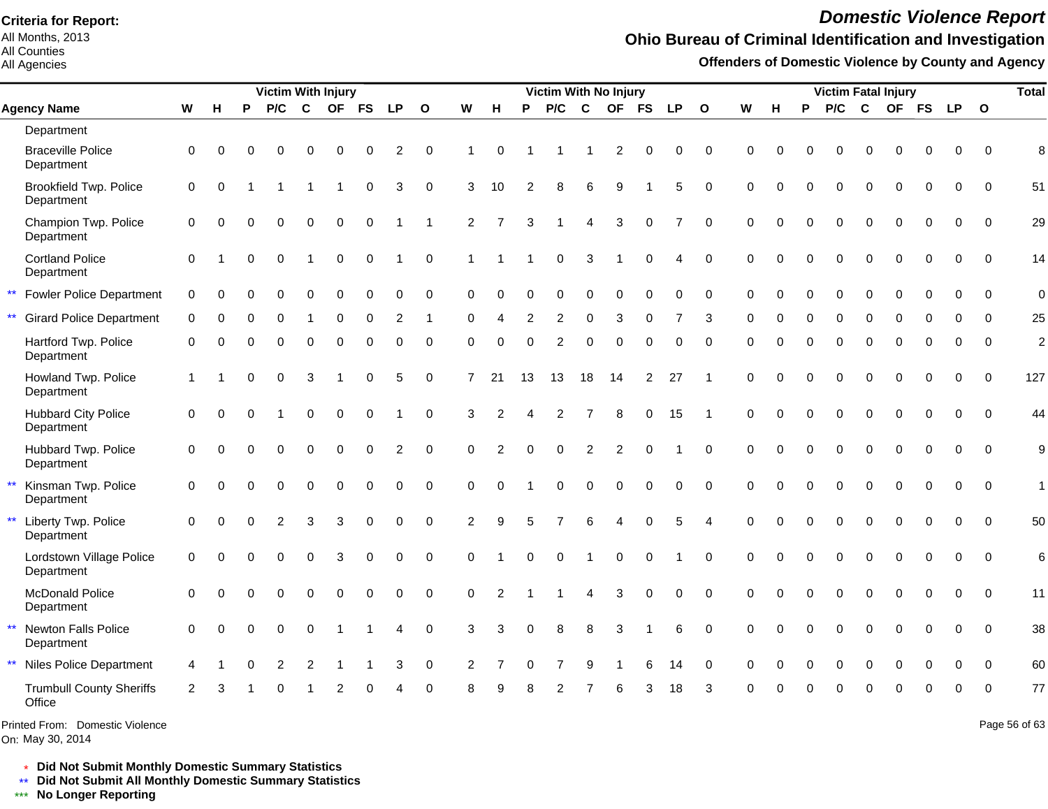All Months, 2013 All Counties

All Agencies

# *Domestic Violence Report*

## **Ohio Bureau of Criminal Identification and Investigation**

**Offenders of Domestic Violence by County and Agency**

|              |                                             |                |          |   | <b>Victim With Injury</b> |          |           |           |                |              |                |                |          | Victim With No Injury |                 |                |              |                |                          |          |          |          |                |              | <b>Victim Fatal Injury</b> |             |             |              | <b>Total</b>   |
|--------------|---------------------------------------------|----------------|----------|---|---------------------------|----------|-----------|-----------|----------------|--------------|----------------|----------------|----------|-----------------------|-----------------|----------------|--------------|----------------|--------------------------|----------|----------|----------|----------------|--------------|----------------------------|-------------|-------------|--------------|----------------|
|              | <b>Agency Name</b>                          | ${\bf W}$      | н        | P | P/C                       | C        | <b>OF</b> | <b>FS</b> | <b>LP</b>      | $\mathbf{o}$ | W              | н              | P        | P/C                   | $\mathbf c$     | <b>OF</b>      | <b>FS</b>    | <b>LP</b>      | $\mathbf{o}$             | W        | н        | P        | P/C            | $\mathbf{C}$ | <b>OF</b>                  | <b>FS</b>   | <b>LP</b>   | $\mathbf{o}$ |                |
|              | Department                                  |                |          |   |                           |          |           |           |                |              |                |                |          |                       |                 |                |              |                |                          |          |          |          |                |              |                            |             |             |              |                |
|              | <b>Braceville Police</b><br>Department      | $\Omega$       | $\Omega$ |   | $\Omega$                  | $\Omega$ | 0         |           | 2              | $\Omega$     |                | $\Omega$       |          |                       |                 | $\overline{c}$ | 0            | 0              | $\Omega$                 | $\Omega$ | O        | 0        | $\Omega$       | $\Omega$     | 0                          | $\Omega$    | $\Omega$    | $\Omega$     | 8              |
|              | <b>Brookfield Twp. Police</b><br>Department | 0              | $\Omega$ |   |                           |          |           | $\Omega$  | 3              | $\Omega$     | 3              | 10             | 2        | 8                     | 6               | 9              |              | 5              | $\Omega$                 | $\Omega$ | $\Omega$ | $\Omega$ | $\Omega$       | $\Omega$     | $\Omega$                   | $\Omega$    | $\Omega$    | $\Omega$     | 51             |
|              | Champion Twp. Police<br>Department          | $\Omega$       |          |   | 0                         | $\Omega$ | $\Omega$  | $\Omega$  |                |              | $\overline{2}$ |                | 3        |                       | $\overline{4}$  | 3              | $\mathsf{O}$ | $\overline{7}$ | $\mathbf 0$              | $\Omega$ | $\Omega$ | $\Omega$ | $\overline{0}$ | $\mathbf{0}$ | $\Omega$                   | $\mathbf 0$ | 0           | $\mathbf 0$  | 29             |
|              | <b>Cortland Police</b><br>Department        | $\Omega$       |          |   | $\Omega$                  |          | $\Omega$  | $\Omega$  |                | $\Omega$     |                |                |          | $\Omega$              | 3               |                | $\Omega$     | 4              | $\mathbf 0$              | $\Omega$ | 0        |          | $\Omega$       | $\Omega$     | $\Omega$                   | $\Omega$    | $\Omega$    | $\Omega$     | 14             |
| $\star\star$ | <b>Fowler Police Department</b>             | 0              | $\Omega$ | 0 | 0                         | $\Omega$ | $\Omega$  | $\Omega$  | 0              | $\Omega$     | $\Omega$       | $\Omega$       | $\Omega$ | 0                     | $\mathbf 0$     | 0              | 0            | 0              | $\mathbf 0$              | 0        | $\Omega$ | 0        | 0              | $\mathbf 0$  | 0                          | $\mathbf 0$ | $\mathbf 0$ | $\Omega$     | $\mathbf 0$    |
|              | <b>Girard Police Department</b>             | 0              |          |   |                           |          |           |           |                |              | ∩              |                |          | $\overline{2}$        | $\Omega$        | 3              |              |                | 3                        | $\Omega$ |          |          | $\Omega$       | $\Omega$     |                            |             | O           | $\Omega$     | 25             |
|              | Hartford Twp. Police<br>Department          | $\Omega$       | U        |   | 0                         | $\Omega$ | $\Omega$  | $\Omega$  | 0              | $\Omega$     | $\Omega$       | 0              | $\Omega$ | $\overline{2}$        | $\Omega$        | $\Omega$       | $\Omega$     | $\Omega$       | $\Omega$                 | $\Omega$ | 0        | $\Omega$ | $\Omega$       | $\Omega$     | $\Omega$                   | 0           | $\Omega$    | $\Omega$     | $\overline{c}$ |
|              | Howland Twp. Police<br>Department           | $\overline{1}$ |          |   | 0                         | 3        |           | $\Omega$  | 5              | $\Omega$     | $\overline{7}$ | 21             | 13       | 13                    | 18              | 14             | 2            | 27             | -1                       | $\Omega$ | 0        |          | $\Omega$       | $\Omega$     | $\Omega$                   | 0           | $\Omega$    | $\Omega$     | 127            |
|              | <b>Hubbard City Police</b><br>Department    | $\mathbf 0$    | Ω        |   |                           | $\Omega$ | $\Omega$  | $\Omega$  |                | $\Omega$     | 3              | $\overline{2}$ |          | $\overline{2}$        | $\overline{7}$  | 8              | $\mathbf 0$  | 15             | -1                       | $\Omega$ | 0        | $\Omega$ | 0              | $\mathbf 0$  | $\Omega$                   | $\Omega$    | $\Omega$    | $\Omega$     | 44             |
|              | Hubbard Twp. Police<br>Department           | $\pmb{0}$      | ∩        |   | 0                         | $\Omega$ | $\Omega$  | $\Omega$  | $\overline{c}$ | $\Omega$     | $\Omega$       | $\mathfrak{p}$ | $\Omega$ | $\Omega$              | $\overline{2}$  | $\overline{2}$ | $\Omega$     |                | $\Omega$                 | $\Omega$ | $\Omega$ | $\Omega$ | 0              | $\mathbf 0$  | $\mathbf 0$                | $\Omega$    | $\Omega$    | $\Omega$     | 9              |
|              | Kinsman Twp. Police<br>Department           | $\Omega$       |          |   | $\Omega$                  | $\Omega$ | $\Omega$  |           | $\Omega$       | $\Omega$     | $\Omega$       | $\Omega$       |          | $\Omega$              | $\Omega$        | $\Omega$       | $\Omega$     | $\overline{0}$ | $\Omega$                 | $\Omega$ | $\Omega$ | $\Omega$ | $\Omega$       | $\Omega$     | $\Omega$                   | $\Omega$    | $\Omega$    | $\Omega$     | $\mathbf{1}$   |
|              | Liberty Twp. Police<br>Department           | $\mathbf 0$    | $\Omega$ |   | 2                         | 3        | 3         | $\Omega$  | 0              | $\Omega$     | 2              | 9              | 5        | $\overline{7}$        | $6\phantom{1}6$ | 4              | $\mathbf 0$  | 5              | $\boldsymbol{\varDelta}$ | $\Omega$ | $\Omega$ | $\Omega$ | $\Omega$       | $\Omega$     | $\mathbf 0$                | $\Omega$    | $\Omega$    | $\Omega$     | 50             |
|              | Lordstown Village Police<br>Department      | $\Omega$       | $\Omega$ |   | 0                         | $\Omega$ | 3         | $\Omega$  | 0              | $\Omega$     | $\Omega$       |                | $\Omega$ | $\mathbf 0$           |                 | $\mathbf 0$    | $\mathbf 0$  |                | $\Omega$                 | $\Omega$ | $\Omega$ | $\Omega$ | $\overline{0}$ | $\Omega$     | $\Omega$                   | $\Omega$    | $\Omega$    | $\Omega$     | 6              |
|              | <b>McDonald Police</b><br>Department        | $\Omega$       | U        |   |                           |          | U         | $\Omega$  | 0              | $\Omega$     | $\Omega$       | $\overline{2}$ |          |                       | $\overline{4}$  | 3              | $\mathbf 0$  | $\Omega$       | $\Omega$                 | $\Omega$ | $\Omega$ | $\Omega$ | $\Omega$       | $\Omega$     | $\Omega$                   | $\Omega$    | $\Omega$    | $\Omega$     | 11             |
| $\star\star$ | Newton Falls Police<br>Department           | $\Omega$       |          |   | 0                         | $\Omega$ | 1         |           | 4              | $\Omega$     | 3              | З              | $\Omega$ | 8                     | 8               | 3              |              | 6              | $\Omega$                 | $\Omega$ | $\Omega$ | $\Omega$ | $\overline{0}$ | $\Omega$     | $\Omega$                   | $\Omega$    | $\Omega$    | $\Omega$     | 38             |
| $***$        | <b>Niles Police Department</b>              | 4              |          |   | $\overline{2}$            | 2        |           |           | 3              | $\mathbf 0$  | $\overline{2}$ |                |          |                       | 9               |                | 6            | 14             | $\Omega$                 | $\Omega$ | 0        | $\Omega$ | $\Omega$       | $\Omega$     | $\Omega$                   | $\Omega$    | $\mathbf 0$ | $\Omega$     | 60             |
|              | <b>Trumbull County Sheriffs</b><br>Office   | $\mathcal{P}$  |          |   |                           |          |           |           |                |              |                |                |          |                       |                 |                |              | 18             | З                        |          |          |          |                |              |                            |             | U           | $\Omega$     | 77             |

On: May 30, 2014 Printed From: Domestic Violence Page 56 of 63

\* **Did Not Submit Monthly Domestic Summary Statistics**

**Did Not Submit All Monthly Domestic Summary Statistics**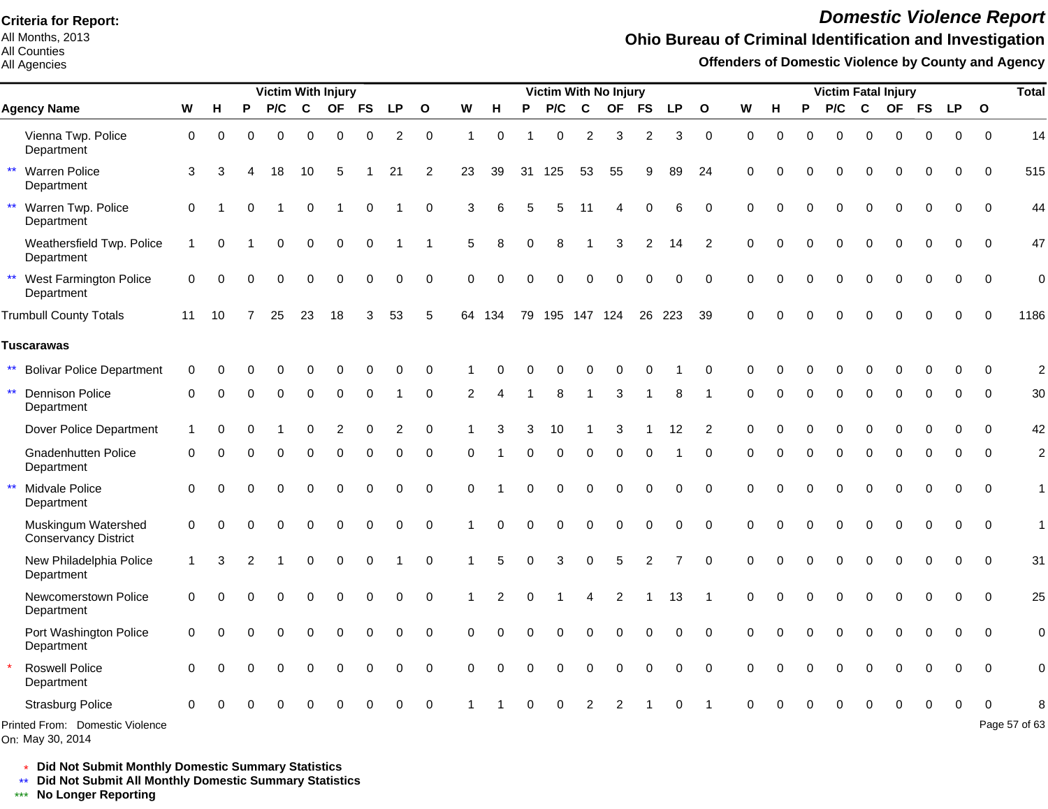All Months, 2013 All Counties

#### All Agencies

# *Domestic Violence Report*

### **Ohio Bureau of Criminal Identification and Investigation**

**Offenders of Domestic Violence by County and Agency**

|                                                      |          |          |          | Victim With Injury |             |                |             |           |              |             |          |          | Victim With No Injury |          |             |               |          |                |              |          |          |          |             | <b>Victim Fatal Injury</b> |             |             |              | <b>Total</b>   |
|------------------------------------------------------|----------|----------|----------|--------------------|-------------|----------------|-------------|-----------|--------------|-------------|----------|----------|-----------------------|----------|-------------|---------------|----------|----------------|--------------|----------|----------|----------|-------------|----------------------------|-------------|-------------|--------------|----------------|
| <b>Agency Name</b>                                   | W        | н        | P        | P/C                | $\mathbf c$ | <b>OF</b>      | <b>FS</b>   | <b>LP</b> | $\mathbf{o}$ | W           | н        | P        | P/C                   | C        | <b>OF</b>   | <b>FS</b>     | LP       | $\mathbf{o}$   | W            | н        | P        | P/C      | C           | <b>OF</b>                  | <b>FS</b>   | <b>LP</b>   | $\mathbf{o}$ |                |
| Vienna Twp. Police<br>Department                     | 0        | $\Omega$ | $\Omega$ | $\Omega$           | $\Omega$    | $\Omega$       | $\Omega$    | 2         | $\mathbf 0$  | 1           | $\Omega$ |          | 0                     | 2        | 3           | 2             | 3        | $\mathbf 0$    | $\Omega$     | $\Omega$ | $\Omega$ | $\Omega$ | $\Omega$    | $\Omega$                   | $\Omega$    | $\Omega$    | $\Omega$     | 14             |
| $\star\star$<br><b>Warren Police</b><br>Department   | 3        | 3        |          | 18                 | 10          | 5              |             | 21        | 2            | 23          | 39       | 31       | 125                   | 53       | 55          | 9             | 89       | 24             | $\Omega$     |          | $\Omega$ | $\Omega$ | $\Omega$    | $\Omega$                   | $\Omega$    | 0           | $\Omega$     | 515            |
| $\star\star$<br>Warren Twp. Police<br>Department     | $\Omega$ |          |          |                    | $\Omega$    |                | $\Omega$    |           | 0            | 3           | 6        |          | 5                     | 11       | Δ           |               | 6        | $\Omega$       | $\Omega$     |          | $\Omega$ | 0        | $\Omega$    | $\Omega$                   | $\Omega$    | $\Omega$    | $\Omega$     | 44             |
| Weathersfield Twp. Police<br>Department              |          | $\Omega$ |          | 0                  | $\Omega$    | $\mathbf 0$    | $\mathbf 0$ |           |              | 5           | 8        | $\Omega$ | 8                     |          | 3           | 2             | 14       | 2              | $\Omega$     | $\Omega$ | $\Omega$ | $\Omega$ | $\mathbf 0$ | $\Omega$                   | $\mathbf 0$ | $\mathbf 0$ | $\mathbf 0$  | 47             |
| $\star\star$<br>West Farmington Police<br>Department | 0        | $\Omega$ | $\Omega$ | 0                  | 0           | 0              | $\Omega$    | 0         | $\mathbf 0$  | $\Omega$    | $\Omega$ |          | 0                     | 0        | $\Omega$    | $\Omega$      | 0        | $\mathbf 0$    | $\Omega$     | $\Omega$ |          | 0        | $\Omega$    | $\Omega$                   | 0           | $\mathbf 0$ | $\mathbf 0$  | $\overline{0}$ |
| <b>Trumbull County Totals</b>                        | 11       | 10       |          | 25                 | 23          | 18             | 3           | 53        | 5            |             | 64 134   | 79       |                       |          | 195 147 124 |               | 26 223   | 39             | $\Omega$     |          |          | 0        | $\Omega$    |                            | $\Omega$    | $\Omega$    | $\Omega$     | 1186           |
| <b>Tuscarawas</b>                                    |          |          |          |                    |             |                |             |           |              |             |          |          |                       |          |             |               |          |                |              |          |          |          |             |                            |             |             |              |                |
| $\star\star$<br><b>Bolivar Police Department</b>     | $\Omega$ | ∩        |          |                    |             |                |             | ∩         | $\Omega$     |             |          |          |                       |          |             |               |          | $\Omega$       |              |          |          |          | U           |                            |             | O           | $\Omega$     | $\overline{2}$ |
| $\star\star$<br><b>Dennison Police</b><br>Department | $\Omega$ |          |          | 0                  | 0           | $\Omega$       | $\Omega$    |           | $\Omega$     | 2           |          |          | 8                     |          | 3           |               | 8        |                | <sup>0</sup> |          | $\Omega$ | 0        | $\Omega$    | O                          | $\Omega$    | 0           | $\Omega$     | 30             |
| Dover Police Department                              | 1        | O        |          |                    | 0           | $\overline{2}$ | $\Omega$    | 2         | $\Omega$     |             |          |          | 10                    |          | 3           |               | 12       | $\overline{2}$ | $\Omega$     |          | $\Omega$ | 0        | $\Omega$    | 0                          | $\Omega$    | O           | $\Omega$     | 42             |
| Gnadenhutten Police<br>Department                    | 0        |          |          | $\Omega$           | $\Omega$    | $\Omega$       | $\Omega$    | $\Omega$  | 0            | $\Omega$    |          | $\Omega$ | $\Omega$              | $\Omega$ | $\Omega$    | $\Omega$      |          | $\Omega$       | $\Omega$     | O        | $\Omega$ | $\Omega$ | $\Omega$    | $\Omega$                   | $\Omega$    | $\Omega$    | $\Omega$     | $\overline{2}$ |
| $\star\star$<br>Midvale Police<br>Department         | $\Omega$ | ∩        |          | O                  | $\Omega$    | $\Omega$       | $\Omega$    | $\Omega$  | $\Omega$     | $\Omega$    |          |          | O                     | $\Omega$ | 0           | O             | $\Omega$ | $\Omega$       | $\Omega$     |          | $\Omega$ | 0        | $\Omega$    | $\Omega$                   | $\Omega$    | $\Omega$    | $\Omega$     | $\mathbf{1}$   |
| Muskingum Watershed<br>Conservancy District          | $\Omega$ | $\Omega$ | O        | $\Omega$           | $\Omega$    | $\Omega$       | $\Omega$    | $\Omega$  | $\Omega$     |             | $\Omega$ |          | 0                     | $\Omega$ | $\Omega$    | $\Omega$      | $\Omega$ | $\Omega$       | $\Omega$     | $\Omega$ | $\Omega$ | $\Omega$ | $\Omega$    | $\Omega$                   | $\Omega$    | $\Omega$    | $\Omega$     | $\mathbf{1}$   |
| New Philadelphia Police<br>Department                | 1        | 3        |          |                    | $\Omega$    | $\Omega$       | $\Omega$    |           | $\Omega$     |             | 5        | $\Omega$ | 3                     | $\Omega$ | 5           | $\mathcal{P}$ |          | $\Omega$       | $\Omega$     | $\Omega$ | $\Omega$ | $\Omega$ | $\Omega$    | $\Omega$                   | $\Omega$    | $\Omega$    | $\Omega$     | 31             |
| Newcomerstown Police<br>Department                   | $\Omega$ | $\Omega$ |          |                    | $\Omega$    | $\Omega$       | $\Omega$    | $\Omega$  | $\Omega$     |             |          |          |                       | Δ        | 2           |               | 13       |                | $\Omega$     | $\Omega$ | $\Omega$ | $\Omega$ | $\Omega$    | $\Omega$                   | $\Omega$    | $\Omega$    | $\Omega$     | 25             |
| Port Washington Police<br>Department                 | 0        |          |          |                    | $\Omega$    | $\Omega$       | $\Omega$    | $\Omega$  | $\mathbf 0$  | $\Omega$    | $\Omega$ |          |                       | $\Omega$ |             |               | $\Omega$ | $\Omega$       | $\Omega$     |          |          | $\Omega$ | $\mathbf 0$ | 0                          | $\Omega$    | $\Omega$    | $\Omega$     | $\mathbf 0$    |
| <b>Roswell Police</b><br>Department                  | $\Omega$ |          |          | $\Omega$           | 0           | 0              | 0           | 0         | $\mathbf 0$  | $\mathbf 0$ | 0        | $\Omega$ | 0                     | 0        | 0           | $\Omega$      | 0        | $\Omega$       | $\Omega$     |          |          | 0        | $\Omega$    | 0                          | 0           | 0           | $\mathbf 0$  | $\mathbf 0$    |
| <b>Strasburg Police</b>                              | $\Omega$ |          |          |                    |             |                |             |           |              |             |          |          |                       |          |             |               |          |                |              |          |          |          |             |                            |             |             |              |                |
| Printed From: Domestic Violence                      |          |          |          |                    |             |                |             |           |              |             |          |          |                       |          |             |               |          |                |              |          |          |          |             |                            |             |             |              | Page 57 of 63  |

On: May 30, 2014

\* **Did Not Submit Monthly Domestic Summary Statistics**

**Did Not Submit All Monthly Domestic Summary Statistics**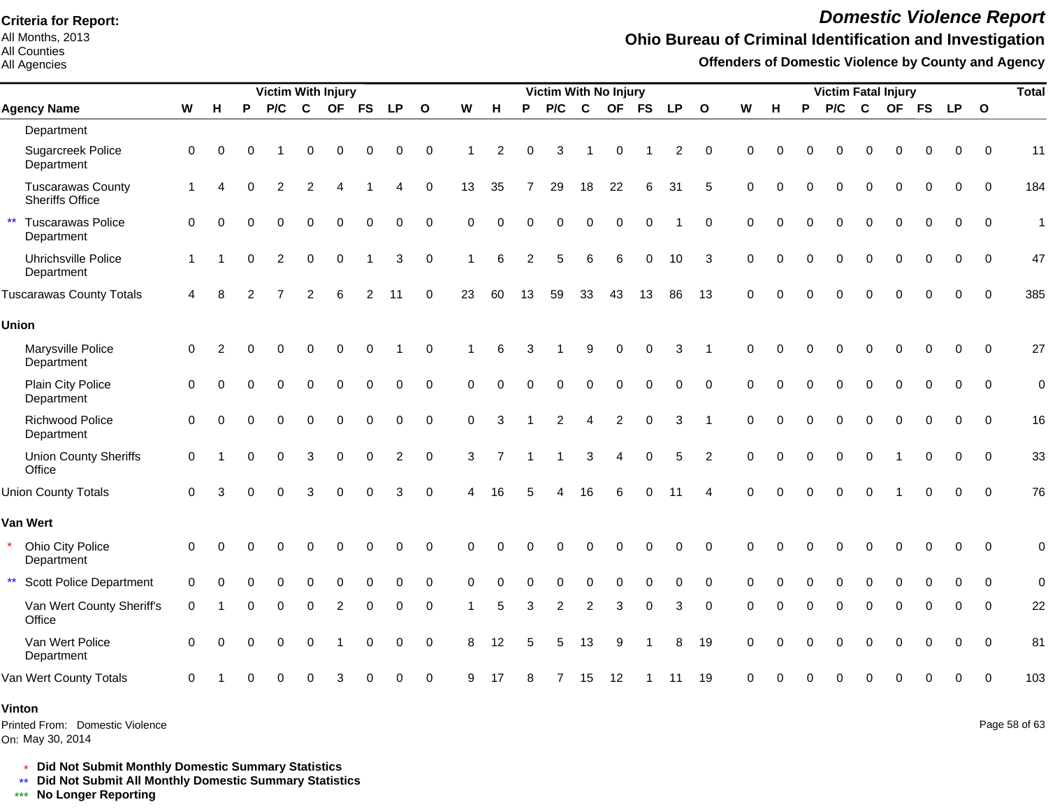All Months, 2013 All Counties

#### All Agencies

# *Domestic Violence Report*

### **Ohio Bureau of Criminal Identification and Investigation**

**Offenders of Domestic Violence by County and Agency**

|                                                        |              |          |          | <b>Victim With Injury</b> |                |             |             |                |              |             |          |                |                |                | <b>Victim With No Injury</b> |             |             |              |             |          |          | <b>Victim Fatal Injury</b> |             |          |             |             |              | <b>Total</b>  |
|--------------------------------------------------------|--------------|----------|----------|---------------------------|----------------|-------------|-------------|----------------|--------------|-------------|----------|----------------|----------------|----------------|------------------------------|-------------|-------------|--------------|-------------|----------|----------|----------------------------|-------------|----------|-------------|-------------|--------------|---------------|
| <b>Agency Name</b>                                     | ${\bf W}$    | н        | P        | P/C                       | $\mathbf c$    |             | OF FS       | <b>LP</b>      | $\mathbf{o}$ | W           | н        | P              | P/C            | $\mathbf c$    |                              | OF FS       | <b>LP</b>   | $\mathbf{o}$ | W           | н        | P        | P/C                        | $\mathbf c$ |          | OF FS       | <b>LP</b>   | $\mathbf{o}$ |               |
| Department                                             |              |          |          |                           |                |             |             |                |              |             |          |                |                |                |                              |             |             |              |             |          |          |                            |             |          |             |             |              |               |
| Sugarcreek Police<br>Department                        | 0            | $\Omega$ |          |                           | 0              | 0           | 0           | 0              | $\mathbf 0$  |             | 2        | 0              | 3              |                | 0                            |             | 2           | 0            | 0           | 0        | O        | 0                          | $\Omega$    | 0        | $\Omega$    | 0           | $\Omega$     | 11            |
| <b>Tuscarawas County</b><br><b>Sheriffs Office</b>     | $\mathbf{1}$ | Δ        | O        | 2                         | 2              |             |             | 4              | 0            | 13          | 35       | 7              | 29             | 18             | 22                           | 6           | 31          | 5            | $\Omega$    | O        | $\Omega$ | O                          | $\Omega$    | $\Omega$ | 0           | $\Omega$    | 0            | 184           |
| $\star\star$<br><b>Tuscarawas Police</b><br>Department | $\Omega$     |          |          | $\Omega$                  | $\Omega$       | $\Omega$    | $\mathbf 0$ | 0              | $\mathbf 0$  | $\Omega$    | $\Omega$ | $\Omega$       | $\Omega$       | $\Omega$       | $\Omega$                     | $\mathbf 0$ |             | $\Omega$     | $\Omega$    | $\Omega$ | 0        | $\Omega$                   | $\Omega$    | $\Omega$ | $\mathbf 0$ | 0           | $\mathbf 0$  | $\mathbf{1}$  |
| Uhrichsville Police<br>Department                      | -1           |          | $\Omega$ | $\overline{2}$            | $\mathbf 0$    | $\mathbf 0$ |             | 3              | $\mathbf 0$  |             | 6        | $\overline{c}$ | 5              | 6              | 6                            | $\Omega$    | 10          | 3            | $\Omega$    | $\Omega$ | $\Omega$ | $\Omega$                   | $\Omega$    | $\Omega$ | $\Omega$    | $\Omega$    | $\mathbf 0$  | 47            |
| <b>Tuscarawas County Totals</b>                        | 4            | 8        | 2        |                           | $\overline{2}$ | 6           | 2           | 11             | $\mathbf 0$  | 23          | 60       | 13             | 59             | 33             | 43                           | 13          | 86          | 13           | $\Omega$    | $\Omega$ | $\Omega$ | $\Omega$                   | $\mathbf 0$ | $\Omega$ | $\mathbf 0$ | $\mathbf 0$ | $\mathbf 0$  | 385           |
| <b>Union</b>                                           |              |          |          |                           |                |             |             |                |              |             |          |                |                |                |                              |             |             |              |             |          |          |                            |             |          |             |             |              |               |
| Marysville Police<br>Department                        | 0            | 2        | ∩        | 0                         | $\Omega$       | O           | 0           |                | $\Omega$     |             | 6        | 3              |                | 9              | $\Omega$                     | 0           | 3           |              | $\Omega$    |          | ሰ        | $\Omega$                   | $\Omega$    | $\Omega$ | 0           | 0           | $\mathbf 0$  | 27            |
| Plain City Police<br>Department                        | 0            | O        |          | $\Omega$                  | $\Omega$       | $\Omega$    | $\mathbf 0$ | 0              | $\mathbf 0$  | $\mathbf 0$ | 0        | $\Omega$       | 0              | $\mathbf 0$    | 0                            | $\mathbf 0$ | $\mathbf 0$ | $\mathbf 0$  | $\mathbf 0$ | $\Omega$ | $\Omega$ | $\Omega$                   | $\Omega$    | $\Omega$ | $\mathbf 0$ | $\mathbf 0$ | $\mathbf 0$  | $\mathbf 0$   |
| Richwood Police<br>Department                          | $\mathbf 0$  | $\Omega$ | $\Omega$ | $\Omega$                  | $\Omega$       | $\Omega$    | $\mathbf 0$ | 0              | $\mathbf 0$  | $\mathbf 0$ | 3        |                | $\overline{2}$ | $\overline{4}$ | $\overline{2}$               | $\mathbf 0$ | 3           |              | $\mathbf 0$ | $\Omega$ | $\Omega$ | $\Omega$                   | $\Omega$    | $\Omega$ | $\mathbf 0$ | $\Omega$    | $\mathbf 0$  | 16            |
| <b>Union County Sheriffs</b><br>Office                 | $\mathbf 0$  |          | $\Omega$ | $\Omega$                  | 3              | 0           | $\mathbf 0$ | $\overline{2}$ | $\mathbf 0$  | 3           |          |                |                | 3              | 4                            | 0           | 5           | 2            | $\mathbf 0$ | $\Omega$ | $\Omega$ | $\Omega$                   | $\Omega$    |          | $\mathbf 0$ | $\mathbf 0$ | $\Omega$     | 33            |
| <b>Union County Totals</b>                             | $\Omega$     |          |          | 0                         | 3              | $\Omega$    | $\Omega$    | 3              | $\Omega$     |             | 16       |                |                | 16             | 6                            | $\Omega$    | 11          |              | $\Omega$    | $\Omega$ | $\Omega$ | $\Omega$                   | $\Omega$    |          | $\Omega$    | $\Omega$    | $\Omega$     | 76            |
| <b>Van Wert</b>                                        |              |          |          |                           |                |             |             |                |              |             |          |                |                |                |                              |             |             |              |             |          |          |                            |             |          |             |             |              |               |
| Ohio City Police<br>Department                         | $\mathbf 0$  | $\Omega$ |          |                           | 0              | $\Omega$    | 0           | 0              | $\mathbf 0$  | $\Omega$    | $\Omega$ |                | 0              | $\Omega$       | 0                            | 0           | 0           | $\Omega$     | $\Omega$    | O        |          | $\Omega$                   | $\Omega$    | 0        | 0           | 0           | $\mathbf 0$  | $\mathbf 0$   |
| $\star\star$<br><b>Scott Police Department</b>         | 0            |          |          | 0                         | 0              | 0           | $\Omega$    | U              | $\Omega$     | $\Omega$    | 0        | 0              | 0              | $\Omega$       | O                            | 0           | 0           | $\Omega$     | $\Omega$    |          |          | 0                          | $\Omega$    | O        | O           | O           | $\Omega$     | $\mathbf 0$   |
| Van Wert County Sheriff's<br>Office                    | $\Omega$     |          |          | 0                         | 0              | 2           | $\Omega$    | 0              | 0            |             | 5        | 3              | $\overline{2}$ | $\overline{2}$ | 3                            | $\Omega$    | 3           | $\mathbf 0$  | $\Omega$    |          | $\Omega$ | 0                          | $\mathbf 0$ | $\Omega$ | 0           | $\Omega$    | $\Omega$     | 22            |
| Van Wert Police<br>Department                          | $\Omega$     | O        |          | 0                         | 0              |             | 0           | 0              | $\mathbf 0$  | 8           | 12       | 5              | 5              | 13             | 9                            |             | 8           | 19           | $\Omega$    |          | 0        | 0                          | $\mathbf 0$ | $\Omega$ | $\mathbf 0$ | $\mathbf 0$ | $\Omega$     | 81            |
| Van Wert County Totals                                 | $\Omega$     |          |          | $\Omega$                  | $\Omega$       | 3           | $\Omega$    | $\Omega$       | $\Omega$     | 9           | 17       | 8              | 7              | 15             | 12                           |             | 11          | 19           | $\Omega$    |          |          |                            | C           |          | O           | $\Omega$    | $\Omega$     | 103           |
| Vinton<br>Printed From: Domestic Violence              |              |          |          |                           |                |             |             |                |              |             |          |                |                |                |                              |             |             |              |             |          |          |                            |             |          |             |             |              | Page 58 of 63 |

On: May 30, 2014

\* **Did Not Submit Monthly Domestic Summary Statistics**

**Did Not Submit All Monthly Domestic Summary Statistics**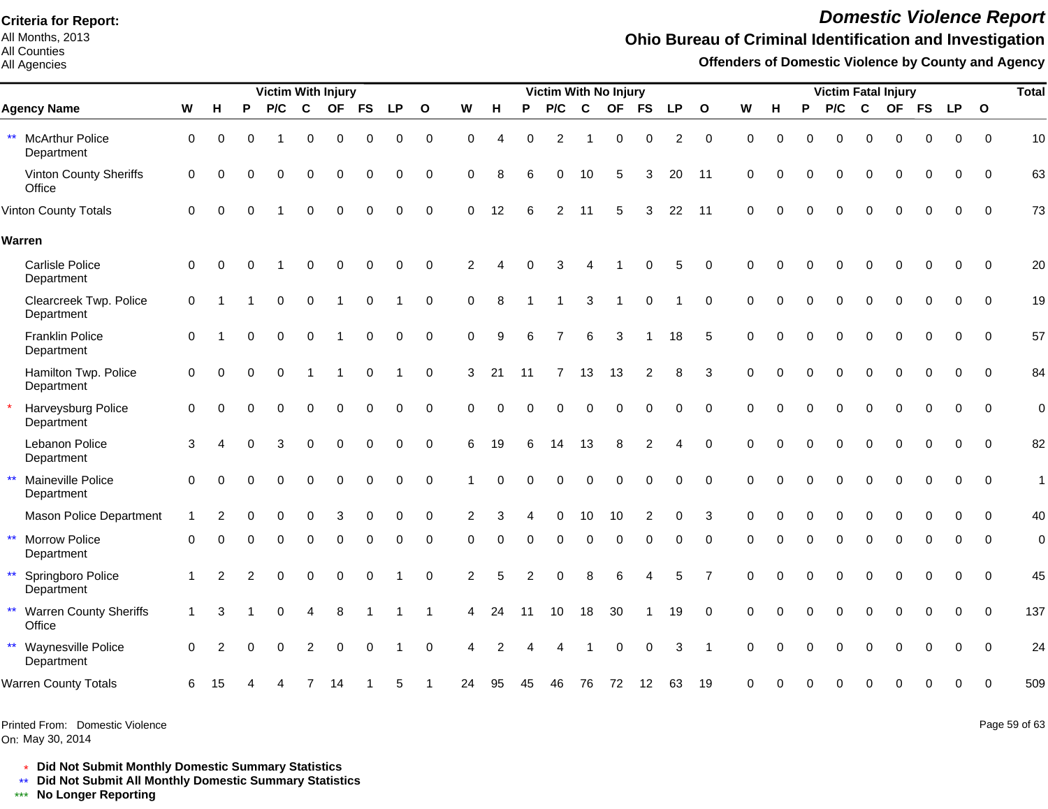All Months, 2013 All Counties

All Agencies

# *Domestic Violence Report*

## **Ohio Bureau of Criminal Identification and Investigation**

**Offenders of Domestic Violence by County and Agency**

|                                                         |                     |                |          | <b>Victim With Injury</b> |                |                |             |             |              |                |          |          | <b>Victim With No Injury</b> |              |           |                |          |                |             |          |          |          |             | <b>Victim Fatal Injury</b> |             |             |              | <b>Total</b> |
|---------------------------------------------------------|---------------------|----------------|----------|---------------------------|----------------|----------------|-------------|-------------|--------------|----------------|----------|----------|------------------------------|--------------|-----------|----------------|----------|----------------|-------------|----------|----------|----------|-------------|----------------------------|-------------|-------------|--------------|--------------|
| <b>Agency Name</b>                                      | W                   | н              | P        | P/C                       | C              | <b>OF</b>      | FS          | <b>LP</b>   | $\mathbf{o}$ | W              | н        | P        | P/C                          | $\mathbf{C}$ | <b>OF</b> | <b>FS</b>      | LP       | $\mathbf{o}$   | W           | н        | P        | P/C      | C           | <b>OF</b>                  | <b>FS</b>   | <b>LP</b>   | $\mathbf{o}$ |              |
| $\star\star$<br><b>McArthur Police</b><br>Department    | $\mathbf 0$         | $\Omega$       | $\Omega$ |                           | 0              | 0              | 0           | 0           | $\mathbf 0$  | $\Omega$       | $\Delta$ | $\Omega$ | $\overline{2}$               |              | 0         | $\Omega$       | 2        | $\Omega$       | $\Omega$    | $\Omega$ | $\Omega$ | $\Omega$ | 0           | $\Omega$                   | $\Omega$    | $\Omega$    | $\Omega$     | 10           |
| Vinton County Sheriffs<br>Office                        | 0                   | $\Omega$       | 0        | $\Omega$                  | 0              | $\Omega$       | 0           | 0           | $\mathbf 0$  | $\mathbf 0$    | 8        | 6        | 0                            | 10           | 5         | 3              | 20       | 11             | $\mathbf 0$ | $\Omega$ | $\Omega$ | 0        | $\mathbf 0$ | 0                          | $\mathbf 0$ | $\Omega$    | $\Omega$     | 63           |
| Vinton County Totals                                    | $\Omega$            | $\Omega$       | 0        |                           | $\Omega$       | $\Omega$       |             | 0           | $\Omega$     | $\Omega$       | 12       |          | 2                            | 11           | 5         | 3              | 22       | 11             | $\Omega$    | $\Omega$ | $\Omega$ | $\Omega$ | $\Omega$    | $\Omega$                   | O           | $\Omega$    | $\Omega$     | 73           |
| Warren                                                  |                     |                |          |                           |                |                |             |             |              |                |          |          |                              |              |           |                |          |                |             |          |          |          |             |                            |             |             |              |              |
| <b>Carlisle Police</b><br>Department                    | $\mathsf{O}\xspace$ | $\Omega$       |          |                           | 0              | $\Omega$       | 0           | $\Omega$    | $\mathbf 0$  | $\overline{2}$ |          | $\Omega$ | 3                            |              |           |                | 5        | $\Omega$       | $\Omega$    | $\Omega$ | O        | $\Omega$ | $\Omega$    | $\Omega$                   | $\Omega$    | $\Omega$    | $\Omega$     | 20           |
| Clearcreek Twp. Police<br>Department                    | $\mathbf 0$         |                |          | $\Omega$                  | $\Omega$       |                | $\Omega$    |             | $\Omega$     | $\Omega$       | 8        |          |                              | 3            |           | $\Omega$       |          | $\Omega$       | $\Omega$    | $\Omega$ |          | $\Omega$ | $\Omega$    |                            | $\Omega$    | $\Omega$    | $\Omega$     | 19           |
| <b>Franklin Police</b><br>Department                    | $\mathbf 0$         |                | O        | $\Omega$                  | 0              | $\overline{1}$ | $\mathbf 0$ | $\mathbf 0$ | $\mathbf 0$  | $\mathbf 0$    | 9        | 6        | $\overline{7}$               | 6            | 3         |                | 18       | 5              | $\Omega$    | $\Omega$ | $\Omega$ | 0        | $\mathbf 0$ | $\mathbf 0$                | $\mathbf 0$ | $\mathbf 0$ | $\Omega$     | 57           |
| Hamilton Twp. Police<br>Department                      | 0                   | $\Omega$       | 0        | $\Omega$                  |                |                | $\Omega$    |             | $\mathbf 0$  | 3              | 21       | 11       | $\overline{7}$               | 13           | 13        | 2              | 8        | 3              | $\Omega$    | $\Omega$ | $\Omega$ | $\Omega$ | $\Omega$    | $\Omega$                   | $\Omega$    | $\Omega$    | $\Omega$     | 84           |
| Harveysburg Police<br>Department                        | $\mathbf 0$         | $\Omega$       |          |                           | $\Omega$       | $\Omega$       | $\Omega$    | $\Omega$    | $\Omega$     | $\Omega$       | $\Omega$ | $\Omega$ | $\Omega$                     | 0            | $\Omega$  | $\Omega$       | $\Omega$ | $\Omega$       | $\Omega$    |          |          | $\Omega$ | $\Omega$    | $\Omega$                   | $\Omega$    | $\Omega$    | $\Omega$     | $\mathbf 0$  |
| Lebanon Police<br>Department                            | 3                   |                |          | 3                         | $\Omega$       | $\Omega$       | $\Omega$    | $\Omega$    | $\Omega$     | 6              | 19       | 6        | 14                           | 13           | 8         | $\overline{c}$ | 4        | $\Omega$       | $\Omega$    | $\Omega$ | $\Omega$ | $\Omega$ | $\Omega$    | $\Omega$                   | $\Omega$    | $\Omega$    | $\Omega$     | 82           |
| $\star\star$<br>Maineville Police<br>Department         | 0                   | $\Omega$       |          | $\Omega$                  | $\Omega$       | $\Omega$       | $\Omega$    | $\mathbf 0$ | $\mathbf 0$  |                | $\Omega$ |          | 0                            | $\Omega$     | O         | $\Omega$       | 0        | $\Omega$       | $\Omega$    | $\Omega$ | $\Omega$ | $\Omega$ | $\Omega$    | $\Omega$                   | $\Omega$    | $\Omega$    | $\Omega$     | 1            |
| <b>Mason Police Department</b>                          |                     | $\overline{2}$ | $\Omega$ | $\Omega$                  | 0              | 3              | $\mathbf 0$ | 0           | $\mathbf 0$  | 2              | 3        |          | 0                            | 10           | 10        | $\overline{c}$ | 0        | 3              | 0           | $\Omega$ | 0        | 0        | $\mathbf 0$ | $\mathbf 0$                | $\mathbf 0$ | 0           | $\Omega$     | 40           |
| $\star\star$<br><b>Morrow Police</b><br>Department      | $\Omega$            |                |          |                           |                | $\Omega$       |             |             | 0            | O              | O        | $\Omega$ | 0                            | ∩            | $\Omega$  |                |          | $\Omega$       | ∩           |          |          | O        | $\Omega$    | $\Omega$                   | 0           | 0           | $\Omega$     | $\mathbf 0$  |
| $\star\star$<br>Springboro Police<br>Department         |                     | 2              |          | $\Omega$                  | $\Omega$       | $\mathbf 0$    | $\Omega$    |             | $\mathbf 0$  | $\overline{2}$ | 5        |          | 0                            |              | 6         |                | 5        | $\overline{7}$ | $\Omega$    | $\Omega$ | $\Omega$ | $\Omega$ | $\Omega$    | $\Omega$                   | $\Omega$    | $\Omega$    | $\Omega$     | 45           |
| $\star\star$<br><b>Warren County Sheriffs</b><br>Office | $\mathbf{1}$        | 3              |          | $\Omega$                  | 4              | 8              |             |             | 1            | 4              | 24       | 11       | 10                           | 18           | 30        |                | 19       | $\mathbf 0$    | $\Omega$    | $\Omega$ | 0        | $\Omega$ | $\Omega$    | $\Omega$                   | $\Omega$    | $\mathbf 0$ | $\Omega$     | 137          |
| ** Waynesville Police<br>Department                     | $\Omega$            | 2              | $\Omega$ | $\Omega$                  | $\overline{2}$ | 0              | 0           |             | $\mathbf 0$  | Δ              |          |          |                              |              | 0         | $\Omega$       | 3        | -1             | $\Omega$    | $\Omega$ | $\Omega$ | 0        | 0           | $\Omega$                   | $\Omega$    | $\Omega$    | $\Omega$     | 24           |
| <b>Warren County Totals</b>                             | 6                   | 15             |          |                           |                | 14             |             | 5           |              | 24             | 95       | 45       | 46                           | 76           | 72        | 12             | 63       | 19             | $\Omega$    |          |          |          |             |                            | O           | $\Omega$    | $\Omega$     | 509          |
|                                                         |                     |                |          |                           |                |                |             |             |              |                |          |          |                              |              |           |                |          |                |             |          |          |          |             |                            |             |             |              |              |

Printed From: Domestic Violence

On: May 30, 2014

Page 59 of 63

\* **Did Not Submit Monthly Domestic Summary Statistics**

**Did Not Submit All Monthly Domestic Summary Statistics**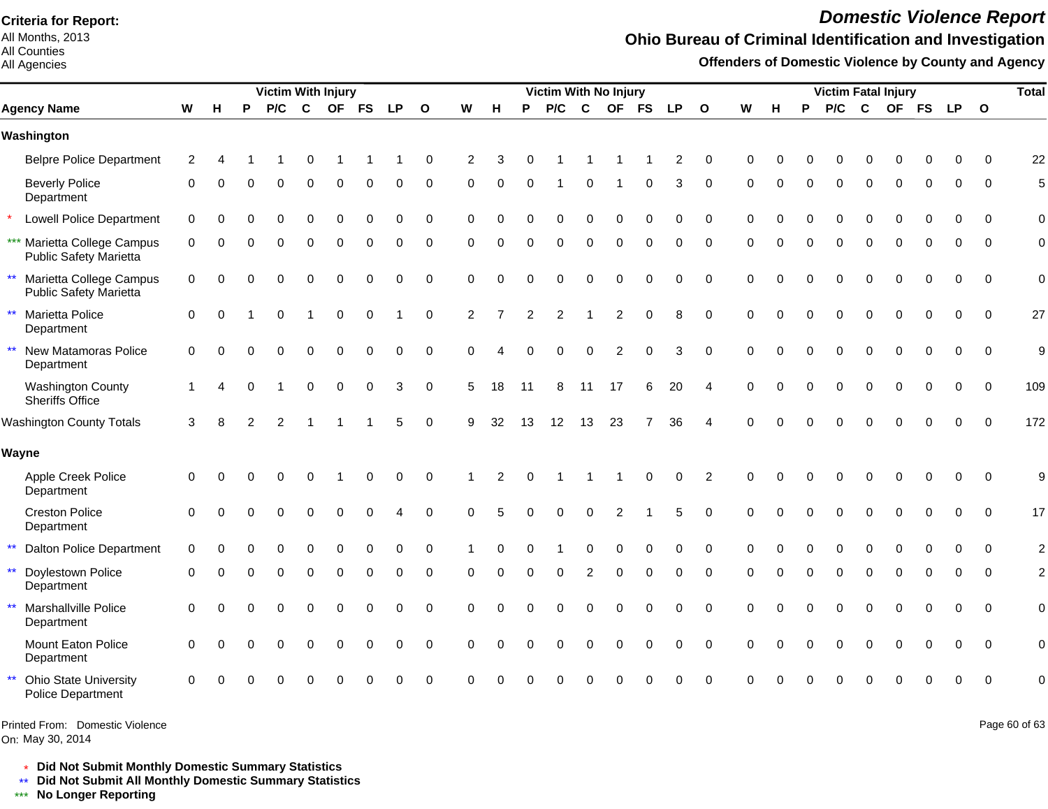All Months, 2013 All Counties

#### All Agencies

# *Domestic Violence Report*

## **Ohio Bureau of Criminal Identification and Investigation**

**Offenders of Domestic Violence by County and Agency**

|                                                                          |                |          |   | <b>Victim With Injury</b> |              |             |          |           |                  |                |          |          | Victim With No Injury |          |                |                |                |                        |          |          |          |          |              | <b>Victim Fatal Injury</b> |          |             |              | <b>Total</b>   |
|--------------------------------------------------------------------------|----------------|----------|---|---------------------------|--------------|-------------|----------|-----------|------------------|----------------|----------|----------|-----------------------|----------|----------------|----------------|----------------|------------------------|----------|----------|----------|----------|--------------|----------------------------|----------|-------------|--------------|----------------|
| <b>Agency Name</b>                                                       | W              | н        | P | P/C                       | $\mathbf{C}$ |             | OF FS    | <b>LP</b> | $\Omega$         | W              | н        | P        | P/C                   | C        | OF FS          |                | <b>LP</b>      | $\mathbf{o}$           | W        | н        | P        | P/C      | $\mathbf{C}$ |                            |          | OF FS LP    | $\mathbf{o}$ |                |
| Washington                                                               |                |          |   |                           |              |             |          |           |                  |                |          |          |                       |          |                |                |                |                        |          |          |          |          |              |                            |          |             |              |                |
| <b>Belpre Police Department</b>                                          | $\overline{c}$ |          |   |                           |              |             |          |           | 0                | $\overline{2}$ | З        |          |                       |          |                |                | $\overline{2}$ | $\Omega$               | $\Omega$ |          |          |          |              |                            |          | O           | $\Omega$     | 22             |
| <b>Beverly Police</b><br>Department                                      | 0              | ∩        |   | O                         | $\Omega$     | $\Omega$    | $\Omega$ | O         | 0                | $\Omega$       | $\Omega$ | $\Omega$ |                       | $\Omega$ |                | $\Omega$       | 3              | $\Omega$               | $\Omega$ | $\Omega$ | $\Omega$ | O        | $\Omega$     | $\Omega$                   | $\Omega$ | $\Omega$    | $\Omega$     | 5              |
| <b>Lowell Police Department</b>                                          | 0              |          |   |                           |              | ∩           | $\Omega$ | 0         | 0                | $\Omega$       |          |          |                       |          |                |                | O              | $\Omega$               | $\Omega$ |          |          |          | $\Omega$     |                            |          | O           | $\Omega$     | $\mathbf 0$    |
| *** Marietta College Campus<br>Public Safety Marietta                    | 0              | ∩        |   | U                         | $\Omega$     | $\Omega$    | $\Omega$ | 0         | 0                | $\Omega$       | $\Omega$ | $\Omega$ | $\Omega$              | $\Omega$ | $\Omega$       | $\Omega$       | $\Omega$       | $\Omega$               | $\Omega$ | 0        | $\Omega$ | $\Omega$ | $\Omega$     | $\Omega$                   | $\Omega$ | $\Omega$    | $\Omega$     | $\mathbf 0$    |
| $\star\star$<br>Marietta College Campus<br><b>Public Safety Marietta</b> | 0              | ∩        |   | n                         | O            | ∩           |          | O         | 0                | $\Omega$       | O        |          | n                     |          |                |                | 0              | $\Omega$               | $\Omega$ |          |          |          | O            |                            | $\Omega$ | $\Omega$    | $\Omega$     | $\mathbf 0$    |
| $\star\star$<br>Marietta Police<br>Department                            | $\Omega$       | $\Omega$ |   | $\Omega$                  |              | $\mathbf 0$ | $\Omega$ |           | $\pmb{0}$        | $\overline{c}$ |          | 2        | 2                     |          | $\overline{c}$ | $\Omega$       | 8              | $\Omega$               | $\Omega$ |          |          | 0        | $\Omega$     | $\Omega$                   | $\Omega$ | $\Omega$    | $\Omega$     | 27             |
| $\star\star$<br>New Matamoras Police<br>Department                       | 0              | O        |   |                           | $\Omega$     | $\Omega$    | $\Omega$ | $\Omega$  | 0                | $\Omega$       |          |          | 0                     | $\Omega$ | 2              | $\Omega$       | 3              | $\Omega$               | $\Omega$ |          | $\Omega$ | O        | $\Omega$     | O                          | $\Omega$ | $\Omega$    | 0            | 9              |
| <b>Washington County</b><br>Sheriffs Office                              |                |          |   |                           | $\Omega$     | $\Omega$    | 0        | 3         | $\pmb{0}$        | 5              | 18       | 11       | 8                     | 11       | 17             | 6              | 20             | 4                      | $\Omega$ |          | $\Omega$ |          | $\Omega$     | $\Omega$                   | $\Omega$ | $\Omega$    | $\mathbf 0$  | 109            |
| <b>Washington County Totals</b>                                          | 3              |          |   | 2                         |              |             |          | 5         | $\boldsymbol{0}$ | 9              | 32       | 13       | 12                    | 13       | 23             | $\overline{7}$ | 36             | $\boldsymbol{\Lambda}$ | ∩        |          |          |          |              |                            |          | $\mathbf 0$ | $\mathbf 0$  | 172            |
| Wayne                                                                    |                |          |   |                           |              |             |          |           |                  |                |          |          |                       |          |                |                |                |                        |          |          |          |          |              |                            |          |             |              |                |
| Apple Creek Police<br>Department                                         | 0              | O        |   |                           | O            |             | $\Omega$ | 0         | 0                |                | 2        |          |                       |          |                | ∩              | $\Omega$       | 2                      | $\Omega$ |          |          |          | O            |                            | ი        | $\Omega$    | $\Omega$     | 9              |
| <b>Creston Police</b><br>Department                                      | 0              | ∩        |   |                           | $\Omega$     | $\Omega$    | ∩        |           | 0                | $\Omega$       | 5        |          | 0                     | ∩        |                |                | 5              | $\Omega$               | $\Omega$ | U        |          |          | $\Omega$     | $\Omega$                   | $\Omega$ | $\Omega$    | $\mathbf 0$  | 17             |
| $\star\star$<br><b>Dalton Police Department</b>                          | $\Omega$       |          |   |                           |              |             |          |           | $\Omega$         |                |          |          |                       |          |                |                |                | $\Omega$               | $\Omega$ |          |          |          |              |                            |          |             | $\Omega$     | $\overline{c}$ |
| $***$<br>Doylestown Police<br>Department                                 | 0              | ∩        | ∩ | $\Omega$                  | $\Omega$     | $\Omega$    | $\Omega$ | 0         | $\mathbf 0$      | $\Omega$       | $\Omega$ | $\Omega$ | 0                     | 2        | $\Omega$       | $\Omega$       | 0              | $\mathbf 0$            | $\Omega$ | $\Omega$ | $\Omega$ | $\Omega$ | $\Omega$     | $\Omega$                   | 0        | 0           | 0            | $\overline{c}$ |
| $***$<br>Marshallville Police<br>Department                              | $\Omega$       |          |   |                           |              | C           | $\Omega$ | 0         | $\mathbf 0$      | $\Omega$       |          |          |                       |          |                | $\Omega$       | $\Omega$       | $\mathbf 0$            | $\Omega$ |          |          |          | $\Omega$     |                            | $\Omega$ | $\Omega$    | $\mathbf 0$  | $\mathbf 0$    |
| Mount Eaton Police<br>Department                                         | $\Omega$       |          |   | $\Omega$                  | $\Omega$     | $\Omega$    | $\Omega$ | 0         | $\pmb{0}$        | $\Omega$       | O        |          | $\Omega$              | $\Omega$ | $\Omega$       | $\Omega$       | $\Omega$       | $\Omega$               | $\Omega$ |          |          | 0        | $\Omega$     | $\Omega$                   | $\Omega$ | $\Omega$    | $\Omega$     | $\mathbf 0$    |
| $\star\star$<br><b>Ohio State University</b><br>Police Department        | $\Omega$       |          |   |                           |              |             |          |           | $\Omega$         | ∩              |          |          |                       |          |                |                | O              | $\Omega$               |          |          |          |          |              |                            |          | $\Omega$    | $\Omega$     | $\Omega$       |
|                                                                          |                |          |   |                           |              |             |          |           |                  |                |          |          |                       |          |                |                |                |                        |          |          |          |          |              |                            |          |             |              |                |

On: May 30, 2014 Printed From: Domestic Violence Page 60 of 63

\* **Did Not Submit Monthly Domestic Summary Statistics**

**Did Not Submit All Monthly Domestic Summary Statistics**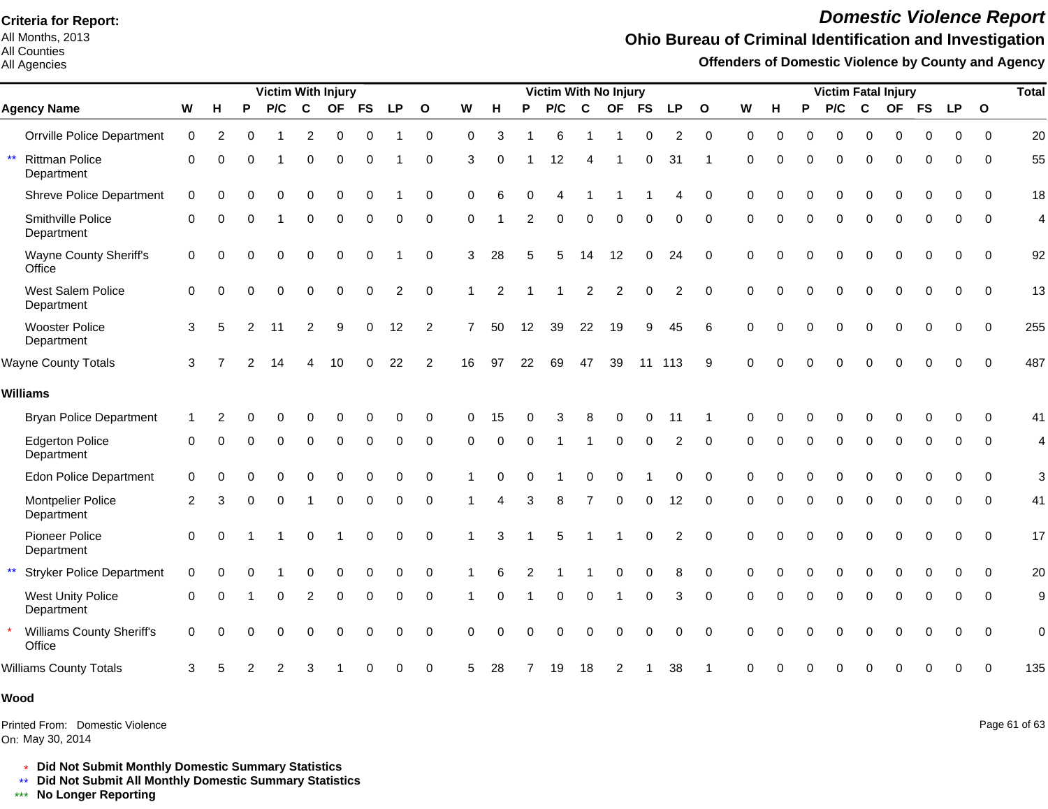All Months, 2013 All Counties

#### All Agencies

# *Domestic Violence Report*

## **Ohio Bureau of Criminal Identification and Investigation**

**Offenders of Domestic Violence by County and Agency**

|                                                     |             |          |   | <b>Victim With Injury</b> |             |             |           |             |                |                | Victim With No Injury |          |     |                |                |             |                |              |          |          | <b>Victim Fatal Injury</b> |          |             |           |             |             |              |                |  |  |  |
|-----------------------------------------------------|-------------|----------|---|---------------------------|-------------|-------------|-----------|-------------|----------------|----------------|-----------------------|----------|-----|----------------|----------------|-------------|----------------|--------------|----------|----------|----------------------------|----------|-------------|-----------|-------------|-------------|--------------|----------------|--|--|--|
| <b>Agency Name</b>                                  | W           | н        | P | P/C                       | $\mathbf c$ | <b>OF</b>   | <b>FS</b> | <b>LP</b>   | $\mathbf{o}$   | W              | н                     | P        | P/C | $\mathbf c$    | <b>OF</b>      | <b>FS</b>   | <b>LP</b>      | $\mathbf{o}$ | W        | н        | P                          | P/C      | C           | <b>OF</b> | <b>FS</b>   | <b>LP</b>   | $\mathbf{o}$ |                |  |  |  |
| <b>Orrville Police Department</b>                   | $\mathbf 0$ | 2        | U |                           | 2           | 0           | $\Omega$  |             | $\mathbf 0$    | $\Omega$       | 3                     |          | 6   |                |                | O           | 2              | $\Omega$     | $\Omega$ | 0        | $\Omega$                   | 0        | $\Omega$    | 0         | 0           | $\Omega$    | $\Omega$     | 20             |  |  |  |
| $\star\star$<br><b>Rittman Police</b><br>Department | $\Omega$    | O        |   |                           | 0           | 0           | 0         |             | 0              | 3              | 0                     |          | 12  | 4              |                | 0           | 31             |              | $\Omega$ |          |                            | 0        | $\Omega$    | O         | ი           | 0           | $\Omega$     | 55             |  |  |  |
| <b>Shreve Police Department</b>                     | $\mathbf 0$ | 0        |   | $\Omega$                  | 0           | $\Omega$    | $\Omega$  |             | $\Omega$       | $\Omega$       | 6                     | $\Omega$ | Δ   |                |                |             | Δ              | $\Omega$     | $\Omega$ |          | $\Omega$                   | $\Omega$ | $\Omega$    | 0         | O           | O           | $\Omega$     | 18             |  |  |  |
| Smithville Police<br>Department                     | 0           | $\Omega$ |   |                           | $\Omega$    | $\Omega$    | $\Omega$  | 0           | 0              | $\Omega$       |                       | 2        | 0   | $\Omega$       | 0              | $\Omega$    | $\Omega$       | $\Omega$     | $\Omega$ | $\Omega$ | $\Omega$                   | $\Omega$ | $\Omega$    | $\Omega$  | $\Omega$    | $\Omega$    | $\Omega$     | $\overline{4}$ |  |  |  |
| Wayne County Sheriff's<br>Office                    | $\mathbf 0$ | ∩        |   | 0                         | $\Omega$    | $\Omega$    | $\Omega$  |             | $\Omega$       | 3              | 28                    | 5        | 5   | 14             | 12             | ∩           | 24             | $\Omega$     | $\Omega$ |          |                            | O        | $\Omega$    | $\Omega$  | $\Omega$    | $\Omega$    | $\Omega$     | 92             |  |  |  |
| West Salem Police<br>Department                     | $\Omega$    | $\Omega$ |   | $\Omega$                  | $\Omega$    | $\Omega$    | $\Omega$  | 2           | 0              |                | 2                     |          |     | $\overline{c}$ | $\overline{2}$ | $\mathbf 0$ | $\overline{c}$ | $\Omega$     | $\Omega$ | $\Omega$ | $\Omega$                   | $\Omega$ | $\Omega$    | $\Omega$  | $\Omega$    | $\Omega$    | $\Omega$     | 13             |  |  |  |
| <b>Wooster Police</b><br>Department                 | 3           | 5        | 2 | 11                        | 2           | 9           | $\Omega$  | 12          | 2              | $\overline{7}$ | 50                    | 12       | 39  | 22             | 19             | 9           | 45             | 6            | $\Omega$ |          | $\Omega$                   | 0        | $\Omega$    | $\Omega$  | $\Omega$    | $\Omega$    | $\Omega$     | 255            |  |  |  |
| <b>Wayne County Totals</b>                          | 3           |          |   | 14                        | 4           | 10          | $\Omega$  | 22          | $\overline{c}$ | 16             | 97                    | 22       | 69  | 47             | 39             | 11          | 113            | 9            | $\Omega$ | $\Omega$ | $\Omega$                   | 0        | $\mathbf 0$ | $\Omega$  | $\mathbf 0$ | $\mathbf 0$ | $\mathbf 0$  | 487            |  |  |  |
| <b>Williams</b>                                     |             |          |   |                           |             |             |           |             |                |                |                       |          |     |                |                |             |                |              |          |          |                            |          |             |           |             |             |              |                |  |  |  |
| <b>Bryan Police Department</b>                      |             |          |   |                           |             |             |           |             | $\Omega$       | $\Omega$       | 15                    |          |     |                |                |             |                |              | ∩        |          |                            |          |             |           |             |             | ∩            | 41             |  |  |  |
| <b>Edgerton Police</b><br>Department                | 0           | ∩        | O | $\Omega$                  | 0           | $\Omega$    | $\Omega$  | $\Omega$    | $\Omega$       | $\Omega$       | $\Omega$              |          |     |                | $\Omega$       | $\Omega$    | 2              | $\Omega$     | $\Omega$ | $\Omega$ | $\Omega$                   | $\Omega$ | $\Omega$    | $\Omega$  | $\Omega$    | 0           | $\Omega$     | 4              |  |  |  |
| <b>Edon Police Department</b>                       | 0           | 0        |   | 0                         | 0           | $\mathbf 0$ | $\Omega$  | 0           | $\mathbf 0$    |                |                       |          |     | $\Omega$       | $\Omega$       |             | 0              | $\mathbf 0$  | $\Omega$ | $\Omega$ | $\Omega$                   | 0        | $\mathbf 0$ | 0         | 0           | 0           | $\Omega$     | 3              |  |  |  |
| Montpelier Police<br>Department                     | 2           | 3        | 0 | 0                         |             | $\Omega$    | 0         | 0           | 0              |                |                       | 3        | 8   |                | $\mathbf 0$    | $\Omega$    | 12             | $\mathbf 0$  | $\Omega$ | 0        | 0                          | 0        | 0           | 0         | 0           | 0           | $\Omega$     | 41             |  |  |  |
| Pioneer Police<br>Department                        | 0           | $\Omega$ |   |                           | $\Omega$    |             | 0         | $\mathbf 0$ | $\mathbf 0$    |                | 3                     |          | 5   |                |                | $\Omega$    | 2              | $\Omega$     | $\Omega$ | 0        |                            | O        | $\Omega$    | $\Omega$  | $\Omega$    | $\Omega$    | $\Omega$     | 17             |  |  |  |
| $\star\star$<br><b>Stryker Police Department</b>    | $\mathbf 0$ |          |   |                           | 0           | $\Omega$    | 0         | 0           | $\mathbf 0$    |                | 6                     |          |     |                | $\Omega$       | $\mathbf 0$ | 8              | $\mathbf 0$  | $\Omega$ | $\Omega$ | $\Omega$                   | 0        | $\Omega$    | 0         | $\mathbf 0$ | $\mathbf 0$ | $\mathbf 0$  | 20             |  |  |  |
| <b>West Unity Police</b><br>Department              | $\Omega$    | $\Omega$ |   | ሰ                         | 2           | $\Omega$    | $\Omega$  | $\Omega$    | $\mathbf 0$    |                | $\Omega$              |          | 0   | $\mathbf 0$    |                | $\Omega$    | 3              | $\Omega$     | $\Omega$ |          | $\Omega$                   | 0        | $\Omega$    | $\Omega$  | $\Omega$    | 0           | $\Omega$     | 9              |  |  |  |
| <b>Williams County Sheriff's</b><br>Office          | $\Omega$    | ∩        |   | O                         | O           | C           | ∩         | $\Omega$    | $\Omega$       | $\Omega$       |                       |          | O   | ∩              | O              | ∩           | $\Omega$       | $\Omega$     | $\Omega$ |          |                            |          | $\cap$      | O         | $\Omega$    | $\Omega$    | $\Omega$     | $\mathbf 0$    |  |  |  |
| <b>Williams County Totals</b>                       | 3           |          |   | 2                         | 3           |             |           | 0           | $\mathbf 0$    | 5              | 28                    |          | 19  | 18             | 2              |             | 38             |              |          |          |                            |          |             |           |             | $\Omega$    | $\Omega$     | 135            |  |  |  |

#### **Wood**

On: May 30, 2014 Printed From: Domestic Violence Page 61 of 63

\* **Did Not Submit Monthly Domestic Summary Statistics**

**Did Not Submit All Monthly Domestic Summary Statistics**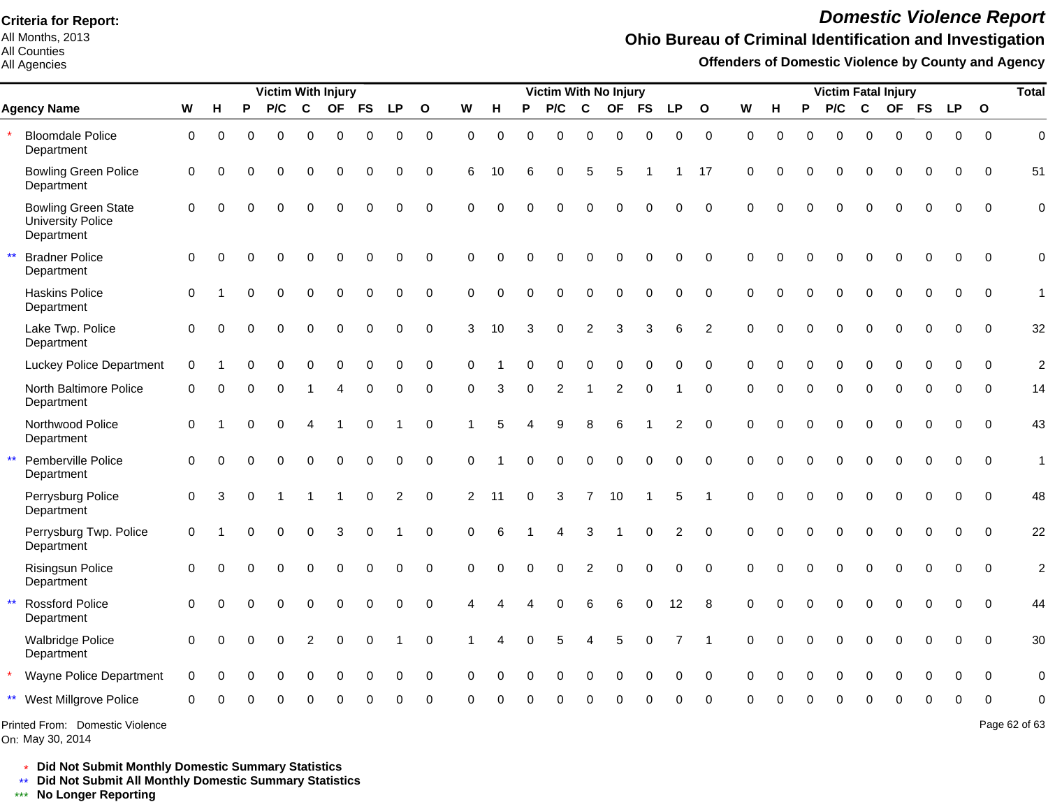All Months, 2013 All Counties

#### All Agencies

# *Domestic Violence Report*

### **Ohio Bureau of Criminal Identification and Investigation**

**Offenders of Domestic Violence by County and Agency**

|                                                               |                     |          |              | <b>Victim With Injury</b> |                         |              |             |                |              |             | Victim With No Injury |             |             |                       |           |              |                |                |             |          | <b>Victim Fatal Injury</b> |          |                  |             |              |             |              |                |  |
|---------------------------------------------------------------|---------------------|----------|--------------|---------------------------|-------------------------|--------------|-------------|----------------|--------------|-------------|-----------------------|-------------|-------------|-----------------------|-----------|--------------|----------------|----------------|-------------|----------|----------------------------|----------|------------------|-------------|--------------|-------------|--------------|----------------|--|
| <b>Agency Name</b>                                            | W                   | H        | P            | P/C                       | $\mathbf c$             | <b>OF</b>    | <b>FS</b>   | <b>LP</b>      | $\mathbf{o}$ | W           | н                     | P           | P/C         | C                     | <b>OF</b> | <b>FS</b>    | LP             | $\mathbf{o}$   | W           | н        | P                          | P/C      | $\mathbf c$      | <b>OF</b>   | <b>FS</b>    | <b>LP</b>   | $\mathbf{o}$ |                |  |
| <b>Bloomdale Police</b><br>Department                         | $\mathbf 0$         | $\Omega$ | 0            | $\Omega$                  | $\Omega$                | 0            | 0           | 0              | $\mathbf 0$  | $\Omega$    | $\mathbf 0$           | $\Omega$    | $\Omega$    | 0                     | 0         | $\Omega$     | 0              | $\mathbf 0$    | $\Omega$    | $\Omega$ | $\Omega$                   | $\Omega$ | $\mathbf 0$      | $\Omega$    | 0            | 0           | $\Omega$     | $\overline{0}$ |  |
| <b>Bowling Green Police</b><br>Department                     | $\mathbf 0$         | $\Omega$ |              | $\Omega$                  | $\Omega$                | $\Omega$     | $\mathbf 0$ | $\mathbf 0$    | $\mathbf 0$  | 6           | 10                    | 6           | 0           | 5                     | 5         |              |                | 17             | $\mathbf 0$ | $\Omega$ | $\Omega$                   | 0        | $\mathbf 0$      | $\mathbf 0$ | $\mathbf 0$  | $\mathbf 0$ | $\Omega$     | 51             |  |
| <b>Bowling Green State</b><br>University Police<br>Department | $\mathbf 0$         | $\Omega$ |              | $\Omega$                  | 0                       | $\Omega$     | $\Omega$    | $\Omega$       | $\mathbf 0$  | $\Omega$    | $\Omega$              | $\Omega$    | 0           | $\Omega$              | $\Omega$  | $\Omega$     | 0              | $\mathbf 0$    | $\Omega$    | $\Omega$ |                            | $\Omega$ | $\Omega$         |             | $\Omega$     | $\Omega$    | $\Omega$     | $\Omega$       |  |
| <b>Bradner Police</b><br>Department                           | $\mathbf 0$         | $\Omega$ | 0            | $\Omega$                  | $\Omega$                | $\Omega$     | $\mathbf 0$ | $\mathbf 0$    | $\mathbf 0$  | $\Omega$    | $\Omega$              | $\Omega$    | 0           | 0                     | $\Omega$  | $\mathbf 0$  | 0              | $\Omega$       | $\Omega$    | $\Omega$ | $\Omega$                   | $\Omega$ | $\mathbf 0$      | $\mathbf 0$ | $\mathbf 0$  | $\mathbf 0$ | $\Omega$     | $\mathbf 0$    |  |
| <b>Haskins Police</b><br>Department                           | $\mathbf 0$         |          | ∩            | $\Omega$                  | $\Omega$                | $\Omega$     | 0           | $\mathbf 0$    | $\mathbf 0$  | $\Omega$    | $\Omega$              | $\Omega$    | $\Omega$    | $\Omega$              | $\Omega$  | $\Omega$     | 0              | $\mathbf 0$    | $\Omega$    | $\Omega$ | $\Omega$                   | $\Omega$ | $\Omega$         | $\Omega$    | $\mathbf 0$  | $\mathbf 0$ | $\Omega$     | 1              |  |
| Lake Twp. Police<br>Department                                | $\Omega$            | $\Omega$ |              | $\Omega$                  | $\Omega$                | $\mathbf 0$  | $\mathbf 0$ | $\mathbf 0$    | $\mathbf 0$  | 3           | 10                    | 3           | $\Omega$    | $\overline{2}$        | 3         | 3            | 6              | 2              | $\Omega$    | $\Omega$ |                            | $\Omega$ | $\Omega$         | $\Omega$    | $\Omega$     | $\mathbf 0$ | $\Omega$     | 32             |  |
| <b>Luckey Police Department</b>                               | $\mathbf 0$         |          | 0            | $\Omega$                  | $\Omega$                | $\Omega$     | $\mathbf 0$ | $\mathbf 0$    | $\mathbf 0$  | $\Omega$    |                       | $\Omega$    | 0           | 0                     | $\Omega$  | $\Omega$     | 0              | $\mathbf 0$    | $\Omega$    | $\Omega$ | $\Omega$                   | 0        | $\mathbf 0$      | $\mathbf 0$ | $\mathbf 0$  | $\mathbf 0$ | $\Omega$     | $\overline{2}$ |  |
| North Baltimore Police<br>Department                          | $\Omega$            |          |              |                           |                         | Δ            | 0           | 0              | $\mathbf 0$  | $\Omega$    | 3                     | $\Omega$    | 2           |                       | 2         | $\Omega$     |                | $\Omega$       | $\Omega$    | 0        | $\Omega$                   | $\Omega$ | $\Omega$         | $\Omega$    | $\Omega$     | $\Omega$    | $\Omega$     | 14             |  |
| Northwood Police<br>Department                                | $\mathbf 0$         |          | $\Omega$     | $\Omega$                  | 4                       |              | $\mathbf 0$ |                | $\mathbf 0$  |             | 5                     |             | 9           | 8                     | 6         |              | $\overline{c}$ | $\mathbf 0$    | $\Omega$    | $\Omega$ | $\Omega$                   | 0        | $\mathbf 0$      | $\mathbf 0$ | $\Omega$     | 0           | $\Omega$     | 43             |  |
| $\star\star$<br>Pemberville Police<br>Department              | $\mathbf 0$         | $\Omega$ |              | $\Omega$                  | 0                       | $\pmb{0}$    | $\pmb{0}$   | $\mathbf 0$    | $\mathbf 0$  | $\mathbf 0$ |                       | $\Omega$    | $\mathbf 0$ | $\pmb{0}$             | $\pmb{0}$ | $\pmb{0}$    | 0              | $\Omega$       | $\Omega$    | $\Omega$ | 0                          | 0        | $\boldsymbol{0}$ | $\mathbf 0$ | $\mathbf 0$  | $\mathbf 0$ | $\Omega$     | $\mathbf{1}$   |  |
| Perrysburg Police<br>Department                               | $\mathsf{O}\xspace$ | 3        | $\Omega$     |                           | $\overline{\mathbf{1}}$ | $\mathbf{1}$ | 0           | $\overline{2}$ | $\mathbf 0$  | 2           | 11                    | $\mathbf 0$ | 3           | $\overline{7}$        | 10        | $\mathbf{1}$ | 5              | $\overline{1}$ | $\mathbf 0$ | 0        | $\Omega$                   | 0        | $\mathbf 0$      | $\mathbf 0$ | $\mathbf 0$  | $\mathbf 0$ | $\Omega$     | 48             |  |
| Perrysburg Twp. Police<br>Department                          | 0                   |          | 0            | $\Omega$                  | $\Omega$                | 3            | 0           |                | $\Omega$     | $\Omega$    | 6                     |             | 4           | 3                     | -1        | $\Omega$     | 2              | $\Omega$       | $\Omega$    | $\Omega$ | $\Omega$                   | $\Omega$ | $\Omega$         | $\Omega$    | $\Omega$     | $\Omega$    | $\Omega$     | 22             |  |
| <b>Risingsun Police</b><br>Department                         | $\mathbf 0$         | $\Omega$ | 0            | $\Omega$                  | $\Omega$                | $\Omega$     | $\mathbf 0$ | $\mathbf 0$    | $\mathbf 0$  | $\Omega$    | $\Omega$              | $\Omega$    | $\Omega$    | 2                     | $\Omega$  | $\Omega$     | $\Omega$       | $\Omega$       | $\Omega$    | $\Omega$ | $\Omega$                   | $\Omega$ | $\Omega$         | $\Omega$    | $\mathbf{0}$ | $\Omega$    | $\Omega$     | $\overline{c}$ |  |
| <b>Rossford Police</b><br>$\star\star$<br>Department          | $\Omega$            |          | <sup>0</sup> | $\Omega$                  | $\Omega$                | $\Omega$     | $\mathbf 0$ | $\mathbf 0$    | $\mathbf 0$  | 4           |                       |             | $\Omega$    | 6                     | 6         | $\Omega$     | 12             | 8              | $\Omega$    | $\Omega$ | $\Omega$                   | $\Omega$ | $\Omega$         | $\Omega$    | $\Omega$     | $\mathbf 0$ | $\Omega$     | 44             |  |
| <b>Walbridge Police</b><br>Department                         | $\Omega$            | $\Omega$ | 0            | $\Omega$                  | $\overline{2}$          | $\mathbf 0$  | $\mathbf 0$ |                | $\mathbf 0$  |             |                       | $\Omega$    | 5           | $\boldsymbol{\Delta}$ | 5         | $\Omega$     | $\overline{7}$ |                | $\Omega$    | $\Omega$ | 0                          | $\Omega$ | $\mathbf 0$      | $\Omega$    | $\Omega$     | $\Omega$    | $\Omega$     | 30             |  |
| Wayne Police Department                                       | $\mathbf 0$         | $\Omega$ | 0            | $\Omega$                  | 0                       | $\Omega$     | $\Omega$    | 0              | $\mathbf 0$  | $\Omega$    | $\Omega$              | $\Omega$    | 0           | 0                     | $\Omega$  | $\Omega$     | 0              | $\Omega$       | $\Omega$    | $\Omega$ | 0                          | 0        | $\Omega$         | $\Omega$    | 0            | $\mathbf 0$ | $\Omega$     | $\mathbf 0$    |  |
| ** West Millgrove Police                                      | 0                   |          |              |                           |                         |              |             |                | ∩            |             |                       |             |             |                       |           |              |                |                |             |          |                            |          |                  |             | ŋ            | ∩           | ∩            | $\Omega$       |  |
| Printed From: Domestic Violence                               |                     |          |              |                           |                         |              |             |                |              |             |                       |             |             |                       |           |              |                |                |             |          |                            |          |                  |             |              |             |              | Page 62 of 63  |  |

On: May 30, 2014

Page 62 of 63

\* **Did Not Submit Monthly Domestic Summary Statistics**

**Did Not Submit All Monthly Domestic Summary Statistics**